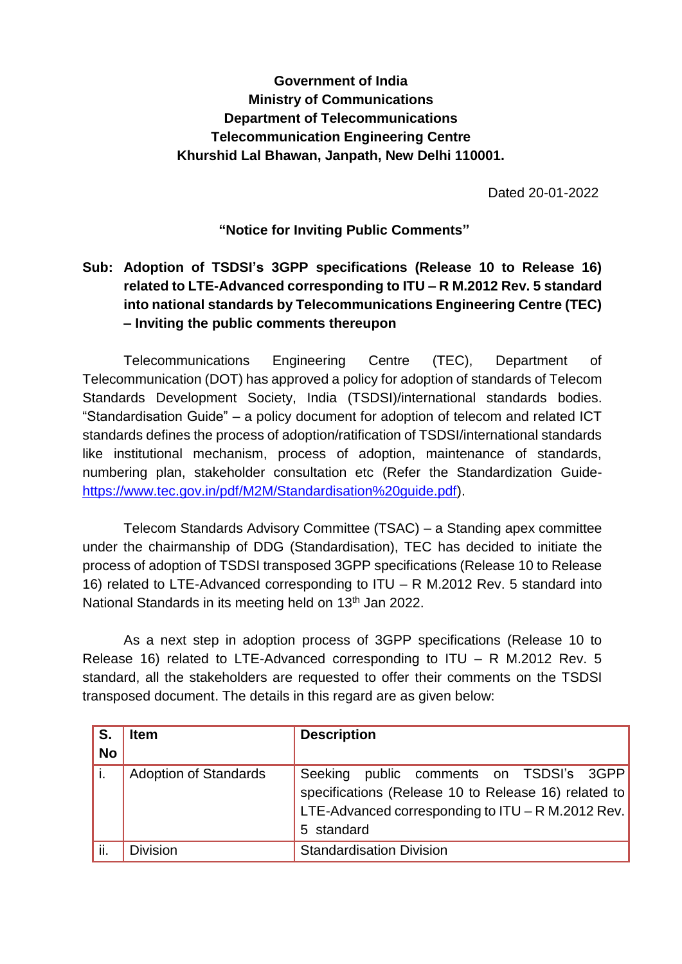## **Government of India Ministry of Communications Department of Telecommunications Telecommunication Engineering Centre Khurshid Lal Bhawan, Janpath, New Delhi 110001.**

Dated 20-01-2022

## **"Notice for Inviting Public Comments"**

## **Sub: Adoption of TSDSI's 3GPP specifications (Release 10 to Release 16) related to LTE-Advanced corresponding to ITU – R M.2012 Rev. 5 standard into national standards by Telecommunications Engineering Centre (TEC) – Inviting the public comments thereupon**

Telecommunications Engineering Centre (TEC), Department of Telecommunication (DOT) has approved a policy for adoption of standards of Telecom Standards Development Society, India (TSDSI)/international standards bodies. "Standardisation Guide" – a policy document for adoption of telecom and related ICT standards defines the process of adoption/ratification of TSDSI/international standards like institutional mechanism, process of adoption, maintenance of standards, numbering plan, stakeholder consultation etc (Refer the Standardization Guide[https://www.tec.gov.in/pdf/M2M/Standardisation%20guide.pdf\)](https://www.tec.gov.in/pdf/M2M/Standardisation%20guide.pdf).

Telecom Standards Advisory Committee (TSAC) – a Standing apex committee under the chairmanship of DDG (Standardisation), TEC has decided to initiate the process of adoption of TSDSI transposed 3GPP specifications (Release 10 to Release 16) related to LTE-Advanced corresponding to ITU – R M.2012 Rev. 5 standard into National Standards in its meeting held on 13<sup>th</sup> Jan 2022.

As a next step in adoption process of 3GPP specifications (Release 10 to Release 16) related to LTE-Advanced corresponding to ITU – R M.2012 Rev. 5 standard, all the stakeholders are requested to offer their comments on the TSDSI transposed document. The details in this regard are as given below:

| S.        | <b>Item</b>                  | <b>Description</b>                                   |  |  |  |  |  |  |  |  |
|-----------|------------------------------|------------------------------------------------------|--|--|--|--|--|--|--|--|
| <b>No</b> |                              |                                                      |  |  |  |  |  |  |  |  |
|           | <b>Adoption of Standards</b> | Seeking public comments on TSDSI's 3GPP              |  |  |  |  |  |  |  |  |
|           |                              | specifications (Release 10 to Release 16) related to |  |  |  |  |  |  |  |  |
|           |                              | LTE-Advanced corresponding to $ITU - R M.2012 Rev.$  |  |  |  |  |  |  |  |  |
|           |                              | 5 standard                                           |  |  |  |  |  |  |  |  |
| ii.       | <b>Division</b>              | <b>Standardisation Division</b>                      |  |  |  |  |  |  |  |  |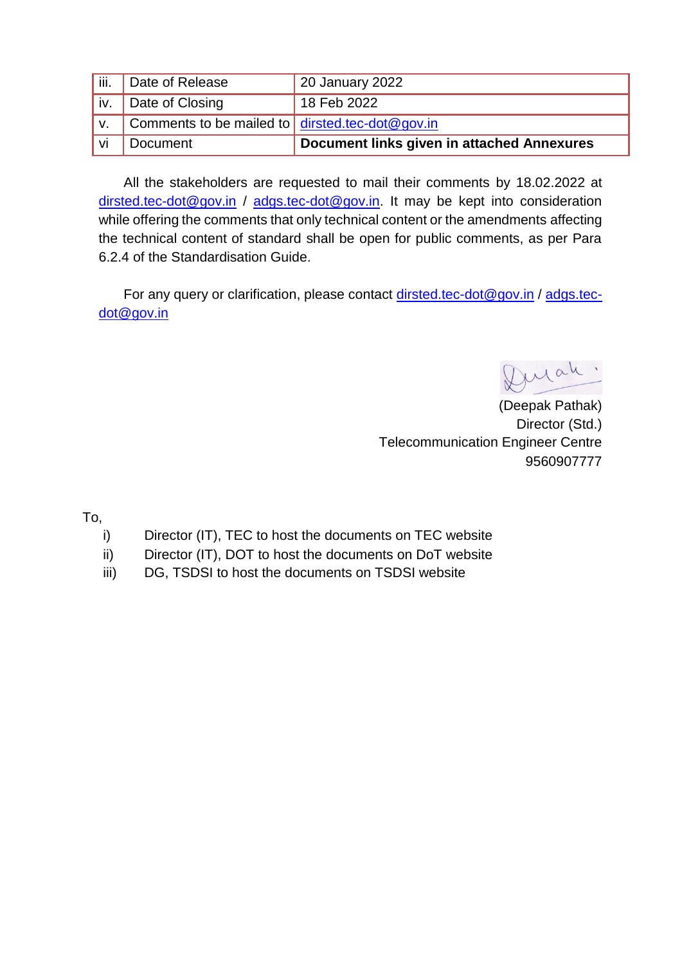| vi    | Document                                                       | Document links given in attached Annexures |
|-------|----------------------------------------------------------------|--------------------------------------------|
|       | Comments to be mailed to $\frac{1}{2}$ dirsted tec-dot @gov.in |                                            |
| iv.   | Date of Closing                                                | 18 Feb 2022                                |
| ∪iii. | Date of Release                                                | 20 January 2022                            |

All the stakeholders are requested to mail their comments by 18.02.2022 at [dirsted.tec-dot@gov.in](mailto:dirsted.tec-dot@gov.in) / adgs.tec-dot@gov.in. It may be kept into consideration while offering the comments that only technical content or the amendments affecting the technical content of standard shall be open for public comments, as per Para 6.2.4 of the Standardisation Guide.

For any query or clarification, please contact [dirsted.tec-dot@gov.in](mailto:dirsted.tec-dot@gov.in) / [adgs.tec](mailto:adgs.tec-dot@gov.in)[dot@gov.in](mailto:adgs.tec-dot@gov.in)

Durah

(Deepak Pathak) Director (Std.) Telecommunication Engineer Centre 9560907777

To,

- i) Director (IT), TEC to host the documents on TEC website
- ii) Director (IT), DOT to host the documents on DoT website
- iii) DG, TSDSI to host the documents on TSDSI website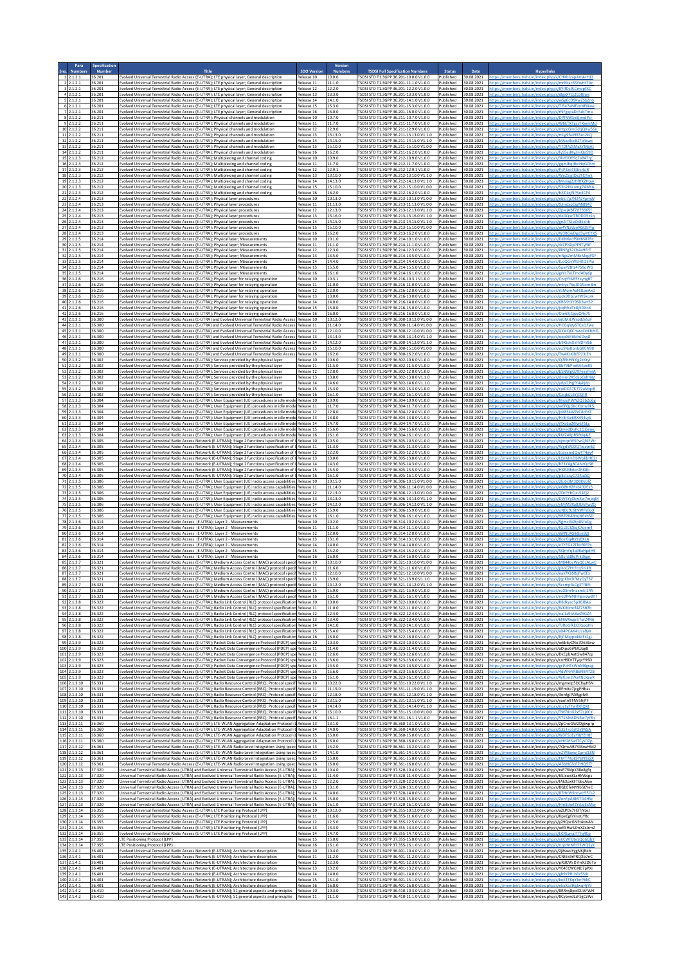|                                                    | ipecificatio               |                                                                                                                                                                   |                                                                                                                                                                                                                                                                                                                                                    |                                        |                               |                                                                                                                                                    |                                                |                                                  |                                                                                                                                                                      |
|----------------------------------------------------|----------------------------|-------------------------------------------------------------------------------------------------------------------------------------------------------------------|----------------------------------------------------------------------------------------------------------------------------------------------------------------------------------------------------------------------------------------------------------------------------------------------------------------------------------------------------|----------------------------------------|-------------------------------|----------------------------------------------------------------------------------------------------------------------------------------------------|------------------------------------------------|--------------------------------------------------|----------------------------------------------------------------------------------------------------------------------------------------------------------------------|
| 1, 2, 1, 2, 1                                      | Numb<br>36.201             |                                                                                                                                                                   | <b>Title</b><br>Evolved Universal Terrestrial Radio Access (E-UTRA); LTE physical layer; General description                                                                                                                                                                                                                                       | <b>SDO Versi</b><br>Release 10         | Numl<br>10.0.0                | <b>TSDSI Full Specification Numbers</b><br>TSDSI STD T1.3GPP 36.201-10.0.0 V1.0.0                                                                  | <b>Status</b><br>Published                     | Date<br>30.08.2021                               | ittps://members.tsdsi.in/index.php/s/CHXbJzapAmAcHJ                                                                                                                  |
| 2, 2, 1, 2, 1<br>3 2.1.2.1                         | 36.201<br>36.201           |                                                                                                                                                                   | Evolved Universal Terrestrial Radio Access (E-UTRA); LTE physical layer; General description<br>Evolved Universal Terrestrial Radio Access (E-UTRA): LTE physical layer: General description                                                                                                                                                       | telease 11<br>Release 12               | 11.1.0<br>12.2.0              | SDSI STD T1.3GPP 36.201-11.1.0 V1.0.0<br>SDSI STD T1.3GPP 36.201-12.2.0 V1.0.0                                                                     | Published<br>Published                         | 30.08.2021<br>30.08.2021                         | tps://members.tsdsi.in/index.php/s/mrNtac65YwHtTAi                                                                                                                   |
| 42.1.2.1<br>52.1.2.1<br>2.1.2.1                    | 36.201<br>36.201<br>36.201 |                                                                                                                                                                   | Evolved Universal Terrestrial Radio Access (E-UTRA); LTE physical layer; General description<br>Evolved Universal Terrestrial Radio Access (E-UTRA); LTE physical layer; General description                                                                                                                                                       | Release 13<br>telease 14               | 13.3.0<br>14.1.0<br>15.3.0    | TSDSI STD T1.3GPP 36.201-13.3.0 V1.0.0<br>SDSI STD T1.3GPP 36.201-14.1.0 V1.0.0<br>SDSI STD T1.3GPP 36.201-15.3.0 V1.0.0                           | Published<br>Published                         | 30.08.2021<br>30.08.2021<br>30.08.2021           |                                                                                                                                                                      |
| 72.1.2.1<br>$8$ <sub>2.1.2.2</sub>                 | 36.201<br>36.211           |                                                                                                                                                                   | Evolved Universal Terrestrial Radio Access (E-UTRA); LTE physical layer; General description<br>Evolved Universal Terrestrial Radio Access (E-UTRA); LTE physical layer; General description<br>Evolved Universal Terrestrial Radio Access (E-UTRA); Physical channels and modulation                                                              | Release 15<br>Release 16<br>Release 10 | 16.0.0<br>10.7.0              | TSDSI STD T1.3GPP 36.201-16.0.0 V1.0.0<br>TSDSI STD T1.3GPP 36.211-10.7.0 V1.0.0                                                                   | Published<br>Published<br>Published            | 30.08.2021<br>30.08.2021                         |                                                                                                                                                                      |
| 9, 2, 1, 2, 2<br>10 2.1.2.2                        | 36.211<br>36.211           |                                                                                                                                                                   | Evolved Universal Terrestrial Radio Access (E-UTRA); Physical channels and modulation<br>volved Universal Terrestrial Radio Access (E-UTRA); Physical channels and modulatior                                                                                                                                                                      | Release 11<br>Release 12               | 11.7.0<br>12.9.0              | SDSI STD T1.3GPP 36.211-11.7.0 V1.0.0<br>SDSI STD T1.3GPP 36.211-12.9.0 V1.0.0                                                                     | Published<br>Published                         | 30.08.2021<br>30.08.2021                         |                                                                                                                                                                      |
| 11 2.1.2.2<br>12 2.1.2.2                           | 36.211<br>36.211           |                                                                                                                                                                   | Evolved Universal Terrestrial Radio Access (E-UTRA); Physical channels and modulation<br>Evolved Universal Terrestrial Radio Access (E-UTRA); Physical channels and modulation                                                                                                                                                                     | Release 13<br>Release 14               | 13.13.0<br>14.15.0            | SDSI STD T1.3GPP 36.211-13.13.0 V1.1.0<br>[SDSI STD T1.3GPP 36.211-14.15.0 V1.1.0                                                                  | Published<br>Published                         | 30.08.2021<br>30.08.2021                         |                                                                                                                                                                      |
| 13 2.1.2.2<br>14 2.1.2.2                           | 36.211<br>36.211           |                                                                                                                                                                   | Evolved Universal Terrestrial Radio Access (E-UTRA); Physical channels and modulation<br>Evolved Universal Terrestrial Radio Access (E-UTRA); Physical channels and modulation                                                                                                                                                                     | telease 15<br>Release 16               | 15.10.0<br>16.2.0             | SDSI STD T1.3GPP 36.211-15.10.0 V1.0.0<br>ISDSI STD T1.3GPP 36.211-16.2.0 V1.0.0                                                                   | Published<br>Published                         | 30.08.2021<br>30.08.2021                         |                                                                                                                                                                      |
| 15 2.1.2.3<br>$16$ 2.1.2.3                         | 36.212<br>36.212           |                                                                                                                                                                   | Evolved Universal Terrestrial Radio Access (E-UTRA); Multiplexing and channel coding<br>Evolved Universal Terrestrial Radio Access (E-UTRA); Multiplexing and channel coding                                                                                                                                                                       | Release 10<br>telease 11               | 10.9.0<br>11.7.0              | TSDSI STD T1.3GPP 36.212-10.9.0 V1.0.0<br>SDSI STD T1.3GPP 36.212-11.7.0 V1.0.0                                                                    | Published<br>Published                         | 30.08.2021<br>30.08.2021                         |                                                                                                                                                                      |
| 17 2.1.2.3<br>18 2.1.2.3                           | 36.212<br>36.212           |                                                                                                                                                                   | volved Universal Terrestrial Radio Access (E-UTRA); Multiplexing and channel coding<br>Evolved Universal Terrestrial Radio Access (E-UTRA); Multiplexing and channel coding                                                                                                                                                                        | Release 12<br>Release 13               | 12.9.1<br>13.10.0             | SDSI STD T1.3GPP 36.212-12.9.1 V1.0.0<br>FSDSI STD T1.3GPP 36.212-13.10.0 V1.1.0                                                                   | Published<br>Published                         | 30.08.2021<br>30.08.2021                         |                                                                                                                                                                      |
| 19 2.1.2.3<br>20 2.1.2.3<br>21 2.1.2.3             | 36.212<br>36.212<br>36.212 |                                                                                                                                                                   | Evolved Universal Terrestrial Radio Access (E-UTRA); Multiplexing and channel coding<br>Evolved Universal Terrestrial Radio Access (E-UTRA); Multiplexing and channel coding<br>Evolved Universal Terrestrial Radio Access (E-UTRA); Multiplexing and channel coding                                                                               | telease 14<br>Release 15<br>Release 16 | 14.13.0<br>15.10.0<br>16.2.0  | SDSI STD T1.3GPP 36.212-14.13.0 V1.1.0<br>ESDSLSTD T1 3GPP 36 212-15 10 0 V1 0 0<br>TSDSI STD T1.3GPP 36.212-16.2.0 V1.0.0                         | Published<br>Published<br>Published            | 30.08.2021<br>30.08.2021<br>30.08.2021           |                                                                                                                                                                      |
| 22 2.1.2.4<br>23 2.1.2.4                           | 36.213<br>36.213           | Evolved Universal Terrestrial Radio Access (E-UTRA): Physical laver procedures<br>Evolved Universal Terrestrial Radio Access (E-UTRA); Physical layer procedures  |                                                                                                                                                                                                                                                                                                                                                    | Release 10<br>Release 11               | 10.13.0<br>11.13.0            | SDSI STD T1.3GPP 36.213-10.13.0 V1.0.0<br>TSDSI STD T1.3GPP 36.213-11.13.0 V1.0.0                                                                  | Published<br>Published                         | 30.08.2021<br>30.08.2021                         |                                                                                                                                                                      |
| 24 2.1.2.4<br>25 2.1.2.4                           | 36.213<br>36.213           | Evolved Universal Terrestrial Radio Access (E-UTRA); Physical layer procedures<br>Evolved Universal Terrestrial Radio Access (E-UTRA); Physical layer procedures  |                                                                                                                                                                                                                                                                                                                                                    | telease 12<br>Release 13               | 12.13.0<br>13.16.0            | SDSI STD T1.3GPP 36.213-12.13.0 V1.1.0<br>TSDSI STD T1.3GPP 36.213-13.16.0 V1.1.0                                                                  | Published<br>Published                         | 30.08.2021<br>30.08.2021                         |                                                                                                                                                                      |
| 26 2.1.2.4<br>27 2.1.2.4                           | 36.213<br>36.213           | Evolved Universal Terrestrial Radio Access (E-UTRA); Physical layer procedures<br>Evolved Universal Terrestrial Radio Access (E-UTRA); Physical layer procedures  |                                                                                                                                                                                                                                                                                                                                                    | Release 14<br>Release 15               | 14.15.0<br>15.10.0            | TSDSI STD T1.3GPP 36.213-14.15.0 V1.1.0<br>SDSI STD T1.3GPP 36.213-15.10.0 V1.0.0                                                                  | Published<br>Published                         | 30.08.2021<br>30.08.2021                         |                                                                                                                                                                      |
| 28 2.1.2.4<br>29 2.1.2.5<br>30 2.1.2.5             | 36.213<br>36.214<br>36.214 | volved Universal Terrestrial Radio Access (E-UTRA); Physical layer procedures<br>Evolved Universal Terrestrial Radio Access (E-UTRA); Physical layer; Measurement | Evolved Universal Terrestrial Radio Access (E-UTRA); Physical layer; Measurements                                                                                                                                                                                                                                                                  | telease 16<br>Release 10<br>telease 11 | 16.2.0<br>10.1.0<br>11.1.0    | SDSI STD T1.3GPP 36.213-16.2.0 V1.0.0<br>TSDSI STD T1.3GPP 36.214-10.1.0 V1.0.0<br>SDSI STD T1.3GPP 36.214-11.1.0 V1.0.0                           | Published<br>Published<br>Published            | 30.08.2021<br>30.08.2021<br>30.08.2021           |                                                                                                                                                                      |
| 31 2.1.2.5<br>32 2.1.2.5                           | 36.214<br>36.214           |                                                                                                                                                                   | Evolved Universal Terrestrial Radio Access (E-UTRA); Physical layer; Measurements<br>Evolved Universal Terrestrial Radio Access (E-UTRA); Physical layer; Measurements                                                                                                                                                                             | Release 12<br>Release 13               | 12.3.0<br>13.5.0              | SDSI STD T1.3GPP 36.214-12.3.0 V1.0.0<br>TSDSI STD T1.3GPP 36.214-13.5.0 V1.0.0                                                                    | Published<br>Published                         | 30.08.2021<br>30.08.2021                         |                                                                                                                                                                      |
| 33 2.1.2.5<br>34 2.1.2.5                           | 36.214<br>36.214           |                                                                                                                                                                   | Evolved Universal Terrestrial Radio Access (E-UTRA); Physical layer; Measurements<br>Evolved Universal Terrestrial Radio Access (E-UTRA); Physical layer; Measurements                                                                                                                                                                             | Release 14<br>Release 15               | 14.4.0<br>15.5.0              | TSDSI STD T1.3GPP 36.214-14.4.0 V1.0.0<br>FSDSI STD T1.3GPP 36.214-15.5.0 V1.0.0                                                                   | Published<br>Published                         | 30.08.2021<br>30.08.2021                         |                                                                                                                                                                      |
| 35 2.1.2.5<br>36 2.1.2.6                           | 36.214<br>36.216           | Evolved Universal Terrestrial Radio Access (E-UTRA); Physical layer; Measurements                                                                                 | Evolved Universal Terrestrial Radio Access (E-UTRA); Physical layer for relaying operation                                                                                                                                                                                                                                                         | Release 16<br>Release 10               | 16.1.0<br>10.3.1              | TSDSI STD T1.3GPP 36.214-16.1.0 V1.0.0<br>TSDSI STD T1.3GPP 36.216-10.3.1 V1.0.0                                                                   | Published<br>Published                         | 30.08.2021<br>30.08.2021                         |                                                                                                                                                                      |
| 37 2.1.2.6<br>38 2.1.2.6<br>39 2.1.2.6             | 36.216<br>36.216<br>36.216 |                                                                                                                                                                   | Evolved Universal Terrestrial Radio Access (E-UTRA); Physical layer for relaying operation<br>Evolved Universal Terrestrial Radio Access (E-UTRA); Physical layer for relaying operation<br>Evolved Universal Terrestrial Radio Access (E-UTRA); Physical layer for relaying operation                                                             | Release 11<br>telease 12<br>Release 13 | 11.0.0<br>12.0.0<br>13.0.0    | TSDSI STD T1.3GPP 36.216-11.0.0 V1.0.0<br>SDSI STD T1.3GPP 36.216-12.0.0 V1.0.0<br>TSDSI STD T1.3GPP 36.216-13.0.0 V1.0.0                          | Published<br>Published<br>Published            | 30.08.2021<br>30.08.2021<br>30.08.2021           |                                                                                                                                                                      |
| 40 2.1.2.6<br>41 2.1.2.6                           | 36.216<br>36.216           |                                                                                                                                                                   | Evolved Universal Terrestrial Radio Access (E-UTRA); Physical layer for relaying operation<br>Evolved Universal Terrestrial Radio Access (E-UTRA); Physical layer for relaying operation                                                                                                                                                           | Release 14<br>telease 15               | 14.0.0<br>15.0.0              | TSDSI STD T1.3GPP 36.216-14.0.0 V1.0.0<br>SDSI STD T1.3GPP 36.216-15.0.0 V1.0.0                                                                    | Published<br>Published                         | 30.08.2021<br>30.08.2021                         |                                                                                                                                                                      |
| 42 2.1.2.6<br>43 2.1.3.1                           | 36.216<br>36.300           |                                                                                                                                                                   | Evolved Universal Terrestrial Radio Access (E-UTRA); Physical layer for relaying operation<br>Evolved Universal Terrestrial Radio Access (E-UTRA) and Evolved Universal Terrestrial Radio Access                                                                                                                                                   | Release 16<br>Release 10               | 16.0.0<br>10.12.0             | SDSI STD T1.3GPP 36.216-16.0.0 V1.0.0<br>TSDSI STD T1.3GPP 36.300-10.12.0 V1.0.0                                                                   | Published<br>Published                         | 30.08.2021<br>30.08.2021                         |                                                                                                                                                                      |
| 44 2.1.3.1<br>45 2.1.3.1                           | 36.300<br>36,300           |                                                                                                                                                                   | Evolved Universal Terrestrial Radio Access (E-UTRA) and Evolved Universal Terrestrial Radio Access<br>Evolved Universal Terrestrial Radio Access (E-UTRA) and Evolved Universal Terrestrial Radio Access Release 12                                                                                                                                | Release 11                             | 11.14.0<br>12.10.0            | TSDSI STD T1.3GPP 36.300-11.14.0 V1.0.0<br>TSDSI STD T1.3GPP 36.300-12.10.0 V1.0.0                                                                 | Published<br>Published                         | 30.08.2021<br>30.08.2021                         |                                                                                                                                                                      |
| 46 2.1.3.1<br>47 2.1.3.1<br>48 2.1.3.1             | 36.300<br>36.300<br>36.300 |                                                                                                                                                                   | Evolved Universal Terrestrial Radio Access (E-UTRA) and Evolved Universal Terrestrial Radio Access<br>volved Universal Terrestrial Radio Access (E-UTRA) and Evolved Universal Terrestrial Radio Access                                                                                                                                            | Release 13<br>Release 14               | 13.14.0<br>14.12.0<br>15.10.0 | SDSI STD T1.3GPP 36.300-13.14.0 V1.1.0<br>SDSI STD T1.3GPP 36.300-14.12.0 V1.1.0<br>TSDSI STD T1.3GPP 36.300-15.10.0 V1.0.0                        | Published<br>Published<br>Published            | 30.08.2021<br>30.08.2021<br>30.08.2021           |                                                                                                                                                                      |
| 49 2.1.3.1<br>50 2.1.3.2                           | 36.300<br>36.302           |                                                                                                                                                                   | Evolved Universal Terrestrial Radio Access (E-UTRA) and Evolved Universal Terrestrial Radio Access   Release 15<br>Evolved Universal Terrestrial Radio Access (E-UTRA) and Evolved Universal Terrestrial Radio Access Release 16<br>Evolved Universal Terrestrial Radio Access (E-UTRA): Services provided by the physical layer                   | Release 10                             | 16.2.0<br>10.6.0              | SDSI STD T1.3GPP 36.300-16.2.0 V1.0.0<br>SDSI STD T1.3GPP 36.302-10.6.0 V1.0.0                                                                     | Published<br>Published                         | 30.08.202<br>30.08.2021                          |                                                                                                                                                                      |
| 51 2.1.3.2<br>52 2.1.3.2                           | 36.302<br>36.302           |                                                                                                                                                                   | Evolved Universal Terrestrial Radio Access (E-UTRA); Services provided by the physical layer<br>Evolved Universal Terrestrial Radio Access (E-UTRA); Services provided by the physical layer                                                                                                                                                       | Release 11<br>Release 12               | 11.5.0<br>12.8.0              | TSDSI STD T1.3GPP 36.302-11.5.0 V1.0.0<br>SDSI STD T1.3GPP 36.302-12.8.0 V1.0.0                                                                    | Published<br>Published                         | 30.08.2021<br>30.08.2021                         |                                                                                                                                                                      |
| 53 2.1.3.2<br>54 2.1.3.2                           | 36.302<br>36.302           |                                                                                                                                                                   | volved Universal Terrestrial Radio Access (E-UTRA); Services provided by the physical layer<br>Evolved Universal Terrestrial Radio Access (E-UTRA); Services provided by the physical layer                                                                                                                                                        | telease 13<br>Release 14               | 13.8.0<br>14.6.0              | SDSI STD T1.3GPP 36.302-13.8.0 V1.1.0<br>TSDSI STD T1.3GPP 36.302-14.6.0 V1.1.0                                                                    | Published<br>Published                         | 30.08.2021<br>30.08.2021                         |                                                                                                                                                                      |
| 55 2.1.3.2<br>56 2.1.3.2                           | 36.302<br>36.302           |                                                                                                                                                                   | Evolved Universal Terrestrial Radio Access (E-UTRA); Services provided by the physical layer<br>Evolved Universal Terrestrial Radio Access (E-UTRA); Services provided by the physical layer                                                                                                                                                       | Release 15<br>Release 16               | 15.3.0<br>16.1.0              | SDSI STD T1.3GPP 36.302-15.3.0 V1.0.0<br>SDSI STD T1.3GPP 36.302-16.1.0 V1.0.0                                                                     | Published<br>Published                         | 30.08.2021<br>30.08.2021                         |                                                                                                                                                                      |
| 57 2.1.3.3<br>58 2.1.3.3<br>59 2.1.3.3             | 36.304<br>36.304<br>36.304 |                                                                                                                                                                   | Evolved Universal Terrestrial Radio Access (E-UTRA); User Equipment (UE) procedures in idle mod<br>Evolved Universal Terrestrial Radio Access (E-UTRA); User Equipment (UE) procedures in idle mode Release 11<br>Evolved Universal Terrestrial Radio Access (E-UTRA); User Equipment (UE) procedures in idle mode Release 12                      | Release 10                             | 10.9.0<br>11.7.0<br>12.8.0    | TSDSI STD T1.3GPP 36.304-10.9.0 V1.0.0<br>SDSI STD T1.3GPP 36.304-11.7.0 V1.0.0<br>TSDSI STD T1.3GPP 36.304-12.8.0 V1.0.0                          | Published<br>Published<br>Published            | 30.08.2021<br>30.08.2021<br>30.08.2021           |                                                                                                                                                                      |
| 60 2.1.3.3<br>$61$ 2.1.3.3                         | 36.304<br>36.304           |                                                                                                                                                                   | Evolved Universal Terrestrial Radio Access (E-UTRA); User Equipment (UE) procedures in idle mode Release 13<br>Evolved Universal Terrestrial Radio Access (E-UTRA); User Equipment (UE) procedures in idle mode Release 14                                                                                                                         |                                        | 13.8.0<br>14.7.0              | SDSI STD T1.3GPP 36.304-13.8.0 V1.0.0<br>ISDSI STD T1.3GPP 36.304-14.7.0 V1.1.0                                                                    | Published<br>Published                         | 30.08.2021<br>30.08.2021                         |                                                                                                                                                                      |
| 62 2.1.3.3<br>63 2.1.3.3                           | 36.304<br>36.304           |                                                                                                                                                                   | Evolved Universal Terrestrial Radio Access (E-UTRA); User Equipment (UE) procedures in idle mode Release 15<br>Evolved Universal Terrestrial Radio Access (E-UTRA); User Equipment (UE) procedures in idle mode Release 16                                                                                                                         |                                        | 15.6.0<br>16.1.0              | TSDSI STD T1.3GPP 36.304-15.6.0 V1.0.0<br>SDSI STD T1.3GPP 36.304-16.1.0 V1.0.0                                                                    | Published<br>Published                         | 30.08.2021<br>30.08.2021                         |                                                                                                                                                                      |
| 64 2.1.3.4<br>65 2.1.3.4                           | 36.305<br>36.305           |                                                                                                                                                                   | Evolved Universal Terrestrial Radio Access Network (E-UTRAN); Stage 2 functional specification of L Release 10<br>Evolved Universal Terrestrial Radio Access Network (E-UTRAN); Stage 2 functional specification of L Release 11                                                                                                                   |                                        | 10.5.0<br>11.3.0<br>12.2.0    | TSDSI STD T1.3GPP 36.305-10.5.0 V1.0.0<br>TSDSI STD T1.3GPP 36.305-11.3.0 V1.0.0<br>SDSI STD T1.3GPP 36.305-12.2.0 V1.0.0                          | Published<br>Published<br>Published            | 30.08.2021<br>30.08.2021<br>30.08.2021           |                                                                                                                                                                      |
| 66 2.1.3.4<br>67 2.1.3.4<br>68 2.1.3.4             | 36.305<br>36.305<br>36.305 |                                                                                                                                                                   | Evolved Universal Terrestrial Radio Access Network (E-UTRAN); Stage 2 functional specification of<br>Evolved Universal Terrestrial Radio Access Network (E-UTRAN); Stage 2 functional specification of L<br>Evolved Universal Terrestrial Radio Access Network (E-UTRAN); Stage 2 functional specification of L Release 14                         | Release 12<br>Release 13               | 13.0.0<br>14.3.0              | SDSI STD T1.3GPP 36.305-13.0.0 V1.0.0<br>TSDSI STD T1.3GPP 36.305-14.3.0 V1.0.0                                                                    | Published<br>Published                         | 30.08.2021<br>30.08.2021                         |                                                                                                                                                                      |
| 69 2.1.3.4<br>70 2.1.3.4                           | 36.309<br>36.305           |                                                                                                                                                                   | Evolved Universal Terrestrial Radio Access Network (E-UTRAN); Stage 2 functional specification of L Release 15<br>Evolved Universal Terrestrial Radio Access Network (E-UTRAN); Stage 2 functional specification of L Release 16                                                                                                                   |                                        | 15.5.0<br>16.1.0              | TSDSI STD T1.3GPP 36.305-15.5.0 V1.0.0<br>FSDSI STD T1.3GPP 36.305-16.1.0 V1.0.0                                                                   | Published<br>Published                         | 30.08.2021<br>30.08.2021                         |                                                                                                                                                                      |
| 71 2.1.3.5<br>72 2.1.3.5                           | 36.306<br>36.306           |                                                                                                                                                                   | Evolved Universal Terrestrial Radio Access (E-UTRA); User Equipment (UE) radio access capabilities Release 10<br>Evolved Universal Terrestrial Radio Access (E-UTRA); User Equipment (UE) radio access capabilities Release 11                                                                                                                     |                                        | 10.15.0<br>11.14.0            | SDSI STD T1.3GPP 36.306-10.15.0 V1.0.0<br>SDSI STD T1.3GPP 36.306-11.14.0 V1.0.0                                                                   | Published<br>Published                         | 30.08.2021<br>30.08.2021                         |                                                                                                                                                                      |
| 73 2.1.3.5<br>74 2.1.3.5<br>75 2.1.3.5             | 36.306<br>36.306<br>36.306 |                                                                                                                                                                   | Evolved Universal Terrestrial Radio Access (E-UTRA); User Equipment (UE) radio access capabilities Release 12<br>Evolved Universal Terrestrial Radio Access (E-UTRA); User Equipment (UE) radio access capabilities Release 13<br>Evolved Universal Terrestrial Radio Access (E-UTRA); User Equipment (UE) radio access capabilities Release 14    |                                        | 12.13.0<br>13.13.0<br>14.12.0 | [SDSI STD T1.3GPP 36.306-12.13.0 V1.0.0<br>SDSI STD T1.3GPP 36.306-13.13.0 V1.1.0<br>SDSI STD T1.3GPP 36.306-14.12.0 V1.1.0                        | Published<br>Published<br>Published            | 30.08.2021<br>30.08.202<br>30.08.2021            |                                                                                                                                                                      |
| 76 2.1.3.5<br>77 2.1.3.5                           | 36.306<br>36.306           |                                                                                                                                                                   | Evolved Universal Terrestrial Radio Access (E-UTRA); User Equipment (UE) radio access capabilities Release 15<br>Evolved Universal Terrestrial Radio Access (E-UTRA); User Equipment (UE) radio access capabilities Release 16                                                                                                                     |                                        | 15.9.0<br>16.1.0              | TSDSI STD T1.3GPP 36.306-15.9.0 V1.0.0<br>SDSI STD T1.3GPP 36.306-16.1.0 V1.0.0                                                                    | Published<br>Published                         | 30.08.2021<br>30.08.2021                         |                                                                                                                                                                      |
| 78 2.1.3.6<br>79 2.1.3.6                           | 36.314<br>36.314           | volved Universal Terrestrial Radio Access (E-UTRA); Layer 2 - Measurements<br>Evolved Universal Terrestrial Radio Access (E-UTRA); Layer 2 - Measurements         |                                                                                                                                                                                                                                                                                                                                                    | telease 10<br>Release 11               | 10.2.0<br>11.1.0              | SDSI STD T1.3GPP 36.314-10.2.0 V1.0.0<br>ISDSI STD T1.3GPP 36.314-11.1.0 V1.0.0                                                                    | Published<br>Published                         | 30.08.2021<br>30.08.2021                         |                                                                                                                                                                      |
| 80 2.1.3.6<br>812.1.3.6                            | 36.314<br>36.314           | Evolved Universal Terrestrial Radio Access (E-UTRA): Laver 2 - Measurements<br>Evolved Universal Terrestrial Radio Access (E-UTRA); Layer 2 - Measurements        |                                                                                                                                                                                                                                                                                                                                                    | Release 12<br>Release 13               | 12.0.0<br>13.1.0              | SDSI STD T1.3GPP 36.314-12.0.0 V1.0.0<br>SDSI STD T1.3GPP 36.314-13.1.0 V1.0.0                                                                     | Published<br>Published                         | 30.08.2021<br>30.08.2021                         |                                                                                                                                                                      |
| 82 2.1.3.6<br>83 2.1.3.6<br>84 2.1.3.6             | 36.314<br>36.314<br>36.314 | volved Universal Terrestrial Radio Access (E-UTRA); Layer 2 - Measurements<br>Evolved Universal Terrestrial Radio Access (E-UTRA); Layer 2 - Measurements         |                                                                                                                                                                                                                                                                                                                                                    | Release 14<br>Release 15<br>Release 16 | 14.0.0<br>15.2.0<br>16.0.0    | SDSI STD T1.3GPP 36.314-14.0.0 V1.0.0<br>SDSI STD T1.3GPP 36.314-15.2.0 V1.0.0<br>SDSI STD T1.3GPP 36.314-16.0.0 V1.0.0                            | Published<br>Published<br>Published            | 30.08.2021<br>30.08.2021<br>30.08.2021           |                                                                                                                                                                      |
| 85 2.1.3.7<br>86 2.1.3.7                           | 36.321<br>36.321           | Evolved Universal Terrestrial Radio Access (E-UTRA); Layer 2 - Measurements                                                                                       | Evolved Universal Terrestrial Radio Access (E-UTRA); Medium Access Control (MAC) protocol speci<br>Evolved Universal Terrestrial Radio Access (E-UTRA); Medium Access Control (MAC) protocol specif Release 11                                                                                                                                     | Release 10                             | 10.10.0<br>11.6.0             | SDSI STD T1.3GPP 36.321-10.10.0 V1.0.0<br>TSDSI STD T1.3GPP 36.321-11.6.0 V1.0.0                                                                   | Published<br>Published                         | 30.08.202<br>30.08.2021                          |                                                                                                                                                                      |
| 87 2.1.3.7<br>88 2.1.3.7                           | 36.32<br>36.321            |                                                                                                                                                                   | Evolved Universal Terrestrial Radio Access (E-UTRA); Medium Access Control (MAC) protocol specif Release 12<br>Evolved Universal Terrestrial Radio Access (E-UTRA); Medium Access Control (MAC) protocol specif Release 13                                                                                                                         |                                        | 2.10.0<br>13.9.0              | TSDSI STD T1.3GPP 36.321-12.10.0 V1.0.0 Published<br>TSDSI STD T1.3GPP 36.321-13.9.0 V1.1.0                                                        | Published                                      | 30.08.2021<br>30.08.2021                         | ers.tsdsi.in/index.php/s/jqpKbKDfMyQyT3                                                                                                                              |
| 89 2.1.3.7<br>90 2.1.3.7                           | 36.321<br>36.321           |                                                                                                                                                                   | Evolved Universal Terrestrial Radio Access (E-UTRA); Medium Access Control (MAC) protocol specif Release 14<br>Evolved Universal Terrestrial Radio Access (E-UTRA); Medium Access Control (MAC) protocol specif Release 15                                                                                                                         |                                        | 14.12.0<br>15.9.0             | TSDSI STD T1.3GPP 36.321-14.12.0 V1.1.0 Published<br>TSDSI STD T1.3GPP 36.321-15.9.0 V1.0.0                                                        | Published 30.08.2021                           | 30.08.2021                                       | ttps://members.tsdsi.in/index.php/s/Scsmp4sCg3TfBYt<br>https://members.tsdsi.in/index.php/s/ezX8m4naxmEj24N                                                          |
| 91 2.1.3.7<br>$92\overline{2.1.3.8}$<br>93 2.1.3.8 | 36.321<br>36.322<br>36.322 |                                                                                                                                                                   | Evolved Universal Terrestrial Radio Access (E-UTRA); Medium Access Control (MAC) protocol specif Release 16<br>Evolved Universal Terrestrial Radio Access (E-UTRA); Radio Link Control (RLC) protocol specification Release 10<br>Evolved Universal Terrestrial Radio Access (E-UTRA); Radio Link Control (RLC) protocol specification Release 11  |                                        | 16.1.0<br>10.0.0<br>11.0.0    | SDSI STD T1.3GPP 36.321-16.1.0 V1.0.0<br>TSDSI STD T1.3GPP 36.322-10.0.0 V1.0.0<br>TSDSI STD T1.3GPP 36.322-11.0.0 V1.0.0                          | Published<br>Published<br>Published 30.08.2021 | 30.08.2021<br>30.08.2021                         | ttps://members.tsdsi.in/index.php/s/R8dkysc5p36JBAa<br>https://members.tsdsi.in/index.php/s/WKibimcf4Z7SB7b                                                          |
| 94 2.1.3.8<br>95 2.1.3.8                           | 36.322<br>36.322           |                                                                                                                                                                   | Evolved Universal Terrestrial Radio Access (E-UTRA); Radio Link Control (RLC) protocol specification Release 12<br>Evolved Universal Terrestrial Radio Access (E-UTRA); Radio Link Control (RLC) protocol specification Release 13                                                                                                                 |                                        | 12.4.0<br>13.4.0              | TSDSI STD T1.3GPP 36.322-12.4.0 V1.0.0<br>TSDSI STD T1.3GPP 36.322-13.4.0 V1.0.0                                                                   | Published<br>Published                         | 30.08.2021<br>30.08.2021                         | https://members.tsdsi.in/index.php/s/oaJLz9tA8wZ5GZ<br>ittps://members.tsdsi.in/index.php/s/kNWXwer5TafZ4N                                                           |
| 96 2.1.3.8<br>97 2.1.3.8                           | 36.322<br>36.322           |                                                                                                                                                                   | Evolved Universal Terrestrial Radio Access (E-UTRA); Radio Link Control (RLC) protocol specification Release 14<br>Evolved Universal Terrestrial Radio Access (E-UTRA); Radio Link Control (RLC) protocol specification Release 15                                                                                                                 |                                        | 14.1.0<br>15.4.0              | TSDSI STD T1.3GPP 36.322-14.1.0 V1.0.0<br>TSDSI STD T1.3GPP 36.322-15.4.0 V1.0.0                                                                   | Published 30.08.2021<br>Published              | 30.08.2021                                       | https://members.tsdsi.in/index.php/s/TzRoGfkECEGpqHn                                                                                                                 |
| 98 2.1.3.8<br>99 2.1.3.9                           | 36.322<br>36.323           |                                                                                                                                                                   | Evolved Universal Terrestrial Radio Access (E-UTRA); Radio Link Control (RLC) protocol specification Release 16<br>Evolved Universal Terrestrial Radio Access (E-UTRA); Packet Data Convergence Protocol (PDCP) spe Release 10                                                                                                                     |                                        | 16.0.0<br>10.3.0              | TSDSI STD T1.3GPP 36.322-16.0.0 V1.0.0<br>TSDSI STD T1.3GPP 36.323-10.3.0 V1.0.0                                                                   | Published<br>Published                         | 30.08.2021<br>30.08.2021                         | ttps://members.tsdsi.in/index.php/s/RjPMqqcxkMFt<br>https://members.tsdsi.in/index.php/s/w6b6yCNo7D636sw                                                             |
| 100 2.1.3.9<br>101 2.1.3.9<br>102 2.1.3.9          | 36.323<br>36.323<br>36.323 |                                                                                                                                                                   | Evolved Universal Terrestrial Radio Access (E-UTRA); Packet Data Convergence Protocol (PDCP) spe Release 11<br>Evolved Universal Terrestrial Radio Access (E-UTRA); Packet Data Convergence Protocol (PDCP) spe Release 12<br>Evolved Universal Terrestrial Radio Access (E-UTRA); Packet Data Convergence Protocol (PDCP) spe Release 13          |                                        | 11.4.0<br>12.6.0<br>13.6.0    | TSDSI STD T1.3GPP 36.323-11.4.0 V1.0.0<br>TSDSI STD T1.3GPP 36.323-12.6.0 V1.0.0<br>TSDSI STD T1.3GPP 36.323-13.6.0 V1.0.0                         | Published<br>Published<br>Published            | 30.08.2021<br>30.08.2021<br>30.08.2021           | https://members.tsdsi.in/index.php/s/aDjpo6iP6fLJpg8<br>https://members.tsdsi.in/index.php/s/DxEpbAatGw847zp<br>https://members.tsdsi.in/index.php/s/coH9DtTTyqcY9SD |
| 103 2.1.3.9<br>104 2.1.3.9                         | 36.323<br>36.323           |                                                                                                                                                                   | Evolved Universal Terrestrial Radio Access (E-UTRA); Packet Data Convergence Protocol (PDCP) spe Release 14<br>Evolved Universal Terrestrial Radio Access (E-UTRA); Packet Data Convergence Protocol (PDCP) spe Release 15                                                                                                                         |                                        | 14.5.0<br>15.6.0              | TSDSI STD T1.3GPP 36.323-14.5.0 V1.0.0<br>TSDSI STD T1.3GPP 36.323-15.6.0 V1.0.0                                                                   | Published<br>Published                         | 30.08.2021<br>30.08.2021                         | https://members.tsdsi.in/index.php/s/gcPzHTsWnM8grap<br>https://members.tsdsi.in/index.php/s/4dWRrYRBbNB4T2B                                                         |
| 105 2.1.3.9<br>106 2.1.3.10                        | 36.323<br>36.331           |                                                                                                                                                                   | Evolved Universal Terrestrial Radio Access (E-UTRA); Packet Data Convergence Protocol (PDCP) spe Release 16<br>Evolved Universal Terrestrial Radio Access (E-UTRA); Radio Resource Control (RRC); Protocol specifi Release 10                                                                                                                      |                                        | 16.1.0<br>10.22.0             | TSDSI STD T1.3GPP 36.323-16.1.0 V1.0.0<br>TSDSI STD T1.3GPP 36.331-10.22.0 V1.1.0                                                                  | Published<br>Published                         | 30.08.2021<br>30.08.2021                         | https://members.tsdsi.in/index.php/s/WXzm27ketNcKgoF<br>https://members.tsdsi.in/index.php/s/mgmeip5DCfsyHSN                                                         |
| 107 2.1.3.10<br>108 2.1.3.10                       | 36.331<br>36.331           |                                                                                                                                                                   | Evolved Universal Terrestrial Radio Access (E-UTRA); Radio Resource Control (RRC); Protocol specifi Release 11<br>Evolved Universal Terrestrial Radio Access (E-UTRA); Radio Resource Control (RRC); Protocol specifi Release 12                                                                                                                   |                                        | 11.19.0<br>12.18.0            | TSDSI STD T1.3GPP 36.331-11.19.0 V1.1.0<br>TSDSI STD T1.3GPP 36.331-12.18.0 V1.1.0                                                                 | Published<br>Published                         | 30.08.2021<br>30.08.2021                         | https://members.tsdsi.in/index.php/s/8Pmite7jcgPHbas<br>https://members.tsdsi.in/index.php/s/3onfgJPZiRgpfz9                                                         |
| 109 2.1.3.10<br>110 2.1.3.10<br>111 2.1.3.10       | 36.331<br>36.331<br>36.331 |                                                                                                                                                                   | Evolved Universal Terrestrial Radio Access (E-UTRA); Radio Resource Control (RRC); Protocol specifi Release 13<br>Evolved Universal Terrestrial Radio Access (E-UTRA); Radio Resource Control (RRC); Protocol specifi Release 14<br>Evolved Universal Terrestrial Radio Access (E-UTRA); Radio Resource Control (RRC); Protocol specifi Release 15 |                                        | 13.15.0<br>14.14.0<br>15.10.0 | TSDSI STD T1.3GPP 36.331-13.15.0 V1.1.0 Published 30.08.2021<br>TSDSI STD T1.3GPP 36.331-14.14.0 V1.1.0<br>TSDSI STD T1.3GPP 36.331-15.10.0 V1.0.0 | Published<br>Published                         | 30.08.2021<br>30.08.2021                         | https://members.tsdsi.in/index.php/s/yaotn9TMr5fijPF<br>(ttps://members.tsdsi.in/index.php/s/rpcLyFYwifXFQ<br>https://members.tsdsi.in/index.php/s/TWZ8oG2x57sjXC    |
| 112 2.1.3.10<br>113 2.1.3.11                       | 36.331<br>36.360           |                                                                                                                                                                   | Evolved Universal Terrestrial Radio Access (E-UTRA); Radio Resource Control (RRC); Protocol specifi Release 16<br>Evolved Universal Terrestrial Radio Access (E-UTRA); LTE-WLAN Aggregation Adaptation Protocol (L Release 13                                                                                                                      |                                        | 16.1.1<br>13.1.0              | TSDSI STD T1.3GPP 36.331-16.1.1 V1.0.0<br>TSDSI STD T1.3GPP 36.360-13.1.0 V1.0.0                                                                   | Published 30.08.2021<br>Published              | 30.08.2021                                       | https://members.tsdsi.in/index.php/s/57SMo8DNRw7yYK<br>https://members.tsdsi.in/index.php/s/ZpCnoGW2Dgiwprp                                                          |
| 114 2.1.3.11<br>115 2.1.3.11                       | 36.360<br>36.360           |                                                                                                                                                                   | Evolved Universal Terrestrial Radio Access (E-UTRA); LTE-WLAN Aggregation Adaptation Protocol (L Release 14<br>Evolved Universal Terrestrial Radio Access (E-UTRA); LTE-WLAN Aggregation Adaptation Protocol (LRelease 15                                                                                                                          |                                        | 14.0.0<br>15.0.0              | TSDSI STD T1.3GPP 36.360-14.0.0 V1.0.0<br>TSDSI STD T1.3GPP 36.360-15.0.0 V1.0.0                                                                   | Published<br>Published 30.08.2021              | 30.08.2021                                       | https://members.tsdsi.in/index.php/s/535Tro5jY2y9NSA<br>https://members.tsdsi.in/index.php/s/W3F5oEyY8jYZH8f                                                         |
| 116 2.1.3.11<br>117 2.1.3.12                       | 36.360<br>36.361           |                                                                                                                                                                   | Evolved Universal Terrestrial Radio Access (E-UTRA); LTE-WLAN Aggregation Adaptation Protocol (LRelease 16<br>Evolved Universal Terrestrial Radio Access (E-UTRA); LTE-WLAN Radio Level Integration Using Ipsec Release 13                                                                                                                         |                                        | 16.0.0<br>13.2.0              | TSDSI STD T1.3GPP 36.360-16.0.0 V1.0.0<br>TSDSI STD T1.3GPP 36.361-13.2.0 V1.0.0                                                                   | Published<br>Published                         | 30.08.2021<br>30.08.2021                         | ttps://members.tsdsi.in/index.php/s/eHY2d<br>https://members.tsdsi.in/index.php/s/7QmsAB733fzwHM2                                                                    |
| 118 2.1.3.12<br>119 2.1.3.12<br>120 2.1.3.12       | 36.361<br>36.361<br>36.361 |                                                                                                                                                                   | Evolved Universal Terrestrial Radio Access (E-UTRA); LTE-WLAN Radio Level Integration Using Ipsec Release 14<br>Evolved Universal Terrestrial Radio Access (E-UTRA); LTE-WLAN Radio Level Integration Using Ipsec Release 15<br>Evolved Universal Terrestrial Radio Access (E-UTRA); LTE-WLAN Radio Level Integration Using Ipsec Release 16       |                                        | 14.1.0<br>15.0.0<br>16.0.0    | TSDSI STD T1.3GPP 36.361-14.1.0 V1.0.0<br>TSDSI STD T1.3GPP 36.361-15.0.0 V1.0.0<br>TSDSI STD T1.3GPP 36.361-16.0.0 V1.0.0                         | Published 30.08.2021<br>Published<br>Published | 30.08.2021<br>30.08.2021                         | https://members.tsdsi.in/index.php/s/eZW8axwjCpmZL8N<br>https://members.tsdsi.in/index.php/s/FMT7KpL9YbN92ZX<br>https://members.tsdsi.in/index.php/s/A3bNCZcF7t9Q5f7 |
| 121 2.1.3.13<br>122 2.1.3.13                       | 37.320<br>37.320           |                                                                                                                                                                   | Universal Terrestrial Radio Access (UTRA) and Evolved Universal Terrestrial Radio Access (E-UTRA); Release 10<br>Universal Terrestrial Radio Access (UTRA) and Evolved Universal Terrestrial Radio Access (E-UTRA); Release 11                                                                                                                     |                                        | 10.4.0<br>11.4.0              | TSDSI STD T1.3GPP 37.320-10.4.0 V1.0.0<br>TSDSI STD T1.3GPP 37.320-11.4.0 V1.0.0                                                                   | Published                                      | Published 30.08.2021<br>30.08.2021               | https://members.tsdsi.in/index.php/s/rxR7fMpK38e8gfq<br>https://members.tsdsi.in/index.php/s/65JxwsKLxHkWsps                                                         |
| 123 2.1.3.13<br>124 2.1.3.13                       | 37.320<br>37.320           |                                                                                                                                                                   | Universal Terrestrial Radio Access (UTRA) and Evolved Universal Terrestrial Radio Access (E-UTRA); Release 12<br>Universal Terrestrial Radio Access (UTRA) and Evolved Universal Terrestrial Radio Access (E-UTRA); Release 13                                                                                                                     |                                        | 12.2.0<br>13.1.0              | TSDSI STD T1.3GPP 37.320-12.2.0 V1.0.0<br>FSDSI STD T1.3GPP 37.320-13.1.0 V1.0.0                                                                   | Published<br>Published                         | 30.08.2021<br>30.08.2021                         | https://members.tsdsi.in/index.php/s/fAkXpxKFT66cAkw<br>https://members.tsdsi.in/index.php/s/BGbEfeNY9b56YeC                                                         |
| 125 2.1.3.13<br>126 2.1.3.13                       | 37.320<br>37.320           |                                                                                                                                                                   | Universal Terrestrial Radio Access (UTRA) and Evolved Universal Terrestrial Radio Access (E-UTRA);<br>Universal Terrestrial Radio Access (UTRA) and Evolved Universal Terrestrial Radio Access (E-UTRA); Release 15                                                                                                                                | Release 14                             | 14.0.0<br>15.0.0              | SDSI STD T1.3GPP 37.320-14.0.0 V1.0.0<br>TSDSI STD T1.3GPP 37.320-15.0.0 V1.0.0                                                                    | Published<br>Published                         | 30.08.2021<br>30.08.2021                         | https://members.tsdsi.in/index.php/s/87HnW9ocwo55Cs<br>ttps://members.tsdsi.in/index.php/s/ZonFpABk5TG4HS                                                            |
| 127 2.1.3.13<br>128 2.1.3.14                       | 37.320<br>36.355<br>36.355 |                                                                                                                                                                   | Universal Terrestrial Radio Access (UTRA) and Evolved Universal Terrestrial Radio Access (E-UTRA); Release 16<br>Evolved Universal Terrestrial Radio Access (E-UTRA); LTE Positioning Protocol (LPP)                                                                                                                                               | Release 10<br>Release 11               | 16.1.0<br>10.12.0             | TSDSI STD T1.3GPP 37.320-16.1.0 V1.0.0<br>SDSI STD T1.3GPP 36.355-10.12.0 V1.0.0                                                                   | Published<br>Published                         | 30.08.2021<br>30.08.2021                         | ttps://members.tsdsi.in/index.php/s/Hm8dwf2YdJqExMv<br>https://members.tsdsi.in/index.php/s/aZLPDx7H3TjYLeJ                                                          |
| 129 2.1.3.14<br>130 2.1.3.14<br>131 2.1.3.14       | 36.355<br>36.355           |                                                                                                                                                                   | Evolved Universal Terrestrial Radio Access (E-UTRA); LTE Positioning Protocol (LPP)<br>Evolved Universal Terrestrial Radio Access (E-UTRA); LTE Positioning Protocol (LPP)<br>Evolved Universal Terrestrial Radio Access (E-UTRA); LTE Positioning Protocol (LPP)                                                                                  | Release 12<br>Release 13               | 11.6.0<br>12.5.0<br>13.3.0    | TSDSI STD T1.3GPP 36.355-11.6.0 V1.0.0<br>TSDSI STD T1.3GPP 36.355-12.5.0 V1.0.0<br>TSDSI STD T1.3GPP 36.355-13.3.0 V1.0.0                         | Published<br>Published<br>Published            | 30.08.2021<br>30.08.2021<br>30.08.2021           | https://members.tsdsi.in/index.php/s/KpeCgfsYnotjYBc<br>https://members.tsdsi.in/index.php/s/y29QxrGNSt4xwAN<br>https://members.tsdsi.in/index.php/s/wK5HwSZmXZxJrmZ |
| 132 2.1.3.14<br>133 2.1.3.14                       | 36.355<br>37.355           | LTE Positioning Protocol (LPP)                                                                                                                                    | Evolved Universal Terrestrial Radio Access (E-UTRA); LTE Positioning Protocol (LPP)                                                                                                                                                                                                                                                                | Release 14<br>Release 15               | 14.7.0<br>15.0.0              | TSDSI STD T1.3GPP 36.355-14.7.0 V1.1.0<br>TSDSI STD T1.3GPP 37.355-15.0.0 V1.0.0                                                                   | Published<br>Published 30.08.2021              | 30.08.2021                                       | https://members.tsdsi.in/index.php/s/ECRLwraJTTfq4Cp<br>https://members.tsdsi.in/index.php/s/sKCWFBteSQo6Qb                                                          |
| 134 2.1.3.14<br>135 2.1.4.1                        | 37.355<br>36.401           | LTE Positioning Protocol (LPP)                                                                                                                                    | Evolved Universal Terrestrial Radio Access Network (E-UTRAN); Architecture description                                                                                                                                                                                                                                                             | Release 16<br>Release 10               | 16.1.0<br>10.4.0              | TSDSI STD T1.3GPP 37.355-16.1.0 V1.0.0<br>TSDSI STD T1.3GPP 36.401-10.4.0 V1.0.0                                                                   | Published 30.08.2021<br>Published              | 30.08.2021                                       | https://members.tsdsi.in/index.php/s/nzpHnNfo33WQSyK<br>https://members.tsdsi.in/index.php/s/2j8sweYygNKjReb                                                         |
| 136 2.1.4.1<br>137 2.1.4.1<br>138 2.1.4.1          | 36.401<br>36.401<br>36.401 |                                                                                                                                                                   | Evolved Universal Terrestrial Radio Access Network (E-UTRAN); Architecture description<br>Evolved Universal Terrestrial Radio Access Network (E-UTRAN); Architecture description<br>Evolved Universal Terrestrial Radio Access Network (E-UTRAN); Architecture description                                                                         | Release 11<br>Release 12<br>Release 13 | 11.2.0<br>12.3.0<br>13.2.0    | TSDSI STD T1.3GPP 36.401-11.2.0 V1.0.0<br>TSDSI STD T1.3GPP 36.401-12.3.0 V1.0.0<br>TSDSI STD T1.3GPP 36.401-13.2.0 V1.0.0                         | Published<br>Published                         | 30.08.2021<br>Published 30.08.2021<br>30.08.2021 | https://members.tsdsi.in/index.php/s/CNtEs9rPRQXb7nC<br>https://members.tsdsi.in/index.php/s/pRdCWrD7mXZD6To<br>https://members.tsdsi.in/index.php/s/YE4ECWCiNb7pPXi |
| 139 2.1.4.1<br>140 2.1.4.1                         | 36.401<br>36.401           |                                                                                                                                                                   | Evolved Universal Terrestrial Radio Access Network (E-UTRAN); Architecture description<br>Evolved Universal Terrestrial Radio Access Network (E-UTRAN); Architecture description                                                                                                                                                                   | Release 14<br>Release 15               | 14.0.0<br>15.1.0              | TSDSI STD T1.3GPP 36.401-14.0.0 V1.0.0<br>TSDSI STD T1.3GPP 36.401-15.1.0 V1.0.0                                                                   | Published<br>Published 30.08.2021              | 30.08.2021                                       | https://members.tsdsi.in/index.php/s/gb9YPBLbRz5Sii.<br>https://members.tsdsi.in/index.php/s/keKTFKqYJxrPbk0                                                         |
| 141 2.1.4.1<br>142 2.1.4.2                         | 36.401<br>36.410           |                                                                                                                                                                   | Evolved Universal Terrestrial Radio Access Network (E-UTRAN); Architecture description<br>Evolved Universal Terrestrial Radio Access Network (E-UTRAN); S1 general aspects and principles                                                                                                                                                          | Release 16<br>Release 10               | 16.0.0<br>10.3.0              | TSDSI STD T1.3GPP 36.401-16.0.0 V1.0.0<br>TSDSI STD T1.3GPP 36.410-10.3.0 V1.0.0                                                                   | Published<br>Published                         | 30.08.2021<br>30.08.2021                         | https://members.tsdsi.in/index.php/s/8RRny8po3XJAFWH                                                                                                                 |
| 143 2.1.4.2                                        | 36.410                     |                                                                                                                                                                   | Evolved Universal Terrestrial Radio Access Network (E-UTRAN); S1 general aspects and principles Release 11                                                                                                                                                                                                                                         |                                        | 11.1.0                        | TSDSI STD T1.3GPP 36.410-11.1.0 V1.0.0                                                                                                             |                                                |                                                  | Published 30.08.2021 https://members.tsdsi.in/index.php/s/8CybmdLzF5gCzWs                                                                                            |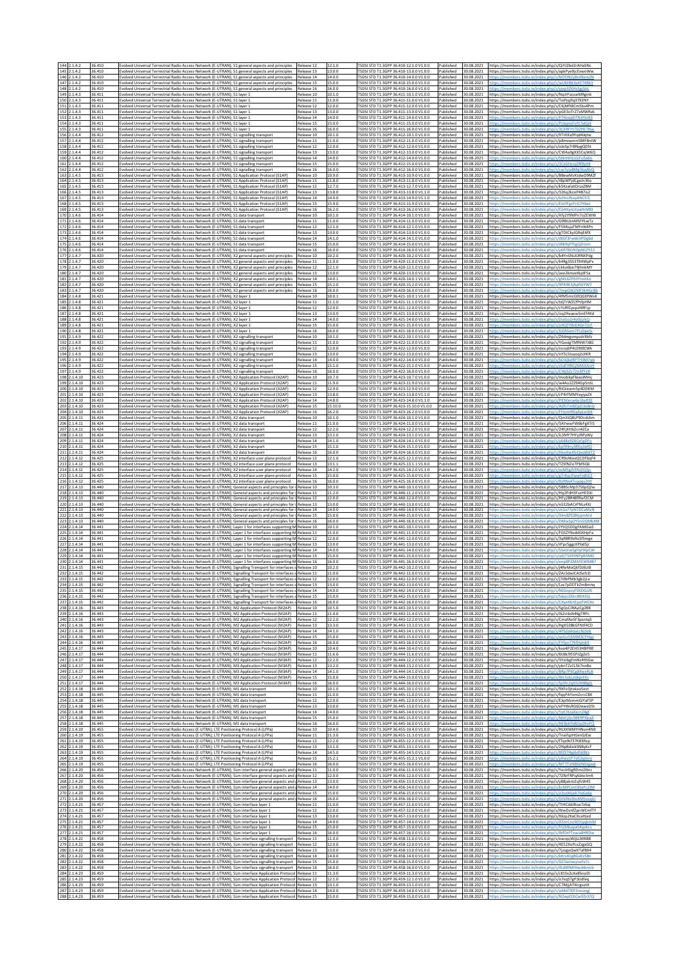| 146 2.1.4.2<br>36.410<br>Release 14<br>14.0.0<br>TSDSI STD T1.3GPP 36.410-14.0.0 V1.0.0<br>30.08.2021<br>Evolved Universal Terrestrial Radio Access Network (E-UTRAN); S1 general aspects and principles<br>Published<br>ttns://members.tsdsi.in/index.nbn/s/M7DNCvRrxNein21<br>147 2.1.4.2<br>36.410<br>Evolved Universal Terrestrial Radio Access Network (E-UTRAN); S1 general aspects and principles<br>Release 15<br>15.0.0<br>TSDSI STD T1.3GPP 36.410-15.0.0 V1.0.0<br>ublished<br>30.08.2021<br>ttps://members.tsdsi.in/index.php/s/wLNHBt3xXET4Rk3<br>148 2.1.4.2<br>36.410<br>volved Universal Terrestrial Radio Access Network (E-UTRAN); S1 general aspects and principles<br>16.0.0<br>SDSI STD T1.3GPP 36.410-16.0.0 V1.0.0<br>ublished<br>30.08.2021<br>Release 16<br>149 2.1.4.3<br>10.1.0<br>TSDSI STD T1.3GPP 36.411-10.1.0 V1.0.0<br>36.411<br>volved Universal Terrestrial Radio Access Network (E-UTRAN); S1 layer 1<br>Release 10<br>ublished<br>30.08.2021<br>ttps://members.tsdsi.in/index.php/s/NqJrPasswMRginl<br>150 2.1.4.3<br>36.411<br>Evolved Universal Terrestrial Radio Access Network (E-UTRAN); S1 layer 1<br>Release 11<br>11.0.0<br>TSDSI STD T1.3GPP 36.411-11.0.0 V1.0.0<br>Published<br>30.08.2021<br>https://members.tsdsi.in/index.php/s/TixPjqJfq3792NY<br>151 2.1.4.3<br>36.411<br>Evolved Universal Terrestrial Radio Access Network (E-UTRAN); S1 layer 1<br>12.0.0<br>TSDSI STD T1.3GPP 36.411-12.0.0 V1.0.0<br>Published<br>30.08.2021<br>Release 12<br>https://members.tsdsi.in/index.php/s/CKjMft8Cm5bs4Pm<br>152 2.1.4.3<br>13.0.0<br>TSDSI STD T1.3GPP 36.411-13.0.0 V1.0.0<br>36.411<br>Evolved Universal Terrestrial Radio Access Network (E-UTRAN); S1 layer 1<br>Release 13<br>Published<br>30.08.2021<br>https://members.tsdsi.in/index.php/s/pGE3oTrZ7xMWRel<br>153 2.1.4.3<br>36.411<br>Evolved Universal Terrestrial Radio Access Network (E-UTRAN); S1 layer 1<br>TSDSI STD T1.3GPP 36.411-14.0.0 V1.0.0<br>Release 14<br>14.0.0<br>Published<br>30.08.2021<br>https://members.tsdsi.in/index.php/s/P7HzonDTN3Yin8<br>154 2.1.4.3<br>36.411<br>Evolved Universal Terrestrial Radio Access Network (E-UTRAN): S1 laver 1<br>15.0.0<br>TSDSI STD T1.3GPP 36.411-15.0.0 V1.0.0<br>30.08.2021<br>Release 15<br>Published<br>155 2.1.4.3<br>36.411<br>Evolved Universal Terrestrial Radio Access Network (E-UTRAN); S1 layer 1<br>Release 16<br>16.0.0<br>TSDSI STD T1.3GPP 36.411-16.0.0 V1.0.0<br>ublished<br>30.08.2021<br>156 2.1.4.4<br>36.412<br>volved Universal Terrestrial Radio Access Network (E-UTRAN); S1 signalling transport<br>Release 10<br>10.1.0<br>TSDSI STD T1.3GPP 36.412-10.1.0 V1.0.0<br>ublished<br>30.08.2021<br>ttps://members.tsdsi.in/index.php/s/XTrKKa9Yod4Jotw<br>157 2.1.4.4<br>36.412<br>Evolved Universal Terrestrial Radio Access Network (E-UTRAN); S1 signalling transport<br>11.0.0<br>ISDSI STD T1.3GPP 36.412-11.0.0 V1.0.0<br>Published<br>30.08.2021<br>Release 11<br>https://members.tsdsi.in/index.php/s/p8mxwmnS84F8ntW<br>158 2.1.4.4<br>12.0.0<br>TSDSI STD T1.3GPP 36.412-12.0.0 V1.0.0<br>36.412<br>Evolved Universal Terrestrial Radio Access Network (E-UTRAN); S1 signalling transport<br>Release 12<br>Published<br>30.08.2021<br>https://members.tsdsi.in/index.php/s/oJeSp7rBNygQDSt<br>159 2.1.4.4<br>36.412<br>volved Universal Terrestrial Radio Access Network (E-UTRAN); S1 signalling transport<br>Release 13<br>13.0.0<br>TSDSI STD T1.3GPP 36.412-13.0.0 V1.0.0<br>ublished<br>30.08.2021<br>https://members.tsdsi.in/index.php/s/CWAa9gXX5CxjW6C<br>160 2.1.4.4<br>36.412<br>volved Universal Terrestrial Radio Access Network (E-UTRAN); S1 signalling transport<br>14.0.0<br>ISDSI STD T1.3GPP 36.412-14.0.0 V1.0.0<br>ublished<br>30.08.2021<br>Release 14<br>161 2.1.4.4<br>36.412<br>ivolved Universal Terrestrial Radio Access Network (E-UTRAN); S1 signalling transport<br>15.0.0<br>TSDSI STD T1.3GPP 36.412-15.0.0 V1.0.0<br>Published<br>30.08.2021<br>Release 15<br>162 2.1.4.4<br>36.412<br>volved Universal Terrestrial Radio Access Network (E-UTRAN); S1 signalling transport<br>Release 16<br>16.0.0<br>TSDSI STD T1.3GPP 36.412-16.0.0 V1.0.0<br>ublished<br>30.08.2021<br>163 2.1.4.5<br>6.413<br>10.9.0<br>TSDSI STD T1.3GPP 36.413-10.9.0 V1.0.0<br>30.08.2021<br>volved Universal Terrestrial Radio Access Network (E-UTRAN): S1 Application Protocol (S1AP):<br>Release 10<br>ublished<br>https://members.tsdsi.in/index.php/s/BBewMzKtdwD9MZ<br>164 2.1.4.<br>11.8.0<br>TSDSI STD T1.3GPP 36.413-11.8.0 V1.0.0<br>36.413<br>volved Universal Terrestrial Radio Access Network (E-UTRAN); S1 Application Protocol (S1AP)<br>Release 11<br>ublished<br>30.08.2021<br>https://members.tsdsi.in/index.php/s/r8pWPjdCgeJn36c<br>165 2.1.4.5<br>36.413<br>Evolved Universal Terrestrial Radio Access Network (E-UTRAN); S1 Application Protocol (S1AP)<br>Release 12<br>12.7.0<br>TSDSI STD T1.3GPP 36.413-12.7.0 V1.0.0<br>ublished<br>30.08.2021<br>https://members.tsdsi.in/index.php/s/k5KzafaXDrLxZBM<br>166 2.1.4.5<br>6.413<br>Evolved Universal Terrestrial Radio Access Network (E-UTRAN): S1 Application Protocol (S1AP)<br>13.8.0<br>TSDSLSTD T1 3GPP 36 413-13 8 0 V1 1 0<br>30.08.2021<br>Release 13<br>ublished<br>https://members.tsdsi.in/index.php/s/326q2kceP4B7is2<br>14.9.0<br>2.1.4.5<br>36.413<br>volved Universal Terrestrial Radio Access Network (E-UTRAN); S1 Application Protocol (S1AP):<br>Release 14<br>TSDSI STD T1.3GPP 36.413-14.9.0 V1.1.0<br>ublished<br>30.08.2021<br>168<br>2.1.4.5<br>36.413<br>[Volved Universal Terrestrial Radio Access Network (E-UTRAN); S1 Application Protocol (S1AP)<br>15.9.0<br>ISDSI STD T1.3GPP 36.413-15.9.0 V1.0.0<br>ublished<br>30.08.2021<br>Release 15<br>169 2.1.4.5<br>36.413<br>Evolved Universal Terrestrial Radio Access Network (E-UTRAN); S1 Application Protocol (S1AP)<br>Release 16<br>16.2.0<br>TSDSI STD T1.3GPP 36.413-16.2.0 V1.0.0<br>ublished<br>30.08.2021<br>170<br>2.1.4.6<br>6.414<br>volved Universal Terrestrial Radio Access Network (E-UTRAN): S1 data transport<br>Release 10<br>10.1.0<br>ISDSI STD T1.3GPP 36.414-10.1.0 V1.0.0<br>ublished<br>30.08.2021<br>https://members.tsdsi.in/index.php/s/Xfy2Y9MPn7oZEW\<br>171 2.1.4.6<br>11.0.0<br>TSDSI STD T1.3GPP 36.414-11.0.0 V1.0.0<br>36.414<br>Release 11<br>Published<br>30.08.2021<br>Evolved Universal Terrestrial Radio Access Network (E-UTRAN); S1 data transport<br>https://members.tsdsi.in/index.php/s/G98tLbnMSFPLwTz<br>172 2.1.4.6<br>36.414<br>Evolved Universal Terrestrial Radio Access Network (E-UTRAN); S1 data transport<br>Release 12<br>12.1.0<br>TSDSI STD T1.3GPP 36.414-12.1.0 V1.0.0<br>ublished<br>30.08.2021<br>https://members.tsdsi.in/index.php/s/F5MisjaTMYnN4Pn<br>173<br>2.1.4.6<br>6.414<br>volved Universal Terrestrial Radio Access Network (E-UTRAN); S1 data transport<br>13.0.0<br>ISDSI STD T1.3GPP 36.414-13.0.0 V1.0.0<br>ublished<br>30.08.2021<br>Release 13<br>https://members.tsdsi.in/index.php/s/gTDtCkyJGRqE6fX<br>174 2.1.4.6<br>TSDSI STD T1.3GPP 36.414-14.1.0 V1.0.0<br>36.414<br>volved Universal Terrestrial Radio Access Network (E-UTRAN); S1 data transport<br>Release 14<br>14.1.0<br>ublished<br>30.08.2021<br>ittps://members.tsdsi.in/index.php/s/rBGf3Fwbb5PDgb<br>175 2.1.4.6<br>36.414<br>Evolved Universal Terrestrial Radio Access Network (E-UTRAN); S1 data transport<br>Release 15<br>15.0.0<br>TSDSI STD T1.3GPP 36.414-15.0.0 V1.0.0<br>Published<br>30.08.2021<br>ttns://members.tsdsi.in/index.php/s/rRhRvPfSeO7rIsm<br>176 2.1.4.6<br>36.414<br>Evolved Universal Terrestrial Radio Access Network (E-UTRAN); S1 data transport<br>16.0.0<br>TSDSI STD T1.3GPP 36.414-16.0.0 V1.0.0<br>ublished<br>30.08.2021<br>Release 16<br>tps://members.tsdsi.in/index.php/s/y6R7B<br>177 2.1.4.7<br>10.2.0<br>36.420<br>Evolved Universal Terrestrial Radio Access Network (E-UTRAN); X2 general aspects and principles<br>Release 10<br>TSDSI STD T1.3GPP 36.420-10.2.0 V1.0.0<br>ublished<br>30.08.2021<br>https://members.tsdsi.in/index.php/s/b4YnSNsXJRNKPdg<br>178 2.1.4.7<br>volved Universal Terrestrial Radio Access Network (E-UTRAN); X2 general aspects and principles<br>11.0.0<br>TSDSI STD T1.3GPP 36.420-11.0.0 V1.0.0<br>36.420<br>Release 11<br>Published<br>30.08.2021<br>https://members.tsdsi.in/index.php/s/k4Rg3553TR4WpP><br>179<br>2.1.4.7<br>36.420<br>Evolved Universal Terrestrial Radio Access Network (E-UTRAN); X2 general aspects and principles<br>12.1.0<br>TSDSI STD T1.3GPP 36.420-12.1.0 V1.0.0<br>30.08.2021<br>Release 12<br>Published<br>https://members.tsdsi.in/index.php/s/ckko6be79jfmkM\<br>180 2.1.4.7<br>13.0.0<br>36.420<br>Evolved Universal Terrestrial Radio Access Network (E-UTRAN); X2 general aspects and principles<br>Release 13<br>TSDSI STD T1.3GPP 36.420-13.0.0 V1.0.0<br>ublished<br>30.08.2021<br>https://members.tsdsi.in/index.php/s/axe2kmzetbjdFSa<br>181 2.1.4.7<br>36.420<br>volved Universal Terrestrial Radio Access Network (E-UTRAN); X2 general aspects and principles<br>Release 14<br>14.0.1<br>TSDSI STD T1.3GPP 36.420-14.0.1 V1.0.0<br>ublished<br>30.08.202<br>ttps://members.tsdsi.in/index.php/s/gMLAZP63YtoitKo<br>2.1.4.7<br>volved Universal Terrestrial Radio Access Network (E-UTRAN); X2 general aspects and principles<br>15.2.0<br>ISDSI STD T1.3GPP 36.420-15.2.0 V1.0.0<br>30.08.2021<br>36.420<br>Release 15<br>ublished<br>183 2 1 4 7<br>36.420<br>Evolved Universal Terrestrial Radio Access Network (E-UTRAN); X2 general aspects and principles<br>Release 16<br>16.0.0<br>TSDSI STD T1.3GPP 36.420-16.0.0 V1.0.0<br>Published<br>30.08.2021<br>184 2.1.4.8<br>36.421<br>volved Universal Terrestrial Radio Access Network (E-UTRAN); X2 layer 1<br>Release 10<br>10.0.1<br>TSDSI STD T1.3GPP 36.421-10.0.1 V1.0.0<br>ublished<br>30.08.2021<br>https://members.tsdsi.in/index.php/s/4fM5mcG9QGDfWn<br>185<br>2.1.4.8<br>volved Universal Terrestrial Radio Access Network (E-UTRAN); X2 layer 1<br>11.1.0<br>ISDSI STD T1.3GPP 36.421-11.1.0 V1.0.0<br>ublished<br>30.08.2021<br>36.421<br>Release 11<br>https://members.tsdsi.in/index.php/s/tdiTrWZCfPtfpHM<br>186 2.1.4.8<br>36.421<br>volved Universal Terrestrial Radio Access Network (E-UTRAN); X2 layer 1<br>12.0.0<br>TSDSI STD T1.3GPP 36.421-12.0.0 V1.0.0<br>30.08.2021<br>Release 12<br>Published<br>https://members.tsdsi.in/index.php/s/cYsRfCyepzNRFLp<br>187 2.1.4.8<br>36.421<br>volved Universal Terrestrial Radio Access Network (E-UTRAN); X2 layer 1<br>Release 13<br>13.0.0<br>TSDSI STD T1.3GPP 36.421-13.0.0 V1.0.0<br>ublished<br>30.08.2021<br>https://members.tsdsi.in/index.php/s/oq2HeaewSmEf4Ko<br>188<br>2.1.4.8<br>6.421<br>14.0.0<br>TSDSI STD T1.3GPP 36.421-14.0.0 V1.0.0<br>30.08.2023<br>ivolved Universal Terrestrial Radio Access Network (E-UTRAN); X2 layer 1<br>Release 14<br>ublished<br>ttps://members.tsdsi.in/index.php/s/ZraGo2r4o9iLrkQ<br>15.0.0<br>2.1.4.8<br>36.421<br>volved Universal Terrestrial Radio Access Network (E-UTRAN); X2 layer 1<br>Release 15<br>TSDSI STD T1.3GPP 36.421-15.0.0 V1.0.0<br>ublished<br>30.08.2021<br>190 2.1.4.8<br>36.421<br>16.0.0<br>TSDSI STD T1.3GPP 36.421-16.0.0 V1.0.0<br>30.08.2021<br>ivolved Universal Terrestrial Radio Access Network (E-UTRAN); X2 layer 1<br>Release 16<br>Published<br>191 2.1.4.9<br>36.422<br>Evolved Universal Terrestrial Radio Access Network (E-UTRAN); X2 signalling transport<br>Release 10<br>10.1.0<br>TSDSI STD T1.3GPP 36.422-10.1.0 V1.0.0<br>ublished<br>30.08.2021<br>https://members.tsdsi.in/index.php/s/Z4dmgsmpzdrXbf;<br>192<br>11.0.0<br>2.1.4.9<br>36.422<br>volved Universal Terrestrial Radio Access Network (E-UTRAN); X2 signalling transport<br>Release 11<br>TSDSI STD T1.3GPP 36.422-11.0.0 V1.0.0<br>ublished<br>30.08.2021<br>https://members.tsdsi.in/index.php/s/YGxoigTMfNW7J80<br>2.1.4.9<br>36.422<br>12.0.0<br>ISDSI STD T1.3GPP 36.422-12.0.0 V1.0.0<br>ublished<br>30.08.2021<br>Evolved Universal Terrestrial Radio Access Network (E-UTRAN); X2 signalling transport<br>Release 12<br>https://members.tsdsi.in/index.php/s/rscoj6P4LDN9CWI<br>194 2.1.4.9<br>36.422<br>Evolved Universal Terrestrial Radio Access Network (E-UTRAN); X2 signalling transport<br>Release 13<br>13.0.0<br>TSDSI STD T1.3GPP 36.422-13.0.0 V1.0.0<br>ublished<br>30.08.2021<br>https://members.tsdsi.in/index.php/s/nY5L5tsaoq2zXKR<br>2.1.4.9<br>36.422<br>volved Universal Terrestrial Radio Access Network (E-UTRAN); X2 signalling transport<br>Release 14<br>14.0.0<br>ISDSI STD T1.3GPP 36.422-14.0.0 V1.0.0<br>ublished<br>30.08.2021<br>196 2.1.4.9<br>15.1.0<br>36.422<br>Evolved Universal Terrestrial Radio Access Network (E-UTRAN); X2 signalling transport<br>Release 15<br>TSDSI STD T1.3GPP 36.422-15.1.0 V1.0.0<br>Published<br>30.08.2021<br>197 2.1.4.9<br>36.422<br>Evolved Universal Terrestrial Radio Access Network (E-UTRAN); X2 signalling transport<br>Release 16<br>16.0.0<br>TSDSI STD T1.3GPP 36.422-16.0.0 V1.0.0<br>30.08.2021<br>ublished<br>1.4.10<br>6.423<br>10.7.0<br>ISDSI STD T1.3GPP 36.423-10.7.0 V1.0.0<br>ublished<br>30.08.2021<br>volved Universal Terrestrial Radio Access Network (E-UTRAN); X2 Application Protocol (X2AP)<br>Release 10<br>nttps://members.tsdsi.in/index.php/s/mxzbkpFbiaoiMm<br>199 2.1.4.10<br>36.423<br>11.9.0<br>TSDSI STD T1.3GPP 36.423-11.9.0 V1.0.0<br>ublished<br>30.08.2021<br>volved Universal Terrestrial Radio Access Network (E-UTRAN); X2 Application Protocol (X2AP)<br>Release 11<br>https://members.tsdsi.in/index.php/s/w4Ao2ZZ94Gp5nS<br>200 2.1.4.10<br>36.423<br>Evolved Universal Terrestrial Radio Access Network (E-UTRAN); X2 Application Protocol (X2AP)<br>12.9.0<br>TSDSI STD T1.3GPP 36.423-12.9.0 V1.0.0<br>Release 12<br>Published<br>30.08.2021<br>https://members.tsdsi.in/index.php/s/RiCkioem5p4DDKM<br>2.1.4.10<br>36.423<br>Evolved Universal Terrestrial Radio Access Network (E-UTRAN); X2 Application Protocol (X2AP)<br>13.8.0<br>TSDSI STD T1.3GPP 36.423-13.8.0 V1.1.0<br>Published<br>30.08.2021<br>https://members.tsdsi.in/index.php/s/cP4rFMMYayjyxZX<br>Release 13<br>202 2.1.4.10<br>14.8.0<br>TSDSI STD T1.3GPP 36.423-14.8.0 V1.1.0<br>36.423<br>Evolved Universal Terrestrial Radio Access Network (E-UTRAN); X2 Application Protocol (X2AP)<br>Release 14<br>ublished<br>30.08.2021<br>203 2.1.4.10<br>36.423<br>(volved Universal Terrestrial Radio Access Network (E-UTRAN); X2 Application Protocol (X2AP)<br>15.10.0<br>TSDSI STD T1.3GPP 36.423-15.10.0 V1.0.0<br>Release 15<br>Published<br>30.08.2021<br>204<br>2.1.4.10<br>TSDSI STD T1.3GPP 36.423-16.2.0 V1.0.0<br>36.423<br>Evolved Universal Terrestrial Radio Access Network (E-UTRAN); X2 Application Protocol (X2AP)<br>16.2.0<br>ublished<br>30.08.2021<br>Release 16<br>205 2.1.4.11<br>10.1.0<br>36.424<br>Evolved Universal Terrestrial Radio Access Network (E-UTRAN); X2 data transpor<br>Release 10<br>TSDSI STD T1.3GPP 36.424-10.1.0 V1.0.0<br>ublished<br>30.08.2021<br>206 2.1.4.11<br>6.424<br>volved Universal Terrestrial Radio Access Network (E-UTRAN); X2 data transport<br>Release 11<br>11.0.0<br>TSDSI STD T1.3GPP 36.424-11.0.0 V1.0.0<br>ublished<br>30.08.202<br>https://members.tsdsi.in/index.php/s/3AYwwFW6bFgXTi5<br>207<br>.1.4.11<br>36.424<br>12.2.0<br>ISDSI STD T1.3GPP 36.424-12.2.0 V1.0.0<br>volved Universal Terrestrial Radio Access Network (E-UTRAN); X2 data transport<br>Release 12<br>ublished<br>30.08.2021<br>https://members.tsdsi.in/index.php/s/24FjXtt6Zcn4ZCa<br>2.1.4.11<br>36.424<br>Evolved Universal Terrestrial Radio Access Network (E-UTRAN); X2 data transport<br>Release 13<br>13.1.0<br>TSDSI STD T1.3GPP 36.424-13.1.0 V1.0.0<br>Published<br>30.08.2021<br>https://members.tsdsi.in/index.php/s/iL3MY7HYyJRPyW<br>209 2.1.4.11<br>36.424<br>volved Universal Terrestrial Radio Access Network (E-UTRAN); X2 data transport<br>Release 14<br>14.1.0<br>TSDSI STD T1.3GPP 36.424-14.1.0 V1.0.0<br>ublished<br>30.08.202<br>210<br>2.1.4.11<br>36.424<br>15.1.0<br>ISDSI STD T1.3GPP 36.424-15.1.0 V1.0.0<br>30.08.2021<br>volved Universal Terrestrial Radio Access Network (E-UTRAN); X2 data transport<br>Release 15<br>ublished<br>2.1.4.11<br>36.424<br>ivolved Universal Terrestrial Radio Access Network (E-UTRAN); X2 data transport<br>16.0.0<br>TSDSI STD T1.3GPP 36.424-16.0.0 V1.0.0<br>30.08.2021<br>Release 16<br>ublished<br>212 2.1.4.12<br>36.425<br>Evolved Universal Terrestrial Radio Access Network (E-UTRAN); X2 interface user plane protocol<br>Release 12<br>12.1.0<br>TSDSI STD T1.3GPP 36.425-12.1.0 V1.0.0<br>ublished<br>30.08.2021<br>https://members.tsdsi.in/index.php/s/CR9oWoeQCDFbqF4<br>213 2.1.4.12<br>13.1.1<br>TSDSI STD T1.3GPP 36.425-13.1.1 V1.0.0<br>30.08.2021<br>36.425<br>Evolved Universal Terrestrial Radio Access Network (E-UTRAN); X2 interface user plane protocol<br>ublished<br>Release 13<br>https://members.tsdsi.in/index.php/s/TZSfNZsiTPbf6Ql<br>214<br>1.4.12<br>36.425<br>volved Universal Terrestrial Radio Access Network (E-UTRAN); X2 interface user plane protocol<br>Release 14<br>14.2.0<br>TSDSI STD T1.3GPP 36.425-14.2.0 V1.1.0<br>ublished<br>30.08.2021<br>215 2.1.4.12<br>36.425<br>Release 15<br>15.0.0<br>TSDSI STD T1.3GPP 36.425-15.0.0 V1.0.0<br>30.08.2021<br>volved Universal Terrestrial Radio Access Network (E-UTRAN); X2 interface user plane protocol<br>ublished<br>216 2.1.4.12<br>36.425<br>Evolved Universal Terrestrial Radio Access Network (E-UTRAN); X2 interface user plane protocol<br>Release 16<br>16.0.0<br>TSDSI STD T1.3GPP 36.425-16.0.0 V1.0.0<br>ublished<br>30.08.2021<br>217<br>2.1.4.13<br>36.440<br>volved Universal Terrestrial Radio Access Network (E-UTRAN); General aspects and principles for<br>10.3.0<br>ISDSI STD T1.3GPP 36.440-10.3.0 V1.0.0<br>ublished<br>30.08.2021<br>Release 10<br>/1ttps://members.tsdsi.in/index.php<br>218 2.1.4.13<br>36,440<br>11.2.0<br>TSDSI STD T1.3GPP 36.440-11.2.0 V1.0.0<br>Evolved Universal Terrestrial Radio Access Network (E-UTRAN); General aspects and principles for i Release 11<br>ublished<br>30.08.2021<br>https://members.tsdsi.in/index.php/s/Hq2PdH3FxzHEDXi<br>219 2.1.4.13<br>36.440<br>Evolved Universal Terrestrial Radio Access Network (E-UTRAN); General aspects and principles for i Release 12<br>12.0.0<br>TSDSI STD T1.3GPP 36.440-12.0.0 V1.0.0<br>ublished<br>30.08.2021<br>https://members.tsdsi.in/index.php/s/HFv2BR48fRwf2CM<br>2.1.4.13<br>6.440<br>volved Universal Terrestrial Radio Access Network (E-UTRAN): General aspects and principles for i Release 13:<br>13.0.0<br>ISDSI STD T1.3GPP 36.440-13.0.0 V1.0.0<br>ublished<br>30.08.2021<br>https://members.tsdsi.in/index.php/s/nS32bACrPNLs4XJ<br>14.0.0<br>TSDSI STD T1.3GPP 36.440-14.0.0 V1.0.0<br>2.1.4.13<br>36,440<br>Evolved Universal Terrestrial Radio Access Network (E-UTRAN); General aspects and principles for i Release 14<br>ublished<br>30.08.2021<br>2.1.4.13<br>36.440<br>Evolved Universal Terrestrial Radio Access Network (E-UTRAN); General aspects and principles for i Release 15<br>15.0.0<br>TSDSI STD T1.3GPP 36.440-15.0.0 V1.0.0<br>Published<br>30.08.2021<br>tos://members.tsdsi.in/index.php/s/3Jm8Z92BtjqmArd<br>1.4.13<br>6.440<br>16.0.0<br>ISDSI STD T1.3GPP 36.440-16.0.0 V1.0.0<br>ublished<br>volved Universal Terrestrial Radio Access Network (E-UTRAN); General aspects and principles for<br>Release 16<br>30.08.2021<br>224 2.1.4.14<br>36.441<br>10.1.0<br>TSDSI STD T1.3GPP 36.441-10.1.0 V1.0.0<br>ivolved Universal Terrestrial Radio Access Network (E-UTRAN); Layer 1 for interfaces supporting M Release 10<br>ublished<br>30.08.2021<br>https://members.tsdsi.in/index.php/s/JYSQ5DDgFAMGia!<br>2.1.4.14<br>36.441<br>11.0.0<br>TSDSI STD T1.3GPP 36.441-11.0.0 V1.0.0<br>Evolved Universal Terrestrial Radio Access Network (E-UTRAN); Layer 1 for interfaces supporting M Release 11<br>Published<br>30.08.2021<br>https://members.tsdsi.in/index.php/s/FGSZY9eddGKHpFa<br>2.1.4.14<br>12.0.0<br>TSDSI STD T1.3GPP 36.441-12.0.0 V1.0.0<br>36.443<br>Evolved Universal Terrestrial Radio Access Network (E-UTRAN): Laver 1 for interfaces supporting M Release 12<br>Published<br>30.08.2021<br>https://members.tsdsi.in/index.php/s/3qRBR9xRoSfSmg<br>227 2.1.4.14<br>13.0.0<br>36.441<br>Evolved Universal Terrestrial Radio Access Network (E-UTRAN); Layer 1 for interfaces supporting M Release 13<br>TSDSI STD T1.3GPP 36.441-13.0.0 V1.0.0<br>ublished<br>30.08.2021<br>https://members.tsdsi.in/index.php/s/rPpc5ggcKPbd5jr<br>228 2.1.4.14<br>36.441<br>ivolved Universal Terrestrial Radio Access Network (E-UTRAN); Layer 1 for interfaces supporting M Release 14<br>TSDSI STD T1.3GPP 36.441-14.0.0 V1.0.0<br>14.0.0<br>Published<br>30.08.2021<br>https://members.tsdsi.in/index.php/s/SSedrwSgHyHXpCW<br>229<br>2.1.4.14<br>TSDSI STD T1.3GPP 36.441-15.0.0 V1.0.0<br>36.441<br>volved Universal Terrestrial Radio Access Network (E-UTRAN): Laver 1 for interfaces supporting M Release 15<br>15.0.0<br>ublished<br>30.08.2021<br>230 2.1.4.14<br>TSDSI STD T1.3GPP 36.441-16.0.0 V1.0.0<br>36.441<br>Evolved Universal Terrestrial Radio Access Network (E-UTRAN); Layer 1 for interfaces supporting M Release 16<br>16.0.0<br>ublished<br>30.08.2021<br>231 2.1.4.15<br>36.442<br>Evolved Universal Terrestrial Radio Access Network (E-UTRAN); Signalling Transport for interfaces s Release 10<br>10.2.0<br>TSDSI STD T1.3GPP 36.442-10.2.0 V1.0.0<br>ublished<br>30.08.2021<br>https://members.tsdsi.in/index.php/s/j4ReMoQkfDJ6LtB<br>6.44<br>Evolved Universal Terrestrial Radio Access Network (E-UTRAN): Signalling Transport for interfaces slRelease 1:<br>SI STD T1.3GPP 36.442-11.0.0 V1<br>Published<br>30.08.202<br>https://members.tsdsi.in/index.php/s/ZAcSdwiCAJ<br>233 2.1.4.15<br>36.442<br>Evolved Universal Terrestrial Radio Access Network (E-UTRAN); Signalling Transport for interfaces s Release 12<br>12.0.0<br>TSDSI STD T1.3GPP 36.442-12.0.0 V1.0.0<br>Published<br>30.08.2021<br>https://members.tsdsi.in/index.php/s/j7i9bPMb3gb2jLe<br>TSDSI STD T1.3GPP 36.442-13.0.0 V1.0.0<br>234 2.1.4.15<br>36.442<br>Evolved Universal Terrestrial Radio Access Network (E-UTRAN); Signalling Transport for interfaces s Release 13<br>13.0.0<br>Published<br>30.08.2021<br>https://members.tsdsi.in/index.php/s/Lze7pDDTkZm8mnq<br>235 2.1.4.15<br>36.442<br>volved Universal Terrestrial Radio Access Network (E-UTRAN): Signalling Transport for interfaces s Release 14:<br>14.0.0<br>ESDSLSTD T1 3GPP 36 442-14 0.0 V1 0.0<br>ublished<br>30.08.2021<br>ttps://members.tsdsi.in/index.php/s/NtGnpsvFSKDGisN<br>236 2.1.4.15<br>Evolved Universal Terrestrial Radio Access Network (E-UTRAN); Signalling Transport for interfaces s Release 15<br>15.0.0<br>TSDSI STD T1.3GPP 36.442-15.0.0 V1.0.0<br>Published<br>30.08.2021<br>ths://members.tsdsi.in/index.php/s/SdnLi2EkrIRE430<br>36.442<br>237 2.1.4.15<br>36.442<br>Evolved Universal Terrestrial Radio Access Network (E-UTRAN); Signalling Transport for interfaces s Release 16<br>16.0.0<br>TSDSI STD T1.3GPP 36.442-16.0.0 V1.0.0<br>Published<br>30.08.2021<br>tps://members.tsdsi.in/index.php/s/CXyeK6nEpoFWC<br>TSDSI STD T1.3GPP 36.443-10.5.0 V1.0.0<br>238 2.1.4.16<br>Evolved Universal Terrestrial Radio Access Network (E-UTRAN); M2 Application Protocol (M2AP)<br>10.5.0<br>30.08.2021<br>36.443<br>Release 10<br>Published<br>https://members.tsdsi.in/index.php/s/5gQsCJRAyiCg2B8<br>239 2.1.4.16<br>Evolved Universal Terrestrial Radio Access Network (E-UTRAN); M2 Application Protocol (M2AP)<br>11.4.0<br>TSDSI STD T1.3GPP 36.443-11.4.0 V1.0.0<br>ublished<br>36.443<br>Release 11<br>30.08.2021<br>https://members.tsdsi.in/index.php/s/Jk2stbJA46gTRP<br>240 2.1.4.16<br>Evolved Universal Terrestrial Radio Access Network (E-UTRAN); M2 Application Protocol (M2AP)<br>TSDSI STD T1.3GPP 36.443-12.2.0 V1.0.0<br>36.443<br>Release 12<br>12.2.0<br>Published<br>30.08.2021<br>https://members.tsdsi.in/index.php/s/CmafAeSF3psntq5<br>TSDSI STD T1.3GPP 36.443-13.3.0 V1.0.0<br>Evolved Universal Terrestrial Radio Access Network (E-UTRAN); M2 Application Protocol (M2AP)<br>241 2.1.4.16<br>36.443<br>Release 13<br>13.3.0<br>Published<br>30.08.2021<br>https://members.tsdsi.in/index.php/s/HgX53BkGFNtf4CD<br>242 2.1.4.16<br>TSDSI STD T1.3GPP 36.443-14.1.0 V1.1.0<br>36.443<br>Evolved Universal Terrestrial Radio Access Network (E-UTRAN); M2 Application Protocol (M2AP)<br>Release 14<br>14.1.0<br>ublished<br>30.08.2021<br>ttps://members.tsdsi.in/index.php/s/4P5ZdAdaLcNj5z<br>TSDSI STD T1.3GPP 36.443-15.0.0 V1.0.0<br>243 2.1.4.16<br>Evolved Universal Terrestrial Radio Access Network (E-UTRAN); M2 Application Protocol (M2AP)<br>Release 15<br>15.0.0<br>Published<br>30.08.2021<br>ttps://members.tsdsi.in/index.php/s/witLz5XMM3CFHz<br>36.443<br>244 2.1.4.16<br>TSDSI STD T1.3GPP 36.443-16.0.0 V1.0.0<br>36.443<br>Evolved Universal Terrestrial Radio Access Network (E-UTRAN); M2 Application Protocol (M2AP)<br>Release 16<br>16.0.0<br>Published<br>30.08.2021<br>ttps://members.tsdsi.in/index.php/s/FYfpn77KfHiJnk9<br>2.1.4.17<br>36.444<br>Evolved Universal Terrestrial Radio Access Network (E-UTRAN); M3 Application Protocol (M3AP)<br>Release 10<br>10.4.0<br>TSDSI STD T1.3GPP 36.444-10.4.0 V1.0.0<br>ublished<br>30.08.2021<br>https://members.tsdsi.in/index.php/s/kxo4P2EH53HBPRF<br>246 2.1.4.17<br>36,444<br>Evolved Universal Terrestrial Radio Access Network (E-UTRAN); M3 Application Protocol (M3AP)<br>Release 11<br>11.6.0<br>TSDSI STD T1.3GPP 36.444-11.6.0 V1.0.0<br>Published<br>30.08.2021<br>https://members.tsdsi.in/index.php/s/6tJ8c9EGPJZgZe5<br>247 2.1.4.17<br>36,444<br>Evolved Universal Terrestrial Radio Access Network (E-UTRAN); M3 Application Protocol (M3AP)<br>Release 12<br>12.2.0<br>TSDSI STD T1.3GPP 36.444-12.2.0 V1.0.0<br>Published<br>30.08.2021<br>https://members.tsdsi.in/index.php/s/3YxtbgFmNz49SGw<br>248 2.1.4.17<br>36.444<br>volved Universal Terrestrial Radio Access Network (E-UTRAN); M3 Application Protocol (M3AP)<br>Release 13<br>13.2.0<br>TSDSI STD T1.3GPP 36.444-13.2.0 V1.0.0<br>ublished<br>30.08.2021<br>https://members.tsdsi.in/index.php/s/ybnTZzCL5k7nnBa<br>249 2.1.4.17<br>TSDSI STD T1.3GPP 36.444-14.1.0 V1.0.0<br>36,444<br>Evolved Universal Terrestrial Radio Access Network (E-UTRAN); M3 Application Protocol (M3AP)<br>14.1.0<br>ublished<br>30.08.2021<br>ttps://members.tsdsi.in/index.php/s/BRp7P6Ce8Xws4LA<br>Release 14<br>250 2.1.4.17<br>36,444<br>Evolved Universal Terrestrial Radio Access Network (E-UTRAN); M3 Application Protocol (M3AP)<br>15.0.0<br>TSDSI STD T1.3GPP 36.444-15.0.0 V1.0.0<br>Published 30.08.2021<br>https://members.tsdsi.in/index.php/s/Wc5skLztikprFKr<br>Release 15<br>Evolved Universal Terrestrial Radio Access Network (E-UTRAN); M3 Application Protocol (M3AP)<br>TSDSI STD T1.3GPP 36.444-16.0.0 V1.0.0<br>251 2.1.4.17<br>36,444<br>16.0.0<br>Published<br>30.08.2021<br>Release 16<br>nbers.tsdsi.in/index.php/s/fp3fr<br>252 2.1.4.18<br>10.1.0<br>TSDSI STD T1.3GPP 36.445-10.1.0 V1.0.0<br>36,445<br>Evolved Universal Terrestrial Radio Access Network (E-UTRAN); M1 data transport<br>Release 10<br>Published<br>30.08.2021<br>https://members.tsdsi.in/index.php/s/9XFe3jtokxo5ezt<br>253 2.1.4.18<br>36.445<br>Evolved Universal Terrestrial Radio Access Network (E-UTRAN); M1 data transport<br>11.0.0<br>TSDSI STD T1.3GPP 36.445-11.0.0 V1.0.0<br>https://members.tsdsi.in/index.php/s/fqqPAYomZcrcCBK<br>Release 11<br>Published<br>30.08.2021<br>254 2.1.4.18<br>36.445<br>Evolved Universal Terrestrial Radio Access Network (E-UTRAN); M1 data transport<br>12.0.0<br>TSDSI STD T1.3GPP 36.445-12.0.0 V1.0.0<br>https://members.tsdsi.in/index.php/s/EJqrMzmmGiYaF5P<br>Release 12<br>Published<br>30.08.2021<br>255 2.1.4.18<br>36.445<br>13.0.0<br>TSDSLSTD T1 3GPP 36 445-13 0.0 V1 0.0<br>Evolved Universal Terrestrial Radio Access Network (E-UTRAN); M1 data transport<br>Release 13<br>Published<br>30.08.2021<br>https://members.tsdsi.in/index.php/s/eFYWsRG6DewxD5t<br>256 2.1.4.18<br>36.445<br>volved Universal Terrestrial Radio Access Network (E-UTRAN); M1 data transport<br>Release 14<br>14.0.0<br>TSDSI STD T1.3GPP 36.445-14.0.0 V1.0.0<br>ublished<br>30.08.2021<br>ttps://members.tsdsi.in/index.php/s/YyK76JaXxcnZ4gf<br>257 2.1.4.18<br>volved Universal Terrestrial Radio Access Network (E-UTRAN); M1 data transport<br>TSDSI STD T1.3GPP 36.445-15.0.0 V1.0.0<br>36.445<br>Release 15<br>15.0.0<br>ublished<br>30.08.2021<br>ttps://members.tsdsi.in/index.php/s/MdCjGc9BERPXbaA<br>258 2.1.4.18<br>36,445<br>Evolved Universal Terrestrial Radio Access Network (E-UTRAN); M1 data transport<br>Release 16<br>16.0.0<br>TSDSI STD T1.3GPP 36.445-16.0.0 V1.0.0<br>Published<br>30.08.2021<br>ttps://members.tsdsi.in/index.php/s/HEBzkYhR7w2KnPC<br>259 2.1.4.19<br>36.455<br>Evolved Universal Terrestrial Radio Access (E-UTRA); LTE Positioning Protocol A (LPPa)<br>Release 10<br>10.4.0<br>TSDSI STD T1.3GPP 36.455-10.4.0 V1.0.0<br>ublished<br>30.08.2021<br>https://members.tsdsi.in/index.php/s/HLXKWMYHNori4N9<br>volved Universal Terrestrial Radio Access (E-UTRA); LTE Positioning Protocol A (LPPa)<br>TSDSI STD T1.3GPP 36.455-11.3.0 V1.0.0<br>260 2.1.4.19<br>36.455<br>11.3.0<br>ublished<br>https://members.tsdsi.in/index.php/s/TnaifqzHGxnGJEw<br>Release 11<br>30.08.2021<br>261 2.1.4.19<br>Evolved Universal Terrestrial Radio Access (E-UTRA); LTE Positioning Protocol A (LPPa)<br>12.2.0<br>TSDSI STD T1.3GPP 36.455-12.2.0 V1.0.0<br>Published<br>36.455<br>Release 12<br>30.08.2021<br>https://members.tsdsi.in/index.php/s/fTqx9cf37KB3Rzp<br>Evolved Universal Terrestrial Radio Access (E-UTRA); LTE Positioning Protocol A (LPPa)<br>Release 13<br>13.1.0<br>TSDSI STD T1.3GPP 36.455-13.1.0 V1.0.0<br>262 2.1.4.19<br>36.455<br>Published<br>30.08.2021<br>https://members.tsdsi.in/index.php/s/2NpBdiokSNByKcF<br>TSDSI STD T1.3GPP 36.455-14.5.0 V1.1.0<br>Evolved Universal Terrestrial Radio Access (E-UTRA); LTE Positioning Protocol A (LPPa)<br>263 2.1.4.19<br>36.455<br>Release 14<br>14.5.0<br>Published<br>30.08.2021<br>https://members.tsdsi.in/index.php/s/8fZET4gi6d56BXz<br>264 2.1.4.19<br>Evolved Universal Terrestrial Radio Access (E-UTRA); LTE Positioning Protocol A (LPPa)<br>15.2.1<br>TSDSI STD T1.3GPP 36.455-15.2.1 V1.0.0<br>tps://members.tsdsi.in/index.php/s/yHwzCP7d52qtni<br>36.455<br>Release 15<br>ublished<br>30.08.2021<br>265 2.1.4.19<br>Evolved Universal Terrestrial Radio Access (E-UTRA); LTE Positioning Protocol A (LPPa)<br>TSDSI STD T1.3GPP 36.455-16.0.0 V1.0.0<br>36.455<br>16.0.0<br>Published<br>30.08.2021<br>Release 16<br>ttps://members.tsdsi.in/index.php/s/MTTTeNBSbNGtev<br>TSDSI STD T1.3GPP 36.456-11.0.0 V1.0.0<br>266 2.1.4.20<br>36.456<br>Evolved Universal Terrestrial Radio Access Network (E-UTRAN); SLm interface general aspects and ( Release 11<br>11.0.0<br>Published<br>30.08.2021<br>https://members.tsdsi.in/index.php/s/Yecb9JgRDmLDbrz<br>267 2.1.4.20<br>36.456<br>Evolved Universal Terrestrial Radio Access Network (E-UTRAN); SLm interface general aspects and g Release 12<br>12.0.0<br>TSDSI STD T1.3GPP 36.456-12.0.0 V1.0.0<br>ublished<br>30.08.2021<br>https://members.tsdsi.in/index.php/s/7ZNrFRPqAbte3mk<br>268 2.1.4.20<br>Evolved Universal Terrestrial Radio Access Network (E-UTRAN); SLm interface general aspects and ; Release 13<br>13.0.0<br>TSDSI STD T1.3GPP 36.456-13.0.0 V1.0.0<br>Published<br>36.456<br>30.08.2021<br>https://members.tsdsi.in/index.php/s/y88jaknLEqfsW45<br>269 2.1.4.20<br>36.456<br>Evolved Universal Terrestrial Radio Access Network (E-UTRAN); SLm interface general aspects and ; Release 14<br>14.0.0<br>TSDSI STD T1.3GPP 36.456-14.0.0 V1.0.0<br>Published<br>30.08.2021<br>https://members.tsdsi.in/index.php/s/kcMPCmtSHaPcZJM<br>270 2.1.4.20<br>36.456<br>Evolved Universal Terrestrial Radio Access Network (E-UTRAN); SLm interface general aspects and ; Release 15<br>15.0.0<br>TSDSI STD T1.3GPP 36.456-15.0.0 V1.0.0<br>ublished<br>30.08.2021<br>tps://members.tsdsi.in/index.php/s/o3sdASpA7tyGa<br>271 2.1.4.20<br>Evolved Universal Terrestrial Radio Access Network (E-UTRAN); SLm interface general aspects and ; Release 16<br>16.0.0<br>TSDSI STD T1.3GPP 36.456-16.0.0 V1.0.0<br>ttps://members.tsdsi.in/index.php/s/GtMXxWeAM5osgk<br>36.456<br>Published<br>30.08.2021<br>272 2.1.4.21<br>36.457<br>Evolved Universal Terrestrial Radio Access Network (E-UTRAN); SLm interface layer 1<br>Release 11<br>11.0.0<br>TSDSI STD T1.3GPP 36.457-11.0.0 V1.0.0<br>Published<br>30.08.2021<br>https://members.tsdsi.in/index.php/s/TtHCddJRsw7z6aj<br>273 2.1.4.21<br>36.457<br>Evolved Universal Terrestrial Radio Access Network (E-UTRAN); SLm interface layer 1<br>Release 12<br>12.0.0<br>TSDSI STD T1.3GPP 36.457-12.0.0 V1.0.0<br>ublished<br>30.08.2021<br>https://members.tsdsi.in/index.php/s/WwDznfZpnWCmfTF<br>13.0.0<br>274 2.1.4.21<br>36.457<br>Evolved Universal Terrestrial Radio Access Network (E-UTRAN); SLm interface layer 1<br>TSDSI STD T1.3GPP 36.457-13.0.0 V1.0.0<br>Release 13<br>Published<br>30.08.2021<br>https://members.tsdsi.in/index.php/s/Xkzp2KaCXcaHjxd<br>275 2.1.4.21<br>36.457<br>Evolved Universal Terrestrial Radio Access Network (E-UTRAN); SLm interface layer 1<br>14.0.0<br>TSDSI STD T1.3GPP 36.457-14.0.0 V1.0.0<br>30.08.2021<br>Release 14<br>Published<br>https://members.tsdsi.in/index.php/s/A5XrCnzW5tggbmM<br>276 2.1.4.21<br>Evolved Universal Terrestrial Radio Access Network (E-UTRAN); SLm interface layer 1<br>TSDSI STD T1.3GPP 36.457-15.0.0 V1.0.0<br>36.457<br>Release 15<br>15.0.0<br>Published<br>30.08.2021<br>ttps://members.tsdsi.in/index.php/s/frGMbay<br>277 2.1.4.21<br>TSDSI STD T1.3GPP 36.457-16.0.0 V1.0.0<br>36.457<br>Evolved Universal Terrestrial Radio Access Network (E-UTRAN); SLm interface layer 1<br>Release 16<br>16.0.0<br>Published<br>30.08.2021<br>ttns://members.tsdsi.in/index.php/s/WfDtPTxwia8HRD<br>278 2.1.4.22<br>36.458<br>volved Universal Terrestrial Radio Access Network (E-UTRAN); SLm interface signalling transport<br>Release 11<br>11.0.0<br>TSDSI STD T1.3GPP 36.458-11.0.0 V1.0.0<br>Published<br>30.08.2021<br>https://members.tsdsi.in/index.php/s/eacqsjWJjLLMKB8<br>279 2.1.4.22<br>Evolved Universal Terrestrial Radio Access Network (E-UTRAN); SLm interface signalling transport<br>TSDSI STD T1.3GPP 36.458-12.0.0 V1.0.0<br>36.458<br>12.0.0<br><sup>p</sup> ublished<br>30.08.2021<br>https://members.tsdsi.in/index.php/s/4E52XoPcxZzgxGC<br>Release 12<br>280 2.1.4.22<br>13.0.0<br>TSDSI STD T1.3GPP 36.458-13.0.0 V1.0.0<br>36.458<br>Evolved Universal Terrestrial Radio Access Network (E-UTRAN); SLm interface signalling transport   Release 13<br>Published<br>30.08.2021<br>https://members.tsdsi.in/index.php/s/7jzxgoQwXTafBX4<br>281 2.1.4.22<br>36.458<br>volved Universal Terrestrial Radio Access Network (E-UTRAN); SLm interface signalling transport<br>Release 14<br>14.0.0<br>TSDSI STD T1.3GPP 36.458-14.0.0 V1.0.0<br>ublished<br>30.08.2021<br>ttps://members.tsdsi.in/index.php/s/kKrsXngBGaKzS8r<br>volved Universal Terrestrial Radio Access Network (E-UTRAN); SLm interface signalling transport<br>TSDSI STD T1.3GPP 36.458-15.0.0 V1.0.0<br>282 2.1.4.22<br>36.458<br>15.0.0<br>ublished<br>30.08.2021<br>ttps://members.tsdsi.in/index.php/s/GC5wiixejnwfa7s<br>Release 15<br>283 2.1.4.22<br>36.458<br>Evolved Universal Terrestrial Radio Access Network (E-UTRAN); SLm interface signalling transport Release 16<br>16.0.0<br>TSDSI STD T1.3GPP 36.458-16.0.0 V1.0.0<br>Published<br>30.08.2021<br>ttps://members.tsdsi.in/index.php/s/4LdWNKHwzkhnic<br>284 2.1.4.23<br>36.459<br>Evolved Universal Terrestrial Radio Access Network (E-UTRAN); SLm interface Application Protocol Release 11<br>11.3.0<br>TSDSI STD T1.3GPP 36.459-11.3.0 V1.0.0<br>ublished<br>30.08.2021<br>https://members.tsdsi.in/index.php/s/cKt3x2cAx8SnoDi<br>285 2.1.4.23<br>36.459<br>Evolved Universal Terrestrial Radio Access Network (E-UTRAN); SLm interface Application Protocol Release 12<br>12.1.0<br>TSDSI STD T1.3GPP 36.459-12.1.0 V1.0.0<br>ublished<br>30.08.2021<br>https://members.tsdsi.in/index.php/s/o7xqSTgP3iJdfeq<br>286 2.1.4.23<br>Evolved Universal Terrestrial Radio Access Network (E-UTRAN); SLm interface Application Protocol Release 13<br>TSDSI STD T1.3GPP 36.459-13.1.0 V1.0.0<br>36.459<br>13.1.0<br>Published<br>30.08.2021<br>https://members.tsdsi.in/index.php/s/C7MjjATKtrgsetX<br>287 2.1.4.23<br>Evolved Universal Terrestrial Radio Access Network (E-UTRAN); SLm interface Application Protocol Release 14<br>TSDSI STD T1.3GPP 36.459-14.0.0 V1.0.0<br>https://members.tsdsi.in/index.php/s/a44xf76P2reseq<br>36.459<br>14.0.0<br>Published<br>30.08.2021<br>36.459<br>Evolved Universal Terrestrial Radio Access Network (E-UTRAN); SLm interface Application Protocol Release 15<br>TSDSI STD T1.3GPP 36.459-15.0.0 V1.0.0<br>288 2.1.4.23<br>15.0.0<br>Published<br>30.08.2021 |            | 144 2.1.4.2<br>145 2.1.4.2 | 36.410<br>36.410 |  | volved Universal Terrestrial Radio Access Network (E-UTRAN); S1 general aspects and principles<br>volved Universal Terrestrial Radio Access Network (E-UTRAN); S1 general aspects and principles | Release 12<br>Release 13 | 12.1.0<br>13.0.0 | TSDSI STD T1.3GPP 36.410-12.1.0 V1.0.0<br>TSDSI STD T1.3GPP 36.410-13.0.0 V1.0.0 | Published<br>ublished | 30.08.2021<br>30.08.2021 | https://members.tsdsi.in/index.php/s/QiYJ2bd2rAHaSNc<br>https://members.tsdsi.in/index.php/s/apkPye9jcExwoWv |
|---------------------------------------------------------------------------------------------------------------------------------------------------------------------------------------------------------------------------------------------------------------------------------------------------------------------------------------------------------------------------------------------------------------------------------------------------------------------------------------------------------------------------------------------------------------------------------------------------------------------------------------------------------------------------------------------------------------------------------------------------------------------------------------------------------------------------------------------------------------------------------------------------------------------------------------------------------------------------------------------------------------------------------------------------------------------------------------------------------------------------------------------------------------------------------------------------------------------------------------------------------------------------------------------------------------------------------------------------------------------------------------------------------------------------------------------------------------------------------------------------------------------------------------------------------------------------------------------------------------------------------------------------------------------------------------------------------------------------------------------------------------------------------------------------------------------------------------------------------------------------------------------------------------------------------------------------------------------------------------------------------------------------------------------------------------------------------------------------------------------------------------------------------------------------------------------------------------------------------------------------------------------------------------------------------------------------------------------------------------------------------------------------------------------------------------------------------------------------------------------------------------------------------------------------------------------------------------------------------------------------------------------------------------------------------------------------------------------------------------------------------------------------------------------------------------------------------------------------------------------------------------------------------------------------------------------------------------------------------------------------------------------------------------------------------------------------------------------------------------------------------------------------------------------------------------------------------------------------------------------------------------------------------------------------------------------------------------------------------------------------------------------------------------------------------------------------------------------------------------------------------------------------------------------------------------------------------------------------------------------------------------------------------------------------------------------------------------------------------------------------------------------------------------------------------------------------------------------------------------------------------------------------------------------------------------------------------------------------------------------------------------------------------------------------------------------------------------------------------------------------------------------------------------------------------------------------------------------------------------------------------------------------------------------------------------------------------------------------------------------------------------------------------------------------------------------------------------------------------------------------------------------------------------------------------------------------------------------------------------------------------------------------------------------------------------------------------------------------------------------------------------------------------------------------------------------------------------------------------------------------------------------------------------------------------------------------------------------------------------------------------------------------------------------------------------------------------------------------------------------------------------------------------------------------------------------------------------------------------------------------------------------------------------------------------------------------------------------------------------------------------------------------------------------------------------------------------------------------------------------------------------------------------------------------------------------------------------------------------------------------------------------------------------------------------------------------------------------------------------------------------------------------------------------------------------------------------------------------------------------------------------------------------------------------------------------------------------------------------------------------------------------------------------------------------------------------------------------------------------------------------------------------------------------------------------------------------------------------------------------------------------------------------------------------------------------------------------------------------------------------------------------------------------------------------------------------------------------------------------------------------------------------------------------------------------------------------------------------------------------------------------------------------------------------------------------------------------------------------------------------------------------------------------------------------------------------------------------------------------------------------------------------------------------------------------------------------------------------------------------------------------------------------------------------------------------------------------------------------------------------------------------------------------------------------------------------------------------------------------------------------------------------------------------------------------------------------------------------------------------------------------------------------------------------------------------------------------------------------------------------------------------------------------------------------------------------------------------------------------------------------------------------------------------------------------------------------------------------------------------------------------------------------------------------------------------------------------------------------------------------------------------------------------------------------------------------------------------------------------------------------------------------------------------------------------------------------------------------------------------------------------------------------------------------------------------------------------------------------------------------------------------------------------------------------------------------------------------------------------------------------------------------------------------------------------------------------------------------------------------------------------------------------------------------------------------------------------------------------------------------------------------------------------------------------------------------------------------------------------------------------------------------------------------------------------------------------------------------------------------------------------------------------------------------------------------------------------------------------------------------------------------------------------------------------------------------------------------------------------------------------------------------------------------------------------------------------------------------------------------------------------------------------------------------------------------------------------------------------------------------------------------------------------------------------------------------------------------------------------------------------------------------------------------------------------------------------------------------------------------------------------------------------------------------------------------------------------------------------------------------------------------------------------------------------------------------------------------------------------------------------------------------------------------------------------------------------------------------------------------------------------------------------------------------------------------------------------------------------------------------------------------------------------------------------------------------------------------------------------------------------------------------------------------------------------------------------------------------------------------------------------------------------------------------------------------------------------------------------------------------------------------------------------------------------------------------------------------------------------------------------------------------------------------------------------------------------------------------------------------------------------------------------------------------------------------------------------------------------------------------------------------------------------------------------------------------------------------------------------------------------------------------------------------------------------------------------------------------------------------------------------------------------------------------------------------------------------------------------------------------------------------------------------------------------------------------------------------------------------------------------------------------------------------------------------------------------------------------------------------------------------------------------------------------------------------------------------------------------------------------------------------------------------------------------------------------------------------------------------------------------------------------------------------------------------------------------------------------------------------------------------------------------------------------------------------------------------------------------------------------------------------------------------------------------------------------------------------------------------------------------------------------------------------------------------------------------------------------------------------------------------------------------------------------------------------------------------------------------------------------------------------------------------------------------------------------------------------------------------------------------------------------------------------------------------------------------------------------------------------------------------------------------------------------------------------------------------------------------------------------------------------------------------------------------------------------------------------------------------------------------------------------------------------------------------------------------------------------------------------------------------------------------------------------------------------------------------------------------------------------------------------------------------------------------------------------------------------------------------------------------------------------------------------------------------------------------------------------------------------------------------------------------------------------------------------------------------------------------------------------------------------------------------------------------------------------------------------------------------------------------------------------------------------------------------------------------------------------------------------------------------------------------------------------------------------------------------------------------------------------------------------------------------------------------------------------------------------------------------------------------------------------------------------------------------------------------------------------------------------------------------------------------------------------------------------------------------------------------------------------------------------------------------------------------------------------------------------------------------------------------------------------------------------------------------------------------------------------------------------------------------------------------------------------------------------------------------------------------------------------------------------------------------------------------------------------------------------------------------------------------------------------------------------------------------------------------------------------------------------------------------------------------------------------------------------------------------------------------------------------------------------------------------------------------------------------------------------------------------------------------------------------------------------------------------------------------------------------------------------------------------------------------------------------------------------------------------------------------------------------------------------------------------------------------------------------------------------------------------------------------------------------------------------------------------------------------------------------------------------------------------------------------------------------------------------------------------------------------------------------------------------------------------------------------------------------------------------------------------------------------------------------------------------------------------------------------------------------------------------------------------------------------------------------------------------------------------------------------------------------------------------------------------------------------------------------------------------------------------------------------------------------------------------------------------------------------------------------------------------------------------------------------------------------------------------------------------------------------------------------------------------------------------------------------------------------------------------------------------------------------------------------------------------------------------------------------------------------------------------------------------------------------------------------------------------------------------------------------------------------------------------------------------------------------------------------------------------------------------------------------------------------------------------------------------------------------------------------------------------------------------------------------------------------------------------------------------------------------------------------------------------------------------------------------------------------------------------------------------------------------------------------------------------------------------------------------------------------------------------------------------------------------------------------------------------------------------------------------------------------------------------------------------------------------------------------------------------------------------------------------------------------------------------------------------------------------------------------------------------------------------------------------------------------------------------------------------------------------------------------------------------------------------------------------------------------------------------------------------------------------------------------------------------------------------------------------------------------------------------------------------------------------------------------------------------------------------------------------------------------------------------------------------------------------------------------------------------------------------------------------------------------------------------------------------------------------------------------------------------------------------------------------------------------------------------------------------------------------------------------------------------------------------------------------------------------------------------------------------------------------------------------------------------------------------------------------------------------------------------------------------------------------------------------------------------------------------------------------------------------------------------------------------------------------------------------------------------------------------------------------------------------------------------------------------------------------------------------------------------------------------------------------------------------------------------------------------------------------------------------------------------------------------------------------------------------------------------------------------------------------------------------------------------------------------------------------------------------------------------------------------------------------------------------------------------------------------------------------------------------------------------------------------------------------------------------------------------------------------------------------------------------------------------------------------------------------------------------------------------------------------------------------------------------------------------------------------------------------------------------------------------------------------------------------------------------------------------------------------------------------------------------------------------------------------------------------------------------------------------------------------------------------------------------------------------------------------------------------------------------------------------------------------------------------------------------------------------------------------------------------------------------------------------------------------------------------------------------------------------------------------------------------------------------------------------------------------------------------------------------------------------------------------------------------------------------------------------------------------------------------------------------------------------------------------------------------------------------------------------------------------------------------------------------------------------------------------------------------------------------------------------------------------------------------------------------------------------------------------------------------------------------------------------------------------------------------------------------------------------------------------------------------------------------------------------------------------------------------------------------------------------------------------------------------------------------------------------------------------------------------------------------------------------------------------------------------------------------------------------------------------------------------------------------------------------------------------------------------------------------------------------------------------------------------------------------------------------------------------------------------------------------------------------------------------------------------------------------------------------------------------------------------------------------------------------------------------------------------------------------------------------------------------------------------------------------------------------------------------------------------------------------------------------------------------------------------------------------------------------------------------------------------------------------------------------------------------------------------------------------------------------------------------------------------------------------------------------------------------------------------------------------------------------------------------------------------------------------------------------------------------------------------------------------------------------------------------------------------------------------------------------------------------------------------------------------------------------------------------------------------------------------------------------------------------------------------------------------------------------------------------------------------------------------------------------------------------------------------------------------------------------------------------------------------------------------------------------------------------------------------------------------------------------------------------------------------------------------------------------------------------------------------------------------------------------------------------------------------------------------------------------------------------------------------------------------------------------------------------------------------------------------------------------------------------------------------------------------------------------------------------------------------------------------------------------------------------------------------------------------------------------------------------------------------------------------------------------------------------------------------------------------------------------------------------------------------------------------------------------------------------------------------------------------------------------------------------------------------------------------------------------------------------------------------------------------------------------------------------------------------------------------------------------------------------------------------------------------------------------------------------------------------------------------------------------------------------------------------------------------------------------------------------------------------------------------------------------------------------------------------------------------------------------------------------------------------------------------------------------------------------------------------------------------------------------------------------------------------------------------------------------------------------------------------------------------------------------------------------------------------------------------------------------------------------------------------------------------------------------------------------------------------------------------------------------------------------------------------------------------------------------------------------------------------------------------------------------------------------------------------------------------------------------------------------------------------------------------------------------------------------------------------------------------------------------------------------------------------------------------------------------------------------------------------------------------------------------------------------------------------------------------------------------------------------------------------------------------------------------------------------------------------------------------------------------------------------------------------------------------------------------------------------------------------------------------------------------------------------------------------------------------------------------------------------------------------------------------------------------------------------------------------------------------------------------------------------------------------------------------------------------------------------------------------------------------------------------------------------------------------------------------------------------------------------------------------------------------------------------------------------------------------------------------------------------------------------------------------------------------------------------------------------------------------------------------------------------------------------------------------------------------------------------------------------------------------------------------------------------------------------------------------------------------------------------------------------------------------------------------------------------------------------------------------------------------------------------------------------------------------------------------------------------------------------------------------------------------------------------------------------------------------------------------------------------------------------------------------------------------------------------------------------------------------------------------------------------------------------------------------------------------------------------------------------------------------------------------------------------------------------------------------------------------------------------------------------------------------------------------------------------------------------------------------------------------------------------------------------------------------------------------------------------------------------------------------------------------------------------------------------------------------------------------------------------------------------------------------------------------------------------------------------------------------------------------------------------------------------------------------------------------------------------------------------------------------------------------------------------------------------------------------------------------------------------------------------------------------------------------------------------------------------------------------------------------------------------------------------------------------------------------------------------------------------------------------------------------------------------------------------------------------------------------------------------------------------------------------------------------------------------------------------------------------------------------------------------------------------------------------------------------------------------------------------------------------------------------------------------------------------------------------------------------------------------------------------------------------------------------------------------------------------------------------------------------------------------------------------------------------------------------------------------------------------------------------------------------------------------------------------------------------------------------------------------------------------------------------------------------------------------------------------------------------------------------------------------------------------------------------------------------------------------------------------------------------------------------------------------------------------------------------------------------------------------------------------------------------------------------------------------------------------------------------------------------------------------------------------------------------------------------------------------------------------------------------------------------------------------------------------------------------------------------------------------------------------------------------------------------------------------------------------------------------------------------------------------------------------------------------------------------------------------------------------------------------------------------------------------------------------------------------------------------------------------------------------------------------------------------------------------------------------------------------------------------------------------------------------------------------------------------------------------------------------------------------------------------------------------------------------------------------------------------------------------------------------------------------------------------------------------------------------------------------------------------------------------------------------------------------------------------------------------------------------------------------------------------------------------------------------------------------------------------------------------------------------------------------------------------------------------------------------------------------------------------------------------------------------------------------------------------------------------------------------------------------------------------------------------------------------------------------------------------------------------------------------------------------------------------------------------------------------------------------------------------------------------------------------------------------------------------------------------------------------------------------------------------------------------------------------------------------------------------------------------------------------------------------------------------------------------------------------------------------------------------------------------------------------------------------------------------------------------------------------------------------------------------------------------------------------------------------------------------------------------------------------------------------------------------------------------------------------------------------------------------------------------------------------------------------------------------------------------------------------------------------------------------------------------------------------------------------------------------------------------------------------------------------------------------------------------------------------------------------------------------------------------------------------------------------------------------------------------------------------------------------------------------------------------------------------------------------------------------------------------------------------------------------------------------------------------------------------------------------------------------------------------------------------------------------------------------------------------------------------------------------------------------------------------------------------------------------------------------------------------------------------------------------------------------------------------------------------------------------------------------------------------------------------------------------------------------------------------------------------------------------------------------------------------------------------------------------------------------------------------------------------------------------------------------------------------------------------------------------------------------------------------------------------------------------------------------------------------------------------------------------------------------------------------------------------------------------------------------------------------------------------------------------------------------------------------------------------------------------------------------------------------------------------------------------------------------------------------------------------------------------------------------------------------------------------------------------------------------------------------------------------------------------------------------------------------------------------------------------------------------------------------------------------------------------------------------------------------------------------------------------------------------------------------------------------------------------------------------------------------------------------------------------------------------------------------------------------------------------------------------------------------------------------------------------------------------------------------------------------------------------------------------------------------------------------------------------------------------------------------------------------------------------------------------------------------------------------------------------------------------------------------------------------------------------------------------------------------------------------------------------------------------------------------------------------------------------------------------------------------------------------------------------------------------------------------------------------------------------------------------------------------------------------------------------------------------------------------------------------------------------------------------------------------------------------------------------------------------------------------------------------------------------------------------------------------------------------------------------------------------------------------------------------------------------------------------------------------------------------------------------------------------------------------------------------------------------------------------------------------------------------------------------------------------------------------------------------------------|------------|----------------------------|------------------|--|--------------------------------------------------------------------------------------------------------------------------------------------------------------------------------------------------|--------------------------|------------------|----------------------------------------------------------------------------------|-----------------------|--------------------------|--------------------------------------------------------------------------------------------------------------|
|                                                                                                                                                                                                                                                                                                                                                                                                                                                                                                                                                                                                                                                                                                                                                                                                                                                                                                                                                                                                                                                                                                                                                                                                                                                                                                                                                                                                                                                                                                                                                                                                                                                                                                                                                                                                                                                                                                                                                                                                                                                                                                                                                                                                                                                                                                                                                                                                                                                                                                                                                                                                                                                                                                                                                                                                                                                                                                                                                                                                                                                                                                                                                                                                                                                                                                                                                                                                                                                                                                                                                                                                                                                                                                                                                                                                                                                                                                                                                                                                                                                                                                                                                                                                                                                                                                                                                                                                                                                                                                                                                                                                                                                                                                                                                                                                                                                                                                                                                                                                                                                                                                                                                                                                                                                                                                                                                                                                                                                                                                                                                                                                                                                                                                                                                                                                                                                                                                                                                                                                                                                                                                                                                                                                                                                                                                                                                                                                                                                                                                                                                                                                                                                                                                                                                                                                                                                                                                                                                                                                                                                                                                                                                                                                                                                                                                                                                                                                                                                                                                                                                                                                                                                                                                                                                                                                                                                                                                                                                                                                                                                                                                                                                                                                                                                                                                                                                                                                                                                                                                                                                                                                                                                                                                                                                                                                                                                                                                                                                                                                                                                                                                                                                                                                                                                                                                                                                                                                                                                                                                                                                                                                                                                                                                                                                                                                                                                                                                                                                                                                                                                                                                                                                                                                                                                                                                                                                                                                                                                                                                                                                                                                                                                                                                                                                                                                                                                                                                                                                                                                                                                                                                                                                                                                                                                                                                                                                                                                                                                                                                                                                                                                                                                                                                                                                                                                                                                                                                                                                                                                                                                                                                                                                                                                                                                                                                                                                                                                                                                                                                                                                                                                                                                                                                                                                                                                                                                                                                                                                                                                                                                                                                                                                                                                                                                                                                                                                                                                                                                                                                                                                                                                                                                                                                                                                                                                                                                                                                                                                                                                                                                                                                                                                                                                                                                                                                                                                                                                                                                                                                                                                                                                                                                                                                                                                                                                                                                                                                                                                                                                                                                                                                                                                                                                                                                                                                                                                                                                                                                                                                                                                                                                                                                                                                                                                                                                                                                                                                                                                                                                                                                                                                                                                                                                                                                                                                                                                                                                                                                                                                                                                                                                                                                                                                                                                                                                                                                                                                                                                                                                                                                                                                                                                                                                                                                                                                                                                                                                                                                                                                                                                                                                                                                                                                                                                                                                                                                                                                                                                                                                                                                                                                                                                                                                                                                                                                                                                                                                                                                                                                                                                                                                                                                                                                                                                                                                                                                                                                                                                                                                                                                                                                                                                                                                                                                                                                                                                                                                                                                                                                                                                                                                                                                                                                                                                                                                                                                                                                                                                                                                                                                                                                                                                                                                                                                                                                                                                                                                                                                                                                                                                                                                                                                                                                                                                                                                                                                                                                                                                                                                                                                                                                                                                                                                                                                                                                                                                                                                                                                                                                                                                                                                                                                                                                                                                                                                                                                                                                                                                                                                                                                                                                                                                                                                                                                                                                                                                                                                                                                                                                                                                                                                                                                                                                                                                                                                                                                                                                                                                                                                                                                                                                                                                                                                                                                                                                                                                                                                                                                                                                                                                                                                                                                                                                                                                                                                                                                                                                                                                                                                                                                                                                                                                                                                                                                                                                                                                                                                                                                                                                                                                                                                                                                                                                                                                                                                                                                                                                                                                                                                                                                                                                                                                                                                                                                                                                                                                                                                                                                                                                                                                                                                                                                                                                                                                                                                                                                                                                                                                                                                                                                                                                                                                                                                                                                                                                                                                                                                                                                                                                                                                                                                                                                                                                                                                                                                                                                                                                                                                                                                                                                                                                                                                                                                                                                                                                                                                                                                                                                                                                                                                                                                                                                                                                                                                                                                                                                                                                                                                                                                                                                                                                                                                                                                                                                                                                                                                                                                                                                                                                                                                                                                                                                                                                                                                                                                                                                                                                                                                                                                                                                                                                                                                                                                                                                                                                                                                                                                                                                                                                                                                                                                                                                                                                                                                                                                                                                                                                                                                                                                                                                                                                                                                                                                                                                                                                                                                                                                                                                                                                                                                                                                                                                                                                                                                                                                                                                                                                                                                                                                                                                                                                                                                                                                                                                                                                                                                                                                                                                                                                                                                                                                                                                                                                                                                                                                                                                                                                                                                                                                                                                                                                                                                                                                                                                                                                                                                                                                                                                                                                                                                                                                                                                                                                                                                                                                                                                                                                                                                                                                                                                                                                                                                                                                                                                                                                                                                                                                                                                                                                                                                                                                                                                                                                                                                                                                                                                                                                                                                                                                                                                                                                                                                                                                                                                                                                                                                                                                                                                                                                                                                                                                                                                                                                                                                                                                                                                                                                                                                                                                                                                                                                                                                                                                                                                                                                                                                                                                                                                                                                                                                                                                                                                                                                                                                                                                                                                                                                                                                                                                                                                                                                                                                                                                                                                                                                                                                                                                                                                                                                                                                                                                                                                                                                                                                                                                                                                                                                                                                                                                                                                                                                                                                                                                                                                                                                                                                                                                                                                                                                                                                   |            |                            |                  |  |                                                                                                                                                                                                  |                          |                  |                                                                                  |                       |                          |                                                                                                              |
|                                                                                                                                                                                                                                                                                                                                                                                                                                                                                                                                                                                                                                                                                                                                                                                                                                                                                                                                                                                                                                                                                                                                                                                                                                                                                                                                                                                                                                                                                                                                                                                                                                                                                                                                                                                                                                                                                                                                                                                                                                                                                                                                                                                                                                                                                                                                                                                                                                                                                                                                                                                                                                                                                                                                                                                                                                                                                                                                                                                                                                                                                                                                                                                                                                                                                                                                                                                                                                                                                                                                                                                                                                                                                                                                                                                                                                                                                                                                                                                                                                                                                                                                                                                                                                                                                                                                                                                                                                                                                                                                                                                                                                                                                                                                                                                                                                                                                                                                                                                                                                                                                                                                                                                                                                                                                                                                                                                                                                                                                                                                                                                                                                                                                                                                                                                                                                                                                                                                                                                                                                                                                                                                                                                                                                                                                                                                                                                                                                                                                                                                                                                                                                                                                                                                                                                                                                                                                                                                                                                                                                                                                                                                                                                                                                                                                                                                                                                                                                                                                                                                                                                                                                                                                                                                                                                                                                                                                                                                                                                                                                                                                                                                                                                                                                                                                                                                                                                                                                                                                                                                                                                                                                                                                                                                                                                                                                                                                                                                                                                                                                                                                                                                                                                                                                                                                                                                                                                                                                                                                                                                                                                                                                                                                                                                                                                                                                                                                                                                                                                                                                                                                                                                                                                                                                                                                                                                                                                                                                                                                                                                                                                                                                                                                                                                                                                                                                                                                                                                                                                                                                                                                                                                                                                                                                                                                                                                                                                                                                                                                                                                                                                                                                                                                                                                                                                                                                                                                                                                                                                                                                                                                                                                                                                                                                                                                                                                                                                                                                                                                                                                                                                                                                                                                                                                                                                                                                                                                                                                                                                                                                                                                                                                                                                                                                                                                                                                                                                                                                                                                                                                                                                                                                                                                                                                                                                                                                                                                                                                                                                                                                                                                                                                                                                                                                                                                                                                                                                                                                                                                                                                                                                                                                                                                                                                                                                                                                                                                                                                                                                                                                                                                                                                                                                                                                                                                                                                                                                                                                                                                                                                                                                                                                                                                                                                                                                                                                                                                                                                                                                                                                                                                                                                                                                                                                                                                                                                                                                                                                                                                                                                                                                                                                                                                                                                                                                                                                                                                                                                                                                                                                                                                                                                                                                                                                                                                                                                                                                                                                                                                                                                                                                                                                                                                                                                                                                                                                                                                                                                                                                                                                                                                                                                                                                                                                                                                                                                                                                                                                                                                                                                                                                                                                                                                                                                                                                                                                                                                                                                                                                                                                                                                                                                                                                                                                                                                                                                                                                                                                                                                                                                                                                                                                                                                                                                                                                                                                                                                                                                                                                                                                                                                                                                                                                                                                                                                                                                                                                                                                                                                                                                                                                                                                                                                                                                                                                                                                                                                                                                                                                                                                                                                                                                                                                                                                                                                                                                                                                                                                                                                                                                                                                                                                                                                                                                                                                                                                                                                                                                                                                                                                                                                                                                                                                                                                                                                                                                                                                                                                                                                                                                                                                                                                                                                                                                                                                                                                                                                                                                                                                                                                                                                                                                                                                                                                                                                                                                                                                                                                                                                                                                                                                                                                                                                                                                                                                                                                                                                                                                                                                                                                                                                                                                                                                                                                                                                                                                                                                                                                                                                                                                                                                                                                                                                                                                                                                                                                                                                                                                                                                                                                                                                                                                                                                                                                                                                                                                                                                                                                                                                                                                                                                                                                                                                                                                                                                                                                                                                                                                                                                                                                                                                                                                                                                                                                                                                                                                                                                                                                                                                                                                                                                                                                                                                                                                                                                                                                                                                                                                                                                                                                                                                                                                                                                                                                                                                                                                                                                                                                                                                                                                                                                                                                                                                                                                                                                                                                                                                                                                                                                                                                                                                                                                                                                                                                                                                                                                                                                                                                                                                                                                                                                                                                                                                                                                                                                                                                                                                                                                                                                                                                                                                                                                                                                                                                                                                                                                                                                                                                                                                                                                                                                                                                                                                                                                                                                                                                                                                                                                                                                                                                                                                                                                                                                                                                                                                                                                                                                                                                                                                                                                                                                                                                                                                                                                                                                                                                                                                                                                                                                                                                                                                                                                                                                                                                                                                                                                                                                                                                                                                                                                                                                                                                                                                                                                                                                                                                                                                                                                                                                                                                                                                                                                                                                                                                                                                                                                                                                                                                                                                                                                                                                                                                                                                                                                                                                                                                                                                                                                                                                                                                                                                                                                                                                                                                                                                                                                                                                                                                                                                                                                                                                                                                                                                                                                                                                                                                                                                                                                                                                                                                                                                                                                                                                                                                                                                                                                                                                                                                                                                                                                                                                                                                                                                                                                                                                                                                                                                                                                                                                                                                                                                                                                                                                                                                                                                                                                                                                                                                                                                                                                                                                                                                                                                                                                                                                                                                                                                                                                                                                                                                                                                                                                                                                                                                                                                                                                                                                                                                                                                                                                                                                                                                                                                                                                                                                                                                                                                                                                                                                                                                                                                                                                                                                                                                                                                                                                                                                                                                                                                                                                                   |            |                            |                  |  |                                                                                                                                                                                                  |                          |                  |                                                                                  |                       |                          |                                                                                                              |
|                                                                                                                                                                                                                                                                                                                                                                                                                                                                                                                                                                                                                                                                                                                                                                                                                                                                                                                                                                                                                                                                                                                                                                                                                                                                                                                                                                                                                                                                                                                                                                                                                                                                                                                                                                                                                                                                                                                                                                                                                                                                                                                                                                                                                                                                                                                                                                                                                                                                                                                                                                                                                                                                                                                                                                                                                                                                                                                                                                                                                                                                                                                                                                                                                                                                                                                                                                                                                                                                                                                                                                                                                                                                                                                                                                                                                                                                                                                                                                                                                                                                                                                                                                                                                                                                                                                                                                                                                                                                                                                                                                                                                                                                                                                                                                                                                                                                                                                                                                                                                                                                                                                                                                                                                                                                                                                                                                                                                                                                                                                                                                                                                                                                                                                                                                                                                                                                                                                                                                                                                                                                                                                                                                                                                                                                                                                                                                                                                                                                                                                                                                                                                                                                                                                                                                                                                                                                                                                                                                                                                                                                                                                                                                                                                                                                                                                                                                                                                                                                                                                                                                                                                                                                                                                                                                                                                                                                                                                                                                                                                                                                                                                                                                                                                                                                                                                                                                                                                                                                                                                                                                                                                                                                                                                                                                                                                                                                                                                                                                                                                                                                                                                                                                                                                                                                                                                                                                                                                                                                                                                                                                                                                                                                                                                                                                                                                                                                                                                                                                                                                                                                                                                                                                                                                                                                                                                                                                                                                                                                                                                                                                                                                                                                                                                                                                                                                                                                                                                                                                                                                                                                                                                                                                                                                                                                                                                                                                                                                                                                                                                                                                                                                                                                                                                                                                                                                                                                                                                                                                                                                                                                                                                                                                                                                                                                                                                                                                                                                                                                                                                                                                                                                                                                                                                                                                                                                                                                                                                                                                                                                                                                                                                                                                                                                                                                                                                                                                                                                                                                                                                                                                                                                                                                                                                                                                                                                                                                                                                                                                                                                                                                                                                                                                                                                                                                                                                                                                                                                                                                                                                                                                                                                                                                                                                                                                                                                                                                                                                                                                                                                                                                                                                                                                                                                                                                                                                                                                                                                                                                                                                                                                                                                                                                                                                                                                                                                                                                                                                                                                                                                                                                                                                                                                                                                                                                                                                                                                                                                                                                                                                                                                                                                                                                                                                                                                                                                                                                                                                                                                                                                                                                                                                                                                                                                                                                                                                                                                                                                                                                                                                                                                                                                                                                                                                                                                                                                                                                                                                                                                                                                                                                                                                                                                                                                                                                                                                                                                                                                                                                                                                                                                                                                                                                                                                                                                                                                                                                                                                                                                                                                                                                                                                                                                                                                                                                                                                                                                                                                                                                                                                                                                                                                                                                                                                                                                                                                                                                                                                                                                                                                                                                                                                                                                                                                                                                                                                                                                                                                                                                                                                                                                                                                                                                                                                                                                                                                                                                                                                                                                                                                                                                                                                                                                                                                                                                                                                                                                                                                                                                                                                                                                                                                                                                                                                                                                                                                                                                                                                                                                                                                                                                                                                                                                                                                                                                                                                                                                                                                                                                                                                                                                                                                                                                                                                                                                                                                                                                                                                                                                                                                                                                                                                                                                                                                                                                                                                                                                                                                                                                                                                                                                                                                                                                                                                                                                                                                                                                                                                                                                                                                                                                                                                                                                                                                                                                                                                                                                                                                                                                                                                                                                                                                                                                                                                                                                                                                                                                                                                                                                                                                                                                                                                                                                                                                                                                                                                                                                                                                                                                                                                                                                                                                                                                                                                                                                                                                                                                                                                                                                                                                                                                                                                                                                                                                                                                                                                                                                                                                                                                                                                                                                                                                                                                                                                                                                                                                                                                                                                                                                                                                                                                                                                                                                                                                                                                                                                                                                                                                                                                                                                                                                                                                                                                                                                                                                                                                                                                                                                                                                                                                                                                                                                                                                                                                                                                                                                                                                                                                                                                                                                                                                                                                                                                                                                                                                                                                                                                                                                                                                                                                                                                                                                                                                                                                                                                                                                                                                                                                                                                                                                                                                                                                                                                                                                                                                                                                                                                                                                                                                                                                                                                                                                                                                                                                                                                                                                                                                                                                                                                                                                                                                                                                                                                                                                                                                                                                                                                                                                                                                                                                                                                                                                                                                                                                                                                                                                                                                                                                                                                                                                                                                                                                                                                                                                                                                                                                                                                                                                                                                                                                                                                                                                                                                                                                                                                                                                                                                                                                                                                                                                                                                                                                                                                                                                                                                                                                                                                                                                                                                                                                                                                                                                                                                                                                                                                                                                                                                                                                                                                                                                                                                                                                                                                                                                                                                                                                                                                                                                                                                                                                                                                                                                                                                                                                                                                                                                                                                                                                                                                                                                                                                                                                                                                                                                                                                                                                                                                                                                                                                                                                                                                                                                                                                                                                                                                                                                                                                                                                                                                                                                                                                                                                                                                                                                                                                                                                                                                                                                                                                                                                                                                                                                                                                                                                                                                                                                                                                                                                                                                                                                                                                                                                                                                                                                                                                                                                                                                                                                                                                                                                                                                                                                                                                                                                                                                                                                                                                                                                                                                                                                                                   |            |                            |                  |  |                                                                                                                                                                                                  |                          |                  |                                                                                  |                       |                          |                                                                                                              |
|                                                                                                                                                                                                                                                                                                                                                                                                                                                                                                                                                                                                                                                                                                                                                                                                                                                                                                                                                                                                                                                                                                                                                                                                                                                                                                                                                                                                                                                                                                                                                                                                                                                                                                                                                                                                                                                                                                                                                                                                                                                                                                                                                                                                                                                                                                                                                                                                                                                                                                                                                                                                                                                                                                                                                                                                                                                                                                                                                                                                                                                                                                                                                                                                                                                                                                                                                                                                                                                                                                                                                                                                                                                                                                                                                                                                                                                                                                                                                                                                                                                                                                                                                                                                                                                                                                                                                                                                                                                                                                                                                                                                                                                                                                                                                                                                                                                                                                                                                                                                                                                                                                                                                                                                                                                                                                                                                                                                                                                                                                                                                                                                                                                                                                                                                                                                                                                                                                                                                                                                                                                                                                                                                                                                                                                                                                                                                                                                                                                                                                                                                                                                                                                                                                                                                                                                                                                                                                                                                                                                                                                                                                                                                                                                                                                                                                                                                                                                                                                                                                                                                                                                                                                                                                                                                                                                                                                                                                                                                                                                                                                                                                                                                                                                                                                                                                                                                                                                                                                                                                                                                                                                                                                                                                                                                                                                                                                                                                                                                                                                                                                                                                                                                                                                                                                                                                                                                                                                                                                                                                                                                                                                                                                                                                                                                                                                                                                                                                                                                                                                                                                                                                                                                                                                                                                                                                                                                                                                                                                                                                                                                                                                                                                                                                                                                                                                                                                                                                                                                                                                                                                                                                                                                                                                                                                                                                                                                                                                                                                                                                                                                                                                                                                                                                                                                                                                                                                                                                                                                                                                                                                                                                                                                                                                                                                                                                                                                                                                                                                                                                                                                                                                                                                                                                                                                                                                                                                                                                                                                                                                                                                                                                                                                                                                                                                                                                                                                                                                                                                                                                                                                                                                                                                                                                                                                                                                                                                                                                                                                                                                                                                                                                                                                                                                                                                                                                                                                                                                                                                                                                                                                                                                                                                                                                                                                                                                                                                                                                                                                                                                                                                                                                                                                                                                                                                                                                                                                                                                                                                                                                                                                                                                                                                                                                                                                                                                                                                                                                                                                                                                                                                                                                                                                                                                                                                                                                                                                                                                                                                                                                                                                                                                                                                                                                                                                                                                                                                                                                                                                                                                                                                                                                                                                                                                                                                                                                                                                                                                                                                                                                                                                                                                                                                                                                                                                                                                                                                                                                                                                                                                                                                                                                                                                                                                                                                                                                                                                                                                                                                                                                                                                                                                                                                                                                                                                                                                                                                                                                                                                                                                                                                                                                                                                                                                                                                                                                                                                                                                                                                                                                                                                                                                                                                                                                                                                                                                                                                                                                                                                                                                                                                                                                                                                                                                                                                                                                                                                                                                                                                                                                                                                                                                                                                                                                                                                                                                                                                                                                                                                                                                                                                                                                                                                                                                                                                                                                                                                                                                                                                                                                                                                                                                                                                                                                                                                                                                                                                                                                                                                                                                                                                                                                                                                                                                                                                                                                                                                                                                                                                                                                                                                                                                                                                                                                                                                                                                                                                                                                                                                                                                                                                                                                                                                                                                                                                                                                                                                                                                                                                                                                                                                                                                                                                                                                                                                                                                                                                                                                                                                                                                                                                                                                                                                                                                                                                                                                                                                                                                                                                                                                                                                                                                                                                                                                                                                                                                                                                                                                                                                                                                                                                                                                                                                                                                                                                                                                                                                                                                                                                                                                                                                                                                                                                                                                                                                                                                                                                                                                                                                                                                                                                                                                                                                                                                                                                                                                                                                                                                                                                                                                                                                                                                                                                                                                                                                                                                                                                                                                                                                                                                                                                                                                                                                                                                                                                                                                                                                                                                                                                                                                                                                                                                                                                                                                                                                                                                                                                                                                                                                                                                                                                                                                                                                                                                                                                                                                                                                                                                                                                                                                                                                                                                                                                                                                                                                                                                                                                                                                                                                                                                                                                                                                                                                                                                                                                                                                                                                                                                                                                                                                                                                                                                                                                                                                                                                                                                                                                                                                                                                                                                                                                                                                                                                                                                                                                                                                                                                                                                                                                                                                                                                                                                                                                                                                                                                                                                                                                                                                                                                                                                                                                                                                                                                                                                                                                                                                                                                                                                                                                                                                                                                                                                                                                                                                                                                                                                                                                                                                                                                                                                                                                                                                                                                                                                                                                                                                                                                                                                                                                                                                                                                                                                                                                                                                                                                                                                                                                                                                                                                                                                                                                                                                                                                                                                                                                                                                                                                                                                                                                                                                                                                                                                                                                                                                                                                                                                                                                                                                                                                                                                                                                                                                                                                                                                                                                                                                                                                                                                                                                                                                                                                                                                                                                                                                                                                                                                                                                                                                                                                                                                                                                                                                                                                                                                                                                                                                                                                                                                                                                                                                                                                                                                                                                                                                                                                                                                                                                                                                                                                                                                                                                                                                                                                                                                                                                                                                                                                                                                                                                                                                                                                                                                                                                                                                                                                                                                                                                                                                                                                                                                                                                                                                                                                                                                                                                                                                                                                                                                                                                                                                                                                   |            |                            |                  |  |                                                                                                                                                                                                  |                          |                  |                                                                                  |                       |                          |                                                                                                              |
|                                                                                                                                                                                                                                                                                                                                                                                                                                                                                                                                                                                                                                                                                                                                                                                                                                                                                                                                                                                                                                                                                                                                                                                                                                                                                                                                                                                                                                                                                                                                                                                                                                                                                                                                                                                                                                                                                                                                                                                                                                                                                                                                                                                                                                                                                                                                                                                                                                                                                                                                                                                                                                                                                                                                                                                                                                                                                                                                                                                                                                                                                                                                                                                                                                                                                                                                                                                                                                                                                                                                                                                                                                                                                                                                                                                                                                                                                                                                                                                                                                                                                                                                                                                                                                                                                                                                                                                                                                                                                                                                                                                                                                                                                                                                                                                                                                                                                                                                                                                                                                                                                                                                                                                                                                                                                                                                                                                                                                                                                                                                                                                                                                                                                                                                                                                                                                                                                                                                                                                                                                                                                                                                                                                                                                                                                                                                                                                                                                                                                                                                                                                                                                                                                                                                                                                                                                                                                                                                                                                                                                                                                                                                                                                                                                                                                                                                                                                                                                                                                                                                                                                                                                                                                                                                                                                                                                                                                                                                                                                                                                                                                                                                                                                                                                                                                                                                                                                                                                                                                                                                                                                                                                                                                                                                                                                                                                                                                                                                                                                                                                                                                                                                                                                                                                                                                                                                                                                                                                                                                                                                                                                                                                                                                                                                                                                                                                                                                                                                                                                                                                                                                                                                                                                                                                                                                                                                                                                                                                                                                                                                                                                                                                                                                                                                                                                                                                                                                                                                                                                                                                                                                                                                                                                                                                                                                                                                                                                                                                                                                                                                                                                                                                                                                                                                                                                                                                                                                                                                                                                                                                                                                                                                                                                                                                                                                                                                                                                                                                                                                                                                                                                                                                                                                                                                                                                                                                                                                                                                                                                                                                                                                                                                                                                                                                                                                                                                                                                                                                                                                                                                                                                                                                                                                                                                                                                                                                                                                                                                                                                                                                                                                                                                                                                                                                                                                                                                                                                                                                                                                                                                                                                                                                                                                                                                                                                                                                                                                                                                                                                                                                                                                                                                                                                                                                                                                                                                                                                                                                                                                                                                                                                                                                                                                                                                                                                                                                                                                                                                                                                                                                                                                                                                                                                                                                                                                                                                                                                                                                                                                                                                                                                                                                                                                                                                                                                                                                                                                                                                                                                                                                                                                                                                                                                                                                                                                                                                                                                                                                                                                                                                                                                                                                                                                                                                                                                                                                                                                                                                                                                                                                                                                                                                                                                                                                                                                                                                                                                                                                                                                                                                                                                                                                                                                                                                                                                                                                                                                                                                                                                                                                                                                                                                                                                                                                                                                                                                                                                                                                                                                                                                                                                                                                                                                                                                                                                                                                                                                                                                                                                                                                                                                                                                                                                                                                                                                                                                                                                                                                                                                                                                                                                                                                                                                                                                                                                                                                                                                                                                                                                                                                                                                                                                                                                                                                                                                                                                                                                                                                                                                                                                                                                                                                                                                                                                                                                                                                                                                                                                                                                                                                                                                                                                                                                                                                                                                                                                                                                                                                                                                                                                                                                                                                                                                                                                                                                                                                                                                                                                                                                                                                                                                                                                                                                                                                                                                                                                                                                                                                                                                                                                                                                                                                                                                                                                                                                                                                                                                                                                                                                                                                                                                                                                                                                                                                                                                                                                                                                                                                                                                                                                                                                                                                                                                                                                                                                                                                                                                                                                                                                                                                                                                                                                                                                                                                                                                                                                                                                                                                                                                                                                                                                                                                                                                                                                                                                                                                                                                                                                                                                                                                                                                                                                                                                                                                                                                                                                                                                                                                                                                                                                                                                                                                                                                                                                                                                                                                                                                                                                                                                                                                                                                                                                                                                                                                                                                                                                                                                                                                                                                                                                                                                                                                                                                                                                                                                                                                                                                                                                                                                                                                                                                                                                                                                                                                                                                                                                                                                                                                                                                                                                                                                                                                                                                                                                                                                                                                                                                                                                                                                                                                                                                                                                                                                                                                                                                                                                                                                                                                                                                                                                                                                                                                                                                                                                                                                                                                                                                                                                                                                                                                                                                                                                                                                                                                                                                                                                                                                                                                                                                                                                                                                                                                                                                                                                                                                                                                                                                                                                                                                                                                                                                                                                                                                                                                                                                                                                                                                                                                                                                                                                                                                                                                                                                                                                                                                                                                                                                                                                                                                                                                                                                                                                                                                                                                                                                                                                                                                                                                                                                                                                                                                                                                                                                                                                                                                                                                                                                                                                                                                                                                                                                                                                                                                                                                                                                                                                                                                                                                                                                                                                                                                                                                                                                                                                                                                                                                                                                                                                                                                                                                                                                                                                                                                                                                                                                                                                                                                                                                                                                                                                                                                                                                                                                                                                                                                                                                                                                                                                                                                                                                                                                                                                                                                                                                                                                                                                                                                                                                                                                                                                                                                                                                                                                                                                                                                                                                                                                                                                                                                                                                                                                                                                                                                                                                                                                                                                                                                                                                                                                                                                                                                                                                                                                                                                                                                                                                                                                                                                                                                                                                                                                                                                                                                                                                                                                                                                                                                                                                                                                                                                                   |            |                            |                  |  |                                                                                                                                                                                                  |                          |                  |                                                                                  |                       |                          |                                                                                                              |
|                                                                                                                                                                                                                                                                                                                                                                                                                                                                                                                                                                                                                                                                                                                                                                                                                                                                                                                                                                                                                                                                                                                                                                                                                                                                                                                                                                                                                                                                                                                                                                                                                                                                                                                                                                                                                                                                                                                                                                                                                                                                                                                                                                                                                                                                                                                                                                                                                                                                                                                                                                                                                                                                                                                                                                                                                                                                                                                                                                                                                                                                                                                                                                                                                                                                                                                                                                                                                                                                                                                                                                                                                                                                                                                                                                                                                                                                                                                                                                                                                                                                                                                                                                                                                                                                                                                                                                                                                                                                                                                                                                                                                                                                                                                                                                                                                                                                                                                                                                                                                                                                                                                                                                                                                                                                                                                                                                                                                                                                                                                                                                                                                                                                                                                                                                                                                                                                                                                                                                                                                                                                                                                                                                                                                                                                                                                                                                                                                                                                                                                                                                                                                                                                                                                                                                                                                                                                                                                                                                                                                                                                                                                                                                                                                                                                                                                                                                                                                                                                                                                                                                                                                                                                                                                                                                                                                                                                                                                                                                                                                                                                                                                                                                                                                                                                                                                                                                                                                                                                                                                                                                                                                                                                                                                                                                                                                                                                                                                                                                                                                                                                                                                                                                                                                                                                                                                                                                                                                                                                                                                                                                                                                                                                                                                                                                                                                                                                                                                                                                                                                                                                                                                                                                                                                                                                                                                                                                                                                                                                                                                                                                                                                                                                                                                                                                                                                                                                                                                                                                                                                                                                                                                                                                                                                                                                                                                                                                                                                                                                                                                                                                                                                                                                                                                                                                                                                                                                                                                                                                                                                                                                                                                                                                                                                                                                                                                                                                                                                                                                                                                                                                                                                                                                                                                                                                                                                                                                                                                                                                                                                                                                                                                                                                                                                                                                                                                                                                                                                                                                                                                                                                                                                                                                                                                                                                                                                                                                                                                                                                                                                                                                                                                                                                                                                                                                                                                                                                                                                                                                                                                                                                                                                                                                                                                                                                                                                                                                                                                                                                                                                                                                                                                                                                                                                                                                                                                                                                                                                                                                                                                                                                                                                                                                                                                                                                                                                                                                                                                                                                                                                                                                                                                                                                                                                                                                                                                                                                                                                                                                                                                                                                                                                                                                                                                                                                                                                                                                                                                                                                                                                                                                                                                                                                                                                                                                                                                                                                                                                                                                                                                                                                                                                                                                                                                                                                                                                                                                                                                                                                                                                                                                                                                                                                                                                                                                                                                                                                                                                                                                                                                                                                                                                                                                                                                                                                                                                                                                                                                                                                                                                                                                                                                                                                                                                                                                                                                                                                                                                                                                                                                                                                                                                                                                                                                                                                                                                                                                                                                                                                                                                                                                                                                                                                                                                                                                                                                                                                                                                                                                                                                                                                                                                                                                                                                                                                                                                                                                                                                                                                                                                                                                                                                                                                                                                                                                                                                                                                                                                                                                                                                                                                                                                                                                                                                                                                                                                                                                                                                                                                                                                                                                                                                                                                                                                                                                                                                                                                                                                                                                                                                                                                                                                                                                                                                                                                                                                                                                                                                                                                                                                                                                                                                                                                                                                                                                                                                                                                                                                                                                                                                                                                                                                                                                                                                                                                                                                                                                                                                                                                                                                                                                                                                                                                                                                                                                                                                                                                                                                                                                                                                                                                                                                                                                                                                                                                                                                                                                                                                                                                                                                                                                                                                                                                                                                                                                                                                                                                                                                                                                                                                                                                                                                                                                                                                                                                                                                                                                                                                                                                                                                                                                                                                                                                                                                                                                                                                                                                                                                                                                                                                                                                                                                                                                                                                                                                                                                                                                                                                                                                                                                                                                                                                                                                                                                                                                                                                                                                                                                                                                                                                                                                                                                                                                                                                                                                                                                                                                                                                                                                                                                                                                                                                                                                                                                                                                                                                                                                                                                                                                                                                                                                                                                                                                                                                                                                                                                                                                                                                                                                                                                                                                                                                                                                                                                                                                                                                                                                                                                                                                                                                                                                                                                                                                                                                                                                                                                                                                                                                                                                                                                                                                                                                                                                                                                                                                                                                                                                                                                                                                                                                                                                                                                                                                                                                                                                                                                                                                                                                                                                                                                                                                                                                                                                                                                                                                                                                                                                                                                                                                                                                                                                                                                                                                                                                                                                                                                                                                                                                                                                                                                                                                                                                                                                                                                                                                                                                                                                                                                                                                                                                                                                                                                                                                                                                                                                                                                                                                                                                                                                                                                                                                                                                                                                                                                                                                                                                                                                                                                                                                                                                                                                                                                                                                                                                                                                                                                                                                                                                                                                                                                                                                                                                                                                                                                                                                                                                                                                                                                                                                                                                                                                                                                                                                                                                                                                                                                                                                                                                                                                                                                                                                                                                                                                                                                                                                                                                                                                                                                                                                                                                                                                                                                                                                                                                                                                                                                                                                                                                                                                                                                                                                                                                                                                                                                                                                                                                                                                                                                                                                                                                                                                                                                                                                                                                                                                                                                                                                                                                                                                                                                                                                                                                                                                                                                                                                                                                                                                                                                                                                                                                                                   |            |                            |                  |  |                                                                                                                                                                                                  |                          |                  |                                                                                  |                       |                          |                                                                                                              |
|                                                                                                                                                                                                                                                                                                                                                                                                                                                                                                                                                                                                                                                                                                                                                                                                                                                                                                                                                                                                                                                                                                                                                                                                                                                                                                                                                                                                                                                                                                                                                                                                                                                                                                                                                                                                                                                                                                                                                                                                                                                                                                                                                                                                                                                                                                                                                                                                                                                                                                                                                                                                                                                                                                                                                                                                                                                                                                                                                                                                                                                                                                                                                                                                                                                                                                                                                                                                                                                                                                                                                                                                                                                                                                                                                                                                                                                                                                                                                                                                                                                                                                                                                                                                                                                                                                                                                                                                                                                                                                                                                                                                                                                                                                                                                                                                                                                                                                                                                                                                                                                                                                                                                                                                                                                                                                                                                                                                                                                                                                                                                                                                                                                                                                                                                                                                                                                                                                                                                                                                                                                                                                                                                                                                                                                                                                                                                                                                                                                                                                                                                                                                                                                                                                                                                                                                                                                                                                                                                                                                                                                                                                                                                                                                                                                                                                                                                                                                                                                                                                                                                                                                                                                                                                                                                                                                                                                                                                                                                                                                                                                                                                                                                                                                                                                                                                                                                                                                                                                                                                                                                                                                                                                                                                                                                                                                                                                                                                                                                                                                                                                                                                                                                                                                                                                                                                                                                                                                                                                                                                                                                                                                                                                                                                                                                                                                                                                                                                                                                                                                                                                                                                                                                                                                                                                                                                                                                                                                                                                                                                                                                                                                                                                                                                                                                                                                                                                                                                                                                                                                                                                                                                                                                                                                                                                                                                                                                                                                                                                                                                                                                                                                                                                                                                                                                                                                                                                                                                                                                                                                                                                                                                                                                                                                                                                                                                                                                                                                                                                                                                                                                                                                                                                                                                                                                                                                                                                                                                                                                                                                                                                                                                                                                                                                                                                                                                                                                                                                                                                                                                                                                                                                                                                                                                                                                                                                                                                                                                                                                                                                                                                                                                                                                                                                                                                                                                                                                                                                                                                                                                                                                                                                                                                                                                                                                                                                                                                                                                                                                                                                                                                                                                                                                                                                                                                                                                                                                                                                                                                                                                                                                                                                                                                                                                                                                                                                                                                                                                                                                                                                                                                                                                                                                                                                                                                                                                                                                                                                                                                                                                                                                                                                                                                                                                                                                                                                                                                                                                                                                                                                                                                                                                                                                                                                                                                                                                                                                                                                                                                                                                                                                                                                                                                                                                                                                                                                                                                                                                                                                                                                                                                                                                                                                                                                                                                                                                                                                                                                                                                                                                                                                                                                                                                                                                                                                                                                                                                                                                                                                                                                                                                                                                                                                                                                                                                                                                                                                                                                                                                                                                                                                                                                                                                                                                                                                                                                                                                                                                                                                                                                                                                                                                                                                                                                                                                                                                                                                                                                                                                                                                                                                                                                                                                                                                                                                                                                                                                                                                                                                                                                                                                                                                                                                                                                                                                                                                                                                                                                                                                                                                                                                                                                                                                                                                                                                                                                                                                                                                                                                                                                                                                                                                                                                                                                                                                                                                                                                                                                                                                                                                                                                                                                                                                                                                                                                                                                                                                                                                                                                                                                                                                                                                                                                                                                                                                                                                                                                                                                                                                                                                                                                                                                                                                                                                                                                                                                                                                                                                                                                                                                                                                                                                                                                                                                                                                                                                                                                                                                                                                                                                                                                                                                                                                                                                                                                                                                                                                                                                                                                                                                                                                                                                                                                                                                                                                                                                                                                                                                                                                                                                                                                                                                                                                                                                                                                                                                                                                                                                                                                                                                                                                                                                                                                                                                                                                                                                                                                                                                                                                                                                                                                                                                                                                                                                                                                                                                                                                                                                                                                                                                                                                                                                                                                                                                                                                                                                                                                                                                                                                                                                                                                                                                                                                                                                                                                                                                                                                                                                                                                                                                                                                                                                                                                                                                                                                                                                                                                                                                                                                                                                                                                                                                                                                                                                                                                                                                                                                                                                                                                                                                                                                                                                                                                                                                                                                                                                                                                                                                                                                                                                                                                                                                                                                                                                                                                                                                                                                                                                                                                                                                                                                                                                                                                                                                                                                                                                                                                                                                                                                                                                                                                                                                                                                                                                                                                                                                                                                                                                                                                                                                                                                                                                                                                                                                                                                                                                                                                                                                                                                                                                                                                                                                                                                                                                                                                                                                                                                                                                                                                                                                                                                                                                                                                                                                                                                                                                                                                                                                                                                                                                                                                                                                                                                                                                                                                                                                                                                                                                                                                                                                                                                                                                                                                                                                                                                                                                                                                                                                                                                                                                                                                                                                                                                                                                                                                                                                                                                                                                                                                                                                                                                                                                                                                                                                                                                                                                                                                                                                                                                                                                                                                                                                                                                                                                                                                                                                                                                                                                                                                                                                                                                                                                                                                                                                                                                                                                                                                                                                                                                                                                                                                                                                                                                                                                                                                                                                                                                                                                                                                                                                                                                                                                                                                                                                                                                                                                                                                                                                                                                                                                                                                                                                                                                                                                                                                                                                                                                                                                                                                                                                                                                                                                                                                                                                                                                                                                                                                                                                                                                                                                                                                   |            |                            |                  |  |                                                                                                                                                                                                  |                          |                  |                                                                                  |                       |                          |                                                                                                              |
|                                                                                                                                                                                                                                                                                                                                                                                                                                                                                                                                                                                                                                                                                                                                                                                                                                                                                                                                                                                                                                                                                                                                                                                                                                                                                                                                                                                                                                                                                                                                                                                                                                                                                                                                                                                                                                                                                                                                                                                                                                                                                                                                                                                                                                                                                                                                                                                                                                                                                                                                                                                                                                                                                                                                                                                                                                                                                                                                                                                                                                                                                                                                                                                                                                                                                                                                                                                                                                                                                                                                                                                                                                                                                                                                                                                                                                                                                                                                                                                                                                                                                                                                                                                                                                                                                                                                                                                                                                                                                                                                                                                                                                                                                                                                                                                                                                                                                                                                                                                                                                                                                                                                                                                                                                                                                                                                                                                                                                                                                                                                                                                                                                                                                                                                                                                                                                                                                                                                                                                                                                                                                                                                                                                                                                                                                                                                                                                                                                                                                                                                                                                                                                                                                                                                                                                                                                                                                                                                                                                                                                                                                                                                                                                                                                                                                                                                                                                                                                                                                                                                                                                                                                                                                                                                                                                                                                                                                                                                                                                                                                                                                                                                                                                                                                                                                                                                                                                                                                                                                                                                                                                                                                                                                                                                                                                                                                                                                                                                                                                                                                                                                                                                                                                                                                                                                                                                                                                                                                                                                                                                                                                                                                                                                                                                                                                                                                                                                                                                                                                                                                                                                                                                                                                                                                                                                                                                                                                                                                                                                                                                                                                                                                                                                                                                                                                                                                                                                                                                                                                                                                                                                                                                                                                                                                                                                                                                                                                                                                                                                                                                                                                                                                                                                                                                                                                                                                                                                                                                                                                                                                                                                                                                                                                                                                                                                                                                                                                                                                                                                                                                                                                                                                                                                                                                                                                                                                                                                                                                                                                                                                                                                                                                                                                                                                                                                                                                                                                                                                                                                                                                                                                                                                                                                                                                                                                                                                                                                                                                                                                                                                                                                                                                                                                                                                                                                                                                                                                                                                                                                                                                                                                                                                                                                                                                                                                                                                                                                                                                                                                                                                                                                                                                                                                                                                                                                                                                                                                                                                                                                                                                                                                                                                                                                                                                                                                                                                                                                                                                                                                                                                                                                                                                                                                                                                                                                                                                                                                                                                                                                                                                                                                                                                                                                                                                                                                                                                                                                                                                                                                                                                                                                                                                                                                                                                                                                                                                                                                                                                                                                                                                                                                                                                                                                                                                                                                                                                                                                                                                                                                                                                                                                                                                                                                                                                                                                                                                                                                                                                                                                                                                                                                                                                                                                                                                                                                                                                                                                                                                                                                                                                                                                                                                                                                                                                                                                                                                                                                                                                                                                                                                                                                                                                                                                                                                                                                                                                                                                                                                                                                                                                                                                                                                                                                                                                                                                                                                                                                                                                                                                                                                                                                                                                                                                                                                                                                                                                                                                                                                                                                                                                                                                                                                                                                                                                                                                                                                                                                                                                                                                                                                                                                                                                                                                                                                                                                                                                                                                                                                                                                                                                                                                                                                                                                                                                                                                                                                                                                                                                                                                                                                                                                                                                                                                                                                                                                                                                                                                                                                                                                                                                                                                                                                                                                                                                                                                                                                                                                                                                                                                                                                                                                                                                                                                                                                                                                                                                                                                                                                                                                                                                                                                                                                                                                                                                                                                                                                                                                                                                                                                                                                                                                                                                                                                                                                                                                                                                                                                                                                                                                                                                                                                                                                                                                                                                                                                                                                                                                                                                                                                                                                                                                                                                                                                                                                                                                                                                                                                                                                                                                                                                                                                                                                                                                                                                                                                                                                                                                                                                                                                                                                                                                                                                                                                                                                                                                                                                                                                                                                                                                                                                                                                                                                                                                                                                                                                                                                                                                                                                                                                                                                                                                                                                                                                                                                                                                                                                                                                                                                                                                                                                                                                                                                                                                                                                                                                                                                                                                                                                                                                                                                                                                                                                                                                                                                                                                                                                                                                                                                                                                                                                                                                                                                                                                                                                                                                                                                                                                                                                                                                                                                                                                                                                                                                                                                                                                                                                                                                                                                                                                                                                                                                                                                                                                                                                                                                                                                                                                                                                                                                                                                                                                                                                                                                                                                                                                                                                                                                                                                                                                                                                                                                                                                                                                                                                                                                                                                                                                                                                                                                                                                                                                                                                                                                                                                                                                                                                                                                                                                                                                                                                                                                                                                                                                                                                                                                                                                                                                                                                                                                                                                                                                                                                                                                                                                                                                                                                                                                                                                                                                                                                                                                                                                                                                                                                                                                                                                                                                                                                                                                                                                                                                                                                                                                                                                                                                                                                                                                                                                                                                                                                                                                                                                                                                                                                                                                                                                                                                                                                                                                                                                                                                                                                                                                                                                                                                                                                                                                                                                                                                                                                                                                                                                                                                                                                                                                                                                                                                                                                                                                                                                                                                                                                                                                                                                                                                                                                                                                                                                                                                                                                                                                                                                                                                                                                                                                                                                                                                                                                                                                                                                                                                                                                                                                                                                                                                                                                                                                                                                                                                                                                                                                                                                                                                                                                                                                                                                                                                                                                                                                                                                                   |            |                            |                  |  |                                                                                                                                                                                                  |                          |                  |                                                                                  |                       |                          |                                                                                                              |
|                                                                                                                                                                                                                                                                                                                                                                                                                                                                                                                                                                                                                                                                                                                                                                                                                                                                                                                                                                                                                                                                                                                                                                                                                                                                                                                                                                                                                                                                                                                                                                                                                                                                                                                                                                                                                                                                                                                                                                                                                                                                                                                                                                                                                                                                                                                                                                                                                                                                                                                                                                                                                                                                                                                                                                                                                                                                                                                                                                                                                                                                                                                                                                                                                                                                                                                                                                                                                                                                                                                                                                                                                                                                                                                                                                                                                                                                                                                                                                                                                                                                                                                                                                                                                                                                                                                                                                                                                                                                                                                                                                                                                                                                                                                                                                                                                                                                                                                                                                                                                                                                                                                                                                                                                                                                                                                                                                                                                                                                                                                                                                                                                                                                                                                                                                                                                                                                                                                                                                                                                                                                                                                                                                                                                                                                                                                                                                                                                                                                                                                                                                                                                                                                                                                                                                                                                                                                                                                                                                                                                                                                                                                                                                                                                                                                                                                                                                                                                                                                                                                                                                                                                                                                                                                                                                                                                                                                                                                                                                                                                                                                                                                                                                                                                                                                                                                                                                                                                                                                                                                                                                                                                                                                                                                                                                                                                                                                                                                                                                                                                                                                                                                                                                                                                                                                                                                                                                                                                                                                                                                                                                                                                                                                                                                                                                                                                                                                                                                                                                                                                                                                                                                                                                                                                                                                                                                                                                                                                                                                                                                                                                                                                                                                                                                                                                                                                                                                                                                                                                                                                                                                                                                                                                                                                                                                                                                                                                                                                                                                                                                                                                                                                                                                                                                                                                                                                                                                                                                                                                                                                                                                                                                                                                                                                                                                                                                                                                                                                                                                                                                                                                                                                                                                                                                                                                                                                                                                                                                                                                                                                                                                                                                                                                                                                                                                                                                                                                                                                                                                                                                                                                                                                                                                                                                                                                                                                                                                                                                                                                                                                                                                                                                                                                                                                                                                                                                                                                                                                                                                                                                                                                                                                                                                                                                                                                                                                                                                                                                                                                                                                                                                                                                                                                                                                                                                                                                                                                                                                                                                                                                                                                                                                                                                                                                                                                                                                                                                                                                                                                                                                                                                                                                                                                                                                                                                                                                                                                                                                                                                                                                                                                                                                                                                                                                                                                                                                                                                                                                                                                                                                                                                                                                                                                                                                                                                                                                                                                                                                                                                                                                                                                                                                                                                                                                                                                                                                                                                                                                                                                                                                                                                                                                                                                                                                                                                                                                                                                                                                                                                                                                                                                                                                                                                                                                                                                                                                                                                                                                                                                                                                                                                                                                                                                                                                                                                                                                                                                                                                                                                                                                                                                                                                                                                                                                                                                                                                                                                                                                                                                                                                                                                                                                                                                                                                                                                                                                                                                                                                                                                                                                                                                                                                                                                                                                                                                                                                                                                                                                                                                                                                                                                                                                                                                                                                                                                                                                                                                                                                                                                                                                                                                                                                                                                                                                                                                                                                                                                                                                                                                                                                                                                                                                                                                                                                                                                                                                                                                                                                                                                                                                                                                                                                                                                                                                                                                                                                                                                                                                                                                                                                                                                                                                                                                                                                                                                                                                                                                                                                                                                                                                                                                                                                                                                                                                                                                                                                                                                                                                                                                                                                                                                                                                                                                                                                                                                                                                                                                                                                                                                                                                                                                                                                                                                                                                                                                                                                                                                                                                                                                                                                                                                                                                                                                                                                                                                                                                                                                                                                                                                                                                                                                                                                                                                                                                                                                                                                                                                                                                                                                                                                                                                                                                                                                                                                                                                                                                                                                                                                                                                                                                                                                                                                                                                                                                                                                                                                                                                                                                                                                                                                                                                                                                                                                                                                                                                                                                                                                                                                                                                                                                                                                                                                                                                                                                                                                                                                                                                                                                                                                                                                                                                                                                                                                                                                                                                                                                                                                                                                                                                                                                                                                                                                                                                                                                                                                                                                                                                                                                                                                                                                                                                                                                                                                                                                                                                                                                                                                                                                                                                                                                                                                                                                                                                                                                                                                                                                                                                                                                                                                                                                                                                                                                                                                                                                                                                                                                                                                                                                                                                                                                                                                                                                                                                                                                                                                                                                                                                                                                                                                                                                                                                                                                                                                                                                                                                                                                                                                                                                                                                                                                                                                                                                                                                                                                                                                                                                                                                                                                                                                                                                                                                                                                                                                                                                                                                                                                                                                                                                                                                                                                                                                                                                                                                                                                                                                                                                                                                                                                                                                                                                                                                                                                                                                                                                                                                                                                                                                                                                                                                                                                                                                                                                                                                                                                                                                                                                                                                                                                                                                                                                                                                                                                                                                                                                                                                                                                                                                                                                                                                                                                                                                                                                                                                                                                                                                                                                                                                                                                                                                                                                                                                                                                                                                                                                                                                                                                                                                                                                                                                                                                                                                                                                                                                                                                                                                                                                                                                                                                                                                                                                                                                                                                                                                                                                                                                                                                                                                                                                                                                                                                                                                                                                                                                                                                                                                                                                                                                                                                                                                                                                                                                                                                                                                                                                                                                                                                                                                                                                                                                                                                                                   |            |                            |                  |  |                                                                                                                                                                                                  |                          |                  |                                                                                  |                       |                          |                                                                                                              |
|                                                                                                                                                                                                                                                                                                                                                                                                                                                                                                                                                                                                                                                                                                                                                                                                                                                                                                                                                                                                                                                                                                                                                                                                                                                                                                                                                                                                                                                                                                                                                                                                                                                                                                                                                                                                                                                                                                                                                                                                                                                                                                                                                                                                                                                                                                                                                                                                                                                                                                                                                                                                                                                                                                                                                                                                                                                                                                                                                                                                                                                                                                                                                                                                                                                                                                                                                                                                                                                                                                                                                                                                                                                                                                                                                                                                                                                                                                                                                                                                                                                                                                                                                                                                                                                                                                                                                                                                                                                                                                                                                                                                                                                                                                                                                                                                                                                                                                                                                                                                                                                                                                                                                                                                                                                                                                                                                                                                                                                                                                                                                                                                                                                                                                                                                                                                                                                                                                                                                                                                                                                                                                                                                                                                                                                                                                                                                                                                                                                                                                                                                                                                                                                                                                                                                                                                                                                                                                                                                                                                                                                                                                                                                                                                                                                                                                                                                                                                                                                                                                                                                                                                                                                                                                                                                                                                                                                                                                                                                                                                                                                                                                                                                                                                                                                                                                                                                                                                                                                                                                                                                                                                                                                                                                                                                                                                                                                                                                                                                                                                                                                                                                                                                                                                                                                                                                                                                                                                                                                                                                                                                                                                                                                                                                                                                                                                                                                                                                                                                                                                                                                                                                                                                                                                                                                                                                                                                                                                                                                                                                                                                                                                                                                                                                                                                                                                                                                                                                                                                                                                                                                                                                                                                                                                                                                                                                                                                                                                                                                                                                                                                                                                                                                                                                                                                                                                                                                                                                                                                                                                                                                                                                                                                                                                                                                                                                                                                                                                                                                                                                                                                                                                                                                                                                                                                                                                                                                                                                                                                                                                                                                                                                                                                                                                                                                                                                                                                                                                                                                                                                                                                                                                                                                                                                                                                                                                                                                                                                                                                                                                                                                                                                                                                                                                                                                                                                                                                                                                                                                                                                                                                                                                                                                                                                                                                                                                                                                                                                                                                                                                                                                                                                                                                                                                                                                                                                                                                                                                                                                                                                                                                                                                                                                                                                                                                                                                                                                                                                                                                                                                                                                                                                                                                                                                                                                                                                                                                                                                                                                                                                                                                                                                                                                                                                                                                                                                                                                                                                                                                                                                                                                                                                                                                                                                                                                                                                                                                                                                                                                                                                                                                                                                                                                                                                                                                                                                                                                                                                                                                                                                                                                                                                                                                                                                                                                                                                                                                                                                                                                                                                                                                                                                                                                                                                                                                                                                                                                                                                                                                                                                                                                                                                                                                                                                                                                                                                                                                                                                                                                                                                                                                                                                                                                                                                                                                                                                                                                                                                                                                                                                                                                                                                                                                                                                                                                                                                                                                                                                                                                                                                                                                                                                                                                                                                                                                                                                                                                                                                                                                                                                                                                                                                                                                                                                                                                                                                                                                                                                                                                                                                                                                                                                                                                                                                                                                                                                                                                                                                                                                                                                                                                                                                                                                                                                                                                                                                                                                                                                                                                                                                                                                                                                                                                                                                                                                                                                                                                                                                                                                                                                                                                                                                                                                                                                                                                                                                                                                                                                                                                                                                                                                                                                                                                                                                                                                                                                                                                                                                                                                                                                                                                                                                                                                                                                                                                                                                                                                                                                                                                                                                                                                                                                                                                                                                                                                                                                                                                                                                                                                                                                                                                                                                                                                                                                                                                                                                                                                                                                                                                                                                                                                                                                                                                                                                                                                                                                                                                                                                                                                                                                                                                                                                                                                                                                                                                                                                                                                                                                                                                                                                                                                                                                                                                                                                                                                                                                                                                                                                                                                                                                                                                                                                                                                                                                                                                                                                                                                                                                                                                                                                                                                                                                                                                                                                                                                                                                                                                                                                                                                                                                                                                                                                                                                                                                                                                                                                                                                                                                                                                                                                                                                                                                                                                                                                                                                                                                                                                                                                                                                                                                                                                                                                                                                                                                                                                                                                                                                                                                                                                                                                                                                                                                                                                                                                                                                                                                                                                                                                                                                                                                                                                                                                                                                                                                                                                                                                                                                                                                                                                                                                                                                                                                                                                                                                                                                                                                                                                                                                                                                                                                                                                                                                                                                                                                                                                                                                                                                                                                                                                                                                                                                                                                                                                                                                                                                                                                                                                                                                                                                                                                                                                                                                                                                                                                                                                                                                                                                                                                                                                                                                                                                                                                                                                                                                                                                                                                                                                                                                                                                                                                                                                                                                                                                                                                                                                                                                                                                                                                                                                                                                                                                                                                                                                                                                                                                                                                                                                                                                                                                                                                                                                                                                                                                                                                                                                                                                                                                                                                                                                                                                                                                                                                                                                                                                                                                                                                                                                                                                                                                                                                                                                                                                                                                                                                                                                                                                                                                                                                                                                                                                                                                                                                                                                                                                                                                                                                                                                                                                                                                                                                                                                                                                                                                                                                                                                                                                                                                                                                                                                                                                                                                                                                                                                                                                                                                                                                                                                                                                                                                                                                                                                                                                                                                                                                                                                                                                                                                                                                                                                                                                                                                   | 167        |                            |                  |  |                                                                                                                                                                                                  |                          |                  |                                                                                  |                       |                          |                                                                                                              |
|                                                                                                                                                                                                                                                                                                                                                                                                                                                                                                                                                                                                                                                                                                                                                                                                                                                                                                                                                                                                                                                                                                                                                                                                                                                                                                                                                                                                                                                                                                                                                                                                                                                                                                                                                                                                                                                                                                                                                                                                                                                                                                                                                                                                                                                                                                                                                                                                                                                                                                                                                                                                                                                                                                                                                                                                                                                                                                                                                                                                                                                                                                                                                                                                                                                                                                                                                                                                                                                                                                                                                                                                                                                                                                                                                                                                                                                                                                                                                                                                                                                                                                                                                                                                                                                                                                                                                                                                                                                                                                                                                                                                                                                                                                                                                                                                                                                                                                                                                                                                                                                                                                                                                                                                                                                                                                                                                                                                                                                                                                                                                                                                                                                                                                                                                                                                                                                                                                                                                                                                                                                                                                                                                                                                                                                                                                                                                                                                                                                                                                                                                                                                                                                                                                                                                                                                                                                                                                                                                                                                                                                                                                                                                                                                                                                                                                                                                                                                                                                                                                                                                                                                                                                                                                                                                                                                                                                                                                                                                                                                                                                                                                                                                                                                                                                                                                                                                                                                                                                                                                                                                                                                                                                                                                                                                                                                                                                                                                                                                                                                                                                                                                                                                                                                                                                                                                                                                                                                                                                                                                                                                                                                                                                                                                                                                                                                                                                                                                                                                                                                                                                                                                                                                                                                                                                                                                                                                                                                                                                                                                                                                                                                                                                                                                                                                                                                                                                                                                                                                                                                                                                                                                                                                                                                                                                                                                                                                                                                                                                                                                                                                                                                                                                                                                                                                                                                                                                                                                                                                                                                                                                                                                                                                                                                                                                                                                                                                                                                                                                                                                                                                                                                                                                                                                                                                                                                                                                                                                                                                                                                                                                                                                                                                                                                                                                                                                                                                                                                                                                                                                                                                                                                                                                                                                                                                                                                                                                                                                                                                                                                                                                                                                                                                                                                                                                                                                                                                                                                                                                                                                                                                                                                                                                                                                                                                                                                                                                                                                                                                                                                                                                                                                                                                                                                                                                                                                                                                                                                                                                                                                                                                                                                                                                                                                                                                                                                                                                                                                                                                                                                                                                                                                                                                                                                                                                                                                                                                                                                                                                                                                                                                                                                                                                                                                                                                                                                                                                                                                                                                                                                                                                                                                                                                                                                                                                                                                                                                                                                                                                                                                                                                                                                                                                                                                                                                                                                                                                                                                                                                                                                                                                                                                                                                                                                                                                                                                                                                                                                                                                                                                                                                                                                                                                                                                                                                                                                                                                                                                                                                                                                                                                                                                                                                                                                                                                                                                                                                                                                                                                                                                                                                                                                                                                                                                                                                                                                                                                                                                                                                                                                                                                                                                                                                                                                                                                                                                                                                                                                                                                                                                                                                                                                                                                                                                                                                                                                                                                                                                                                                                                                                                                                                                                                                                                                                                                                                                                                                                                                                                                                                                                                                                                                                                                                                                                                                                                                                                                                                                                                                                                                                                                                                                                                                                                                                                                                                                                                                                                                                                                                                                                                                                                                                                                                                                                                                                                                                                                                                                                                                                                                                                                                                                                                                                                                                                                                                                                                                                                                                                                                                                                                                                                                                                                                                                                                                                                                                                                                                                                                                                                                                                                                                                                                                                                                                                                                                                                                                                                                                                                                                                                                                                                                                                                                                                                                                                                                                                                                                                                                                                                                                                                                                                                                                                                                                                                                                                                                                                                                                                                                                                                                                                                                                                                                                                                                                                                                                                                                                                                                                                                                                                                                                                                                                                                                                                                                                                                                                                                                                                                                                                                                                                                                                                                                                                                                                                                                                                                                                                                                                                                                                                                                                                                                                                                                                                                                                                                                                                                                                                                                                                                                                                                                                                                                                                                                                                                                                                                                                                                                                                                                                                                                                                                                                                                                                                                                                                                                                                                                                                                                                                                                                                                                                                                                                                                                                                                                                                                                                                                                                                                                                                                                                                                                                                                                                                                                                                                                                                                                                                                                                                                                                                                                                                                                                                                                                                                                                                                                                                                                                                                                                                                                                                                                                                                                                                                                                                                                                                                                                                                                                                                                                                                                                                                                                                                                                                                                                                                                                                                                                                                                                                                                                                                                                                                                                                                                                                                                                                                                                                                                                                                                                                                                                                                                                                                                                                                                                                                                                                                                                                                                                                                                                                                                                                                                                                                                                                                                                                                                                                                                                                                                                                                                                                                                                                                                                                                                                                                                                                                                                                                                                                                                                                                                                                                                                                                                                                                                                                                                                                                                                                                                                                                                                                                                                                                                                                                                                                                                                                                                                                                                                                                                                                                                                                                                                                                                                                                                                                                                                                                                                                                                                                                                                                                                                                                                                                                                                                                                                                                                                                                                                                                                                                                                                                                                                                                                                                                                                                                                                                                                                                                                                                                                                                                                                                                                                                                                                                                                                                                                                                                                                                                                                                                                                                                                                                                                                                                                                                                                                                                                                                                                                                                                                                                                                                                                                                                                                                                                                                                                                                                                                                                                                                                                                                                                                                                                                                                                                                                                                                                                                                                                                   |            |                            |                  |  |                                                                                                                                                                                                  |                          |                  |                                                                                  |                       |                          |                                                                                                              |
|                                                                                                                                                                                                                                                                                                                                                                                                                                                                                                                                                                                                                                                                                                                                                                                                                                                                                                                                                                                                                                                                                                                                                                                                                                                                                                                                                                                                                                                                                                                                                                                                                                                                                                                                                                                                                                                                                                                                                                                                                                                                                                                                                                                                                                                                                                                                                                                                                                                                                                                                                                                                                                                                                                                                                                                                                                                                                                                                                                                                                                                                                                                                                                                                                                                                                                                                                                                                                                                                                                                                                                                                                                                                                                                                                                                                                                                                                                                                                                                                                                                                                                                                                                                                                                                                                                                                                                                                                                                                                                                                                                                                                                                                                                                                                                                                                                                                                                                                                                                                                                                                                                                                                                                                                                                                                                                                                                                                                                                                                                                                                                                                                                                                                                                                                                                                                                                                                                                                                                                                                                                                                                                                                                                                                                                                                                                                                                                                                                                                                                                                                                                                                                                                                                                                                                                                                                                                                                                                                                                                                                                                                                                                                                                                                                                                                                                                                                                                                                                                                                                                                                                                                                                                                                                                                                                                                                                                                                                                                                                                                                                                                                                                                                                                                                                                                                                                                                                                                                                                                                                                                                                                                                                                                                                                                                                                                                                                                                                                                                                                                                                                                                                                                                                                                                                                                                                                                                                                                                                                                                                                                                                                                                                                                                                                                                                                                                                                                                                                                                                                                                                                                                                                                                                                                                                                                                                                                                                                                                                                                                                                                                                                                                                                                                                                                                                                                                                                                                                                                                                                                                                                                                                                                                                                                                                                                                                                                                                                                                                                                                                                                                                                                                                                                                                                                                                                                                                                                                                                                                                                                                                                                                                                                                                                                                                                                                                                                                                                                                                                                                                                                                                                                                                                                                                                                                                                                                                                                                                                                                                                                                                                                                                                                                                                                                                                                                                                                                                                                                                                                                                                                                                                                                                                                                                                                                                                                                                                                                                                                                                                                                                                                                                                                                                                                                                                                                                                                                                                                                                                                                                                                                                                                                                                                                                                                                                                                                                                                                                                                                                                                                                                                                                                                                                                                                                                                                                                                                                                                                                                                                                                                                                                                                                                                                                                                                                                                                                                                                                                                                                                                                                                                                                                                                                                                                                                                                                                                                                                                                                                                                                                                                                                                                                                                                                                                                                                                                                                                                                                                                                                                                                                                                                                                                                                                                                                                                                                                                                                                                                                                                                                                                                                                                                                                                                                                                                                                                                                                                                                                                                                                                                                                                                                                                                                                                                                                                                                                                                                                                                                                                                                                                                                                                                                                                                                                                                                                                                                                                                                                                                                                                                                                                                                                                                                                                                                                                                                                                                                                                                                                                                                                                                                                                                                                                                                                                                                                                                                                                                                                                                                                                                                                                                                                                                                                                                                                                                                                                                                                                                                                                                                                                                                                                                                                                                                                                                                                                                                                                                                                                                                                                                                                                                                                                                                                                                                                                                                                                                                                                                                                                                                                                                                                                                                                                                                                                                                                                                                                                                                                                                                                                                                                                                                                                                                                                                                                                                                                                                                                                                                                                                                                                                                                                                                                                                                                                                                                                                                                                                                                                                                                                                                                                                                                                                                                                                                                                                                                                                                                                                                                                                                                                                                                                                                                                                                                                                                                                                                                                                                                                                                                                                                                                                                                                                                                                                                                                                                                                                                                                                                                                                                                                                                                                                                                                                                                                                                                                                                                                                                                                                                                                                                                                                                                                                                                                                                                                                                                                                                                                                                                                                                                                                                                                                                                                                                                                                                                                                                                                                                                                                                                                                                                                                                                                                                                                                                                                                                                                                                                                                                                                                                                                                                                                                                                                                                                                                                                                                                                                                                                                                                                                                                                                                                                                                                                                                                                                                                                                                                                                                                                                                                                                                                                                                                                                                                                                                                                                                                                                                                                                                                                                                                                                                                                                                                                                                                                                                                                                                                                                                                                                                                                                                                                                                                                                                                                                                                                                                                                                                                                                                                                                                                                                                                                                                                                                                                                                                                                                                                                                                                                                                                                                                                                                                                                                                                                                                                                                                                                                                                                                                                                                                                                                                                                                                                                                                                                                                                                                                                                                                                                                                                                                                                                                                                                                                                                                                                                                                                                                                                                                                                                                                                                                                                                                                                                                                                                                                                                                                                                                                                                                                                                                                                                                                                                                                                                                                                                                                                                                                                                                                                                                                                                                                                                                                                                                                                                                                                                                                                                                                                                                                                                                                                                                                                                                                                                                                                                                                                                                                                                                                                                                                                                                                                                                                                                                                                                                                                                                                                                                                                                                                                                                                                                                                                                                                                                                                                                                                                                                                                                                                                                                                                                                                                                                                                                                                                                                                                                                                                                                                                                                                                                                                                                                                                                                                                                                                                                                                                                                                                                                                                                                                                                                                                                                                                                                                                                                                                                                                                                                                                                                                                                                                                                                                                                                                                                                                                                                                                                                                                                                                                                                                                                                                                                                                                                                                                                                                                                                                                                                                                                                                                                                                                                                                                                                                                                                                                                                                                                                                                                                                                                                                                                                                                                                                                                                                                                                                                                                                                                                                                                                                                                   |            |                            |                  |  |                                                                                                                                                                                                  |                          |                  |                                                                                  |                       |                          |                                                                                                              |
|                                                                                                                                                                                                                                                                                                                                                                                                                                                                                                                                                                                                                                                                                                                                                                                                                                                                                                                                                                                                                                                                                                                                                                                                                                                                                                                                                                                                                                                                                                                                                                                                                                                                                                                                                                                                                                                                                                                                                                                                                                                                                                                                                                                                                                                                                                                                                                                                                                                                                                                                                                                                                                                                                                                                                                                                                                                                                                                                                                                                                                                                                                                                                                                                                                                                                                                                                                                                                                                                                                                                                                                                                                                                                                                                                                                                                                                                                                                                                                                                                                                                                                                                                                                                                                                                                                                                                                                                                                                                                                                                                                                                                                                                                                                                                                                                                                                                                                                                                                                                                                                                                                                                                                                                                                                                                                                                                                                                                                                                                                                                                                                                                                                                                                                                                                                                                                                                                                                                                                                                                                                                                                                                                                                                                                                                                                                                                                                                                                                                                                                                                                                                                                                                                                                                                                                                                                                                                                                                                                                                                                                                                                                                                                                                                                                                                                                                                                                                                                                                                                                                                                                                                                                                                                                                                                                                                                                                                                                                                                                                                                                                                                                                                                                                                                                                                                                                                                                                                                                                                                                                                                                                                                                                                                                                                                                                                                                                                                                                                                                                                                                                                                                                                                                                                                                                                                                                                                                                                                                                                                                                                                                                                                                                                                                                                                                                                                                                                                                                                                                                                                                                                                                                                                                                                                                                                                                                                                                                                                                                                                                                                                                                                                                                                                                                                                                                                                                                                                                                                                                                                                                                                                                                                                                                                                                                                                                                                                                                                                                                                                                                                                                                                                                                                                                                                                                                                                                                                                                                                                                                                                                                                                                                                                                                                                                                                                                                                                                                                                                                                                                                                                                                                                                                                                                                                                                                                                                                                                                                                                                                                                                                                                                                                                                                                                                                                                                                                                                                                                                                                                                                                                                                                                                                                                                                                                                                                                                                                                                                                                                                                                                                                                                                                                                                                                                                                                                                                                                                                                                                                                                                                                                                                                                                                                                                                                                                                                                                                                                                                                                                                                                                                                                                                                                                                                                                                                                                                                                                                                                                                                                                                                                                                                                                                                                                                                                                                                                                                                                                                                                                                                                                                                                                                                                                                                                                                                                                                                                                                                                                                                                                                                                                                                                                                                                                                                                                                                                                                                                                                                                                                                                                                                                                                                                                                                                                                                                                                                                                                                                                                                                                                                                                                                                                                                                                                                                                                                                                                                                                                                                                                                                                                                                                                                                                                                                                                                                                                                                                                                                                                                                                                                                                                                                                                                                                                                                                                                                                                                                                                                                                                                                                                                                                                                                                                                                                                                                                                                                                                                                                                                                                                                                                                                                                                                                                                                                                                                                                                                                                                                                                                                                                                                                                                                                                                                                                                                                                                                                                                                                                                                                                                                                                                                                                                                                                                                                                                                                                                                                                                                                                                                                                                                                                                                                                                                                                                                                                                                                                                                                                                                                                                                                                                                                                                                                                                                                                                                                                                                                                                                                                                                                                                                                                                                                                                                                                                                                                                                                                                                                                                                                                                                                                                                                                                                                                                                                                                                                                                                                                                                                                                                                                                                                                                                                                                                                                                                                                                                                                                                                                                                                                                                                                                                                                                                                                                                                                                                                                                                                                                                                                                                                                                                                                                                                                                                                                                                                                                                                                                                                                                                                                                                                                                                                                                                                                                                                                                                                                                                                                                                                                                                                                                                                                                                                                                                                                                                                                                                                                                                                                                                                                                                                                                                                                                                                                                                                                                                                                                                                                                                                                                                                                                                                                                                                                                                                                                                                                                                                                                                                                                                                                                                                                                                                                                                                                                                                                                                                                                                                                                                                                                                                                                                                                                                                                                                                                                                                                                                                                                                                                                                                                                                                                                                                                                                                                                                                                                                                                                                                                                                                                                                                                                                                                                                                                                                                                                                                                                                                                                                                                                                                                                                                                                                                                                                                                                                                                                                                                                                                                                                                                                                                                                                                                                                                                                                                                                                                                                                                                                                                                                                                                                                                                                                                                                                                                                                                                                                                                                                                                                                                                                                                                                                                                                                                                                                                                                                                                                                                                                                                                                                                                                                                                                                                                                                                                                                                                                                                                                                                                                                                                                                                                                                                                                                                                                                                                                                                                                                                                                                                                                                                                                                                                                                                                                                                                                                                                                                                                                                                                                                                                                                                                                                                                                                                                                                                                                                                                                                                                                                                                                                                                                                                                                                                                                                                                                                                                                                                                                                                                                                                                                                                                                                                                                                                                                                                                                                                                                                                                                                                                                                                                                                                                                                                                                                                                                                                                                                                                                                                                                                                                                                                                                                                                                                                                                                                                                                                                                                                                                                                                                                                                                                                                                                                                                                                                                                                                                                                                                                                                                                                                                                                                                                                                                                                                                                                                                                                                                                                                                                                                                                                                                                                                                                                                                                                                                                                                                                                                                                                                                                                                                                                                                                                                                                                                                                                                                                                                                                                                                                                                                                                                                                                                                                                                                                                                                                                                                                                                                                                                                                                                                                                                                                                                                                                                                                                                                                                                                                                                                                                                                                                                                   |            |                            |                  |  |                                                                                                                                                                                                  |                          |                  |                                                                                  |                       |                          |                                                                                                              |
|                                                                                                                                                                                                                                                                                                                                                                                                                                                                                                                                                                                                                                                                                                                                                                                                                                                                                                                                                                                                                                                                                                                                                                                                                                                                                                                                                                                                                                                                                                                                                                                                                                                                                                                                                                                                                                                                                                                                                                                                                                                                                                                                                                                                                                                                                                                                                                                                                                                                                                                                                                                                                                                                                                                                                                                                                                                                                                                                                                                                                                                                                                                                                                                                                                                                                                                                                                                                                                                                                                                                                                                                                                                                                                                                                                                                                                                                                                                                                                                                                                                                                                                                                                                                                                                                                                                                                                                                                                                                                                                                                                                                                                                                                                                                                                                                                                                                                                                                                                                                                                                                                                                                                                                                                                                                                                                                                                                                                                                                                                                                                                                                                                                                                                                                                                                                                                                                                                                                                                                                                                                                                                                                                                                                                                                                                                                                                                                                                                                                                                                                                                                                                                                                                                                                                                                                                                                                                                                                                                                                                                                                                                                                                                                                                                                                                                                                                                                                                                                                                                                                                                                                                                                                                                                                                                                                                                                                                                                                                                                                                                                                                                                                                                                                                                                                                                                                                                                                                                                                                                                                                                                                                                                                                                                                                                                                                                                                                                                                                                                                                                                                                                                                                                                                                                                                                                                                                                                                                                                                                                                                                                                                                                                                                                                                                                                                                                                                                                                                                                                                                                                                                                                                                                                                                                                                                                                                                                                                                                                                                                                                                                                                                                                                                                                                                                                                                                                                                                                                                                                                                                                                                                                                                                                                                                                                                                                                                                                                                                                                                                                                                                                                                                                                                                                                                                                                                                                                                                                                                                                                                                                                                                                                                                                                                                                                                                                                                                                                                                                                                                                                                                                                                                                                                                                                                                                                                                                                                                                                                                                                                                                                                                                                                                                                                                                                                                                                                                                                                                                                                                                                                                                                                                                                                                                                                                                                                                                                                                                                                                                                                                                                                                                                                                                                                                                                                                                                                                                                                                                                                                                                                                                                                                                                                                                                                                                                                                                                                                                                                                                                                                                                                                                                                                                                                                                                                                                                                                                                                                                                                                                                                                                                                                                                                                                                                                                                                                                                                                                                                                                                                                                                                                                                                                                                                                                                                                                                                                                                                                                                                                                                                                                                                                                                                                                                                                                                                                                                                                                                                                                                                                                                                                                                                                                                                                                                                                                                                                                                                                                                                                                                                                                                                                                                                                                                                                                                                                                                                                                                                                                                                                                                                                                                                                                                                                                                                                                                                                                                                                                                                                                                                                                                                                                                                                                                                                                                                                                                                                                                                                                                                                                                                                                                                                                                                                                                                                                                                                                                                                                                                                                                                                                                                                                                                                                                                                                                                                                                                                                                                                                                                                                                                                                                                                                                                                                                                                                                                                                                                                                                                                                                                                                                                                                                                                                                                                                                                                                                                                                                                                                                                                                                                                                                                                                                                                                                                                                                                                                                                                                                                                                                                                                                                                                                                                                                                                                                                                                                                                                                                                                                                                                                                                                                                                                                                                                                                                                                                                                                                                                                                                                                                                                                                                                                                                                                                                                                                                                                                                                                                                                                                                                                                                                                                                                                                                                                                                                                                                                                                                                                                                                                                                                                                                                                                                                                                                                                                                                                                                                                                                                                                                                                                                                                                                                                                                                                                                                                                                                                                                                                                                                                                                                                                                                                                                                                                                                                                                                                                                                                                                                                                                                                                                                                                                                                                                                                                                                                                                                                                                                                                                                                                                                                                                                                                                                                                                                                                                                                                                                                                                                                                                                                                                                                                                                                                                                                                                                                                                                                                                                                                                                                                                                                                                                                                                                                                                                                                                                                                                                                                                                                                                                                                                                                                                                                                                                                                                                                                                                                                                                                                                                                                                                                                                                                                                                                                                                                                                                                                                                                                                                                                                                                                                                                                                                                                                                                                                                                                                                                                                                                                                                                                                                                                                                                                                                                                                                                                                                                                                                                                                                                                                                                                                                                                                                                                                                                                                                                                                                                                                                                                                                                                                                                                                                                                                                                                                                                                                                                                                                                                                                                                                                                                                                                                                                                                                                                                                                                                                                                                                                                                                                                                                                                                                                                                                                                                                                                                                                                                                                                                                                                                                                                                                                                                                                                                                                                                                                                                                                                                                                                                                                                                                                                                                                                                                                                                                                                                                                                                                                                                                                                                                                                                                                                                                                                                                                                                                                                                                                                                                                                                                                                                                                                                                                                                                                                                                                                                                                                                                                                                                                                                                                                                                                                                                                                                                                                                                                                                                                                                                                                                                                                                                                                                                                                                                                                                                                                                                                                                                                                                                                                                                                                                                                                                                                                                                                                                                                                                                                                                                                                                                                                                                                                                                                                                                                                                                                                                                                                                                                                                                                                                                                                                                                                                                                                                                                                                                                                                                                                                                                                                                                                                                                                                                                                                                                                                                                                                                                                                                                                                                                                                                                                                                                                                                                                                                                                                                                                                                                                                                                                                                                                                                                                                                                                                                                                                                                                                                                                                                                                                                                                                                                                                                                                                                                                                                                                                                                                                                                                                                                                                                                                                   |            |                            |                  |  |                                                                                                                                                                                                  |                          |                  |                                                                                  |                       |                          |                                                                                                              |
|                                                                                                                                                                                                                                                                                                                                                                                                                                                                                                                                                                                                                                                                                                                                                                                                                                                                                                                                                                                                                                                                                                                                                                                                                                                                                                                                                                                                                                                                                                                                                                                                                                                                                                                                                                                                                                                                                                                                                                                                                                                                                                                                                                                                                                                                                                                                                                                                                                                                                                                                                                                                                                                                                                                                                                                                                                                                                                                                                                                                                                                                                                                                                                                                                                                                                                                                                                                                                                                                                                                                                                                                                                                                                                                                                                                                                                                                                                                                                                                                                                                                                                                                                                                                                                                                                                                                                                                                                                                                                                                                                                                                                                                                                                                                                                                                                                                                                                                                                                                                                                                                                                                                                                                                                                                                                                                                                                                                                                                                                                                                                                                                                                                                                                                                                                                                                                                                                                                                                                                                                                                                                                                                                                                                                                                                                                                                                                                                                                                                                                                                                                                                                                                                                                                                                                                                                                                                                                                                                                                                                                                                                                                                                                                                                                                                                                                                                                                                                                                                                                                                                                                                                                                                                                                                                                                                                                                                                                                                                                                                                                                                                                                                                                                                                                                                                                                                                                                                                                                                                                                                                                                                                                                                                                                                                                                                                                                                                                                                                                                                                                                                                                                                                                                                                                                                                                                                                                                                                                                                                                                                                                                                                                                                                                                                                                                                                                                                                                                                                                                                                                                                                                                                                                                                                                                                                                                                                                                                                                                                                                                                                                                                                                                                                                                                                                                                                                                                                                                                                                                                                                                                                                                                                                                                                                                                                                                                                                                                                                                                                                                                                                                                                                                                                                                                                                                                                                                                                                                                                                                                                                                                                                                                                                                                                                                                                                                                                                                                                                                                                                                                                                                                                                                                                                                                                                                                                                                                                                                                                                                                                                                                                                                                                                                                                                                                                                                                                                                                                                                                                                                                                                                                                                                                                                                                                                                                                                                                                                                                                                                                                                                                                                                                                                                                                                                                                                                                                                                                                                                                                                                                                                                                                                                                                                                                                                                                                                                                                                                                                                                                                                                                                                                                                                                                                                                                                                                                                                                                                                                                                                                                                                                                                                                                                                                                                                                                                                                                                                                                                                                                                                                                                                                                                                                                                                                                                                                                                                                                                                                                                                                                                                                                                                                                                                                                                                                                                                                                                                                                                                                                                                                                                                                                                                                                                                                                                                                                                                                                                                                                                                                                                                                                                                                                                                                                                                                                                                                                                                                                                                                                                                                                                                                                                                                                                                                                                                                                                                                                                                                                                                                                                                                                                                                                                                                                                                                                                                                                                                                                                                                                                                                                                                                                                                                                                                                                                                                                                                                                                                                                                                                                                                                                                                                                                                                                                                                                                                                                                                                                                                                                                                                                                                                                                                                                                                                                                                                                                                                                                                                                                                                                                                                                                                                                                                                                                                                                                                                                                                                                                                                                                                                                                                                                                                                                                                                                                                                                                                                                                                                                                                                                                                                                                                                                                                                                                                                                                                                                                                                                                                                                                                                                                                                                                                                                                                                                                                                                                                                                                                                                                                                                                                                                                                                                                                                                                                                                                                                                                                                                                                                                                                                                                                                                                                                                                                                                                                                                                                                                                                                                                                                                                                                                                                                                                                                                                                                                                                                                                                                                                                                                                                                                                                                                                                                                                                                                                                                                                                                                                                                                                                                                                                                                                                                                                                                                                                                                                                                                                                                                                                                                                                                                                                                                                                                                                                                                                                                                                                                                                                                                                                                                                                                                                                                                                                                                                                                                                                                                                                                                                                                                                                                                                                                                                                                                                                                                                                                                                                                                                                                                                                                                                                                                                                                                                                                                                                                                                                                                                                                                                                                                                                                                                                                                                                                                                                                                                                                                                                                                                                                                                                                                                                                                                                                                                                                                                                                                                                                                                                                                                                                                                                                                                                                                                                                                                                                                                                                                                                                                                                                                                                                                                                                                                                                                                                                                                                                                                                                                                                                                                                                                                                                                                                                                                                                                                                                                                                                                                                                                                                                                                                                                                                                                                                                                                                                                                                                                                                                                                                                                                                                                                                                                                                                                                                                                                                                                                                                                                                                                                                                                                                                                                                                                                                                                                                                                                                                                                                                                                                                                                                                                                                                                                                                                                                                                                                                                                                                                                                                                                                                                                                                                                                                                                                                                                                                                                                                                                                                                                                                                                                                                                                                                                                                                                                                                                                                                                                                                                                                                                                                                                                                                                                                                                                                                                                                                                                                                                                                                                                                                                                                                                                                                                                                                                                                                                                                                                                                                                                                                                                                                                                                                                                                                                                                                                                                                                                                                                                                                                                                                                                                                                                                                                                                                                                                                                                                                                                                                                                                                                                                                                                                                                                                                                                                                                                                                                                                                                                                                                                                                                                                                                                                                                                                                                                                                                                                                                                                                                                                                                                                                                                                                                                                                                                                                                                                                                                                                                                                                                                                                                                                                                                                                                                                                                                                                                                                                                                                                                                                                                                                                                                                                                                                                                                                                                                                                                                                                                                                                                                                                                                                                                                                                                                                                                                                                                                                                                                                                                                                                                                                                                                                                                   |            |                            |                  |  |                                                                                                                                                                                                  |                          |                  |                                                                                  |                       |                          |                                                                                                              |
|                                                                                                                                                                                                                                                                                                                                                                                                                                                                                                                                                                                                                                                                                                                                                                                                                                                                                                                                                                                                                                                                                                                                                                                                                                                                                                                                                                                                                                                                                                                                                                                                                                                                                                                                                                                                                                                                                                                                                                                                                                                                                                                                                                                                                                                                                                                                                                                                                                                                                                                                                                                                                                                                                                                                                                                                                                                                                                                                                                                                                                                                                                                                                                                                                                                                                                                                                                                                                                                                                                                                                                                                                                                                                                                                                                                                                                                                                                                                                                                                                                                                                                                                                                                                                                                                                                                                                                                                                                                                                                                                                                                                                                                                                                                                                                                                                                                                                                                                                                                                                                                                                                                                                                                                                                                                                                                                                                                                                                                                                                                                                                                                                                                                                                                                                                                                                                                                                                                                                                                                                                                                                                                                                                                                                                                                                                                                                                                                                                                                                                                                                                                                                                                                                                                                                                                                                                                                                                                                                                                                                                                                                                                                                                                                                                                                                                                                                                                                                                                                                                                                                                                                                                                                                                                                                                                                                                                                                                                                                                                                                                                                                                                                                                                                                                                                                                                                                                                                                                                                                                                                                                                                                                                                                                                                                                                                                                                                                                                                                                                                                                                                                                                                                                                                                                                                                                                                                                                                                                                                                                                                                                                                                                                                                                                                                                                                                                                                                                                                                                                                                                                                                                                                                                                                                                                                                                                                                                                                                                                                                                                                                                                                                                                                                                                                                                                                                                                                                                                                                                                                                                                                                                                                                                                                                                                                                                                                                                                                                                                                                                                                                                                                                                                                                                                                                                                                                                                                                                                                                                                                                                                                                                                                                                                                                                                                                                                                                                                                                                                                                                                                                                                                                                                                                                                                                                                                                                                                                                                                                                                                                                                                                                                                                                                                                                                                                                                                                                                                                                                                                                                                                                                                                                                                                                                                                                                                                                                                                                                                                                                                                                                                                                                                                                                                                                                                                                                                                                                                                                                                                                                                                                                                                                                                                                                                                                                                                                                                                                                                                                                                                                                                                                                                                                                                                                                                                                                                                                                                                                                                                                                                                                                                                                                                                                                                                                                                                                                                                                                                                                                                                                                                                                                                                                                                                                                                                                                                                                                                                                                                                                                                                                                                                                                                                                                                                                                                                                                                                                                                                                                                                                                                                                                                                                                                                                                                                                                                                                                                                                                                                                                                                                                                                                                                                                                                                                                                                                                                                                                                                                                                                                                                                                                                                                                                                                                                                                                                                                                                                                                                                                                                                                                                                                                                                                                                                                                                                                                                                                                                                                                                                                                                                                                                                                                                                                                                                                                                                                                                                                                                                                                                                                                                                                                                                                                                                                                                                                                                                                                                                                                                                                                                                                                                                                                                                                                                                                                                                                                                                                                                                                                                                                                                                                                                                                                                                                                                                                                                                                                                                                                                                                                                                                                                                                                                                                                                                                                                                                                                                                                                                                                                                                                                                                                                                                                                                                                                                                                                                                                                                                                                                                                                                                                                                                                                                                                                                                                                                                                                                                                                                                                                                                                                                                                                                                                                                                                                                                                                                                                                                                                                                                                                                                                                                                                                                                                                                                                                                                                                                                                                                                                                                                                                                                                                                                                                                                                                                                                                                                                                                                                                                                                                                                                                                                                                                                                                                                                                                                                                                                                                                                                                                                                                                                                                                                                                                                                                                                                                                                                                                                                                                                                                                                                                                                                                                                                                                                                                                                                                                                                                                                                                                                                                                                                                                                                                                                                                                                                                                                                                                                                                                                                                                                                                                                                                                                                                                                                                                                                                                                                                                                                                                                                                                                                                                                                                                                                                                                                                                                                                                                                                                                                                                                                                                                                                                                                                                                                                                                                                                                                                                                                                                                                                                                                                                                                                                                                                                                                                                                                                                                                                                                                                                                                                                                                                                                                                                                                                                                                                                                                                                                                                                                                                                                                                                                                                                                                                                                                                                                                                                                                                                                                                                                                                                                                                                                                                                                                                                                                                                                                                                                                                                                                                                                                                                                                                                                                                                                                                                                                                                                                                                                                                                                                                                                                                                                                                                                                                                                                                                                                                                                                                                                                                                                                                                                                                                                                                                                                                                                                                                                                                                                                                                                                                                                                                                                                                                                                                                                                                                                                                                                                                                                                                                                                                                                                                                                                                                                                                                                                                                                                                                                                                                                                                                                                                                                                                                                                                                                                                                                                                                                                                                                                                                                                                                                                                                                                                                                                                                                                                                                                                                                                                                                                                                                                                                                                                                                                                                                                                                                                                                                                                                                                                                                                                                                                                                                                                                                                                                                                                                                                                                                                                                                                                                                                                                                                                                                                                                                                                                                                                                                                                                                                                                                                                                                                                                                                                                                                                                                                                                                                                                                                                                                                                                                                                                                                                                                                                                                                                                                                                                                                                                                                                                                                                                                                                                                                                                                                                                                                                                                                                                                                                                                                                                                                                                                                                                                                                                                                                                                                                                                                                                                                                                                                                                                                                                                                                                                                                                                                                                                                                                                                                                                                                                                                                                                                                                                                                                                                                                                                                                                                                                   | 182        |                            |                  |  |                                                                                                                                                                                                  |                          |                  |                                                                                  |                       |                          |                                                                                                              |
|                                                                                                                                                                                                                                                                                                                                                                                                                                                                                                                                                                                                                                                                                                                                                                                                                                                                                                                                                                                                                                                                                                                                                                                                                                                                                                                                                                                                                                                                                                                                                                                                                                                                                                                                                                                                                                                                                                                                                                                                                                                                                                                                                                                                                                                                                                                                                                                                                                                                                                                                                                                                                                                                                                                                                                                                                                                                                                                                                                                                                                                                                                                                                                                                                                                                                                                                                                                                                                                                                                                                                                                                                                                                                                                                                                                                                                                                                                                                                                                                                                                                                                                                                                                                                                                                                                                                                                                                                                                                                                                                                                                                                                                                                                                                                                                                                                                                                                                                                                                                                                                                                                                                                                                                                                                                                                                                                                                                                                                                                                                                                                                                                                                                                                                                                                                                                                                                                                                                                                                                                                                                                                                                                                                                                                                                                                                                                                                                                                                                                                                                                                                                                                                                                                                                                                                                                                                                                                                                                                                                                                                                                                                                                                                                                                                                                                                                                                                                                                                                                                                                                                                                                                                                                                                                                                                                                                                                                                                                                                                                                                                                                                                                                                                                                                                                                                                                                                                                                                                                                                                                                                                                                                                                                                                                                                                                                                                                                                                                                                                                                                                                                                                                                                                                                                                                                                                                                                                                                                                                                                                                                                                                                                                                                                                                                                                                                                                                                                                                                                                                                                                                                                                                                                                                                                                                                                                                                                                                                                                                                                                                                                                                                                                                                                                                                                                                                                                                                                                                                                                                                                                                                                                                                                                                                                                                                                                                                                                                                                                                                                                                                                                                                                                                                                                                                                                                                                                                                                                                                                                                                                                                                                                                                                                                                                                                                                                                                                                                                                                                                                                                                                                                                                                                                                                                                                                                                                                                                                                                                                                                                                                                                                                                                                                                                                                                                                                                                                                                                                                                                                                                                                                                                                                                                                                                                                                                                                                                                                                                                                                                                                                                                                                                                                                                                                                                                                                                                                                                                                                                                                                                                                                                                                                                                                                                                                                                                                                                                                                                                                                                                                                                                                                                                                                                                                                                                                                                                                                                                                                                                                                                                                                                                                                                                                                                                                                                                                                                                                                                                                                                                                                                                                                                                                                                                                                                                                                                                                                                                                                                                                                                                                                                                                                                                                                                                                                                                                                                                                                                                                                                                                                                                                                                                                                                                                                                                                                                                                                                                                                                                                                                                                                                                                                                                                                                                                                                                                                                                                                                                                                                                                                                                                                                                                                                                                                                                                                                                                                                                                                                                                                                                                                                                                                                                                                                                                                                                                                                                                                                                                                                                                                                                                                                                                                                                                                                                                                                                                                                                                                                                                                                                                                                                                                                                                                                                                                                                                                                                                                                                                                                                                                                                                                                                                                                                                                                                                                                                                                                                                                                                                                                                                                                                                                                                                                                                                                                                                                                                                                                                                                                                                                                                                                                                                                                                                                                                                                                                                                                                                                                                                                                                                                                                                                                                                                                                                                                                                                                                                                                                                                                                                                                                                                                                                                                                                                                                                                                                                                                                                                                                                                                                                                                                                                                                                                                                                                                                                                                                                                                                                                                                                                                                                                                                                                                                                                                                                                                                                                                                                                                                                                                                                                                                                                                                                                                                                                                                                                                                                                                                                                                                                                                                                                                                                                                                                                                                                                                                                                                                                                                                                                                                                                                                                                                                                                                                                                                                                                                                                                                                                                                                                                                                                                                                                                                                                                                                                                                                                                                                                                                                                                                                                                                                                                                                                                                                                                                                                                                                                                                                                                                                                                                                                                                                                                                                                                                                                                                                                                                                                                                                                                                                                                                                                                                                                                                                                                                                                                                                                                                                                                                                                                                                                                                                                                                                                                                                                                                                                                                                                                                                                                                                                                                                                                                                                                                                                                                                                                                                                                                                                                                                                                                                                                                                                                                                                                                                                                                                                                                                                                                                                                                                                                                                                                                                                                                                                                                                                                                                                                                                                                                                                                                                                                                                                                                                                                                                                                                                                                                                                                                                                                                                                                                                                                                                                                                                                                                                                                                                                                                                                                                                                                                                                                                                                                                                                                                                                                                                                                                                                                                                                                                                                                                                                                                                                                                                                                                                                                                                                                                                                                                                                                                                                                                                                                                                                                                                                                                                                                                                                                                                                                                                                                                                                                                                                                                                                                                                                                                                                                                                                                                                                                                                                                                                                                                                                                                                                                                                                                                                                                                                                                                                                                                                                                                                                                                                                                                                                                                                                                                                                                                                                                                                                                                                                                                                                                                                                                                                                                                                                                                                                                                                                                                                                                                                                                                                                                                                                                                                                                                                                                                                                                                                                                                                                                                                                                                                                                                                                                                                                                                                                                                                                                                                                                                                                                                                                                                                                                                                                                                                                                                                                                                                                                                                                                                                                                                                                                                                                                                                                                                                                                                                                                                                                                                                                                                                                                                                                                                                                                                                                                                                                                                                                                                                                                                                                                                                                                                                                                                                                                                                                                                                                                                                                                                                                                                                                                                                                                                                                                                                                                                                                                                                                                                                                                                                                                                                                                                                                                                                                                                                                                                                   |            |                            |                  |  |                                                                                                                                                                                                  |                          |                  |                                                                                  |                       |                          |                                                                                                              |
|                                                                                                                                                                                                                                                                                                                                                                                                                                                                                                                                                                                                                                                                                                                                                                                                                                                                                                                                                                                                                                                                                                                                                                                                                                                                                                                                                                                                                                                                                                                                                                                                                                                                                                                                                                                                                                                                                                                                                                                                                                                                                                                                                                                                                                                                                                                                                                                                                                                                                                                                                                                                                                                                                                                                                                                                                                                                                                                                                                                                                                                                                                                                                                                                                                                                                                                                                                                                                                                                                                                                                                                                                                                                                                                                                                                                                                                                                                                                                                                                                                                                                                                                                                                                                                                                                                                                                                                                                                                                                                                                                                                                                                                                                                                                                                                                                                                                                                                                                                                                                                                                                                                                                                                                                                                                                                                                                                                                                                                                                                                                                                                                                                                                                                                                                                                                                                                                                                                                                                                                                                                                                                                                                                                                                                                                                                                                                                                                                                                                                                                                                                                                                                                                                                                                                                                                                                                                                                                                                                                                                                                                                                                                                                                                                                                                                                                                                                                                                                                                                                                                                                                                                                                                                                                                                                                                                                                                                                                                                                                                                                                                                                                                                                                                                                                                                                                                                                                                                                                                                                                                                                                                                                                                                                                                                                                                                                                                                                                                                                                                                                                                                                                                                                                                                                                                                                                                                                                                                                                                                                                                                                                                                                                                                                                                                                                                                                                                                                                                                                                                                                                                                                                                                                                                                                                                                                                                                                                                                                                                                                                                                                                                                                                                                                                                                                                                                                                                                                                                                                                                                                                                                                                                                                                                                                                                                                                                                                                                                                                                                                                                                                                                                                                                                                                                                                                                                                                                                                                                                                                                                                                                                                                                                                                                                                                                                                                                                                                                                                                                                                                                                                                                                                                                                                                                                                                                                                                                                                                                                                                                                                                                                                                                                                                                                                                                                                                                                                                                                                                                                                                                                                                                                                                                                                                                                                                                                                                                                                                                                                                                                                                                                                                                                                                                                                                                                                                                                                                                                                                                                                                                                                                                                                                                                                                                                                                                                                                                                                                                                                                                                                                                                                                                                                                                                                                                                                                                                                                                                                                                                                                                                                                                                                                                                                                                                                                                                                                                                                                                                                                                                                                                                                                                                                                                                                                                                                                                                                                                                                                                                                                                                                                                                                                                                                                                                                                                                                                                                                                                                                                                                                                                                                                                                                                                                                                                                                                                                                                                                                                                                                                                                                                                                                                                                                                                                                                                                                                                                                                                                                                                                                                                                                                                                                                                                                                                                                                                                                                                                                                                                                                                                                                                                                                                                                                                                                                                                                                                                                                                                                                                                                                                                                                                                                                                                                                                                                                                                                                                                                                                                                                                                                                                                                                                                                                                                                                                                                                                                                                                                                                                                                                                                                                                                                                                                                                                                                                                                                                                                                                                                                                                                                                                                                                                                                                                                                                                                                                                                                                                                                                                                                                                                                                                                                                                                                                                                                                                                                                                                                                                                                                                                                                                                                                                                                                                                                                                                                                                                                                                                                                                                                                                                                                                                                                                                                                                                                                                                                                                                                                                                                                                                                                                                                                                                                                                                                                                                                                                                                                                                                                                                                                                                                                                                                                                                                                                                                                                                                                                                                                                                                                                                                                                                                                                                                                                                                                                                                                                                                                                                                                                                                                                                                                                                                                                                                                                                                                                                                                                                                                                                                                                                                                                                                                                                                                                                                                                                                                                                                                                                                                                                                                                                                                                                                                                                                                                                                                                                                                                                                                                                                                                                                                                                                                                                                                                                                                                                                                                                                                                                                                                                                                                                                                                                                                                                                                                                                                                                                                                                                                                                                                                                                                                                                                                                                                                                                                                                                                                                                                                                                                                                                                                                                                                                                                                                                                                                                                                                                                                                                                                                                                                                                                                                                                                                                                                                                                                                                                                                                                                                                                                                                                                                                                                                                                                                                                                                                                                                                                                                                                                                                                                                                                                                                                                                                                                                                                                                                                                                                                                                                                                                                                                                                                                                                                                                                                                                                                                                                                                                                                                                                                                                                                                                                                                                                                                                                                                                                                                                                                                                                                                                                                                                                                                                                                                                                                                                                                                                                                                                                                                                                                                                                                                                                                                                                                                                                                                                                                                                                                                                                                                                                                                                                                                                                                                                                                                                                                                                                                                                                                                                                                                                                                                                                                                                                                                                                                                                                                                                                                                                                                                                                                                                                                                                                                                                                                                                                                                                                                                                                                                                                                                                                                                                                                                                                                                                                                                                                                                                                                                                                                                                                                                                                                                                                                                                                                                                                                                                                                                                                                                                                                                                                                                                                                                                                                                                                                                                                                                                                                                                                                                                                                                                                                                                                                                                                                                                                                                                                                                                                                                                                                                                                                                                                                                                                                                                                                                                                                                                                                                                                                                                                                                                                                                                                                                                                                                                                                                                                                                                                                                                                                                                                                                                                                                                                                                                                                                                                                                                                                                                                                                                                                                                                                                                                                                                                                                                                                                                                                                                                                                                                                                                                                                                                                                                                                                                                                                                                                                                                                                                                                                                                                                                                                                                                                                                                                                                                                                                                                                                                                                                                                                                   |            |                            |                  |  |                                                                                                                                                                                                  |                          |                  |                                                                                  |                       |                          |                                                                                                              |
|                                                                                                                                                                                                                                                                                                                                                                                                                                                                                                                                                                                                                                                                                                                                                                                                                                                                                                                                                                                                                                                                                                                                                                                                                                                                                                                                                                                                                                                                                                                                                                                                                                                                                                                                                                                                                                                                                                                                                                                                                                                                                                                                                                                                                                                                                                                                                                                                                                                                                                                                                                                                                                                                                                                                                                                                                                                                                                                                                                                                                                                                                                                                                                                                                                                                                                                                                                                                                                                                                                                                                                                                                                                                                                                                                                                                                                                                                                                                                                                                                                                                                                                                                                                                                                                                                                                                                                                                                                                                                                                                                                                                                                                                                                                                                                                                                                                                                                                                                                                                                                                                                                                                                                                                                                                                                                                                                                                                                                                                                                                                                                                                                                                                                                                                                                                                                                                                                                                                                                                                                                                                                                                                                                                                                                                                                                                                                                                                                                                                                                                                                                                                                                                                                                                                                                                                                                                                                                                                                                                                                                                                                                                                                                                                                                                                                                                                                                                                                                                                                                                                                                                                                                                                                                                                                                                                                                                                                                                                                                                                                                                                                                                                                                                                                                                                                                                                                                                                                                                                                                                                                                                                                                                                                                                                                                                                                                                                                                                                                                                                                                                                                                                                                                                                                                                                                                                                                                                                                                                                                                                                                                                                                                                                                                                                                                                                                                                                                                                                                                                                                                                                                                                                                                                                                                                                                                                                                                                                                                                                                                                                                                                                                                                                                                                                                                                                                                                                                                                                                                                                                                                                                                                                                                                                                                                                                                                                                                                                                                                                                                                                                                                                                                                                                                                                                                                                                                                                                                                                                                                                                                                                                                                                                                                                                                                                                                                                                                                                                                                                                                                                                                                                                                                                                                                                                                                                                                                                                                                                                                                                                                                                                                                                                                                                                                                                                                                                                                                                                                                                                                                                                                                                                                                                                                                                                                                                                                                                                                                                                                                                                                                                                                                                                                                                                                                                                                                                                                                                                                                                                                                                                                                                                                                                                                                                                                                                                                                                                                                                                                                                                                                                                                                                                                                                                                                                                                                                                                                                                                                                                                                                                                                                                                                                                                                                                                                                                                                                                                                                                                                                                                                                                                                                                                                                                                                                                                                                                                                                                                                                                                                                                                                                                                                                                                                                                                                                                                                                                                                                                                                                                                                                                                                                                                                                                                                                                                                                                                                                                                                                                                                                                                                                                                                                                                                                                                                                                                                                                                                                                                                                                                                                                                                                                                                                                                                                                                                                                                                                                                                                                                                                                                                                                                                                                                                                                                                                                                                                                                                                                                                                                                                                                                                                                                                                                                                                                                                                                                                                                                                                                                                                                                                                                                                                                                                                                                                                                                                                                                                                                                                                                                                                                                                                                                                                                                                                                                                                                                                                                                                                                                                                                                                                                                                                                                                                                                                                                                                                                                                                                                                                                                                                                                                                                                                                                                                                                                                                                                                                                                                                                                                                                                                                                                                                                                                                                                                                                                                                                                                                                                                                                                                                                                                                                                                                                                                                                                                                                                                                                                                                                                                                                                                                                                                                                                                                                                                                                                                                                                                                                                                                                                                                                                                                                                                                                                                                                                                                                                                                                                                                                                                                                                                                                                                                                                                                                                                                                                                                                                                                                                                                                                                                                                                                                                                                                                                                                                                                                                                                                                                                                                                                                                                                                                                                                                                                                                                                                                                                                                                                                                                                                                                                                                                                                                                                                                                                                                                                                                                                                                                                                                                                                                                                                                                                                                                                                                                                                                                                                                                                                                                                                                                                                                                                                                                                                                                                                                                                                                                                                                                                                                                                                                                                                                                                                                                                                                                                                                                                                                                                                                                                                                                                                                                                                                                                                                                                                                                                                                                                                                                                                                                                                                                                                                                                                                                                                                                                                                                                                                                                                                                                                                                                                                                                                                                                                                                                                                                                                                                                                                                                                                                                                                                                                                                                                                                                                                                                                                                                                                                                                                                                                                                                                                                                                                                                                                                                                                                                                                                                                                                                                                                                                                                                                                                                                                                                                                                                                                                                                                                                                                                                                                                                                                                                                                                                                                                                                                                                                                                                                                                                                                                                                                                                                                                                                                                                                                                                                                                                                                                                                                                                                                                                                                                                                                                                                                                                                                                                                                                                                                                                                                                                                                                                                                                                                                                                                                                                                                                                                                                                                                                                                                                                                                                                                                                                                                                                                                                                                                                                                                                                                                                                                                                                                                                                                                                                                                                                                                                                                                                                                                                                                                                                                                                                                                                                                                                                                                                                                                                                                                                                                                                                                                                                                                                                                                                                                                                                                                                                                                                                                                                                                                                                                                                                                                                                                                                                                                                                                                                                                                                                                                                                                                                                                                                                                                                                                                                                                                                                                                                                                                                                                                                                                                                                                                                                                                                                                                                                                                                                                                                                                                                                                                                                                                                                                                                                                                                                                                                                                                                                                                                                                                                                                                                                                                                                                                                                                                                                                                                                                                                                                                                                                                                                                                                                                                                                                                                                                                                                                                                                                                                                                                                                                                                                                                                                                                                                                                                                                                                                                                                                                                                                                   | 189        |                            |                  |  |                                                                                                                                                                                                  |                          |                  |                                                                                  |                       |                          |                                                                                                              |
|                                                                                                                                                                                                                                                                                                                                                                                                                                                                                                                                                                                                                                                                                                                                                                                                                                                                                                                                                                                                                                                                                                                                                                                                                                                                                                                                                                                                                                                                                                                                                                                                                                                                                                                                                                                                                                                                                                                                                                                                                                                                                                                                                                                                                                                                                                                                                                                                                                                                                                                                                                                                                                                                                                                                                                                                                                                                                                                                                                                                                                                                                                                                                                                                                                                                                                                                                                                                                                                                                                                                                                                                                                                                                                                                                                                                                                                                                                                                                                                                                                                                                                                                                                                                                                                                                                                                                                                                                                                                                                                                                                                                                                                                                                                                                                                                                                                                                                                                                                                                                                                                                                                                                                                                                                                                                                                                                                                                                                                                                                                                                                                                                                                                                                                                                                                                                                                                                                                                                                                                                                                                                                                                                                                                                                                                                                                                                                                                                                                                                                                                                                                                                                                                                                                                                                                                                                                                                                                                                                                                                                                                                                                                                                                                                                                                                                                                                                                                                                                                                                                                                                                                                                                                                                                                                                                                                                                                                                                                                                                                                                                                                                                                                                                                                                                                                                                                                                                                                                                                                                                                                                                                                                                                                                                                                                                                                                                                                                                                                                                                                                                                                                                                                                                                                                                                                                                                                                                                                                                                                                                                                                                                                                                                                                                                                                                                                                                                                                                                                                                                                                                                                                                                                                                                                                                                                                                                                                                                                                                                                                                                                                                                                                                                                                                                                                                                                                                                                                                                                                                                                                                                                                                                                                                                                                                                                                                                                                                                                                                                                                                                                                                                                                                                                                                                                                                                                                                                                                                                                                                                                                                                                                                                                                                                                                                                                                                                                                                                                                                                                                                                                                                                                                                                                                                                                                                                                                                                                                                                                                                                                                                                                                                                                                                                                                                                                                                                                                                                                                                                                                                                                                                                                                                                                                                                                                                                                                                                                                                                                                                                                                                                                                                                                                                                                                                                                                                                                                                                                                                                                                                                                                                                                                                                                                                                                                                                                                                                                                                                                                                                                                                                                                                                                                                                                                                                                                                                                                                                                                                                                                                                                                                                                                                                                                                                                                                                                                                                                                                                                                                                                                                                                                                                                                                                                                                                                                                                                                                                                                                                                                                                                                                                                                                                                                                                                                                                                                                                                                                                                                                                                                                                                                                                                                                                                                                                                                                                                                                                                                                                                                                                                                                                                                                                                                                                                                                                                                                                                                                                                                                                                                                                                                                                                                                                                                                                                                                                                                                                                                                                                                                                                                                                                                                                                                                                                                                                                                                                                                                                                                                                                                                                                                                                                                                                                                                                                                                                                                                                                                                                                                                                                                                                                                                                                                                                                                                                                                                                                                                                                                                                                                                                                                                                                                                                                                                                                                                                                                                                                                                                                                                                                                                                                                                                                                                                                                                                                                                                                                                                                                                                                                                                                                                                                                                                                                                                                                                                                                                                                                                                                                                                                                                                                                                                                                                                                                                                                                                                                                                                                                                                                                                                                                                                                                                                                                                                                                                                                                                                                                                                                                                                                                                                                                                                                                                                                                                                                                                                                                                                                                                                                                                                                                                                                                                                                                                                                                                                                                                                                                                                                                                                                                                                                                                                                                                                                                                                                                                                                                                                                                                                                                                                                                                                                                                                                                                                                                                                                                                                                                                                                                                                                                                                                                                                                                                                                                                                                                                                                                                                                                                                                                                                                                                                                                                                                                                                                                                                                                                                                                                                                                                                                                                                                                                                                                                                                                                                                                                                                                                                                                                                                                                                                                                                                                                                                                                                                                                                                                                                                                                                                                                                                                                                                                                                                                                                                                                                                                                                                                                                                                                                                                                                                                                                                                                                                                                                                                                                                                                                                                                                                                                                                                                                                                                                                                                                                                                                                                                                                                                                                                                                                                                                                                                                                                                                                                                                                                                                                                                                                                                                                                                                                                                                                                                                                                                                                                                                                                                                                                                                                                                                                                                                                                                                                                                                                                                                                                                                                                                                                                                                                                                                                                                                                                                                                                                                                                                                                                                                                                                                                                                                                                                                                                                                                                                                                                                                                                                                                                                                                                                                                                                                                                                                                                                                                                                                                                                                                                                                                                                                                                                                                                                                                                                                                                                                                                                                                                                                                                                                                                                                                                                                                                                                                                                                                                                                                                                                                                                                                                                                                                                                                                                                                                                                                                                                                                                                                                                                                                                                                                                                                                                                                                                                                                                                                                                                                                                                                                                                                                                                                                                                                                                                                                                                                                                                                                                                                                                                                                                                                                                                                                                                                                                                                                                                                                                                                                                                                                                                                                                                                                                                                                                                                                                                                                                                                                                                                                                                                                                                                                                                                                                                                                                                                                                                                                                                                                                                                                                                                                                                                                                                                                                                                                                                                                                                                                                                                                                                                                                                                                                                                                                                                                                                                                                                                                                                                                                                                                                                                                                                                                                                                                                                                                                                                                                                                                                                                                                                                                                                                                                                                                                                                                                                                                                                                                                                                                                                                                                                                                                                                                                                                                                                                                                                                                                                                                                                                                                                                                                                                                                                                                                                                   |            |                            |                  |  |                                                                                                                                                                                                  |                          |                  |                                                                                  |                       |                          |                                                                                                              |
|                                                                                                                                                                                                                                                                                                                                                                                                                                                                                                                                                                                                                                                                                                                                                                                                                                                                                                                                                                                                                                                                                                                                                                                                                                                                                                                                                                                                                                                                                                                                                                                                                                                                                                                                                                                                                                                                                                                                                                                                                                                                                                                                                                                                                                                                                                                                                                                                                                                                                                                                                                                                                                                                                                                                                                                                                                                                                                                                                                                                                                                                                                                                                                                                                                                                                                                                                                                                                                                                                                                                                                                                                                                                                                                                                                                                                                                                                                                                                                                                                                                                                                                                                                                                                                                                                                                                                                                                                                                                                                                                                                                                                                                                                                                                                                                                                                                                                                                                                                                                                                                                                                                                                                                                                                                                                                                                                                                                                                                                                                                                                                                                                                                                                                                                                                                                                                                                                                                                                                                                                                                                                                                                                                                                                                                                                                                                                                                                                                                                                                                                                                                                                                                                                                                                                                                                                                                                                                                                                                                                                                                                                                                                                                                                                                                                                                                                                                                                                                                                                                                                                                                                                                                                                                                                                                                                                                                                                                                                                                                                                                                                                                                                                                                                                                                                                                                                                                                                                                                                                                                                                                                                                                                                                                                                                                                                                                                                                                                                                                                                                                                                                                                                                                                                                                                                                                                                                                                                                                                                                                                                                                                                                                                                                                                                                                                                                                                                                                                                                                                                                                                                                                                                                                                                                                                                                                                                                                                                                                                                                                                                                                                                                                                                                                                                                                                                                                                                                                                                                                                                                                                                                                                                                                                                                                                                                                                                                                                                                                                                                                                                                                                                                                                                                                                                                                                                                                                                                                                                                                                                                                                                                                                                                                                                                                                                                                                                                                                                                                                                                                                                                                                                                                                                                                                                                                                                                                                                                                                                                                                                                                                                                                                                                                                                                                                                                                                                                                                                                                                                                                                                                                                                                                                                                                                                                                                                                                                                                                                                                                                                                                                                                                                                                                                                                                                                                                                                                                                                                                                                                                                                                                                                                                                                                                                                                                                                                                                                                                                                                                                                                                                                                                                                                                                                                                                                                                                                                                                                                                                                                                                                                                                                                                                                                                                                                                                                                                                                                                                                                                                                                                                                                                                                                                                                                                                                                                                                                                                                                                                                                                                                                                                                                                                                                                                                                                                                                                                                                                                                                                                                                                                                                                                                                                                                                                                                                                                                                                                                                                                                                                                                                                                                                                                                                                                                                                                                                                                                                                                                                                                                                                                                                                                                                                                                                                                                                                                                                                                                                                                                                                                                                                                                                                                                                                                                                                                                                                                                                                                                                                                                                                                                                                                                                                                                                                                                                                                                                                                                                                                                                                                                                                                                                                                                                                                                                                                                                                                                                                                                                                                                                                                                                                                                                                                                                                                                                                                                                                                                                                                                                                                                                                                                                                                                                                                                                                                                                                                                                                                                                                                                                                                                                                                                                                                                                                                                                                                                                                                                                                                                                                                                                                                                                                                                                                                                                                                                                                                                                                                                                                                                                                                                                                                                                                                                                                                                                                                                                                                                                                                                                                                                                                                                                                                                                                                                                                                                                                                                                                                                                                                                                                                                                                                                                                                                                                                                                                                                                                                                                                                                                                                                                                                                                                                                                                                                                                                                                                                                                                                                                                                                                                                                                                                                                                                                                                                                                                                                                                                                                                                                                                                                                                                                                                                                                                                                                                                                                                                                                                                                                                                                                                                                                                                                                                                                                                                                                                                                                                                                                                                                                                                                                                                                                                                                                                                                                                                                                                                                                                                                                                                                                                                                                                                                                                                                                                                                                                                                                                                                                                                                                                                                                                                                                                                                                                                                                                                                                                                                                                                                                                                                                                                                                                                                                                                                                                                                                                                                                                                                                                                                                                                                                                                                                                                                                                                                                                                                                                                                                                                                                                                                                                                                                                                                                                                                                                                                                                                                                                                                                                                                                                                                                                                                                                                                                                                                                                                                                                                                                                                                                                                                                                                                                                                                                                                                                                                                                                                                                                                                                                                                                                                                                                                                                                                                                                                                                                                                                                                                                                                                                                                                                                                                                                                                                                                                                                                                                                                                                                                                                                                                                                                                                                                                                                                                                                                                                                                                                                                                                                                                                                                                                                                                                                                                                                                                                                                                                                                                                                                                                                                                                                                                                                                                                                                                                                                                                                                                                                                                                                                                                                                                                                                                                                                                                                                                                                                                                                                                                                                                                                                                                                                                                                                                                                                                                                                                                                                                                                                                                                                                                                                                                                                                                                                                                                                                                                                                                                                                                                                                                                                                                                                                                                                                                                                                                                                                                                                                                                                                                                                                                                                                                                                                                                                                                                                                                                                                                                                                                                                                                                                                                                                                                                                                                                                                                                                                                                                                                                                                                                                                                                                                                                                                                                                                                                                                                                                                                                                                                                                                                                                                                                                                                                                                                                                                                                                                                                                                                                                                                                                                                                                                                                                                                                                                                                                                                                                                                                                                                                                                                                                                                                                                                                                                                                                                                                                                                                                                                                                                                                                                                                                                                                                                                                                                                                                                                                                                                                                                                                                                                                                                                                                                                   | 193        |                            |                  |  |                                                                                                                                                                                                  |                          |                  |                                                                                  |                       |                          |                                                                                                              |
|                                                                                                                                                                                                                                                                                                                                                                                                                                                                                                                                                                                                                                                                                                                                                                                                                                                                                                                                                                                                                                                                                                                                                                                                                                                                                                                                                                                                                                                                                                                                                                                                                                                                                                                                                                                                                                                                                                                                                                                                                                                                                                                                                                                                                                                                                                                                                                                                                                                                                                                                                                                                                                                                                                                                                                                                                                                                                                                                                                                                                                                                                                                                                                                                                                                                                                                                                                                                                                                                                                                                                                                                                                                                                                                                                                                                                                                                                                                                                                                                                                                                                                                                                                                                                                                                                                                                                                                                                                                                                                                                                                                                                                                                                                                                                                                                                                                                                                                                                                                                                                                                                                                                                                                                                                                                                                                                                                                                                                                                                                                                                                                                                                                                                                                                                                                                                                                                                                                                                                                                                                                                                                                                                                                                                                                                                                                                                                                                                                                                                                                                                                                                                                                                                                                                                                                                                                                                                                                                                                                                                                                                                                                                                                                                                                                                                                                                                                                                                                                                                                                                                                                                                                                                                                                                                                                                                                                                                                                                                                                                                                                                                                                                                                                                                                                                                                                                                                                                                                                                                                                                                                                                                                                                                                                                                                                                                                                                                                                                                                                                                                                                                                                                                                                                                                                                                                                                                                                                                                                                                                                                                                                                                                                                                                                                                                                                                                                                                                                                                                                                                                                                                                                                                                                                                                                                                                                                                                                                                                                                                                                                                                                                                                                                                                                                                                                                                                                                                                                                                                                                                                                                                                                                                                                                                                                                                                                                                                                                                                                                                                                                                                                                                                                                                                                                                                                                                                                                                                                                                                                                                                                                                                                                                                                                                                                                                                                                                                                                                                                                                                                                                                                                                                                                                                                                                                                                                                                                                                                                                                                                                                                                                                                                                                                                                                                                                                                                                                                                                                                                                                                                                                                                                                                                                                                                                                                                                                                                                                                                                                                                                                                                                                                                                                                                                                                                                                                                                                                                                                                                                                                                                                                                                                                                                                                                                                                                                                                                                                                                                                                                                                                                                                                                                                                                                                                                                                                                                                                                                                                                                                                                                                                                                                                                                                                                                                                                                                                                                                                                                                                                                                                                                                                                                                                                                                                                                                                                                                                                                                                                                                                                                                                                                                                                                                                                                                                                                                                                                                                                                                                                                                                                                                                                                                                                                                                                                                                                                                                                                                                                                                                                                                                                                                                                                                                                                                                                                                                                                                                                                                                                                                                                                                                                                                                                                                                                                                                                                                                                                                                                                                                                                                                                                                                                                                                                                                                                                                                                                                                                                                                                                                                                                                                                                                                                                                                                                                                                                                                                                                                                                                                                                                                                                                                                                                                                                                                                                                                                                                                                                                                                                                                                                                                                                                                                                                                                                                                                                                                                                                                                                                                                                                                                                                                                                                                                                                                                                                                                                                                                                                                                                                                                                                                                                                                                                                                                                                                                                                                                                                                                                                                                                                                                                                                                                                                                                                                                                                                                                                                                                                                                                                                                                                                                                                                                                                                                                                                                                                                                                                                                                                                                                                                                                                                                                                                                                                                                                                                                                                                                                                                                                                                                                                                                                                                                                                                                                                                                                                                                                                                                                                                                                                                                                                                                                                                                                                                                                                                                                                                                                                                                                                                                                                                                                                                                                                                                                                                                                                                                                                                                                                                                                                                                                                                                                                                                                                                                                                                                                                                                                                                                                                                                                                                                                                                                                                                                                                                                                                                                                                                                                                                                                                                                                                                                                                                                                                                                                                                                                                                                                                                                                                                                                                                                                                                                                                                                                                                                                                                                                                                                                                                                                                                                                                                                                                                                                                                                                                                                                                                                                                                                                                                                                                                                                                                                                                                                                                                                                                                                                                                                                                                                                                                                                                                                                                                                                                                                                                                                                                                                                                                                                                                                                                                                                                                                                                                                                                                                                                                                                                                                                                                                                                                                                                                                                                                                                                                                                                                                                                                                                                                                                                                                                                                                                                                                                                                                                                                                                                                                                                                                                                                                                                                                                                                                                                                                                                                                                                                                                                                                                                                                                                                                                                                                                                                                                                                                                                                                                                                                                                                                                                                                                                                                                                                                                                                                                                                                                                                                                                                                                                                                                                                                                                                                                                                                                                                                                                                                                                                                                                                                                                                                                                                                                                                                                                                                                                                                                                                                                                                                                                                                                                                                                                                                                                                                                                                                                                                                                                                                                                                                                                                                                                                                                                                                                                                                                                                                                                                                                                                                                                                                                                                                                                                                                                                                                                                                                                                                                                                                                                                                                                                                                                                                                                                                                                                                                                                                                                                                                                                                                                                                                                                                                                                                                                                                                                                                                                                                                                                                                                                                                                                                                                                                                                                                                                                                                                                                                                                                                                                                                                                                                                                                                                                                                                                                                                                                                                                                                                                                                                                                                                                                                                                                                                                                                                                                                                                                                                                                                                                                                                                                                                                                                                                                                                                                                                                                                                                                                                                                                                                                                                                                                                                                                                                                                                                                                                                                                                                                                                                                                                                                                                                                                                                                                                                                                                                                                                                                                                                                                                                                                                                                                   | 195        |                            |                  |  |                                                                                                                                                                                                  |                          |                  |                                                                                  |                       |                          |                                                                                                              |
|                                                                                                                                                                                                                                                                                                                                                                                                                                                                                                                                                                                                                                                                                                                                                                                                                                                                                                                                                                                                                                                                                                                                                                                                                                                                                                                                                                                                                                                                                                                                                                                                                                                                                                                                                                                                                                                                                                                                                                                                                                                                                                                                                                                                                                                                                                                                                                                                                                                                                                                                                                                                                                                                                                                                                                                                                                                                                                                                                                                                                                                                                                                                                                                                                                                                                                                                                                                                                                                                                                                                                                                                                                                                                                                                                                                                                                                                                                                                                                                                                                                                                                                                                                                                                                                                                                                                                                                                                                                                                                                                                                                                                                                                                                                                                                                                                                                                                                                                                                                                                                                                                                                                                                                                                                                                                                                                                                                                                                                                                                                                                                                                                                                                                                                                                                                                                                                                                                                                                                                                                                                                                                                                                                                                                                                                                                                                                                                                                                                                                                                                                                                                                                                                                                                                                                                                                                                                                                                                                                                                                                                                                                                                                                                                                                                                                                                                                                                                                                                                                                                                                                                                                                                                                                                                                                                                                                                                                                                                                                                                                                                                                                                                                                                                                                                                                                                                                                                                                                                                                                                                                                                                                                                                                                                                                                                                                                                                                                                                                                                                                                                                                                                                                                                                                                                                                                                                                                                                                                                                                                                                                                                                                                                                                                                                                                                                                                                                                                                                                                                                                                                                                                                                                                                                                                                                                                                                                                                                                                                                                                                                                                                                                                                                                                                                                                                                                                                                                                                                                                                                                                                                                                                                                                                                                                                                                                                                                                                                                                                                                                                                                                                                                                                                                                                                                                                                                                                                                                                                                                                                                                                                                                                                                                                                                                                                                                                                                                                                                                                                                                                                                                                                                                                                                                                                                                                                                                                                                                                                                                                                                                                                                                                                                                                                                                                                                                                                                                                                                                                                                                                                                                                                                                                                                                                                                                                                                                                                                                                                                                                                                                                                                                                                                                                                                                                                                                                                                                                                                                                                                                                                                                                                                                                                                                                                                                                                                                                                                                                                                                                                                                                                                                                                                                                                                                                                                                                                                                                                                                                                                                                                                                                                                                                                                                                                                                                                                                                                                                                                                                                                                                                                                                                                                                                                                                                                                                                                                                                                                                                                                                                                                                                                                                                                                                                                                                                                                                                                                                                                                                                                                                                                                                                                                                                                                                                                                                                                                                                                                                                                                                                                                                                                                                                                                                                                                                                                                                                                                                                                                                                                                                                                                                                                                                                                                                                                                                                                                                                                                                                                                                                                                                                                                                                                                                                                                                                                                                                                                                                                                                                                                                                                                                                                                                                                                                                                                                                                                                                                                                                                                                                                                                                                                                                                                                                                                                                                                                                                                                                                                                                                                                                                                                                                                                                                                                                                                                                                                                                                                                                                                                                                                                                                                                                                                                                                                                                                                                                                                                                                                                                                                                                                                                                                                                                                                                                                                                                                                                                                                                                                                                                                                                                                                                                                                                                                                                                                                                                                                                                                                                                                                                                                                                                                                                                                                                                                                                                                                                                                                                                                                                                                                                                                                                                                                                                                                                                                                                                                                                                                                                                                                                                                                                                                                                                                                                                                                                                                                                                                                                                                                                                                                                                                                                                                                                                                                                                                                                                                                                                                                                                                                                                                                                                                                                                                                                                                                                                                                                                                                                                                                                                                                                                                                                                                                                                                                                                                                                                                                                                                                                                                                                                                                                                                                                                                                                                                                                                                                                                                                                                                                                                                                                                                                                                                                                                                                                                                                                                                                                                                                                                                                                                                                                                                                                                                                                                                                                                                                                                                                                                                                                                                                                                                                                                                                                                                                                                                                                                                                                                                                                                                                                                                                                                                                                                                                                                                                                                                                                                                                                                                                                                                                                                                                                                                                                                                                                                                                                                                                                                                                                                                                                                                                                                                                                                                                                                                                                                                                                                                                                                                                                                                                                                                                                                                                                                                                                                                                                                                                                                                                                                                                                                                                                                                                                                                                                                                                                                                                                                                                                                                                                                                                                                                                                                                                                                                                                                                                                                                                                                                                                                                                                                                                                                                                                                                                                                                                                                                                                                                                                                                                                                                                                                                                                                                                                                                                                                                                                                                                                                                                                                                                                                                                                                                                                                                                                                                                                                                                                                                                                                                                                                                                                                                                                                                                                                                                                                                                                                                                                                                                                                                                                                                                                                                                                                                                                                                                                                                                                                                                                                                                                                                                                                                                                                                                                                                                                                                                                                                                                                                                                                                                                                                                                                                                                                                                                                                                                                                                                                                                                                                                                                                                                                                                                                                                                                                                                                                                                                                                                                                                                                                                                                                                                                                                                                                                                                                                                                                                                                                                                                                                                                                                                                                                                                                                                                                                                                                                                                                                                                                                                                                                                                                                                                                                                                                                                                                                                                                                                                                                                                                                                                                                                                                                                                                                                                                                                                                                                                                                                                                                                                                                                                                                                                                                                                                                                                                                                                                                                                                                                                                                                                                                                                                                                                                                                                                                                                                                                                                                                                                                                                                                                                                                                                                                                                                                                                                                                                                                                                                                                                                                                                                                   | 198        |                            |                  |  |                                                                                                                                                                                                  |                          |                  |                                                                                  |                       |                          |                                                                                                              |
|                                                                                                                                                                                                                                                                                                                                                                                                                                                                                                                                                                                                                                                                                                                                                                                                                                                                                                                                                                                                                                                                                                                                                                                                                                                                                                                                                                                                                                                                                                                                                                                                                                                                                                                                                                                                                                                                                                                                                                                                                                                                                                                                                                                                                                                                                                                                                                                                                                                                                                                                                                                                                                                                                                                                                                                                                                                                                                                                                                                                                                                                                                                                                                                                                                                                                                                                                                                                                                                                                                                                                                                                                                                                                                                                                                                                                                                                                                                                                                                                                                                                                                                                                                                                                                                                                                                                                                                                                                                                                                                                                                                                                                                                                                                                                                                                                                                                                                                                                                                                                                                                                                                                                                                                                                                                                                                                                                                                                                                                                                                                                                                                                                                                                                                                                                                                                                                                                                                                                                                                                                                                                                                                                                                                                                                                                                                                                                                                                                                                                                                                                                                                                                                                                                                                                                                                                                                                                                                                                                                                                                                                                                                                                                                                                                                                                                                                                                                                                                                                                                                                                                                                                                                                                                                                                                                                                                                                                                                                                                                                                                                                                                                                                                                                                                                                                                                                                                                                                                                                                                                                                                                                                                                                                                                                                                                                                                                                                                                                                                                                                                                                                                                                                                                                                                                                                                                                                                                                                                                                                                                                                                                                                                                                                                                                                                                                                                                                                                                                                                                                                                                                                                                                                                                                                                                                                                                                                                                                                                                                                                                                                                                                                                                                                                                                                                                                                                                                                                                                                                                                                                                                                                                                                                                                                                                                                                                                                                                                                                                                                                                                                                                                                                                                                                                                                                                                                                                                                                                                                                                                                                                                                                                                                                                                                                                                                                                                                                                                                                                                                                                                                                                                                                                                                                                                                                                                                                                                                                                                                                                                                                                                                                                                                                                                                                                                                                                                                                                                                                                                                                                                                                                                                                                                                                                                                                                                                                                                                                                                                                                                                                                                                                                                                                                                                                                                                                                                                                                                                                                                                                                                                                                                                                                                                                                                                                                                                                                                                                                                                                                                                                                                                                                                                                                                                                                                                                                                                                                                                                                                                                                                                                                                                                                                                                                                                                                                                                                                                                                                                                                                                                                                                                                                                                                                                                                                                                                                                                                                                                                                                                                                                                                                                                                                                                                                                                                                                                                                                                                                                                                                                                                                                                                                                                                                                                                                                                                                                                                                                                                                                                                                                                                                                                                                                                                                                                                                                                                                                                                                                                                                                                                                                                                                                                                                                                                                                                                                                                                                                                                                                                                                                                                                                                                                                                                                                                                                                                                                                                                                                                                                                                                                                                                                                                                                                                                                                                                                                                                                                                                                                                                                                                                                                                                                                                                                                                                                                                                                                                                                                                                                                                                                                                                                                                                                                                                                                                                                                                                                                                                                                                                                                                                                                                                                                                                                                                                                                                                                                                                                                                                                                                                                                                                                                                                                                                                                                                                                                                                                                                                                                                                                                                                                                                                                                                                                                                                                                                                                                                                                                                                                                                                                                                                                                                                                                                                                                                                                                                                                                                                                                                                                                                                                                                                                                                                                                                                                                                                                                                                                                                                                                                                                                                                                                                                                                                                                                                                                                                                                                                                                                                                                                                                                                                                                                                                                                                                                                                                                                                                                                                                                                                                                                                                                                                                                                                                                                                                                                                                                                                                                                                                                                                                                                                                                                                                                                                                                                                                                                                                                                                                                                                                                                                                                                                                                                                                                                                                                                                                                                                                                                                                                                                                                                                                                                                                                                                                                                                                                                                                                                                                                                                                                                                                                                                                                                                                                                                                                                                                                                                                                                                                                                                                                                                                                                                                                                                                                                                                                                                                                                                                                                                                                                                                                                                                                                                                                                                                                                                                                                                                                                                                                                                                                                                                                                                                                                                                                                                                                                                                                                                                                                                                                                                                                                                                                                                                                                                                                                                                                                                                                                                                                                                                                                                                                                                                                                                                                                                                                                                                                                                                                                                                                                                                                                                                                                                                                                                                                                                                                                                                                                                                                                                                                                                                                                                                                                                                                                                                                                                                                                                                                                                                                                                                                                                                                                                                                                                                                                                                                                                                                                                                                                                                                                                                                                                                                                                                                                                                                                                                                                                                                                                                                                                                                                                                                                                                                                                                                                                                                                                                                                                                                                                                                                                                                                                                                                                                                                                                                                                                                                                                                                                                                                                                                                                                                                                                                                                                                                                                                                                                                                                                                                                                                                                                                                                                                                                                                                                                                                                                                                                                                                                                                                                                                                                                                                                                                                                                                                                                                                                                                                                                                                                                                                                                                                                                                                                                                                                                                                                                                                                                                                                                                                                                                                                                                                                                                                                                                                                                                                                                                                                                                                                                                                                                                                                                                                                                                                                                                                                                                                                                                                                                                                                                                                                                                                                                                                                                                                                                                                                                                                                                                                                                                                                                                                                                                                                                                                                                                                                                                                                                                                                                                                                                                                                                                                                                                                                                                                                                                                                                                                                                                                                                                                                                                                                                                                                                                                                                                                                                                                                                                                                                                                                                                                                                                                                                                                                                                                                                                                                                                                                                                                   | 201        |                            |                  |  |                                                                                                                                                                                                  |                          |                  |                                                                                  |                       |                          |                                                                                                              |
|                                                                                                                                                                                                                                                                                                                                                                                                                                                                                                                                                                                                                                                                                                                                                                                                                                                                                                                                                                                                                                                                                                                                                                                                                                                                                                                                                                                                                                                                                                                                                                                                                                                                                                                                                                                                                                                                                                                                                                                                                                                                                                                                                                                                                                                                                                                                                                                                                                                                                                                                                                                                                                                                                                                                                                                                                                                                                                                                                                                                                                                                                                                                                                                                                                                                                                                                                                                                                                                                                                                                                                                                                                                                                                                                                                                                                                                                                                                                                                                                                                                                                                                                                                                                                                                                                                                                                                                                                                                                                                                                                                                                                                                                                                                                                                                                                                                                                                                                                                                                                                                                                                                                                                                                                                                                                                                                                                                                                                                                                                                                                                                                                                                                                                                                                                                                                                                                                                                                                                                                                                                                                                                                                                                                                                                                                                                                                                                                                                                                                                                                                                                                                                                                                                                                                                                                                                                                                                                                                                                                                                                                                                                                                                                                                                                                                                                                                                                                                                                                                                                                                                                                                                                                                                                                                                                                                                                                                                                                                                                                                                                                                                                                                                                                                                                                                                                                                                                                                                                                                                                                                                                                                                                                                                                                                                                                                                                                                                                                                                                                                                                                                                                                                                                                                                                                                                                                                                                                                                                                                                                                                                                                                                                                                                                                                                                                                                                                                                                                                                                                                                                                                                                                                                                                                                                                                                                                                                                                                                                                                                                                                                                                                                                                                                                                                                                                                                                                                                                                                                                                                                                                                                                                                                                                                                                                                                                                                                                                                                                                                                                                                                                                                                                                                                                                                                                                                                                                                                                                                                                                                                                                                                                                                                                                                                                                                                                                                                                                                                                                                                                                                                                                                                                                                                                                                                                                                                                                                                                                                                                                                                                                                                                                                                                                                                                                                                                                                                                                                                                                                                                                                                                                                                                                                                                                                                                                                                                                                                                                                                                                                                                                                                                                                                                                                                                                                                                                                                                                                                                                                                                                                                                                                                                                                                                                                                                                                                                                                                                                                                                                                                                                                                                                                                                                                                                                                                                                                                                                                                                                                                                                                                                                                                                                                                                                                                                                                                                                                                                                                                                                                                                                                                                                                                                                                                                                                                                                                                                                                                                                                                                                                                                                                                                                                                                                                                                                                                                                                                                                                                                                                                                                                                                                                                                                                                                                                                                                                                                                                                                                                                                                                                                                                                                                                                                                                                                                                                                                                                                                                                                                                                                                                                                                                                                                                                                                                                                                                                                                                                                                                                                                                                                                                                                                                                                                                                                                                                                                                                                                                                                                                                                                                                                                                                                                                                                                                                                                                                                                                                                                                                                                                                                                                                                                                                                                                                                                                                                                                                                                                                                                                                                                                                                                                                                                                                                                                                                                                                                                                                                                                                                                                                                                                                                                                                                                                                                                                                                                                                                                                                                                                                                                                                                                                                                                                                                                                                                                                                                                                                                                                                                                                                                                                                                                                                                                                                                                                                                                                                                                                                                                                                                                                                                                                                                                                                                                                                                                                                                                                                                                                                                                                                                                                                                                                                                                                                                                                                                                                                                                                                                                                                                                                                                                                                                                                                                                                                                                                                                                                                                                                                                                                                                                                                                                                                                                                                                                                                                                                                                                                                                                                                                                                                                                                                                                                                                                                                                                                                                                                                                                                                                                                                                                                                                                                                                                                                                                                                                                                                                                                                                                                                                                                                                                                                                                                                                                                                                                                                                                                                                                                                                                                                                                                                                                                                                                                                                                                                                                                                                                                                                                                                                                                                                                                                                                                                                                                                                                                                                                                                                                                                                                                                                                                                                                                                                                                                                                                                                                                                                                                                                                                                                                                                                                                                                                                                                                                                                                                                                                                                                                                                                                                                                                                                                                                                                                                                                                                                                                                                                                                                                                                                                                                                                                                                                                                                                                                                                                                                                                                                                                                                                                                                                                                                                                                                                                                                                                                                                                                                                                                                                                                                                                                                                                                                                                                                                                                                                                                                                                                                                                                                                                                                                                                                                                                                                                                                                                                                                                                                                                                                                                                                                                                                                                                                                                                                                                                                                                                                                                                                                                                                                                                                                                                                                                                                                                                                                                                                                                                                                                                                                                                                                                                                                                                                                                                                                                                                                                                                                                                                                                                                                                                                                                                                                                                                                                                                                                                                                                                                                                                                                                                                                                                                                                                                                                                                                                                                                                                                                                                                                                                                                                                                                                                                                                                                                                                                                                                                                                                                                                                                                                                                                                                                                                                                                                                                                                                                                                                                                                                                                                                                                                                                                                                                                                                                                                                                                                                                                                                                                                                                                                                                                                                                                                                                                                                                                                                                                                                                                                                                                                                                                                                                                                                                                                                                                                                                                                                                                                                                                                                                                                                                                                                                                                                                                                                                                                                                                                                                                                                                                                                                                                                                                                                                                                                                                                                                                                                                                                                                                                                                                                                                                                                                                                                                                                                                                                                                                                                                                                                                                                                                                                                                                                                                                                                                                                                                                                                                                                                                                                                                                                                                                                                                                                                                                                                                                                                                                                                                                                                                                                                                                                                   |            |                            |                  |  |                                                                                                                                                                                                  |                          |                  |                                                                                  |                       |                          |                                                                                                              |
|                                                                                                                                                                                                                                                                                                                                                                                                                                                                                                                                                                                                                                                                                                                                                                                                                                                                                                                                                                                                                                                                                                                                                                                                                                                                                                                                                                                                                                                                                                                                                                                                                                                                                                                                                                                                                                                                                                                                                                                                                                                                                                                                                                                                                                                                                                                                                                                                                                                                                                                                                                                                                                                                                                                                                                                                                                                                                                                                                                                                                                                                                                                                                                                                                                                                                                                                                                                                                                                                                                                                                                                                                                                                                                                                                                                                                                                                                                                                                                                                                                                                                                                                                                                                                                                                                                                                                                                                                                                                                                                                                                                                                                                                                                                                                                                                                                                                                                                                                                                                                                                                                                                                                                                                                                                                                                                                                                                                                                                                                                                                                                                                                                                                                                                                                                                                                                                                                                                                                                                                                                                                                                                                                                                                                                                                                                                                                                                                                                                                                                                                                                                                                                                                                                                                                                                                                                                                                                                                                                                                                                                                                                                                                                                                                                                                                                                                                                                                                                                                                                                                                                                                                                                                                                                                                                                                                                                                                                                                                                                                                                                                                                                                                                                                                                                                                                                                                                                                                                                                                                                                                                                                                                                                                                                                                                                                                                                                                                                                                                                                                                                                                                                                                                                                                                                                                                                                                                                                                                                                                                                                                                                                                                                                                                                                                                                                                                                                                                                                                                                                                                                                                                                                                                                                                                                                                                                                                                                                                                                                                                                                                                                                                                                                                                                                                                                                                                                                                                                                                                                                                                                                                                                                                                                                                                                                                                                                                                                                                                                                                                                                                                                                                                                                                                                                                                                                                                                                                                                                                                                                                                                                                                                                                                                                                                                                                                                                                                                                                                                                                                                                                                                                                                                                                                                                                                                                                                                                                                                                                                                                                                                                                                                                                                                                                                                                                                                                                                                                                                                                                                                                                                                                                                                                                                                                                                                                                                                                                                                                                                                                                                                                                                                                                                                                                                                                                                                                                                                                                                                                                                                                                                                                                                                                                                                                                                                                                                                                                                                                                                                                                                                                                                                                                                                                                                                                                                                                                                                                                                                                                                                                                                                                                                                                                                                                                                                                                                                                                                                                                                                                                                                                                                                                                                                                                                                                                                                                                                                                                                                                                                                                                                                                                                                                                                                                                                                                                                                                                                                                                                                                                                                                                                                                                                                                                                                                                                                                                                                                                                                                                                                                                                                                                                                                                                                                                                                                                                                                                                                                                                                                                                                                                                                                                                                                                                                                                                                                                                                                                                                                                                                                                                                                                                                                                                                                                                                                                                                                                                                                                                                                                                                                                                                                                                                                                                                                                                                                                                                                                                                                                                                                                                                                                                                                                                                                                                                                                                                                                                                                                                                                                                                                                                                                                                                                                                                                                                                                                                                                                                                                                                                                                                                                                                                                                                                                                                                                                                                                                                                                                                                                                                                                                                                                                                                                                                                                                                                                                                                                                                                                                                                                                                                                                                                                                                                                                                                                                                                                                                                                                                                                                                                                                                                                                                                                                                                                                                                                                                                                                                                                                                                                                                                                                                                                                                                                                                                                                                                                                                                                                                                                                                                                                                                                                                                                                                                                                                                                                                                                                                                                                                                                                                                                                                                                                                                                                                                                                                                                                                                                                                                                                                                                                                                                                                                                                                                                                                                                                                                                                                                                                                                                                                                                                                                                                                                                                                                                                                                                                                                                                                                                                                                                                                                                                                                                                                                                                                                                                                                                                                                                                                                                                                                                                                                                                                                                                                                                                                                                                                                                                                                                                                                                                                                                                                                                                                                                                                                                                                                                                                                                                                                                                                                                                                                                                                                                                                                                                                                                                                                                                                                                                                                                                                                                                                                                                                                                                                                                                                                                                                                                                                                                                                                                                                                                                                                                                                                                                                                                                                                                                                                                                                                                                                                                                                                                                                                                                                                                                                                                                                                                                                                                                                                                                                                                                                                                                                                                                                                                                                                                                                                                                                                                                                                                                                                                                                                                                                                                                                                                                                                                                                                                                                                                                                                                                                                                                                                                                                                                                                                                                                                                                                                                                                                                                                                                                                                                                                                                                                                                                                                                                                                                                                                                                                                                                                                                                                                                                                                                                                                                                                                                                                                                                                                                                                                                                                                                                                                                                                                                                                                                                                                                                                                                                                                                                                                                                                                                                                                                                                                                                                                                                                                                                                                                                                                                                                                                                                                                                                                                                                                                                                                                                                                                                                                                                                                                                                                                                                                                                                                                                                                                                                                                                                                                                                                                                                                                                                                                                                                                                                                                                                                                                                                                                                                                                                                                                                                                                                                                                                                                                                                                                                                                                                                                                                                                                                                                                                                                                                                                                                                                                                                                                                                                                                                                                                                                                                                                                                                                                                                                                                                                                                                                                                                                                                                                                                                                                                                                                                                                                                                                                                                                                                                                                                                                                                                                                                                                                                                                                                                                                                                                                                                                                                                                                                                                                                                                                                                                                                                                                                                                                                                                                                                                                                                                                                                                                                                                                                                                                                                                                                                                                                                                                                                                                                                                                                                                                                                                                                                                                                                                                                                                                   |            |                            |                  |  |                                                                                                                                                                                                  |                          |                  |                                                                                  |                       |                          |                                                                                                              |
|                                                                                                                                                                                                                                                                                                                                                                                                                                                                                                                                                                                                                                                                                                                                                                                                                                                                                                                                                                                                                                                                                                                                                                                                                                                                                                                                                                                                                                                                                                                                                                                                                                                                                                                                                                                                                                                                                                                                                                                                                                                                                                                                                                                                                                                                                                                                                                                                                                                                                                                                                                                                                                                                                                                                                                                                                                                                                                                                                                                                                                                                                                                                                                                                                                                                                                                                                                                                                                                                                                                                                                                                                                                                                                                                                                                                                                                                                                                                                                                                                                                                                                                                                                                                                                                                                                                                                                                                                                                                                                                                                                                                                                                                                                                                                                                                                                                                                                                                                                                                                                                                                                                                                                                                                                                                                                                                                                                                                                                                                                                                                                                                                                                                                                                                                                                                                                                                                                                                                                                                                                                                                                                                                                                                                                                                                                                                                                                                                                                                                                                                                                                                                                                                                                                                                                                                                                                                                                                                                                                                                                                                                                                                                                                                                                                                                                                                                                                                                                                                                                                                                                                                                                                                                                                                                                                                                                                                                                                                                                                                                                                                                                                                                                                                                                                                                                                                                                                                                                                                                                                                                                                                                                                                                                                                                                                                                                                                                                                                                                                                                                                                                                                                                                                                                                                                                                                                                                                                                                                                                                                                                                                                                                                                                                                                                                                                                                                                                                                                                                                                                                                                                                                                                                                                                                                                                                                                                                                                                                                                                                                                                                                                                                                                                                                                                                                                                                                                                                                                                                                                                                                                                                                                                                                                                                                                                                                                                                                                                                                                                                                                                                                                                                                                                                                                                                                                                                                                                                                                                                                                                                                                                                                                                                                                                                                                                                                                                                                                                                                                                                                                                                                                                                                                                                                                                                                                                                                                                                                                                                                                                                                                                                                                                                                                                                                                                                                                                                                                                                                                                                                                                                                                                                                                                                                                                                                                                                                                                                                                                                                                                                                                                                                                                                                                                                                                                                                                                                                                                                                                                                                                                                                                                                                                                                                                                                                                                                                                                                                                                                                                                                                                                                                                                                                                                                                                                                                                                                                                                                                                                                                                                                                                                                                                                                                                                                                                                                                                                                                                                                                                                                                                                                                                                                                                                                                                                                                                                                                                                                                                                                                                                                                                                                                                                                                                                                                                                                                                                                                                                                                                                                                                                                                                                                                                                                                                                                                                                                                                                                                                                                                                                                                                                                                                                                                                                                                                                                                                                                                                                                                                                                                                                                                                                                                                                                                                                                                                                                                                                                                                                                                                                                                                                                                                                                                                                                                                                                                                                                                                                                                                                                                                                                                                                                                                                                                                                                                                                                                                                                                                                                                                                                                                                                                                                                                                                                                                                                                                                                                                                                                                                                                                                                                                                                                                                                                                                                                                                                                                                                                                                                                                                                                                                                                                                                                                                                                                                                                                                                                                                                                                                                                                                                                                                                                                                                                                                                                                                                                                                                                                                                                                                                                                                                                                                                                                                                                                                                                                                                                                                                                                                                                                                                                                                                                                                                                                                                                                                                                                                                                                                                                                                                                                                                                                                                                                                                                                                                                                                                                                                                                                                                                                                                                                                                                                                                                                                                                                                                                                                                                                                                                                                                                                                                                                                                                                                                                                                                                                                                                                                                                                                                                                                                                                                                                                                                                                                                                                                                                                                                                                                                                                                                                                                                                                                                                                                                                                                                                                                                                                                                                                                                                                                                                                                                                                                                                                                                                                                                                                                                                                                                                                                                                                                                                                                                                                                                                                                                                                                                                                                                                                                                                                                                                                                                                                                                                                                                                                                                                                                                                                                                                                                                                                                                                                                                                                                                                                                                                                                                                                                                                                                                                                                                                                                                                                                                                                                                                                                                                                                                                                                                                                                                                                                                                                                                                                                                                                                                                                                                                                                                                                                                                                                                                                                                                                                                                                                                                                                                                                                                                                                                                                                                                                                                                                                                                                                                                                                                                                                                                                                                                                                                                                                                                                                                                                                                                                                                                                                                                                                                                                                                                                                                                                                                                                                                                                                                                                                                                                                                                                                                                                                                                                                                                                                                                                                                                                                                                                                                                                                                                                                                                                                                                                                                                                                                                                                                                                                                                                                                                                                                                                                                                                                                                                                                                                                                                                                                                                                                                                                                                                                                                                                                                                                                                                                                                                                                                                                                                                                                                                                                                                                                                                                                                                                                                                                                                                                                                                                                                                                                                                                                                                                                                                                                                                                                                                                                                                                                                                                                                                                                                                                                                                                                                                                                                                                                                                                                                                                                                                                                                                                                                                                                                                                                                                                                                                                                                                                                                                                                                                                                                                                                                                                                                                                                                                                                                                                                                                                                                                                                                                                                                                                                                                                                                                                                                                                                                                                                                                                                                                                                                                                                                                                                                                                                                                                                                                                                                                                                                                                                                                                                                                                                                                                                                                                                                                                                                                                                                                                                                                                                                                                                                                                                                                                                                                                                                                                                                                                                                                                                                                                                                                                                                                                                                                                                                                                                                                                                                                                                                                                                                                                                                                                                                                                                                                                                                                                                                                                                                                                                                                                                                                                   | 208        |                            |                  |  |                                                                                                                                                                                                  |                          |                  |                                                                                  |                       |                          |                                                                                                              |
|                                                                                                                                                                                                                                                                                                                                                                                                                                                                                                                                                                                                                                                                                                                                                                                                                                                                                                                                                                                                                                                                                                                                                                                                                                                                                                                                                                                                                                                                                                                                                                                                                                                                                                                                                                                                                                                                                                                                                                                                                                                                                                                                                                                                                                                                                                                                                                                                                                                                                                                                                                                                                                                                                                                                                                                                                                                                                                                                                                                                                                                                                                                                                                                                                                                                                                                                                                                                                                                                                                                                                                                                                                                                                                                                                                                                                                                                                                                                                                                                                                                                                                                                                                                                                                                                                                                                                                                                                                                                                                                                                                                                                                                                                                                                                                                                                                                                                                                                                                                                                                                                                                                                                                                                                                                                                                                                                                                                                                                                                                                                                                                                                                                                                                                                                                                                                                                                                                                                                                                                                                                                                                                                                                                                                                                                                                                                                                                                                                                                                                                                                                                                                                                                                                                                                                                                                                                                                                                                                                                                                                                                                                                                                                                                                                                                                                                                                                                                                                                                                                                                                                                                                                                                                                                                                                                                                                                                                                                                                                                                                                                                                                                                                                                                                                                                                                                                                                                                                                                                                                                                                                                                                                                                                                                                                                                                                                                                                                                                                                                                                                                                                                                                                                                                                                                                                                                                                                                                                                                                                                                                                                                                                                                                                                                                                                                                                                                                                                                                                                                                                                                                                                                                                                                                                                                                                                                                                                                                                                                                                                                                                                                                                                                                                                                                                                                                                                                                                                                                                                                                                                                                                                                                                                                                                                                                                                                                                                                                                                                                                                                                                                                                                                                                                                                                                                                                                                                                                                                                                                                                                                                                                                                                                                                                                                                                                                                                                                                                                                                                                                                                                                                                                                                                                                                                                                                                                                                                                                                                                                                                                                                                                                                                                                                                                                                                                                                                                                                                                                                                                                                                                                                                                                                                                                                                                                                                                                                                                                                                                                                                                                                                                                                                                                                                                                                                                                                                                                                                                                                                                                                                                                                                                                                                                                                                                                                                                                                                                                                                                                                                                                                                                                                                                                                                                                                                                                                                                                                                                                                                                                                                                                                                                                                                                                                                                                                                                                                                                                                                                                                                                                                                                                                                                                                                                                                                                                                                                                                                                                                                                                                                                                                                                                                                                                                                                                                                                                                                                                                                                                                                                                                                                                                                                                                                                                                                                                                                                                                                                                                                                                                                                                                                                                                                                                                                                                                                                                                                                                                                                                                                                                                                                                                                                                                                                                                                                                                                                                                                                                                                                                                                                                                                                                                                                                                                                                                                                                                                                                                                                                                                                                                                                                                                                                                                                                                                                                                                                                                                                                                                                                                                                                                                                                                                                                                                                                                                                                                                                                                                                                                                                                                                                                                                                                                                                                                                                                                                                                                                                                                                                                                                                                                                                                                                                                                                                                                                                                                                                                                                                                                                                                                                                                                                                                                                                                                                                                                                                                                                                                                                                                                                                                                                                                                                                                                                                                                                                                                                                                                                                                                                                                                                                                                                                                                                                                                                                                                                                                                                                                                                                                                                                                                                                                                                                                                                                                                                                                                                                                                                                                                                                                                                                                                                                                                                                                                                                                                                                                                                                                                                                                                                                                                                                                                                                                                                                                                                                                                                                                                                                                                                                                                                                                                                                                                                                                                                                                                                                                                                                                                                                                                                                                                                                                                                                                                                                                                                                                                                                                                                                                                                                                                                                                                                                                                                                                                                                                                                                                                                                                                                                                                                                                                                                                                                                                                                                                                                                                                                                                                                                                                                                                                                                                                                                                                                                                                                                                                                                                                                                                                                                                                                                                                                                                                                                                                                                                                                                                                                                                                                                                                                                                                                                                                                                                                                                                                                                                                                                                                                                                                                                                                                                                                                                                                                                                                                                                                                                                                                                                                                                                                                                                                                                                                                                                                                                                                                                                                                                                                                                                                                                                                                                                                                                                                                                                                                                                                                                                                                                                                                                                                                                                                                                                                                                                                                                                                                                                                                                                                                                                                                                                                                                                                                                                                                                                                                                                                                                                                                                                                                                                                                                                                                                                                                                                                                                                                                                                                                                                                                                                                                                                                                                                                                                                                                                                                                                                                                                                                                                                                                                                                                                                                                                                                                                                                                                                                                                                                                                                                                                                                                                                                                                                                                                                                                                                                                                                                                                                                                                                                                                                                                                                                                                                                                                                                                                                                                                                                                                                                                                                                                                                                                                                                                                                                                                                                                                                                                                                                                                                                                                                                                                                                                                                                                                                                                                                                                                                                                                                                                                                                                                                                                                                                                                                                                                                                                                                                                                                                                                                                                                                                                                                                                                                                                                                                                                                                                                                                                                                                                                                                                                                                                                                                                                                                                                                                                                                                                                                                                                                                                                                                                                                                                                                                                                                                                                                                                                                                                                                                                                                                                                                                                                                                                                                                                                                                                                                                                                                                                                                                                                                                                                                                                                                                                                                                                                                                                                                                                                                                                                                                                                                                                                                                                                                                                                                                                                                                                                                                                                                                                                                                                                                                                                                                                                                                                                                                                                                                                                                                                                                                                                                                                                   | 211        |                            |                  |  |                                                                                                                                                                                                  |                          |                  |                                                                                  |                       |                          |                                                                                                              |
|                                                                                                                                                                                                                                                                                                                                                                                                                                                                                                                                                                                                                                                                                                                                                                                                                                                                                                                                                                                                                                                                                                                                                                                                                                                                                                                                                                                                                                                                                                                                                                                                                                                                                                                                                                                                                                                                                                                                                                                                                                                                                                                                                                                                                                                                                                                                                                                                                                                                                                                                                                                                                                                                                                                                                                                                                                                                                                                                                                                                                                                                                                                                                                                                                                                                                                                                                                                                                                                                                                                                                                                                                                                                                                                                                                                                                                                                                                                                                                                                                                                                                                                                                                                                                                                                                                                                                                                                                                                                                                                                                                                                                                                                                                                                                                                                                                                                                                                                                                                                                                                                                                                                                                                                                                                                                                                                                                                                                                                                                                                                                                                                                                                                                                                                                                                                                                                                                                                                                                                                                                                                                                                                                                                                                                                                                                                                                                                                                                                                                                                                                                                                                                                                                                                                                                                                                                                                                                                                                                                                                                                                                                                                                                                                                                                                                                                                                                                                                                                                                                                                                                                                                                                                                                                                                                                                                                                                                                                                                                                                                                                                                                                                                                                                                                                                                                                                                                                                                                                                                                                                                                                                                                                                                                                                                                                                                                                                                                                                                                                                                                                                                                                                                                                                                                                                                                                                                                                                                                                                                                                                                                                                                                                                                                                                                                                                                                                                                                                                                                                                                                                                                                                                                                                                                                                                                                                                                                                                                                                                                                                                                                                                                                                                                                                                                                                                                                                                                                                                                                                                                                                                                                                                                                                                                                                                                                                                                                                                                                                                                                                                                                                                                                                                                                                                                                                                                                                                                                                                                                                                                                                                                                                                                                                                                                                                                                                                                                                                                                                                                                                                                                                                                                                                                                                                                                                                                                                                                                                                                                                                                                                                                                                                                                                                                                                                                                                                                                                                                                                                                                                                                                                                                                                                                                                                                                                                                                                                                                                                                                                                                                                                                                                                                                                                                                                                                                                                                                                                                                                                                                                                                                                                                                                                                                                                                                                                                                                                                                                                                                                                                                                                                                                                                                                                                                                                                                                                                                                                                                                                                                                                                                                                                                                                                                                                                                                                                                                                                                                                                                                                                                                                                                                                                                                                                                                                                                                                                                                                                                                                                                                                                                                                                                                                                                                                                                                                                                                                                                                                                                                                                                                                                                                                                                                                                                                                                                                                                                                                                                                                                                                                                                                                                                                                                                                                                                                                                                                                                                                                                                                                                                                                                                                                                                                                                                                                                                                                                                                                                                                                                                                                                                                                                                                                                                                                                                                                                                                                                                                                                                                                                                                                                                                                                                                                                                                                                                                                                                                                                                                                                                                                                                                                                                                                                                                                                                                                                                                                                                                                                                                                                                                                                                                                                                                                                                                                                                                                                                                                                                                                                                                                                                                                                                                                                                                                                                                                                                                                                                                                                                                                                                                                                                                                                                                                                                                                                                                                                                                                                                                                                                                                                                                                                                                                                                                                                                                                                                                                                                                                                                                                                                                                                                                                                                                                                                                                                                                                                                                                                                                                                                                                                                                                                                                                                                                                                                                                                                                                                                                                                                                                                                                                                                                                                                                                                                                                                                                                                                                                                                                                                                                                                                                                                                                                                                                                                                                                                                                                                                                                                                                                                                                                                                                                                                                                                                                                                                                                                                                                                                                                                                                                                                                                                                                                                                                                                                                                                                                                                                                                                                                                                                                                                                                                                                                                                                                                                                                                                                                                                                                                                                                                                                                                                                                                                                                                                                                                                                                                                                                                                                                                                                                                                                                                                                                                                                                                                                                                                                                                                                                                                                                                                                                                                                                                                                                                                                                                                                                                                                                                                                                                                                                                                                                                                                                                                                                                                                                                                                                                                                                                                                                                                                                                                                                                                                                                                                                                                                                                                                                                                                                                                                                                                                                                                                                                                                                                                                                                                                                                                                                                                                                                                                                                                                                                                                                                                                                                                                                                                                                                                                                                                                                                                                                                                                                                                                                                                                                                                                                                                                                                                                                                                                                                                                                                                                                                                                                                                                                                                                                                                                                                                                                                                                                                                                                                                                                                                                                                                                                                                                                                                                                                                                                                                                                                                                                                                                                                                                                                                                                                                                                                                                                                                                                                                                                                                                                                                                                                                                                                                                                                                                                                                                                                                                                                                                                                                                                                                                                                                                                                                                                                                                                                                                                                                                                                                                                                                                                                                                                                                                                                                                                                                                                                                                                                                                                                                                                                                                                                                                                                                                                                                                                                                                                                                                                                                                                                                                                                                                                                                                                                                                                                                                                                                                                                                                                                                                                                                                                                                                                                                                                                                                                                                                                                                                                                                                                                                                                                                                                                                                                                                                                                                                                                                                                                                                                                                                                                                                                                                                                                                                                                                                                                                                                                                                                                                                                                                                                                                                                                                                                                                                                                                                                                                                                                                                                                                                                                                                                                                                                                                                                                                                                                                                                                                                                                                                                                                                                                                                                                                                                                                                                                                                                                                                                                                                                                                                                                                                                                                                                                                                                                                                                                                                                                                                                                                                                                                                                                                                                                                                                                                                                                                   |            |                            |                  |  |                                                                                                                                                                                                  |                          |                  |                                                                                  |                       |                          |                                                                                                              |
|                                                                                                                                                                                                                                                                                                                                                                                                                                                                                                                                                                                                                                                                                                                                                                                                                                                                                                                                                                                                                                                                                                                                                                                                                                                                                                                                                                                                                                                                                                                                                                                                                                                                                                                                                                                                                                                                                                                                                                                                                                                                                                                                                                                                                                                                                                                                                                                                                                                                                                                                                                                                                                                                                                                                                                                                                                                                                                                                                                                                                                                                                                                                                                                                                                                                                                                                                                                                                                                                                                                                                                                                                                                                                                                                                                                                                                                                                                                                                                                                                                                                                                                                                                                                                                                                                                                                                                                                                                                                                                                                                                                                                                                                                                                                                                                                                                                                                                                                                                                                                                                                                                                                                                                                                                                                                                                                                                                                                                                                                                                                                                                                                                                                                                                                                                                                                                                                                                                                                                                                                                                                                                                                                                                                                                                                                                                                                                                                                                                                                                                                                                                                                                                                                                                                                                                                                                                                                                                                                                                                                                                                                                                                                                                                                                                                                                                                                                                                                                                                                                                                                                                                                                                                                                                                                                                                                                                                                                                                                                                                                                                                                                                                                                                                                                                                                                                                                                                                                                                                                                                                                                                                                                                                                                                                                                                                                                                                                                                                                                                                                                                                                                                                                                                                                                                                                                                                                                                                                                                                                                                                                                                                                                                                                                                                                                                                                                                                                                                                                                                                                                                                                                                                                                                                                                                                                                                                                                                                                                                                                                                                                                                                                                                                                                                                                                                                                                                                                                                                                                                                                                                                                                                                                                                                                                                                                                                                                                                                                                                                                                                                                                                                                                                                                                                                                                                                                                                                                                                                                                                                                                                                                                                                                                                                                                                                                                                                                                                                                                                                                                                                                                                                                                                                                                                                                                                                                                                                                                                                                                                                                                                                                                                                                                                                                                                                                                                                                                                                                                                                                                                                                                                                                                                                                                                                                                                                                                                                                                                                                                                                                                                                                                                                                                                                                                                                                                                                                                                                                                                                                                                                                                                                                                                                                                                                                                                                                                                                                                                                                                                                                                                                                                                                                                                                                                                                                                                                                                                                                                                                                                                                                                                                                                                                                                                                                                                                                                                                                                                                                                                                                                                                                                                                                                                                                                                                                                                                                                                                                                                                                                                                                                                                                                                                                                                                                                                                                                                                                                                                                                                                                                                                                                                                                                                                                                                                                                                                                                                                                                                                                                                                                                                                                                                                                                                                                                                                                                                                                                                                                                                                                                                                                                                                                                                                                                                                                                                                                                                                                                                                                                                                                                                                                                                                                                                                                                                                                                                                                                                                                                                                                                                                                                                                                                                                                                                                                                                                                                                                                                                                                                                                                                                                                                                                                                                                                                                                                                                                                                                                                                                                                                                                                                                                                                                                                                                                                                                                                                                                                                                                                                                                                                                                                                                                                                                                                                                                                                                                                                                                                                                                                                                                                                                                                                                                                                                                                                                                                                                                                                                                                                                                                                                                                                                                                                                                                                                                                                                                                                                                                                                                                                                                                                                                                                                                                                                                                                                                                                                                                                                                                                                                                                                                                                                                                                                                                                                                                                                                                                                                                                                                                                                                                                                                                                                                                                                                                                                                                                                                                                                                                                                                                                                                                                                                                                                                                                                                                                                                                                                                                                                                                                                                                                                                                                                                                                                                                                                                                                                                                                                                                                                                                                                                                                                                                                                                                                                                                                                                                                                                                                                                                                                                                                                                                                                                                                                                                                                                                                                                                                                                                                                                                                                                                                                                                                                                                                                                                                                                                                                                                                                                                                                                                                                                                                                                                                                                                                                                                                                                                                                                                                                                                                                                                                                                                                                                                                                                                                                                                                                                                                                                                                                                                                                                                                                                                                                                                                                                                                                                                                                                                                                                                                                                                                                                                                                                                                                                                                                                                                                                                                                                                                                                                                                                                                                                                                                                                                                                                                                                                                                                                                                                                                                                                                                                                                                                                                                                                                                                                                                                                                                                                                                                                                                                                                                                                                                                                                                                                                                                                                                                                                                                                                                                                                                                                                                                                                                                                                                                                                                                                                                                                                                                                                                                                                                                                                                                                                                                                                                                                                                                                                                                                                                                                                                                                                                                                                                                                                                                                                                                                                                                                                                                                                                                                                                                                                                                                                                                                                                                                                                                                                                                                                                                                                                                                                                                                                                                                                                                                                                                                                                                                                                                                                                                                                                                                                                                                                                                                                                                                                                                                                                                                                                                                                                                                                                                                                                                                                                                                                                                                                                                                                                                                                                                                                                                                                                                                                                                                                                                                                                                                                                                                                                                                                                                                                                                                                                                                                                                                                                                                                                                                                                                                                                                                                                                                                                                                                                                                                                                                                                                                                                                                                                                                                                                                                                                                                                                                                                                                                                                                                                                                                                                                                                                                                                                                                                                                                                                                                                                                                                                                                                                                                                                                                                                                                                                                                                                                                                                                                                                                                                                                                                                                                                                                                                                                                                                                                                                                                                                                                                                                                                                                                                                                                                                                                                                                                                                                                                                                                                                                                                                                                                                                                                                                                                                                                                                                                                                                                                                                                                                                                                                                   |            |                            |                  |  |                                                                                                                                                                                                  |                          |                  |                                                                                  |                       |                          |                                                                                                              |
|                                                                                                                                                                                                                                                                                                                                                                                                                                                                                                                                                                                                                                                                                                                                                                                                                                                                                                                                                                                                                                                                                                                                                                                                                                                                                                                                                                                                                                                                                                                                                                                                                                                                                                                                                                                                                                                                                                                                                                                                                                                                                                                                                                                                                                                                                                                                                                                                                                                                                                                                                                                                                                                                                                                                                                                                                                                                                                                                                                                                                                                                                                                                                                                                                                                                                                                                                                                                                                                                                                                                                                                                                                                                                                                                                                                                                                                                                                                                                                                                                                                                                                                                                                                                                                                                                                                                                                                                                                                                                                                                                                                                                                                                                                                                                                                                                                                                                                                                                                                                                                                                                                                                                                                                                                                                                                                                                                                                                                                                                                                                                                                                                                                                                                                                                                                                                                                                                                                                                                                                                                                                                                                                                                                                                                                                                                                                                                                                                                                                                                                                                                                                                                                                                                                                                                                                                                                                                                                                                                                                                                                                                                                                                                                                                                                                                                                                                                                                                                                                                                                                                                                                                                                                                                                                                                                                                                                                                                                                                                                                                                                                                                                                                                                                                                                                                                                                                                                                                                                                                                                                                                                                                                                                                                                                                                                                                                                                                                                                                                                                                                                                                                                                                                                                                                                                                                                                                                                                                                                                                                                                                                                                                                                                                                                                                                                                                                                                                                                                                                                                                                                                                                                                                                                                                                                                                                                                                                                                                                                                                                                                                                                                                                                                                                                                                                                                                                                                                                                                                                                                                                                                                                                                                                                                                                                                                                                                                                                                                                                                                                                                                                                                                                                                                                                                                                                                                                                                                                                                                                                                                                                                                                                                                                                                                                                                                                                                                                                                                                                                                                                                                                                                                                                                                                                                                                                                                                                                                                                                                                                                                                                                                                                                                                                                                                                                                                                                                                                                                                                                                                                                                                                                                                                                                                                                                                                                                                                                                                                                                                                                                                                                                                                                                                                                                                                                                                                                                                                                                                                                                                                                                                                                                                                                                                                                                                                                                                                                                                                                                                                                                                                                                                                                                                                                                                                                                                                                                                                                                                                                                                                                                                                                                                                                                                                                                                                                                                                                                                                                                                                                                                                                                                                                                                                                                                                                                                                                                                                                                                                                                                                                                                                                                                                                                                                                                                                                                                                                                                                                                                                                                                                                                                                                                                                                                                                                                                                                                                                                                                                                                                                                                                                                                                                                                                                                                                                                                                                                                                                                                                                                                                                                                                                                                                                                                                                                                                                                                                                                                                                                                                                                                                                                                                                                                                                                                                                                                                                                                                                                                                                                                                                                                                                                                                                                                                                                                                                                                                                                                                                                                                                                                                                                                                                                                                                                                                                                                                                                                                                                                                                                                                                                                                                                                                                                                                                                                                                                                                                                                                                                                                                                                                                                                                                                                                                                                                                                                                                                                                                                                                                                                                                                                                                                                                                                                                                                                                                                                                                                                                                                                                                                                                                                                                                                                                                                                                                                                                                                                                                                                                                                                                                                                                                                                                                                                                                                                                                                                                                                                                                                                                                                                                                                                                                                                                                                                                                                                                                                                                                                                                                                                                                                                                                                                                                                                                                                                                                                                                                                                                                                                                                                                                                                                                                                                                                                                                                                                                                                                                                                                                                                                                                                                                                                                                                                                                                                                                                                                                                                                                                                                                                                                                                                                                                                                                                                                                                                                                                                                                                                                                                                                                                                                                                                                                                                                                                                                                                                                                                                                                                                                                                                                                                                                                                                                                                                                                                                                                                                                                                                                                                                                                                                                                                                                                                                                                                                                                                                                                                                                                                                                                                                                                                                                                                                                                                                                                                                                                                                                                                                                                                                                                                                                                                                                                                                                                                                                                                                                                                                                                                                                                                                                                                                                                                                                                                                                                                                                                                                                                                                                                                                                                                                                                                                                                                                                                                                                                                                                                                                                                                                                                                                                                                                                                                                                                                                                                                                                                                                                                                                                                                                                                                                                                                                                                                                                                                                                                                                                                                                                                                                                                                                                                                                                                                                                                                                                                                                                                                                                                                                                                                                                                                                                                                                                                                                                                                                                                                                                                                                                                                                                                                                                                                                                                                                                                                                                                                                                                                                                                                                                                                                                                                                                                                                                                                                                                                                                                                                                                                                                                                                                                                                                                                                                                                                                                                                                                                                                                                                                                                                                                                                                                                                                                                                                                                                                                                                                                                                                                                                                                                                                                                                                                                                                                                                                                                                                                                                                                                                                                                                                                                                                                                                                                                                                                                                                                                                                                                                                                                                                                                                                                                                                                                                                                                                                                                                                                                                                                                                                                                                                                                                                                                                                                                                                                                                                                                                                                                                                                                                                                                                                                                                                                                                                                                                                                                                                                                                                                                                                                                                                                                                                                                                                                                                                                                                                                                                                                                                                                                                                                                                                                                                                                                                                                                                                                                                                                                                                                                                                                                                                                                                                                                                                                                                                                                                                                                                                                                                                                                                                                                                                                                                                                                                                                                                                                                                                                                                                                                                                                                                                                                                                                                                                                                                                                                                                                                                                                                                                                                                                                                                                                                                                   |            |                            |                  |  |                                                                                                                                                                                                  |                          |                  |                                                                                  |                       |                          |                                                                                                              |
|                                                                                                                                                                                                                                                                                                                                                                                                                                                                                                                                                                                                                                                                                                                                                                                                                                                                                                                                                                                                                                                                                                                                                                                                                                                                                                                                                                                                                                                                                                                                                                                                                                                                                                                                                                                                                                                                                                                                                                                                                                                                                                                                                                                                                                                                                                                                                                                                                                                                                                                                                                                                                                                                                                                                                                                                                                                                                                                                                                                                                                                                                                                                                                                                                                                                                                                                                                                                                                                                                                                                                                                                                                                                                                                                                                                                                                                                                                                                                                                                                                                                                                                                                                                                                                                                                                                                                                                                                                                                                                                                                                                                                                                                                                                                                                                                                                                                                                                                                                                                                                                                                                                                                                                                                                                                                                                                                                                                                                                                                                                                                                                                                                                                                                                                                                                                                                                                                                                                                                                                                                                                                                                                                                                                                                                                                                                                                                                                                                                                                                                                                                                                                                                                                                                                                                                                                                                                                                                                                                                                                                                                                                                                                                                                                                                                                                                                                                                                                                                                                                                                                                                                                                                                                                                                                                                                                                                                                                                                                                                                                                                                                                                                                                                                                                                                                                                                                                                                                                                                                                                                                                                                                                                                                                                                                                                                                                                                                                                                                                                                                                                                                                                                                                                                                                                                                                                                                                                                                                                                                                                                                                                                                                                                                                                                                                                                                                                                                                                                                                                                                                                                                                                                                                                                                                                                                                                                                                                                                                                                                                                                                                                                                                                                                                                                                                                                                                                                                                                                                                                                                                                                                                                                                                                                                                                                                                                                                                                                                                                                                                                                                                                                                                                                                                                                                                                                                                                                                                                                                                                                                                                                                                                                                                                                                                                                                                                                                                                                                                                                                                                                                                                                                                                                                                                                                                                                                                                                                                                                                                                                                                                                                                                                                                                                                                                                                                                                                                                                                                                                                                                                                                                                                                                                                                                                                                                                                                                                                                                                                                                                                                                                                                                                                                                                                                                                                                                                                                                                                                                                                                                                                                                                                                                                                                                                                                                                                                                                                                                                                                                                                                                                                                                                                                                                                                                                                                                                                                                                                                                                                                                                                                                                                                                                                                                                                                                                                                                                                                                                                                                                                                                                                                                                                                                                                                                                                                                                                                                                                                                                                                                                                                                                                                                                                                                                                                                                                                                                                                                                                                                                                                                                                                                                                                                                                                                                                                                                                                                                                                                                                                                                                                                                                                                                                                                                                                                                                                                                                                                                                                                                                                                                                                                                                                                                                                                                                                                                                                                                                                                                                                                                                                                                                                                                                                                                                                                                                                                                                                                                                                                                                                                                                                                                                                                                                                                                                                                                                                                                                                                                                                                                                                                                                                                                                                                                                                                                                                                                                                                                                                                                                                                                                                                                                                                                                                                                                                                                                                                                                                                                                                                                                                                                                                                                                                                                                                                                                                                                                                                                                                                                                                                                                                                                                                                                                                                                                                                                                                                                                                                                                                                                                                                                                                                                                                                                                                                                                                                                                                                                                                                                                                                                                                                                                                                                                                                                                                                                                                                                                                                                                                                                                                                                                                                                                                                                                                                                                                                                                                                                                                                                                                                                                                                                                                                                                                                                                                                                                                                                                                                                                                                                                                                                                                                                                                                                                                                                                                                                                                                                                                                                                                                                                                                                                                                                                                                                                                                                                                                                                                                                                                                                                                                                                                                                                                                                                                                                                                                                                                                                                                                                                                                                                                                                                                                                                                                                                                                                                                                                                                                                                                                                                                                                                                                                                                                                                                                                                                                                                                                                                                                                                                                                                                                                                                                                                                                                                                                                                                                                                                                                                                                                                                                                                                                                                                                                                                                                                                                                                                                                                                                                                                                                                                                                                                                                                                                                                                                                                                                                                                                                                                                                                                                                                                                                                                                                                                                                                                                                                                                                                                                                                                                                                                                                                                                                                                                                                                                                                                                                                                                                                                                                                                                                                                                                                                                                                                                                                                                                                                                                                                                                                                                                                                                                                                                                                                                                                                                                                                                                                                                                                                                                                                                                                                                                                                                                                                                                                                                                                                                                                                                                                                                                                                                                                                                                                                                                                                                                                                                                                                                                                                                                                                                                                                                                                                                                                                                                                                                                                                                                                                                                                                                                                                                                                                                                                                                                                                                                                                                                                                                                                                                                                                                                                                                                                                                                                                                                                                                                                                                                                                                                                                                                                                                                                                                                                                                                                                                                                                                                                                                                                                                                                                                                                                                                                                                                                                                                                                                                                                                                                                                                                                                                                                                                                                                                                                                                                                                                                                                                                                                                                                                                                                                                                                                                                                                                                                                                                                                                                                                                                                                                                                                                                                                                                                                                                                                                                                                                                                                                                                                                                                                                                                                                                                                                                                                                                                                                                                                                                                                                                                                                                                                                                                                                                                                                                                                                                                                                                                                                                                                                                                                                                                                                                                                                                                                                                                                                                                                                                                                                                                                                                                                                                                                                                                                                                                                                                                                                                                                                                                                                                                                                                                                                                                                                                                                                                                                                                                                                                                                                                                                                                                                                                                                                                                                                                                                                                                                                                                                                                                                                                                                                                   | 220<br>221 |                            |                  |  |                                                                                                                                                                                                  |                          |                  |                                                                                  |                       |                          |                                                                                                              |
|                                                                                                                                                                                                                                                                                                                                                                                                                                                                                                                                                                                                                                                                                                                                                                                                                                                                                                                                                                                                                                                                                                                                                                                                                                                                                                                                                                                                                                                                                                                                                                                                                                                                                                                                                                                                                                                                                                                                                                                                                                                                                                                                                                                                                                                                                                                                                                                                                                                                                                                                                                                                                                                                                                                                                                                                                                                                                                                                                                                                                                                                                                                                                                                                                                                                                                                                                                                                                                                                                                                                                                                                                                                                                                                                                                                                                                                                                                                                                                                                                                                                                                                                                                                                                                                                                                                                                                                                                                                                                                                                                                                                                                                                                                                                                                                                                                                                                                                                                                                                                                                                                                                                                                                                                                                                                                                                                                                                                                                                                                                                                                                                                                                                                                                                                                                                                                                                                                                                                                                                                                                                                                                                                                                                                                                                                                                                                                                                                                                                                                                                                                                                                                                                                                                                                                                                                                                                                                                                                                                                                                                                                                                                                                                                                                                                                                                                                                                                                                                                                                                                                                                                                                                                                                                                                                                                                                                                                                                                                                                                                                                                                                                                                                                                                                                                                                                                                                                                                                                                                                                                                                                                                                                                                                                                                                                                                                                                                                                                                                                                                                                                                                                                                                                                                                                                                                                                                                                                                                                                                                                                                                                                                                                                                                                                                                                                                                                                                                                                                                                                                                                                                                                                                                                                                                                                                                                                                                                                                                                                                                                                                                                                                                                                                                                                                                                                                                                                                                                                                                                                                                                                                                                                                                                                                                                                                                                                                                                                                                                                                                                                                                                                                                                                                                                                                                                                                                                                                                                                                                                                                                                                                                                                                                                                                                                                                                                                                                                                                                                                                                                                                                                                                                                                                                                                                                                                                                                                                                                                                                                                                                                                                                                                                                                                                                                                                                                                                                                                                                                                                                                                                                                                                                                                                                                                                                                                                                                                                                                                                                                                                                                                                                                                                                                                                                                                                                                                                                                                                                                                                                                                                                                                                                                                                                                                                                                                                                                                                                                                                                                                                                                                                                                                                                                                                                                                                                                                                                                                                                                                                                                                                                                                                                                                                                                                                                                                                                                                                                                                                                                                                                                                                                                                                                                                                                                                                                                                                                                                                                                                                                                                                                                                                                                                                                                                                                                                                                                                                                                                                                                                                                                                                                                                                                                                                                                                                                                                                                                                                                                                                                                                                                                                                                                                                                                                                                                                                                                                                                                                                                                                                                                                                                                                                                                                                                                                                                                                                                                                                                                                                                                                                                                                                                                                                                                                                                                                                                                                                                                                                                                                                                                                                                                                                                                                                                                                                                                                                                                                                                                                                                                                                                                                                                                                                                                                                                                                                                                                                                                                                                                                                                                                                                                                                                                                                                                                                                                                                                                                                                                                                                                                                                                                                                                                                                                                                                                                                                                                                                                                                                                                                                                                                                                                                                                                                                                                                                                                                                                                                                                                                                                                                                                                                                                                                                                                                                                                                                                                                                                                                                                                                                                                                                                                                                                                                                                                                                                                                                                                                                                                                                                                                                                                                                                                                                                                                                                                                                                                                                                                                                                                                                                                                                                                                                                                                                                                                                                                                                                                                                                                                                                                                                                                                                                                                                                                                                                                                                                                                                                                                                                                                                                                                                                                                                                                                                                                                                                                                                                                                                                                                                                                                                                                                                                                                                                                                                                                                                                                                                                                                                                                                                                                                                                                                                                                                                                                                                                                                                                                                                                                                                                                                                                                                                                                                                                                                                                                                                                                                                                                                                                                                                                                                                                                                                                                                                                                                                                                                                                                                                                                                                                                                                                                                                                                                                                                                                                                                                                                                                                                                                                                                                                                                                                                                                                                                                                                                                                                                                                                                                                                                                                                                                                                                                                                                                                                                                                                                                                                                                                                                                                                                                                                                                                                                                                                                                                                                                                                                                                                                                                                                                                                                                                                                                                                                                                                                                                                                                                                                                                                                                                                                                                                                                                                                                                                                                                                                                                                                                                                                                                                                                                                                                                                                                                                                                                                                                                                                                                                                                                                                                                                                                                                                                                                                                                                                                                                                                                                                                                                                                                                                                                                                                                                                                                                                                                                                                                                                                                                                                                                                                                                                                                                                                                                                                                                                                                                                                                                                                                                                                                                                                                                                                                                                                                                                                                                                                                                                                                                                                                                                                                                                                                                                                                                                                                                                                                                                                                                                                                                                                                                                                                                                                                                                                                                                                                                                                                                                                                                                                                                                                                                                                                                                                                                                                                                                                                                                                                                                                                                                                                                                                                                                                                                                                                                                                                                                                                                                                                                                                                                                                                                                                                                                                                                                                                                                                                                                                                                                                                                                                                                                                                                                                                                                                                                                                                                                                                                                                                                                                                                                                                                                                                                                                                                                                                                                                                                                                                                                                                                                                                                                                                                                                                                                                                                                                                                                                                                                                                                                                                                                                                                                                                                                                                                                                                                                                                                                                                                                                                                                                                                                                                                                                                                                                                                                                                                                                                                                                                                                                                                                                                                                                                                                                                                                                                                                                                                                                                                                                                                                                                                                                                                                   | 222<br>223 |                            |                  |  |                                                                                                                                                                                                  |                          |                  |                                                                                  |                       |                          |                                                                                                              |
|                                                                                                                                                                                                                                                                                                                                                                                                                                                                                                                                                                                                                                                                                                                                                                                                                                                                                                                                                                                                                                                                                                                                                                                                                                                                                                                                                                                                                                                                                                                                                                                                                                                                                                                                                                                                                                                                                                                                                                                                                                                                                                                                                                                                                                                                                                                                                                                                                                                                                                                                                                                                                                                                                                                                                                                                                                                                                                                                                                                                                                                                                                                                                                                                                                                                                                                                                                                                                                                                                                                                                                                                                                                                                                                                                                                                                                                                                                                                                                                                                                                                                                                                                                                                                                                                                                                                                                                                                                                                                                                                                                                                                                                                                                                                                                                                                                                                                                                                                                                                                                                                                                                                                                                                                                                                                                                                                                                                                                                                                                                                                                                                                                                                                                                                                                                                                                                                                                                                                                                                                                                                                                                                                                                                                                                                                                                                                                                                                                                                                                                                                                                                                                                                                                                                                                                                                                                                                                                                                                                                                                                                                                                                                                                                                                                                                                                                                                                                                                                                                                                                                                                                                                                                                                                                                                                                                                                                                                                                                                                                                                                                                                                                                                                                                                                                                                                                                                                                                                                                                                                                                                                                                                                                                                                                                                                                                                                                                                                                                                                                                                                                                                                                                                                                                                                                                                                                                                                                                                                                                                                                                                                                                                                                                                                                                                                                                                                                                                                                                                                                                                                                                                                                                                                                                                                                                                                                                                                                                                                                                                                                                                                                                                                                                                                                                                                                                                                                                                                                                                                                                                                                                                                                                                                                                                                                                                                                                                                                                                                                                                                                                                                                                                                                                                                                                                                                                                                                                                                                                                                                                                                                                                                                                                                                                                                                                                                                                                                                                                                                                                                                                                                                                                                                                                                                                                                                                                                                                                                                                                                                                                                                                                                                                                                                                                                                                                                                                                                                                                                                                                                                                                                                                                                                                                                                                                                                                                                                                                                                                                                                                                                                                                                                                                                                                                                                                                                                                                                                                                                                                                                                                                                                                                                                                                                                                                                                                                                                                                                                                                                                                                                                                                                                                                                                                                                                                                                                                                                                                                                                                                                                                                                                                                                                                                                                                                                                                                                                                                                                                                                                                                                                                                                                                                                                                                                                                                                                                                                                                                                                                                                                                                                                                                                                                                                                                                                                                                                                                                                                                                                                                                                                                                                                                                                                                                                                                                                                                                                                                                                                                                                                                                                                                                                                                                                                                                                                                                                                                                                                                                                                                                                                                                                                                                                                                                                                                                                                                                                                                                                                                                                                                                                                                                                                                                                                                                                                                                                                                                                                                                                                                                                                                                                                                                                                                                                                                                                                                                                                                                                                                                                                                                                                                                                                                                                                                                                                                                                                                                                                                                                                                                                                                                                                                                                                                                                                                                                                                                                                                                                                                                                                                                                                                                                                                                                                                                                                                                                                                                                                                                                                                                                                                                                                                                                                                                                                                                                                                                                                                                                                                                                                                                                                                                                                                                                                                                                                                                                                                                                                                                                                                                                                                                                                                                                                                                                                                                                                                                                                                                                                                                                                                                                                                                                                                                                                                                                                                                                                                                                                                                                                                                                                                                                                                                                                                                                                                                                                                                                                                                                                                                                                                                                                                                                                                                                                                                                                                                                                                                                                                                                                                                                                                                                                                                                                                                                                                                                                                                                                                                                                                                                                                                                                                                                                                                                                                                                                                                                                                                                                                                                                                                                                                                                                                                                                                                                                                                                                                                                                                                                                                                                                                                                                                                                                                                                                                                                                                                                                                                                                                                                                                                                                                                                                                                                                                                                                                                                                                                                                                                                                                                                                                                                                                                                                                                                                                                                                                                                                                                                                                                                                                                                                                                                                                                                                                                                                                                                                                                                                                                                                                                                                                                                                                                                                                                                                                                                                                                                                                                                                                                                                                                                                                                                                                                                                                                                                                                                                                                                                                                                                                                                                                                                                                                                                                                                                                                                                                                                                                                                                                                                                                                                                                                                                                                                                                                                                                                                                                                                                                                                                                                                                                                                                                                                                                                                                                                                                                                                                                                                                                                                                                                                                                                                                                                                                                                                                                                                                                                                                                                                                                                                                                                                                                                                                                                                                                                                                                                                                                                                                                                                                                                                                                                                                                                                                                                                                                                                                                                                                                                                                                                                                                                                                                                                                                                                                                                                                                                                                                                                                                                                                                                                                                                                                                                                                                                                                                                                                                                                                                                                                                                                                                                                                                                                                                                                                                                                                                                                                                                                                                                                                                                                                                                                                                                                                                                                                                                                                                                                                                                                                                                                                                                                                                                                                                                                                                                                                                                                                                                                                                                                                                                                                                                                                                                                                                                                                                                                                                                                                                                                                                                                                                                                                                                                                                                                                                                                                                                                                                                                                                                                                                                                                                                                                                                                                                                                                                                                                                                                                                                                                                                                                                                                                                                                                                                                                                                                                                                                                                                                                                                                                                                                                                                                                                                                                                                                                                                                                                                                                                                                                                                                                                                                                                                                                                                                                                                                                                                                                                                                                                                                                                                                                                                                                                                                                                                                                                                                                                                                                                                                                                                                                                   | 225<br>226 |                            |                  |  |                                                                                                                                                                                                  |                          |                  |                                                                                  |                       |                          |                                                                                                              |
|                                                                                                                                                                                                                                                                                                                                                                                                                                                                                                                                                                                                                                                                                                                                                                                                                                                                                                                                                                                                                                                                                                                                                                                                                                                                                                                                                                                                                                                                                                                                                                                                                                                                                                                                                                                                                                                                                                                                                                                                                                                                                                                                                                                                                                                                                                                                                                                                                                                                                                                                                                                                                                                                                                                                                                                                                                                                                                                                                                                                                                                                                                                                                                                                                                                                                                                                                                                                                                                                                                                                                                                                                                                                                                                                                                                                                                                                                                                                                                                                                                                                                                                                                                                                                                                                                                                                                                                                                                                                                                                                                                                                                                                                                                                                                                                                                                                                                                                                                                                                                                                                                                                                                                                                                                                                                                                                                                                                                                                                                                                                                                                                                                                                                                                                                                                                                                                                                                                                                                                                                                                                                                                                                                                                                                                                                                                                                                                                                                                                                                                                                                                                                                                                                                                                                                                                                                                                                                                                                                                                                                                                                                                                                                                                                                                                                                                                                                                                                                                                                                                                                                                                                                                                                                                                                                                                                                                                                                                                                                                                                                                                                                                                                                                                                                                                                                                                                                                                                                                                                                                                                                                                                                                                                                                                                                                                                                                                                                                                                                                                                                                                                                                                                                                                                                                                                                                                                                                                                                                                                                                                                                                                                                                                                                                                                                                                                                                                                                                                                                                                                                                                                                                                                                                                                                                                                                                                                                                                                                                                                                                                                                                                                                                                                                                                                                                                                                                                                                                                                                                                                                                                                                                                                                                                                                                                                                                                                                                                                                                                                                                                                                                                                                                                                                                                                                                                                                                                                                                                                                                                                                                                                                                                                                                                                                                                                                                                                                                                                                                                                                                                                                                                                                                                                                                                                                                                                                                                                                                                                                                                                                                                                                                                                                                                                                                                                                                                                                                                                                                                                                                                                                                                                                                                                                                                                                                                                                                                                                                                                                                                                                                                                                                                                                                                                                                                                                                                                                                                                                                                                                                                                                                                                                                                                                                                                                                                                                                                                                                                                                                                                                                                                                                                                                                                                                                                                                                                                                                                                                                                                                                                                                                                                                                                                                                                                                                                                                                                                                                                                                                                                                                                                                                                                                                                                                                                                                                                                                                                                                                                                                                                                                                                                                                                                                                                                                                                                                                                                                                                                                                                                                                                                                                                                                                                                                                                                                                                                                                                                                                                                                                                                                                                                                                                                                                                                                                                                                                                                                                                                                                                                                                                                                                                                                                                                                                                                                                                                                                                                                                                                                                                                                                                                                                                                                                                                                                                                                                                                                                                                                                                                                                                                                                                                                                                                                                                                                                                                                                                                                                                                                                                                                                                                                                                                                                                                                                                                                                                                                                                                                                                                                                                                                                                                                                                                                                                                                                                                                                                                                                                                                                                                                                                                                                                                                                                                                                                                                                                                                                                                                                                                                                                                                                                                                                                                                                                                                                                                                                                                                                                                                                                                                                                                                                                                                                                                                                                                                                                                                                                                                                                                                                                                                                                                                                                                                                                                                                                                                                                                                                                                                                                                                                                                                                                                                                                                                                                                                                                                                                                                                                                                                                                                                                                                                                                                                                                                                                                                                                                                                                                                                                                                                                                                                                                                                                                                                                                                                                                                                                                                                                                                                                                                                                                                                                                                                                                                                                                                                                                                                                                                                                                                                                                                                                                                                                                                                                                                                                                                                                                                                                                                                                                                                                                                                                                                                                                                                                                                                                                                                                                                                                                                                                                                                                                                                                                                                                                                                                                                                                                                                                                                                                                                                                                                                                                                                                                                                                                                                                                                                                                                                                                                                                                                                                                                                                                                                                                                                                                                                                                                                                                                                                                                                                                                                                                                                                                                                                                                                                                                                                                                                                                                                                                                                                                                                                                                                                                                                                                                                                                                                                                                                                                                                                                                                                                                                                                                                                                                                                                                                                                                                                                                                                                                                                                                                                                                                                                                                                                                                                                                                                                                                                                                                                                                                                                                                                                                                                                                                                                                                                                                                                                                                                                                                                                                                                                                                                                                                                                                                                                                                                                                                                                                                                                                                                                                                                                                                                                                                                                                                                                                                                                                                                                                                                                                                                                                                                                                                                                                                                                                                                                                                                                                                                                                                                                                                                                                                                                                                                                                                                                                                                                                                                                                                                                                                                                                                                                                                                                                                                                                                                                                                                                                                                                                                                                                                                                                                                                                                                                                                                                                                                                                                                                                                                                                                                                                                                                                                                                                                                                                                                                                                                                                                                                                                                                                                                                                                                                                                                                                                                                                                                                                                                                                                                                                                                                                                                                                                                                                                                                                                                                                                                                                                                                                                                                                                                                                                                                                                                                                                                                                                                                                                                                                                                                                                                                                                                                                                                                                                                                                                                                                                                                                                                                                                                                                                                                                                                                                                                                                                                                                                                                                                                                                                                                                                                                                                                                                                                                                                                                                                                                                                                                                                                                                                                                                                                                                                                                                                                                                                                                                                                                                                                                                                                                                                                                                                                                                                                                                                                                                                                                                                                                                                                                                                                                                                                                                                                                                                                                                                                                                                                                                   |            |                            |                  |  |                                                                                                                                                                                                  |                          |                  |                                                                                  |                       |                          |                                                                                                              |
|                                                                                                                                                                                                                                                                                                                                                                                                                                                                                                                                                                                                                                                                                                                                                                                                                                                                                                                                                                                                                                                                                                                                                                                                                                                                                                                                                                                                                                                                                                                                                                                                                                                                                                                                                                                                                                                                                                                                                                                                                                                                                                                                                                                                                                                                                                                                                                                                                                                                                                                                                                                                                                                                                                                                                                                                                                                                                                                                                                                                                                                                                                                                                                                                                                                                                                                                                                                                                                                                                                                                                                                                                                                                                                                                                                                                                                                                                                                                                                                                                                                                                                                                                                                                                                                                                                                                                                                                                                                                                                                                                                                                                                                                                                                                                                                                                                                                                                                                                                                                                                                                                                                                                                                                                                                                                                                                                                                                                                                                                                                                                                                                                                                                                                                                                                                                                                                                                                                                                                                                                                                                                                                                                                                                                                                                                                                                                                                                                                                                                                                                                                                                                                                                                                                                                                                                                                                                                                                                                                                                                                                                                                                                                                                                                                                                                                                                                                                                                                                                                                                                                                                                                                                                                                                                                                                                                                                                                                                                                                                                                                                                                                                                                                                                                                                                                                                                                                                                                                                                                                                                                                                                                                                                                                                                                                                                                                                                                                                                                                                                                                                                                                                                                                                                                                                                                                                                                                                                                                                                                                                                                                                                                                                                                                                                                                                                                                                                                                                                                                                                                                                                                                                                                                                                                                                                                                                                                                                                                                                                                                                                                                                                                                                                                                                                                                                                                                                                                                                                                                                                                                                                                                                                                                                                                                                                                                                                                                                                                                                                                                                                                                                                                                                                                                                                                                                                                                                                                                                                                                                                                                                                                                                                                                                                                                                                                                                                                                                                                                                                                                                                                                                                                                                                                                                                                                                                                                                                                                                                                                                                                                                                                                                                                                                                                                                                                                                                                                                                                                                                                                                                                                                                                                                                                                                                                                                                                                                                                                                                                                                                                                                                                                                                                                                                                                                                                                                                                                                                                                                                                                                                                                                                                                                                                                                                                                                                                                                                                                                                                                                                                                                                                                                                                                                                                                                                                                                                                                                                                                                                                                                                                                                                                                                                                                                                                                                                                                                                                                                                                                                                                                                                                                                                                                                                                                                                                                                                                                                                                                                                                                                                                                                                                                                                                                                                                                                                                                                                                                                                                                                                                                                                                                                                                                                                                                                                                                                                                                                                                                                                                                                                                                                                                                                                                                                                                                                                                                                                                                                                                                                                                                                                                                                                                                                                                                                                                                                                                                                                                                                                                                                                                                                                                                                                                                                                                                                                                                                                                                                                                                                                                                                                                                                                                                                                                                                                                                                                                                                                                                                                                                                                                                                                                                                                                                                                                                                                                                                                                                                                                                                                                                                                                                                                                                                                                                                                                                                                                                                                                                                                                                                                                                                                                                                                                                                                                                                                                                                                                                                                                                                                                                                                                                                                                                                                                                                                                                                                                                                                                                                                                                                                                                                                                                                                                                                                                                                                                                                                                                                                                                                                                                                                                                                                                                                                                                                                                                                                                                                                                                                                                                                                                                                                                                                                                                                                                                                                                                                                                                                                                                                                                                                                                                                                                                                                                                                                                                                                                                                                                                                                                                                                                                                                                                                                                                                                                                                                                                                                                                                                                                                                                                                                                                                                                                                                                                                                                                                                                                                                                                                                                                                                                                                                                                                                                                                                                                                                                                                                                                                                                                                                                                                                                                                                                                                                                                                                                                                                                                                                                                                                                                                                                                                                                                                                                                                                                                                                                                                                                                                                                                                                                                                                                                                                                                                                                                                                                                                                                                                                                                                                                                                                                                                                                                                                                                                                                                                                                                                                                                                                                                                                                                                                                                                                                                                                                                                                                                                                                                                                                                                                                                                                                                                                                                                                                                                                                                                                                                                                                                                                                                                                                                                                                                                                                                                                                                                                                                                                                                                                                                                                                                                                                                                                                                                                                                                                                                                                                                                                                                                                                                                                                                                                                                                                                                                                                                                                                                                                                                                                                                                                                                                                                                                                                                                                                                                                                                                                                                                                                                                                                                                                                                                                                                                                                                                                                                                                                                                                                                                                                                                                                                                                                                                                                                                                                                                                                                                                                                                                                                                                                                                                                                                                                                                                                                                                                                                                                                                                                                                                                                                                                                                                                                                                                                                                                                                                                                                                                                                                                                                                                                                                                                                                                                                                                                                                                                                                                                                                                                                                                                                                                                                                                                                                                                                                                                                                                                                                                                                                                                                                                                                                                                                                                                                                                                                                                                                                                                                                                                                                                                                                                                                                                                                                                                                                                                                                                                                                                                                                                                                                                                                                                                                                                                                                                                                                                                                                                                                                                                                                                                                                                                                                                                                                                                                                                                                                                                                                                                                                                                                                                                                                                                                                                                                                                                                                                                                                                                                                                                                                                                                                                                                                                                                                                                                                                                                                                                                                                                                                                                                                                                                                                                                                                                                                                                                                                                                                                                                                                                                                                                                                                                                                                                                                                                                                                                                                                                                                                                                                                                                                                                                                                                                                                                                                                                                                                                                                                                                                                                                                                                                                                                                                                   |            |                            |                  |  |                                                                                                                                                                                                  |                          |                  |                                                                                  |                       |                          |                                                                                                              |
|                                                                                                                                                                                                                                                                                                                                                                                                                                                                                                                                                                                                                                                                                                                                                                                                                                                                                                                                                                                                                                                                                                                                                                                                                                                                                                                                                                                                                                                                                                                                                                                                                                                                                                                                                                                                                                                                                                                                                                                                                                                                                                                                                                                                                                                                                                                                                                                                                                                                                                                                                                                                                                                                                                                                                                                                                                                                                                                                                                                                                                                                                                                                                                                                                                                                                                                                                                                                                                                                                                                                                                                                                                                                                                                                                                                                                                                                                                                                                                                                                                                                                                                                                                                                                                                                                                                                                                                                                                                                                                                                                                                                                                                                                                                                                                                                                                                                                                                                                                                                                                                                                                                                                                                                                                                                                                                                                                                                                                                                                                                                                                                                                                                                                                                                                                                                                                                                                                                                                                                                                                                                                                                                                                                                                                                                                                                                                                                                                                                                                                                                                                                                                                                                                                                                                                                                                                                                                                                                                                                                                                                                                                                                                                                                                                                                                                                                                                                                                                                                                                                                                                                                                                                                                                                                                                                                                                                                                                                                                                                                                                                                                                                                                                                                                                                                                                                                                                                                                                                                                                                                                                                                                                                                                                                                                                                                                                                                                                                                                                                                                                                                                                                                                                                                                                                                                                                                                                                                                                                                                                                                                                                                                                                                                                                                                                                                                                                                                                                                                                                                                                                                                                                                                                                                                                                                                                                                                                                                                                                                                                                                                                                                                                                                                                                                                                                                                                                                                                                                                                                                                                                                                                                                                                                                                                                                                                                                                                                                                                                                                                                                                                                                                                                                                                                                                                                                                                                                                                                                                                                                                                                                                                                                                                                                                                                                                                                                                                                                                                                                                                                                                                                                                                                                                                                                                                                                                                                                                                                                                                                                                                                                                                                                                                                                                                                                                                                                                                                                                                                                                                                                                                                                                                                                                                                                                                                                                                                                                                                                                                                                                                                                                                                                                                                                                                                                                                                                                                                                                                                                                                                                                                                                                                                                                                                                                                                                                                                                                                                                                                                                                                                                                                                                                                                                                                                                                                                                                                                                                                                                                                                                                                                                                                                                                                                                                                                                                                                                                                                                                                                                                                                                                                                                                                                                                                                                                                                                                                                                                                                                                                                                                                                                                                                                                                                                                                                                                                                                                                                                                                                                                                                                                                                                                                                                                                                                                                                                                                                                                                                                                                                                                                                                                                                                                                                                                                                                                                                                                                                                                                                                                                                                                                                                                                                                                                                                                                                                                                                                                                                                                                                                                                                                                                                                                                                                                                                                                                                                                                                                                                                                                                                                                                                                                                                                                                                                                                                                                                                                                                                                                                                                                                                                                                                                                                                                                                                                                                                                                                                                                                                                                                                                                                                                                                                                                                                                                                                                                                                                                                                                                                                                                                                                                                                                                                                                                                                                                                                                                                                                                                                                                                                                                                                                                                                                                                                                                                                                                                                                                                                                                                                                                                                                                                                                                                                                                                                                                                                                                                                                                                                                                                                                                                                                                                                                                                                                                                                                                                                                                                                                                                                                                                                                                                                                                                                                                                                                                                                                                                                                                                                                                                                                                                                                                                                                                                                                                                                                                                                                                                                                                                                                                                                                                                                                                                                                                                                                                                                                                                                                                                                                                                                                                                                                                                                                                                                                                                                                                                                                                                                                                                                                                                                                                                                                                                                                                                                                                                                                                                                                                                                                                                                                                                                                                                                                                                                                                                                                                                                                                                                                                                                                                                                                                                                                                                                                                                                                                                                                                                                                                                                                                                                                                                                                                                                                                                                                                                                                                                                                                                                                                                                                                                                                                                                                                                                                                                                                                                                                                                                                                                                                                                                                                                                                                                                                                                                                                                                                                                                                                                                                                                                                                                                                                                                                                                                                                                                                                                                                                                                                                                                                                                                                                                                                                                                                                                                                                                                                                                                                                                                                                                                                                                                                                                                                                                                                                                                                                                                                                                                                                                                                                                                                                                                                                                                                                                                                                                                                                                                                                                                                                                                                                                                                                                                                                                                                                                                                                                                                                                                                                                                                                                                                                                                                                                                                                                                                                                                                                                                                                                                                                                                                                                                                                                                                                                                                                                                                                                                                                                                                                                                                                                                                                                                                                                                                                                                                                                                                                                                                                                                                                                                                                                                                                                                                                                                                                                                                                                                                                                                                                                                                                                                                                                                                                                                                                                                                                                                                                                                                                                                                                                                                                                                                                                                                                                                                                                                                                                                                                                                                                                                                                                                                                                                                                                                                                                                                                                                                                                                                                                                                                                                                                                                                                                                                                                                                                                                                                                                                                                                                                                                                                                                                                                                                                                                                                                                                                                                                                                                                                                                                                                                                                                                                                                                                                                                                                                                                                                                                                                                                                                                                                                                                                                                                                                                                                                                                                                                                                                                                                                                                                                                                                                                                                                                                                                                                                                                                                                                                                                                                                                                                                                                                                                                                                                                                                                                                                                                                                                                                                                                                                                                                                                                                                                                                                                                                                                                                                                                                                                                                                                                                                                                                                                                                                                                                                                                                                                                                                                                                                                                                                                                                                   |            |                            |                  |  |                                                                                                                                                                                                  |                          |                  |                                                                                  |                       |                          |                                                                                                              |
|                                                                                                                                                                                                                                                                                                                                                                                                                                                                                                                                                                                                                                                                                                                                                                                                                                                                                                                                                                                                                                                                                                                                                                                                                                                                                                                                                                                                                                                                                                                                                                                                                                                                                                                                                                                                                                                                                                                                                                                                                                                                                                                                                                                                                                                                                                                                                                                                                                                                                                                                                                                                                                                                                                                                                                                                                                                                                                                                                                                                                                                                                                                                                                                                                                                                                                                                                                                                                                                                                                                                                                                                                                                                                                                                                                                                                                                                                                                                                                                                                                                                                                                                                                                                                                                                                                                                                                                                                                                                                                                                                                                                                                                                                                                                                                                                                                                                                                                                                                                                                                                                                                                                                                                                                                                                                                                                                                                                                                                                                                                                                                                                                                                                                                                                                                                                                                                                                                                                                                                                                                                                                                                                                                                                                                                                                                                                                                                                                                                                                                                                                                                                                                                                                                                                                                                                                                                                                                                                                                                                                                                                                                                                                                                                                                                                                                                                                                                                                                                                                                                                                                                                                                                                                                                                                                                                                                                                                                                                                                                                                                                                                                                                                                                                                                                                                                                                                                                                                                                                                                                                                                                                                                                                                                                                                                                                                                                                                                                                                                                                                                                                                                                                                                                                                                                                                                                                                                                                                                                                                                                                                                                                                                                                                                                                                                                                                                                                                                                                                                                                                                                                                                                                                                                                                                                                                                                                                                                                                                                                                                                                                                                                                                                                                                                                                                                                                                                                                                                                                                                                                                                                                                                                                                                                                                                                                                                                                                                                                                                                                                                                                                                                                                                                                                                                                                                                                                                                                                                                                                                                                                                                                                                                                                                                                                                                                                                                                                                                                                                                                                                                                                                                                                                                                                                                                                                                                                                                                                                                                                                                                                                                                                                                                                                                                                                                                                                                                                                                                                                                                                                                                                                                                                                                                                                                                                                                                                                                                                                                                                                                                                                                                                                                                                                                                                                                                                                                                                                                                                                                                                                                                                                                                                                                                                                                                                                                                                                                                                                                                                                                                                                                                                                                                                                                                                                                                                                                                                                                                                                                                                                                                                                                                                                                                                                                                                                                                                                                                                                                                                                                                                                                                                                                                                                                                                                                                                                                                                                                                                                                                                                                                                                                                                                                                                                                                                                                                                                                                                                                                                                                                                                                                                                                                                                                                                                                                                                                                                                                                                                                                                                                                                                                                                                                                                                                                                                                                                                                                                                                                                                                                                                                                                                                                                                                                                                                                                                                                                                                                                                                                                                                                                                                                                                                                                                                                                                                                                                                                                                                                                                                                                                                                                                                                                                                                                                                                                                                                                                                                                                                                                                                                                                                                                                                                                                                                                                                                                                                                                                                                                                                                                                                                                                                                                                                                                                                                                                                                                                                                                                                                                                                                                                                                                                                                                                                                                                                                                                                                                                                                                                                                                                                                                                                                                                                                                                                                                                                                                                                                                                                                                                                                                                                                                                                                                                                                                                                                                                                                                                                                                                                                                                                                                                                                                                                                                                                                                                                                                                                                                                                                                                                                                                                                                                                                                                                                                                                                                                                                                                                                                                                                                                                                                                                                                                                                                                                                                                                                                                                                                                                                                                                                                                                                                                                                                                                                                                                                                                                                                                                                                                                                                                                                                                                                                                                                                                                                                                                                                                                                                                                                                                                                                                                                                                                                                                                                                                                                                                                                                                                                                                                                                                                                                                                                                                                                                                                                                                                                                                                                                                                                                                                                                                                                                                                                                                                                                                                                                                                                                                                                                                                                                                                                                                                                                                                                                                                                                                                                                                                                                                                                                                                                                                                                                                                                                                                                                                                                                                                                                                                                                                                                                                                                                                                                                                                                                                                                                                                                                                                                                                                                                                                                                                                                                                                                                                                                                                                                                                                                                                                                                                                                                                                                                                                                                                                                                                                                                                                                                                                                                                                                                                                                                                                                                                                                                                                                                                                                                                                                                                                                                                                                                                                                                                                                                                                                                                                                                                                                                                                                                                                                                                                                                                                                                                                                                                                                                                                                                                                                                                                                                                                                                                                                                                                                                                                                                                                                                                                                                                                                                                                                                                                                                                                                                                                                                                                                                                                                                                                                                                                                                                                                                                                                                                                                                                                                                                                                                                                                                                                                                                                                                                                                                                                                                                                                                                                                                                                                                                                                                                                                                                                                                                                                                                                                                                                                                                                                                                                                                                                                                                                                                                                                                                                                                                                                                                                                                                                                                                                                                                                                                                                                                                                                                                                                                                                                                                                                                                                                                                                                                                                                                                                                                                                                                                                                                                                                                                                                                                                                                                                                                                                                                                                                                                                                                                                                                                                                                                                                                                                                                                                                                                                                                                                                                                                                                                                                                                                                                                                                                                                                                                                                                                                                                                                                                                                                                                                                                                                                                                                                                                                                                                                                                                                                                                                                                                                                                                                                                                                                                                                                                                                                                                                                                                                                                                                                                                                                                                                                                                                                                                                                                                                                                                                                                                                                                                                                                                                                                                                                                                                                                                                                                                                                                                                                                                                                                                                                                                                                                                                                                                                                                                                                   |            |                            |                  |  |                                                                                                                                                                                                  |                          |                  |                                                                                  |                       |                          |                                                                                                              |
|                                                                                                                                                                                                                                                                                                                                                                                                                                                                                                                                                                                                                                                                                                                                                                                                                                                                                                                                                                                                                                                                                                                                                                                                                                                                                                                                                                                                                                                                                                                                                                                                                                                                                                                                                                                                                                                                                                                                                                                                                                                                                                                                                                                                                                                                                                                                                                                                                                                                                                                                                                                                                                                                                                                                                                                                                                                                                                                                                                                                                                                                                                                                                                                                                                                                                                                                                                                                                                                                                                                                                                                                                                                                                                                                                                                                                                                                                                                                                                                                                                                                                                                                                                                                                                                                                                                                                                                                                                                                                                                                                                                                                                                                                                                                                                                                                                                                                                                                                                                                                                                                                                                                                                                                                                                                                                                                                                                                                                                                                                                                                                                                                                                                                                                                                                                                                                                                                                                                                                                                                                                                                                                                                                                                                                                                                                                                                                                                                                                                                                                                                                                                                                                                                                                                                                                                                                                                                                                                                                                                                                                                                                                                                                                                                                                                                                                                                                                                                                                                                                                                                                                                                                                                                                                                                                                                                                                                                                                                                                                                                                                                                                                                                                                                                                                                                                                                                                                                                                                                                                                                                                                                                                                                                                                                                                                                                                                                                                                                                                                                                                                                                                                                                                                                                                                                                                                                                                                                                                                                                                                                                                                                                                                                                                                                                                                                                                                                                                                                                                                                                                                                                                                                                                                                                                                                                                                                                                                                                                                                                                                                                                                                                                                                                                                                                                                                                                                                                                                                                                                                                                                                                                                                                                                                                                                                                                                                                                                                                                                                                                                                                                                                                                                                                                                                                                                                                                                                                                                                                                                                                                                                                                                                                                                                                                                                                                                                                                                                                                                                                                                                                                                                                                                                                                                                                                                                                                                                                                                                                                                                                                                                                                                                                                                                                                                                                                                                                                                                                                                                                                                                                                                                                                                                                                                                                                                                                                                                                                                                                                                                                                                                                                                                                                                                                                                                                                                                                                                                                                                                                                                                                                                                                                                                                                                                                                                                                                                                                                                                                                                                                                                                                                                                                                                                                                                                                                                                                                                                                                                                                                                                                                                                                                                                                                                                                                                                                                                                                                                                                                                                                                                                                                                                                                                                                                                                                                                                                                                                                                                                                                                                                                                                                                                                                                                                                                                                                                                                                                                                                                                                                                                                                                                                                                                                                                                                                                                                                                                                                                                                                                                                                                                                                                                                                                                                                                                                                                                                                                                                                                                                                                                                                                                                                                                                                                                                                                                                                                                                                                                                                                                                                                                                                                                                                                                                                                                                                                                                                                                                                                                                                                                                                                                                                                                                                                                                                                                                                                                                                                                                                                                                                                                                                                                                                                                                                                                                                                                                                                                                                                                                                                                                                                                                                                                                                                                                                                                                                                                                                                                                                                                                                                                                                                                                                                                                                                                                                                                                                                                                                                                                                                                                                                                                                                                                                                                                                                                                                                                                                                                                                                                                                                                                                                                                                                                                                                                                                                                                                                                                                                                                                                                                                                                                                                                                                                                                                                                                                                                                                                                                                                                                                                                                                                                                                                                                                                                                                                                                                                                                                                                                                                                                                                                                                                                                                                                                                                                                                                                                                                                                                                                                                                                                                                                                                                                                                                                                                                                                                                                                                                                                                                                                                                                                                                                                                                                                                                                                                                                                                                                                                                                                                                                                                                                                                                                                                                                                                                                                                                                                                                                                                                                                                                                                                                                                                                                                                                                                                                                                                                                                                                                                                                                                                                                                                                                                                                                                                                                                                                                                                                                                                                                                                                                                                                                                                                                                                                                                                                                                                                                                                                                                                                                                                                                                                                                                                                                                                                                                                                                                                                                                                                                                                                                                                                                                                                                                                                                                                                                                                                                                                                                                                                                                                                                                                                                                                                                                                                                                                                                                                                                                                                                                                                                                                                                                                                                                                                                                                                                                                                                                                                                                                                                                                                                                                                                                                                                                                                                                                                                                                                                                                                                                                                                                                                                                                                                                                                                                                                                                                                                                                                                                                                                                                                                                                                                                                                                                                                                                                                                                                                                                                                                                                                                                                                                                                                                                                                                                                                                                                                                                                                                                                                                                                                                                                                                                                                                                                                                                                                                                                                                                                                                                                                                                                                                                                                                                                                                                                                                                                                                                                                                                                                                                                                                                                                                                                                                                                                                                                                                                                                                                                                                                                                                                                                                                                                                                                                                                                                                                                                                                                                                                                                                                                                                                                                                                                                                                                                                                                                                                                                                                                                                                                                                                                                                                                                                                                                                                                                                                                                                                                                                                                                                                                                                                                                                                                                                                                                                                                                                                                                                                                                                                                                                                                                                                                                                                                                                                                                                                                                                                                                                                                                                                                                                                                                                                                                                                                                                                                                                                                                                                                                                                                                                                                                                                                                                                                                                                                                                                                                                                                                                                                                                                                                                                                                                                                                                                                                                                                                                                                                                                                                                                                                                                                                                                                                                                                                                                                                                                                                                                                                                                                                                                                                                                                                                                                                                                                                                                                                                                                                                                                                                                                                                                                                                                                                                                                                                                                                                                                                                                                                                                                   |            |                            |                  |  |                                                                                                                                                                                                  |                          |                  |                                                                                  |                       |                          |                                                                                                              |
|                                                                                                                                                                                                                                                                                                                                                                                                                                                                                                                                                                                                                                                                                                                                                                                                                                                                                                                                                                                                                                                                                                                                                                                                                                                                                                                                                                                                                                                                                                                                                                                                                                                                                                                                                                                                                                                                                                                                                                                                                                                                                                                                                                                                                                                                                                                                                                                                                                                                                                                                                                                                                                                                                                                                                                                                                                                                                                                                                                                                                                                                                                                                                                                                                                                                                                                                                                                                                                                                                                                                                                                                                                                                                                                                                                                                                                                                                                                                                                                                                                                                                                                                                                                                                                                                                                                                                                                                                                                                                                                                                                                                                                                                                                                                                                                                                                                                                                                                                                                                                                                                                                                                                                                                                                                                                                                                                                                                                                                                                                                                                                                                                                                                                                                                                                                                                                                                                                                                                                                                                                                                                                                                                                                                                                                                                                                                                                                                                                                                                                                                                                                                                                                                                                                                                                                                                                                                                                                                                                                                                                                                                                                                                                                                                                                                                                                                                                                                                                                                                                                                                                                                                                                                                                                                                                                                                                                                                                                                                                                                                                                                                                                                                                                                                                                                                                                                                                                                                                                                                                                                                                                                                                                                                                                                                                                                                                                                                                                                                                                                                                                                                                                                                                                                                                                                                                                                                                                                                                                                                                                                                                                                                                                                                                                                                                                                                                                                                                                                                                                                                                                                                                                                                                                                                                                                                                                                                                                                                                                                                                                                                                                                                                                                                                                                                                                                                                                                                                                                                                                                                                                                                                                                                                                                                                                                                                                                                                                                                                                                                                                                                                                                                                                                                                                                                                                                                                                                                                                                                                                                                                                                                                                                                                                                                                                                                                                                                                                                                                                                                                                                                                                                                                                                                                                                                                                                                                                                                                                                                                                                                                                                                                                                                                                                                                                                                                                                                                                                                                                                                                                                                                                                                                                                                                                                                                                                                                                                                                                                                                                                                                                                                                                                                                                                                                                                                                                                                                                                                                                                                                                                                                                                                                                                                                                                                                                                                                                                                                                                                                                                                                                                                                                                                                                                                                                                                                                                                                                                                                                                                                                                                                                                                                                                                                                                                                                                                                                                                                                                                                                                                                                                                                                                                                                                                                                                                                                                                                                                                                                                                                                                                                                                                                                                                                                                                                                                                                                                                                                                                                                                                                                                                                                                                                                                                                                                                                                                                                                                                                                                                                                                                                                                                                                                                                                                                                                                                                                                                                                                                                                                                                                                                                                                                                                                                                                                                                                                                                                                                                                                                                                                                                                                                                                                                                                                                                                                                                                                                                                                                                                                                                                                                                                                                                                                                                                                                                                                                                                                                                                                                                                                                                                                                                                                                                                                                                                                                                                                                                                                                                                                                                                                                                                                                                                                                                                                                                                                                                                                                                                                                                                                                                                                                                                                                                                                                                                                                                                                                                                                                                                                                                                                                                                                                                                                                                                                                                                                                                                                                                                                                                                                                                                                                                                                                                                                                                                                                                                                                                                                                                                                                                                                                                                                                                                                                                                                                                                                                                                                                                                                                                                                                                                                                                                                                                                                                                                                                                                                                                                                                                                                                                                                                                                                                                                                                                                                                                                                                                                                                                                                                                                                                                                                                                                                                                                                                                                                                                                                                                                                                                                                                                                                                                                                                                                                                                                                                                                                                                                                                                                                                                                                                                                                                                                                                                                                                                                                                                                                                                                                                                                                                                                                                                                                                                                                                                                                                                                                                                                                                                                                                                                                                                                                                                                                                                                                                                                                                                                                                                                                                                                                                                                                                                                                                                                                                                                                                                                                                                                                                                                                                                                                                                                                                                                                                                                                                                                                                                                                                                                                                                                                                                                                                                                                                                                                                                                                                                                                                                                                                                                                                                                                                                                                                                                                                                                                                                                                                                                                                                                                                                                                                                                                                                                                                                                                                                                                                                                                                                                                                                                                                                                                                                                                                                                                                                                                                                                                                                                                                                                                                                                                                                                                                                                                                                                                                                                                                                                                                                                                                                                                                                                                                                                                                                                                                                                                                                                                                                                                                                                                                                                                                                                                                                                                                                                                                                                                                                                                                                                                                                                                                                                                                                                                                                                                                                                                                                                                                                                                                                                                                                                                                                                                                                                                                                                                                                                                                                                                                                                                                                                                                                                                                                                                                                                                                                                                                                                                                                                                                                                                                                                                                                                                                                                                                                                                                                                                                                                                                                                                                                                                                                                                                                                                                                                                                                                                                                                                                                                                                                                                                                                                                                                                                                                                                                                                                                                                                                                                                                                                                                                                                                                                                                                                                                                                                                                                                                                                                                                                                                                                                                                                                                                                                                                                                                                                                                                                                                                                                                                                                                                                                                                                                                                                                                                                                                                                                                                                                                                                                                                                                                                                                                                                                                                                                                                                                                                                                                                                                                                                                                                                                                                                                                                                                                                                                                                                                                                                                                                                                                                                                                                                                                                                                                                                                                                                                                                                                                                                                                                                                                                                                                                                                                                                                                                                                                                                                                                                                                                                                                                                                                                                                                                                                                                                                                                                                                                                                                                                                                                                                                                                                                                                                   |            |                            |                  |  |                                                                                                                                                                                                  |                          |                  |                                                                                  |                       |                          |                                                                                                              |
|                                                                                                                                                                                                                                                                                                                                                                                                                                                                                                                                                                                                                                                                                                                                                                                                                                                                                                                                                                                                                                                                                                                                                                                                                                                                                                                                                                                                                                                                                                                                                                                                                                                                                                                                                                                                                                                                                                                                                                                                                                                                                                                                                                                                                                                                                                                                                                                                                                                                                                                                                                                                                                                                                                                                                                                                                                                                                                                                                                                                                                                                                                                                                                                                                                                                                                                                                                                                                                                                                                                                                                                                                                                                                                                                                                                                                                                                                                                                                                                                                                                                                                                                                                                                                                                                                                                                                                                                                                                                                                                                                                                                                                                                                                                                                                                                                                                                                                                                                                                                                                                                                                                                                                                                                                                                                                                                                                                                                                                                                                                                                                                                                                                                                                                                                                                                                                                                                                                                                                                                                                                                                                                                                                                                                                                                                                                                                                                                                                                                                                                                                                                                                                                                                                                                                                                                                                                                                                                                                                                                                                                                                                                                                                                                                                                                                                                                                                                                                                                                                                                                                                                                                                                                                                                                                                                                                                                                                                                                                                                                                                                                                                                                                                                                                                                                                                                                                                                                                                                                                                                                                                                                                                                                                                                                                                                                                                                                                                                                                                                                                                                                                                                                                                                                                                                                                                                                                                                                                                                                                                                                                                                                                                                                                                                                                                                                                                                                                                                                                                                                                                                                                                                                                                                                                                                                                                                                                                                                                                                                                                                                                                                                                                                                                                                                                                                                                                                                                                                                                                                                                                                                                                                                                                                                                                                                                                                                                                                                                                                                                                                                                                                                                                                                                                                                                                                                                                                                                                                                                                                                                                                                                                                                                                                                                                                                                                                                                                                                                                                                                                                                                                                                                                                                                                                                                                                                                                                                                                                                                                                                                                                                                                                                                                                                                                                                                                                                                                                                                                                                                                                                                                                                                                                                                                                                                                                                                                                                                                                                                                                                                                                                                                                                                                                                                                                                                                                                                                                                                                                                                                                                                                                                                                                                                                                                                                                                                                                                                                                                                                                                                                                                                                                                                                                                                                                                                                                                                                                                                                                                                                                                                                                                                                                                                                                                                                                                                                                                                                                                                                                                                                                                                                                                                                                                                                                                                                                                                                                                                                                                                                                                                                                                                                                                                                                                                                                                                                                                                                                                                                                                                                                                                                                                                                                                                                                                                                                                                                                                                                                                                                                                                                                                                                                                                                                                                                                                                                                                                                                                                                                                                                                                                                                                                                                                                                                                                                                                                                                                                                                                                                                                                                                                                                                                                                                                                                                                                                                                                                                                                                                                                                                                                                                                                                                                                                                                                                                                                                                                                                                                                                                                                                                                                                                                                                                                                                                                                                                                                                                                                                                                                                                                                                                                                                                                                                                                                                                                                                                                                                                                                                                                                                                                                                                                                                                                                                                                                                                                                                                                                                                                                                                                                                                                                                                                                                                                                                                                                                                                                                                                                                                                                                                                                                                                                                                                                                                                                                                                                                                                                                                                                                                                                                                                                                                                                                                                                                                                                                                                                                                                                                                                                                                                                                                                                                                                                                                                                                                                                                                                                                                                                                                                                                                                                                                                                                                                                                                                                                                                                                                                                                                                                                                                                                                                                                                                                                                                                                                                                                                                                                                                                                                                                                                                                                                                                                                                                                                                                                                                                                                                                                                                                                                                                                                                                                                                                                                                                                                                                                                                                                                                                                                                                                                                                                                                                                                                                                                                                                                                                                                                                                                                                                                                                                                                                                                                                                                                                                                                                                                                                                                                                                                                                                                                                                                                                                                                                                                                                                                                                                                                                                                                                                                                                                                                                                                                                                                                                                                                                                                                                                                                                                                                                                                                                                                                                                                                                                                                                                                                                                                                                                                                                                                                                                                                                                                                                                                                                                                                                                                                                                                                                                                                                                                                                                                                                                                                                                                                                                                                                                                                                                                                                                                                                                                                                                                                                                                                                                                                                                                                                                                                                                                                                                                                                                                                                                                                                                                                                                                                                                                                                                                                                                                                                                                                                                                                                                                                                                                                                                                                                                                                                                                                                                                                                                                                                                                                                                                                                                                                                                                                                                                                                                                                                                                                                                                                                                                                                                                                                                                                                                                                                                                                                                                                                                                                                                                                                                                                                                                                                                                                                                                                                                                                                                                                                                                                                                                                                                                                                                                                                                                                                                                                                                                                                                                                                                                                                                                                                                                                                                                                                                                                                                                                                                                                                                                                                                                                                                                                                                                                                                                                                                                                                                                                                                                                                                                                                                                                                                                                                                                                                                                                                                                                                                                                                                                                                                                                                                                                                                                                                                                                                                                                                                                                                                                                                                                                                                                                                                                                                                                                                                                                                                                                                                                                                                                                                                                                                                                                                                                                                                                                                                                                                                                                                                                                                                                                                                                                                                                                                                                                                                                                                                                                                                                                                                                                                                                                                                                                                                                                                                                                                                                                                                                                                                                                                                                                                                                                                                                                                                                                                                                                                                                                                                                                                                                                                                                                                                                                                                                                                                                                                                                                                                                                                                                                                                                                                                                                                                                                                                                                                                                                                   |            |                            |                  |  |                                                                                                                                                                                                  |                          |                  |                                                                                  |                       |                          |                                                                                                              |
|                                                                                                                                                                                                                                                                                                                                                                                                                                                                                                                                                                                                                                                                                                                                                                                                                                                                                                                                                                                                                                                                                                                                                                                                                                                                                                                                                                                                                                                                                                                                                                                                                                                                                                                                                                                                                                                                                                                                                                                                                                                                                                                                                                                                                                                                                                                                                                                                                                                                                                                                                                                                                                                                                                                                                                                                                                                                                                                                                                                                                                                                                                                                                                                                                                                                                                                                                                                                                                                                                                                                                                                                                                                                                                                                                                                                                                                                                                                                                                                                                                                                                                                                                                                                                                                                                                                                                                                                                                                                                                                                                                                                                                                                                                                                                                                                                                                                                                                                                                                                                                                                                                                                                                                                                                                                                                                                                                                                                                                                                                                                                                                                                                                                                                                                                                                                                                                                                                                                                                                                                                                                                                                                                                                                                                                                                                                                                                                                                                                                                                                                                                                                                                                                                                                                                                                                                                                                                                                                                                                                                                                                                                                                                                                                                                                                                                                                                                                                                                                                                                                                                                                                                                                                                                                                                                                                                                                                                                                                                                                                                                                                                                                                                                                                                                                                                                                                                                                                                                                                                                                                                                                                                                                                                                                                                                                                                                                                                                                                                                                                                                                                                                                                                                                                                                                                                                                                                                                                                                                                                                                                                                                                                                                                                                                                                                                                                                                                                                                                                                                                                                                                                                                                                                                                                                                                                                                                                                                                                                                                                                                                                                                                                                                                                                                                                                                                                                                                                                                                                                                                                                                                                                                                                                                                                                                                                                                                                                                                                                                                                                                                                                                                                                                                                                                                                                                                                                                                                                                                                                                                                                                                                                                                                                                                                                                                                                                                                                                                                                                                                                                                                                                                                                                                                                                                                                                                                                                                                                                                                                                                                                                                                                                                                                                                                                                                                                                                                                                                                                                                                                                                                                                                                                                                                                                                                                                                                                                                                                                                                                                                                                                                                                                                                                                                                                                                                                                                                                                                                                                                                                                                                                                                                                                                                                                                                                                                                                                                                                                                                                                                                                                                                                                                                                                                                                                                                                                                                                                                                                                                                                                                                                                                                                                                                                                                                                                                                                                                                                                                                                                                                                                                                                                                                                                                                                                                                                                                                                                                                                                                                                                                                                                                                                                                                                                                                                                                                                                                                                                                                                                                                                                                                                                                                                                                                                                                                                                                                                                                                                                                                                                                                                                                                                                                                                                                                                                                                                                                                                                                                                                                                                                                                                                                                                                                                                                                                                                                                                                                                                                                                                                                                                                                                                                                                                                                                                                                                                                                                                                                                                                                                                                                                                                                                                                                                                                                                                                                                                                                                                                                                                                                                                                                                                                                                                                                                                                                                                                                                                                                                                                                                                                                                                                                                                                                                                                                                                                                                                                                                                                                                                                                                                                                                                                                                                                                                                                                                                                                                                                                                                                                                                                                                                                                                                                                                                                                                                                                                                                                                                                                                                                                                                                                                                                                                                                                                                                                                                                                                                                                                                                                                                                                                                                                                                                                                                                                                                                                                                                                                                                                                                                                                                                                                                                                                                                                                                                                                                                                                                                                                                                                                                                                                                                                                                                                                                                                                                                                                                                                                                                                                                                                                                                                                                                                                                                                                                                                                                                                                                                                                                                                                                                                                                                                                                                                                                                                                                                                                                                                                                                                                                                                                                                                                                                                                                                                                                                                                                                                                                                                                                                                                                                                                                                                                                                                                                                                                                                                                                                                                                                                                                                                                                                                                                                                                                                                                                                                                                                                                                                                                                                                                                                                                                                                                                                                                                                                                                                                                                                                                                                                                                                                                                                                                                                                                                                                                                                                                                                                                                                                                                                                                                                                                                                                                                                                                                                                                                                                                                                                                                                                                                                                                                                                                                                                                                                                                                                                                                                                                                                                                                                                                                                                                                                                                                                                                                                                                                                                                                                                                                                                                                                                                                                                                                                                                                                                                                                                                                                                                                                                                                                                                                                                                                                                                                                                                                                                                                                                                                                                                                                                                                                                                                                                                                                                                                                                                                                                                                                                                                                                                                                                                                                                                                                                                                                                                                                                                                                                                                                                                                                                                                                                                                                                                                                                                                                                                                                                                                                                                                                                                                                                                                                                                                                                                                                                                                                                                                                                                                                                                                                                                                                                                                                                                                                                                                                                                                                                                                                                                                                                                                                                                                                                                                                                                                                                                                                                                                                                                                                                                                                                                                                                                                                                                                                                                                                                                                                                                                                                                                                                                                                                                                                                                                                                                                                                                                                                                                                                                                                                                                                                                                                                                                                                                                                                                                                                                                                                                                                                                                                                                                                                                                                                                                                                                                                                                                                                                                                                                                                                                                                                                                                                                                                                                                                                                                                                                                                                                                                                                                                                                                                                                                                                                                                                                                                                                                                                                                                                                                                                                                                                                                                                                                                                                                                                                                                                                                                                                                                                                                                                                                                                                                                                                                                                                                                                                                                                                                                                                                                                                                                                                                                                                                                                                                                                                                                                                                                                                                                                                                                                                                                                                                                                                                                                                                                                                                                                                                                                                                                                                                                                                                                                                   | 245        |                            |                  |  |                                                                                                                                                                                                  |                          |                  |                                                                                  |                       |                          |                                                                                                              |
|                                                                                                                                                                                                                                                                                                                                                                                                                                                                                                                                                                                                                                                                                                                                                                                                                                                                                                                                                                                                                                                                                                                                                                                                                                                                                                                                                                                                                                                                                                                                                                                                                                                                                                                                                                                                                                                                                                                                                                                                                                                                                                                                                                                                                                                                                                                                                                                                                                                                                                                                                                                                                                                                                                                                                                                                                                                                                                                                                                                                                                                                                                                                                                                                                                                                                                                                                                                                                                                                                                                                                                                                                                                                                                                                                                                                                                                                                                                                                                                                                                                                                                                                                                                                                                                                                                                                                                                                                                                                                                                                                                                                                                                                                                                                                                                                                                                                                                                                                                                                                                                                                                                                                                                                                                                                                                                                                                                                                                                                                                                                                                                                                                                                                                                                                                                                                                                                                                                                                                                                                                                                                                                                                                                                                                                                                                                                                                                                                                                                                                                                                                                                                                                                                                                                                                                                                                                                                                                                                                                                                                                                                                                                                                                                                                                                                                                                                                                                                                                                                                                                                                                                                                                                                                                                                                                                                                                                                                                                                                                                                                                                                                                                                                                                                                                                                                                                                                                                                                                                                                                                                                                                                                                                                                                                                                                                                                                                                                                                                                                                                                                                                                                                                                                                                                                                                                                                                                                                                                                                                                                                                                                                                                                                                                                                                                                                                                                                                                                                                                                                                                                                                                                                                                                                                                                                                                                                                                                                                                                                                                                                                                                                                                                                                                                                                                                                                                                                                                                                                                                                                                                                                                                                                                                                                                                                                                                                                                                                                                                                                                                                                                                                                                                                                                                                                                                                                                                                                                                                                                                                                                                                                                                                                                                                                                                                                                                                                                                                                                                                                                                                                                                                                                                                                                                                                                                                                                                                                                                                                                                                                                                                                                                                                                                                                                                                                                                                                                                                                                                                                                                                                                                                                                                                                                                                                                                                                                                                                                                                                                                                                                                                                                                                                                                                                                                                                                                                                                                                                                                                                                                                                                                                                                                                                                                                                                                                                                                                                                                                                                                                                                                                                                                                                                                                                                                                                                                                                                                                                                                                                                                                                                                                                                                                                                                                                                                                                                                                                                                                                                                                                                                                                                                                                                                                                                                                                                                                                                                                                                                                                                                                                                                                                                                                                                                                                                                                                                                                                                                                                                                                                                                                                                                                                                                                                                                                                                                                                                                                                                                                                                                                                                                                                                                                                                                                                                                                                                                                                                                                                                                                                                                                                                                                                                                                                                                                                                                                                                                                                                                                                                                                                                                                                                                                                                                                                                                                                                                                                                                                                                                                                                                                                                                                                                                                                                                                                                                                                                                                                                                                                                                                                                                                                                                                                                                                                                                                                                                                                                                                                                                                                                                                                                                                                                                                                                                                                                                                                                                                                                                                                                                                                                                                                                                                                                                                                                                                                                                                                                                                                                                                                                                                                                                                                                                                                                                                                                                                                                                                                                                                                                                                                                                                                                                                                                                                                                                                                                                                                                                                                                                                                                                                                                                                                                                                                                                                                                                                                                                                                                                                                                                                                                                                                                                                                                                                                                                                                                                                                                                                                                                                                                                                                                                                                                                                                                                                                                                                                                                                                                                                                                                                                                                                                                                                                                                                                                                                                                                                                                                                                                                                                                                                                                                                                                                                                                                                                                                                                                                                                                                                                                                                                                                                                                                                                                                                                                                                                                                                                                                                                                                                                                                                                                                                                                                                                                                                                                                                                                                                                                                                                                                                                                                                                                                                                                                                                                                                                                                                                                                                                                                                                                                                                                                                                                                                                                                                                                                                                                                                                                                                                                                                                                                                                                                                                                                                                                                                                                                                                                                                                                                                                                                                                                                                                                                                                                                                                                                                                                                                                                                                                                                                                                                                                                                                                                                                                                                                                                                                                                                                                                                                                                                                                                                                                                                                                                                                                                                                                                                                                                                                                                                                                                                                                                                                                                                                                                                                                                                                                                                                                                                                                                                                                                                                                                                                                                                                                                                                                                                                                                                                                                                                                                                                                                                                                                                                                                                                                                                                                                                                                                                                                                                                                                                                                                                                                                                                                                                                                                                                                                                                                                                                                                                                                                                                                                                                                                                                                                                                                                                                                                                                                                                                                                                                                                                                                                                                                                                                                                                                                                                                                                                                                                                                                                                                                                                                                                                                                                                                                                                                                                                                                                                                                                                                                                                                                                                                                                                                                                                                                                                                                                                                                                                                                                                                                                                                                                                                                                                                                                                                                                                                                                                                                                                                                                                                                                                                                                                                                                                                                                                                                                                                                                                                                                                                                                                                                                                                                                                                                                                                                                                                                                                                                                                                                                                                                                                                                                                                                                                                                                                                                                                                                                                                                                                                                                                                                                                                                                                                                                                                                                                                                                                                                                                                                                                                                                                                                                                                                                                                                                                                                                                                                                                                                                                                                                                                                                                                                                                                                                                                                                                                                                                                                                                                                                                                                                                                                                                                                                                                                                                                                                                                                                                                                                                                                                                                                                                                                                                                                                                                                                                                                                                                                                                                                                                                                                                                                                                                                                                                                                                                                                                                                   |            |                            |                  |  |                                                                                                                                                                                                  |                          |                  |                                                                                  |                       |                          |                                                                                                              |
|                                                                                                                                                                                                                                                                                                                                                                                                                                                                                                                                                                                                                                                                                                                                                                                                                                                                                                                                                                                                                                                                                                                                                                                                                                                                                                                                                                                                                                                                                                                                                                                                                                                                                                                                                                                                                                                                                                                                                                                                                                                                                                                                                                                                                                                                                                                                                                                                                                                                                                                                                                                                                                                                                                                                                                                                                                                                                                                                                                                                                                                                                                                                                                                                                                                                                                                                                                                                                                                                                                                                                                                                                                                                                                                                                                                                                                                                                                                                                                                                                                                                                                                                                                                                                                                                                                                                                                                                                                                                                                                                                                                                                                                                                                                                                                                                                                                                                                                                                                                                                                                                                                                                                                                                                                                                                                                                                                                                                                                                                                                                                                                                                                                                                                                                                                                                                                                                                                                                                                                                                                                                                                                                                                                                                                                                                                                                                                                                                                                                                                                                                                                                                                                                                                                                                                                                                                                                                                                                                                                                                                                                                                                                                                                                                                                                                                                                                                                                                                                                                                                                                                                                                                                                                                                                                                                                                                                                                                                                                                                                                                                                                                                                                                                                                                                                                                                                                                                                                                                                                                                                                                                                                                                                                                                                                                                                                                                                                                                                                                                                                                                                                                                                                                                                                                                                                                                                                                                                                                                                                                                                                                                                                                                                                                                                                                                                                                                                                                                                                                                                                                                                                                                                                                                                                                                                                                                                                                                                                                                                                                                                                                                                                                                                                                                                                                                                                                                                                                                                                                                                                                                                                                                                                                                                                                                                                                                                                                                                                                                                                                                                                                                                                                                                                                                                                                                                                                                                                                                                                                                                                                                                                                                                                                                                                                                                                                                                                                                                                                                                                                                                                                                                                                                                                                                                                                                                                                                                                                                                                                                                                                                                                                                                                                                                                                                                                                                                                                                                                                                                                                                                                                                                                                                                                                                                                                                                                                                                                                                                                                                                                                                                                                                                                                                                                                                                                                                                                                                                                                                                                                                                                                                                                                                                                                                                                                                                                                                                                                                                                                                                                                                                                                                                                                                                                                                                                                                                                                                                                                                                                                                                                                                                                                                                                                                                                                                                                                                                                                                                                                                                                                                                                                                                                                                                                                                                                                                                                                                                                                                                                                                                                                                                                                                                                                                                                                                                                                                                                                                                                                                                                                                                                                                                                                                                                                                                                                                                                                                                                                                                                                                                                                                                                                                                                                                                                                                                                                                                                                                                                                                                                                                                                                                                                                                                                                                                                                                                                                                                                                                                                                                                                                                                                                                                                                                                                                                                                                                                                                                                                                                                                                                                                                                                                                                                                                                                                                                                                                                                                                                                                                                                                                                                                                                                                                                                                                                                                                                                                                                                                                                                                                                                                                                                                                                                                                                                                                                                                                                                                                                                                                                                                                                                                                                                                                                                                                                                                                                                                                                                                                                                                                                                                                                                                                                                                                                                                                                                                                                                                                                                                                                                                                                                                                                                                                                                                                                                                                                                                                                                                                                                                                                                                                                                                                                                                                                                                                                                                                                                                                                                                                                                                                                                                                                                                                                                                                                                                                                                                                                                                                                                                                                                                                                                                                                                                                                                                                                                                                                                                                                                                                                                                                                                                                                                                                                                                                                                                                                                                                                                                                                                                                                                                                                                                                                                                                                                                                                                                                                                                                                                                                                                                                                                                                                                                                                                                                                                                                                                                                                                                                                                                                                                                                                                                                                                                                                                                                                                                                                                                                                                                                                                                                                                                                                                                                                                                                                                                                                                                                                                                                                                                                                                                                                                                                                                                                                                                                                                                                                                                                                                                                                                                                                                                                                                                                                                                                                                                                                                                                                                                                                                                                                                                                                                                                                                                                                                                                                                                                                                                                                                                                                                                                                                                                                                                                                                                                                                                                                                                                                                                                                                                                                                                                                                                                                                                                                                                                                                                                                                                                                                                                                                                                                                                                                                                                                                                                                                                                                                                                                                                                                                                                                                                                                                                                                                                                                                                                                                                                                                                                                                                                                                                                                                                                                                                                                                                                                                                                                                                                                                                                                                                                                                                                                                                                                                                                                                                                                                                                                                                                                                                                                                                                                                                                                                                                                                                                                                                                                                                                                                                                                                                                                                                                                                                                                                                                                                                                                                                                                                                                                                                                                                                                                                                                                                                                                                                                                                                                                                                                                                                                                                                                                                                                                                                                                                                                                                                                                                                                                                                                                                                                                                                                                                                                                                                                                                                                                                                                                                                                                                                                                                                                                                                                                                                                                                                                                                                                                                                                                                                                                                                                                                                                                                                                                                                                                                                                                                                                                                                                                                                                                                                                                                                                                                                                                                                                                                                                                                                                                                                                                                                                                                                                                                                                                                                                                                                                                                                                                                                                                                                                                                                                                                                                                                                                                                                                                                                                                                                                                                                                                                                                                                                                                                                                                                                                                                                                                                                                                                                                                                                                                                                                                                                                                                                                                                                                                                                                                                                                                                                                                                                                                                                                                                                                                                                                                                                                                                                                                                                                                                                                                                                                                                                                                                                                                                                                                                                                                                                                                                                                                                                                                                                   |            |                            |                  |  |                                                                                                                                                                                                  |                          |                  |                                                                                  |                       |                          |                                                                                                              |
|                                                                                                                                                                                                                                                                                                                                                                                                                                                                                                                                                                                                                                                                                                                                                                                                                                                                                                                                                                                                                                                                                                                                                                                                                                                                                                                                                                                                                                                                                                                                                                                                                                                                                                                                                                                                                                                                                                                                                                                                                                                                                                                                                                                                                                                                                                                                                                                                                                                                                                                                                                                                                                                                                                                                                                                                                                                                                                                                                                                                                                                                                                                                                                                                                                                                                                                                                                                                                                                                                                                                                                                                                                                                                                                                                                                                                                                                                                                                                                                                                                                                                                                                                                                                                                                                                                                                                                                                                                                                                                                                                                                                                                                                                                                                                                                                                                                                                                                                                                                                                                                                                                                                                                                                                                                                                                                                                                                                                                                                                                                                                                                                                                                                                                                                                                                                                                                                                                                                                                                                                                                                                                                                                                                                                                                                                                                                                                                                                                                                                                                                                                                                                                                                                                                                                                                                                                                                                                                                                                                                                                                                                                                                                                                                                                                                                                                                                                                                                                                                                                                                                                                                                                                                                                                                                                                                                                                                                                                                                                                                                                                                                                                                                                                                                                                                                                                                                                                                                                                                                                                                                                                                                                                                                                                                                                                                                                                                                                                                                                                                                                                                                                                                                                                                                                                                                                                                                                                                                                                                                                                                                                                                                                                                                                                                                                                                                                                                                                                                                                                                                                                                                                                                                                                                                                                                                                                                                                                                                                                                                                                                                                                                                                                                                                                                                                                                                                                                                                                                                                                                                                                                                                                                                                                                                                                                                                                                                                                                                                                                                                                                                                                                                                                                                                                                                                                                                                                                                                                                                                                                                                                                                                                                                                                                                                                                                                                                                                                                                                                                                                                                                                                                                                                                                                                                                                                                                                                                                                                                                                                                                                                                                                                                                                                                                                                                                                                                                                                                                                                                                                                                                                                                                                                                                                                                                                                                                                                                                                                                                                                                                                                                                                                                                                                                                                                                                                                                                                                                                                                                                                                                                                                                                                                                                                                                                                                                                                                                                                                                                                                                                                                                                                                                                                                                                                                                                                                                                                                                                                                                                                                                                                                                                                                                                                                                                                                                                                                                                                                                                                                                                                                                                                                                                                                                                                                                                                                                                                                                                                                                                                                                                                                                                                                                                                                                                                                                                                                                                                                                                                                                                                                                                                                                                                                                                                                                                                                                                                                                                                                                                                                                                                                                                                                                                                                                                                                                                                                                                                                                                                                                                                                                                                                                                                                                                                                                                                                                                                                                                                                                                                                                                                                                                                                                                                                                                                                                                                                                                                                                                                                                                                                                                                                                                                                                                                                                                                                                                                                                                                                                                                                                                                                                                                                                                                                                                                                                                                                                                                                                                                                                                                                                                                                                                                                                                                                                                                                                                                                                                                                                                                                                                                                                                                                                                                                                                                                                                                                                                                                                                                                                                                                                                                                                                                                                                                                                                                                                                                                                                                                                                                                                                                                                                                                                                                                                                                                                                                                                                                                                                                                                                                                                                                                                                                                                                                                                                                                                                                                                                                                                                                                                                                                                                                                                                                                                                                                                                                                                                                                                                                                                                                                                                                                                                                                                                                                                                                                                                                                                                                                                                                                                                                                                                                                                                                                                                                                                                                                                                                                                                                                                                                                                                                                                                                                                                                                                                                                                                                                                                                                                                                                                                                                                                                                                                                                                                                                                                                                                                                                                                                                                                                                                                                                                                                                                                                                                                                                                                                                                                                                                                                                                                                                                                                                                                                                                                                                                                                                                                                                                                                                                                                                                                                                                                                                                                                                                                                                                                                                                                                                                                                                                                                                                                                                                                                                                                                                                                                                                                                                                                                                                                                                                                                                                                                                                                                                                                                                                                                                                                                                                                                                                                                                                                                                                                                                                                                                                                                                                                                                                                                                                                                                                                                                                                                                                                                                                                                                                                                                                                                                                                                                                                                                                                                                                                                                                                                                                                                                                                                                                                                                                                                                                                                                                                                                                                                                                                                                                                                                                                                                                                                                                                                                                                                                                                                                                                                                                                                                                                                                                                                                                                                                                                                                                                                                                                                                                                                                                                                                                                                                                                                                                                                                                                                                                                                                                                                                                                                                                                                                                                                                                                                                                                                                                                                                                                                                                                                                                                                                                                                                                                                                                                                                                                                                                                                                                                                                                                                                                                                                                                                                                                                                                                                                                                                                                                                                                                                                                                                                                                                                                                                                                                                                                                                                                                                                                                                                                                                                                                                                                                                                                                                                                                                                                                                                                                                                                                                                                                                                                                                                                                                                                                                                                                                                                                                                                                                                                                                                                                                                                                                                                                                                                                                                                                                                                                                                                                                                                                                                                                                                                                                                                                                                                                                                                                                                                                                                                                                                                                                                                                                                                                                                                                                                                                                                                                                                                                                                                                                                                                                                                                                                                                                                                                                                                                                                                                                                                                                                                                                                                                                                                                                                                                                                                                                                                                                                                                                                                                                                                                                                                                                                                                                                                                                                                                                                                                                                                                                                                                                                                                                                                                                                                                                                                                                                                                                                                                                                                                                                                                                                                                                                                                   |            |                            |                  |  |                                                                                                                                                                                                  |                          |                  |                                                                                  |                       |                          |                                                                                                              |
|                                                                                                                                                                                                                                                                                                                                                                                                                                                                                                                                                                                                                                                                                                                                                                                                                                                                                                                                                                                                                                                                                                                                                                                                                                                                                                                                                                                                                                                                                                                                                                                                                                                                                                                                                                                                                                                                                                                                                                                                                                                                                                                                                                                                                                                                                                                                                                                                                                                                                                                                                                                                                                                                                                                                                                                                                                                                                                                                                                                                                                                                                                                                                                                                                                                                                                                                                                                                                                                                                                                                                                                                                                                                                                                                                                                                                                                                                                                                                                                                                                                                                                                                                                                                                                                                                                                                                                                                                                                                                                                                                                                                                                                                                                                                                                                                                                                                                                                                                                                                                                                                                                                                                                                                                                                                                                                                                                                                                                                                                                                                                                                                                                                                                                                                                                                                                                                                                                                                                                                                                                                                                                                                                                                                                                                                                                                                                                                                                                                                                                                                                                                                                                                                                                                                                                                                                                                                                                                                                                                                                                                                                                                                                                                                                                                                                                                                                                                                                                                                                                                                                                                                                                                                                                                                                                                                                                                                                                                                                                                                                                                                                                                                                                                                                                                                                                                                                                                                                                                                                                                                                                                                                                                                                                                                                                                                                                                                                                                                                                                                                                                                                                                                                                                                                                                                                                                                                                                                                                                                                                                                                                                                                                                                                                                                                                                                                                                                                                                                                                                                                                                                                                                                                                                                                                                                                                                                                                                                                                                                                                                                                                                                                                                                                                                                                                                                                                                                                                                                                                                                                                                                                                                                                                                                                                                                                                                                                                                                                                                                                                                                                                                                                                                                                                                                                                                                                                                                                                                                                                                                                                                                                                                                                                                                                                                                                                                                                                                                                                                                                                                                                                                                                                                                                                                                                                                                                                                                                                                                                                                                                                                                                                                                                                                                                                                                                                                                                                                                                                                                                                                                                                                                                                                                                                                                                                                                                                                                                                                                                                                                                                                                                                                                                                                                                                                                                                                                                                                                                                                                                                                                                                                                                                                                                                                                                                                                                                                                                                                                                                                                                                                                                                                                                                                                                                                                                                                                                                                                                                                                                                                                                                                                                                                                                                                                                                                                                                                                                                                                                                                                                                                                                                                                                                                                                                                                                                                                                                                                                                                                                                                                                                                                                                                                                                                                                                                                                                                                                                                                                                                                                                                                                                                                                                                                                                                                                                                                                                                                                                                                                                                                                                                                                                                                                                                                                                                                                                                                                                                                                                                                                                                                                                                                                                                                                                                                                                                                                                                                                                                                                                                                                                                                                                                                                                                                                                                                                                                                                                                                                                                                                                                                                                                                                                                                                                                                                                                                                                                                                                                                                                                                                                                                                                                                                                                                                                                                                                                                                                                                                                                                                                                                                                                                                                                                                                                                                                                                                                                                                                                                                                                                                                                                                                                                                                                                                                                                                                                                                                                                                                                                                                                                                                                                                                                                                                                                                                                                                                                                                                                                                                                                                                                                                                                                                                                                                                                                                                                                                                                                                                                                                                                                                                                                                                                                                                                                                                                                                                                                                                                                                                                                                                                                                                                                                                                                                                                                                                                                                                                                                                                                                                                                                                                                                                                                                                                                                                                                                                                                                                                                                                                                                                                                                                                                                                                                                                                                                                                                                                                                                                                                                                                                                                                                                                                                                                                                                                                                                                                                                                                                                                                                                                                                                                                                                                                                                                                                                                                                                                                                                                                                                                                                                                                                                                                                                                                                                                                                                                                                                                                                                                                                                                                                                                                                                                                                                                                                                                                                                                                                                                                                                                                                                                                                                                                                                                                                                                                                                                                                                                                                                                                                                                                                                                                                                                                                                                                                                                                                                                                                                                                                                                                                                                                                                                                                                                                                                                                                                                                                                                                                                                                                                                                                                                                                                                                                                                                                                                                                                                                                                                                                                                                                                                                                                                                                                                                                                                                                                                                                                                                                                                                                                                                                                                                                                                                                                                                                                                                                                                                                                                                                                                                                                                                                                                                                                                                                                                                                                                                                                                                                                                                                                                                                                                                                                                                                                                                                                                                                                                                                                                                                                                                                                                                                                                                                                                                                                                                                                                                                                                                                                                                                                                                                                                                                                                                                                                                                                                                                                                                                                                                                                                                                                                                                                                                                                                                                                                                                                                                                                                                                                                                                                                                                                                                                                                                                                                                                                                                                                                                                                                                                                                                                                                                                                                                                                                                                                                                                                                                                                                                                                                                                                                                                                                                                                                                                                                                                                                                                                                                                                                                                                                                                                                                                                                                                                                                                                                                                                                                                                                                                                                                                                                                                                                                                                                                                                                                                                                                                                                                                                                                                                                                                                                                                                                                                                                                                                                                                                                                                                                                                                                                                                                                                                                                                                                                                                                                                                                                                                                                                                                                                                                                                                                                                                                                                                                                                                                                                                                                                                                                                                                                                                                                                                                                                                                                                                                                                                                                                                                                                                                                                                                                                                                                                                                                                                                                                                                                                                                                                                                                                                                                                                                                                                                                                                                                                                                                                                                                                                                                                                                                                                                                                                                                                                                                                                                                                                                                                                                                                                                                                                                                                                   |            |                            |                  |  |                                                                                                                                                                                                  |                          |                  |                                                                                  |                       |                          |                                                                                                              |
|                                                                                                                                                                                                                                                                                                                                                                                                                                                                                                                                                                                                                                                                                                                                                                                                                                                                                                                                                                                                                                                                                                                                                                                                                                                                                                                                                                                                                                                                                                                                                                                                                                                                                                                                                                                                                                                                                                                                                                                                                                                                                                                                                                                                                                                                                                                                                                                                                                                                                                                                                                                                                                                                                                                                                                                                                                                                                                                                                                                                                                                                                                                                                                                                                                                                                                                                                                                                                                                                                                                                                                                                                                                                                                                                                                                                                                                                                                                                                                                                                                                                                                                                                                                                                                                                                                                                                                                                                                                                                                                                                                                                                                                                                                                                                                                                                                                                                                                                                                                                                                                                                                                                                                                                                                                                                                                                                                                                                                                                                                                                                                                                                                                                                                                                                                                                                                                                                                                                                                                                                                                                                                                                                                                                                                                                                                                                                                                                                                                                                                                                                                                                                                                                                                                                                                                                                                                                                                                                                                                                                                                                                                                                                                                                                                                                                                                                                                                                                                                                                                                                                                                                                                                                                                                                                                                                                                                                                                                                                                                                                                                                                                                                                                                                                                                                                                                                                                                                                                                                                                                                                                                                                                                                                                                                                                                                                                                                                                                                                                                                                                                                                                                                                                                                                                                                                                                                                                                                                                                                                                                                                                                                                                                                                                                                                                                                                                                                                                                                                                                                                                                                                                                                                                                                                                                                                                                                                                                                                                                                                                                                                                                                                                                                                                                                                                                                                                                                                                                                                                                                                                                                                                                                                                                                                                                                                                                                                                                                                                                                                                                                                                                                                                                                                                                                                                                                                                                                                                                                                                                                                                                                                                                                                                                                                                                                                                                                                                                                                                                                                                                                                                                                                                                                                                                                                                                                                                                                                                                                                                                                                                                                                                                                                                                                                                                                                                                                                                                                                                                                                                                                                                                                                                                                                                                                                                                                                                                                                                                                                                                                                                                                                                                                                                                                                                                                                                                                                                                                                                                                                                                                                                                                                                                                                                                                                                                                                                                                                                                                                                                                                                                                                                                                                                                                                                                                                                                                                                                                                                                                                                                                                                                                                                                                                                                                                                                                                                                                                                                                                                                                                                                                                                                                                                                                                                                                                                                                                                                                                                                                                                                                                                                                                                                                                                                                                                                                                                                                                                                                                                                                                                                                                                                                                                                                                                                                                                                                                                                                                                                                                                                                                                                                                                                                                                                                                                                                                                                                                                                                                                                                                                                                                                                                                                                                                                                                                                                                                                                                                                                                                                                                                                                                                                                                                                                                                                                                                                                                                                                                                                                                                                                                                                                                                                                                                                                                                                                                                                                                                                                                                                                                                                                                                                                                                                                                                                                                                                                                                                                                                                                                                                                                                                                                                                                                                                                                                                                                                                                                                                                                                                                                                                                                                                                                                                                                                                                                                                                                                                                                                                                                                                                                                                                                                                                                                                                                                                                                                                                                                                                                                                                                                                                                                                                                                                                                                                                                                                                                                                                                                                                                                                                                                                                                                                                                                                                                                                                                                                                                                                                                                                                                                                                                                                                                                                                                                                                                                                                                                                                                                                                                                                                                                                                                                                                                                                                                                                                                                                                                                                                                                                                                                                                                                                                                                                                                                                                                                                                                                                                                                                                                                                                                                                                                                                                                                                                                                                                                                                                                                                                                                                                                                                                                                                                                                                                                                                                                                                                                                                                                                                                                                                                                                                                                                                                                                                                                                                                                                                                                                                                                                                                                                                                                                                                                                                                                                                                                                                                                                                                                                                                                                                                                                                                                                                                                                                                                                                                                                                                                                                                                                                                                                                                                                                                                                                                                                                                                                                                                                                                                                                                                                                                                                                                                                                                                                                                                                                                                                                                                                                                                                                                                                                                                                                                                                                                                                                                                                                                                                                                                                                                                                                                                                                                                                                                                                                                                                                                                                                                                                                                                                                                                                                                                                                                                                                                                                                                                                                                                                                                                                                                                                                                                                                                                                                                                                                                                                                                                                                                                                                                                                                                                                                                                                                                                                                                                                                                                                                                                                                                                                                                                                                                                                                                                                                                                                                                                                                                                                                                                                                                                                                                                                                                                                                                                                                                                                                                                                                                                                                                                                                                                                                                                                                                                                                                                                                                                                                                                                                                                                                                                                                                                                                                                                                                                                                                                                                                                                                                                                                                                                                                                                                                                                                                                                                                                                                                                                                                                                                                                                                                                                                                                                                                                                                                                                                                                                                                                                                                                                                                                                                                                                                                                                                                                                                                                                                                                                                                                                                                                                                                                                                                                                                                                                                                                                                                                                                                                                                                                                                                                                                                                                                                                                                                                                                                                                                                                                                                                                                                                                                                                                                                                                                                                                                                                                                                                                                                                                                                                                                                                                                                                                                                                                                                                                                                                                                                                                                                                                                                                                                                                                                                                                                                                                                                                                                                                                                                                                                                                                                                                                                                                                                                                                                                                                                                                                                                                                                                                                                                                                                                                                                                                                                                                                                                                                                                                                                                                                                                                                                                                                                                                                                                                                                                                                                                                                                                                                                                                                                                                                                                                                                                                                   |            |                            |                  |  |                                                                                                                                                                                                  |                          |                  |                                                                                  |                       |                          |                                                                                                              |
|                                                                                                                                                                                                                                                                                                                                                                                                                                                                                                                                                                                                                                                                                                                                                                                                                                                                                                                                                                                                                                                                                                                                                                                                                                                                                                                                                                                                                                                                                                                                                                                                                                                                                                                                                                                                                                                                                                                                                                                                                                                                                                                                                                                                                                                                                                                                                                                                                                                                                                                                                                                                                                                                                                                                                                                                                                                                                                                                                                                                                                                                                                                                                                                                                                                                                                                                                                                                                                                                                                                                                                                                                                                                                                                                                                                                                                                                                                                                                                                                                                                                                                                                                                                                                                                                                                                                                                                                                                                                                                                                                                                                                                                                                                                                                                                                                                                                                                                                                                                                                                                                                                                                                                                                                                                                                                                                                                                                                                                                                                                                                                                                                                                                                                                                                                                                                                                                                                                                                                                                                                                                                                                                                                                                                                                                                                                                                                                                                                                                                                                                                                                                                                                                                                                                                                                                                                                                                                                                                                                                                                                                                                                                                                                                                                                                                                                                                                                                                                                                                                                                                                                                                                                                                                                                                                                                                                                                                                                                                                                                                                                                                                                                                                                                                                                                                                                                                                                                                                                                                                                                                                                                                                                                                                                                                                                                                                                                                                                                                                                                                                                                                                                                                                                                                                                                                                                                                                                                                                                                                                                                                                                                                                                                                                                                                                                                                                                                                                                                                                                                                                                                                                                                                                                                                                                                                                                                                                                                                                                                                                                                                                                                                                                                                                                                                                                                                                                                                                                                                                                                                                                                                                                                                                                                                                                                                                                                                                                                                                                                                                                                                                                                                                                                                                                                                                                                                                                                                                                                                                                                                                                                                                                                                                                                                                                                                                                                                                                                                                                                                                                                                                                                                                                                                                                                                                                                                                                                                                                                                                                                                                                                                                                                                                                                                                                                                                                                                                                                                                                                                                                                                                                                                                                                                                                                                                                                                                                                                                                                                                                                                                                                                                                                                                                                                                                                                                                                                                                                                                                                                                                                                                                                                                                                                                                                                                                                                                                                                                                                                                                                                                                                                                                                                                                                                                                                                                                                                                                                                                                                                                                                                                                                                                                                                                                                                                                                                                                                                                                                                                                                                                                                                                                                                                                                                                                                                                                                                                                                                                                                                                                                                                                                                                                                                                                                                                                                                                                                                                                                                                                                                                                                                                                                                                                                                                                                                                                                                                                                                                                                                                                                                                                                                                                                                                                                                                                                                                                                                                                                                                                                                                                                                                                                                                                                                                                                                                                                                                                                                                                                                                                                                                                                                                                                                                                                                                                                                                                                                                                                                                                                                                                                                                                                                                                                                                                                                                                                                                                                                                                                                                                                                                                                                                                                                                                                                                                                                                                                                                                                                                                                                                                                                                                                                                                                                                                                                                                                                                                                                                                                                                                                                                                                                                                                                                                                                                                                                                                                                                                                                                                                                                                                                                                                                                                                                                                                                                                                                                                                                                                                                                                                                                                                                                                                                                                                                                                                                                                                                                                                                                                                                                                                                                                                                                                                                                                                                                                                                                                                                                                                                                                                                                                                                                                                                                                                                                                                                                                                                                                                                                                                                                                                                                                                                                                                                                                                                                                                                                                                                                                                                                                                                                                                                                                                                                                                                                                                                                                                                                                                                                                                                                                                                                                                                                                                                                                                                                                                                                                                                                                                                                                                                                                                                                                                                                                                                                                                                                                                                                                                                                                                                                                                                                                                                                                                                                                                                                                                                                                                                                                                                                                                                                                                                                                                                                                                                                                                                                                                                                                                                                                                                                                                                                                                                                                                                                                                                                                                                                                                                                                                                                                                                                                                                                                                                                                                                                                                                                                                                                                                                                                                                                                                                                                                                                                                                                                                                                                                                                                                                                                                                                                                                                                                                                                                                                                                                                                                                                                                                                                                                                                                                                                                                                                                                                                                                                                                                                                                                                                                                                                                                                                                                                                                                                                                                                                                                                                                                                                                                                                                                                                                                                                                                                                                                                                                                                                                                                                                                                                                                                                                                                                                                                                                                                                                                                                                                                                                                                                                                                                                                                                                                                                                                                                                                                                                                                                                                                                                                                                                                                                                                                                                                                                                                                                                                                                                                                                                                                                                                                                                                                                                                                                                                                                                                                                                                                                                                                                                                                                                                                                                                                                                                                                                                                                                                                                                                                                                                                                                                                                                                                                                                                                                                                                                                                                                                                                                                                                                                                                                                                                                                                                                                                                                                                                                                                                                                                                                                                                                                                                                                                                                                                                                                                                                                                                                                                                                                                                                                                                                                                                                                                                                                                                                                                                                                                                                                                                                                                                                                                                                                                                                                                                                                                                                                                                                                                                                                                                                                                                                                                                                                                                                                                                                                                                                                                                                                                                                                                                                                                                                                                                                                                                                                                                                                                                                                                                                                                                                                                                                                                                                                                                                                                                                                                                                                                                                                                                                                                                                                                                                                                                                                                                                                                                                                                                                                                                                                                                                                                                                                                                                                                                                                                                                                                                                                                                                                                                                                                                                                                                                                                                                                                                                                                                                                                                                                                                                                                                                                                                                                                                                                                                                                   |            |                            |                  |  |                                                                                                                                                                                                  |                          |                  |                                                                                  |                       |                          |                                                                                                              |
|                                                                                                                                                                                                                                                                                                                                                                                                                                                                                                                                                                                                                                                                                                                                                                                                                                                                                                                                                                                                                                                                                                                                                                                                                                                                                                                                                                                                                                                                                                                                                                                                                                                                                                                                                                                                                                                                                                                                                                                                                                                                                                                                                                                                                                                                                                                                                                                                                                                                                                                                                                                                                                                                                                                                                                                                                                                                                                                                                                                                                                                                                                                                                                                                                                                                                                                                                                                                                                                                                                                                                                                                                                                                                                                                                                                                                                                                                                                                                                                                                                                                                                                                                                                                                                                                                                                                                                                                                                                                                                                                                                                                                                                                                                                                                                                                                                                                                                                                                                                                                                                                                                                                                                                                                                                                                                                                                                                                                                                                                                                                                                                                                                                                                                                                                                                                                                                                                                                                                                                                                                                                                                                                                                                                                                                                                                                                                                                                                                                                                                                                                                                                                                                                                                                                                                                                                                                                                                                                                                                                                                                                                                                                                                                                                                                                                                                                                                                                                                                                                                                                                                                                                                                                                                                                                                                                                                                                                                                                                                                                                                                                                                                                                                                                                                                                                                                                                                                                                                                                                                                                                                                                                                                                                                                                                                                                                                                                                                                                                                                                                                                                                                                                                                                                                                                                                                                                                                                                                                                                                                                                                                                                                                                                                                                                                                                                                                                                                                                                                                                                                                                                                                                                                                                                                                                                                                                                                                                                                                                                                                                                                                                                                                                                                                                                                                                                                                                                                                                                                                                                                                                                                                                                                                                                                                                                                                                                                                                                                                                                                                                                                                                                                                                                                                                                                                                                                                                                                                                                                                                                                                                                                                                                                                                                                                                                                                                                                                                                                                                                                                                                                                                                                                                                                                                                                                                                                                                                                                                                                                                                                                                                                                                                                                                                                                                                                                                                                                                                                                                                                                                                                                                                                                                                                                                                                                                                                                                                                                                                                                                                                                                                                                                                                                                                                                                                                                                                                                                                                                                                                                                                                                                                                                                                                                                                                                                                                                                                                                                                                                                                                                                                                                                                                                                                                                                                                                                                                                                                                                                                                                                                                                                                                                                                                                                                                                                                                                                                                                                                                                                                                                                                                                                                                                                                                                                                                                                                                                                                                                                                                                                                                                                                                                                                                                                                                                                                                                                                                                                                                                                                                                                                                                                                                                                                                                                                                                                                                                                                                                                                                                                                                                                                                                                                                                                                                                                                                                                                                                                                                                                                                                                                                                                                                                                                                                                                                                                                                                                                                                                                                                                                                                                                                                                                                                                                                                                                                                                                                                                                                                                                                                                                                                                                                                                                                                                                                                                                                                                                                                                                                                                                                                                                                                                                                                                                                                                                                                                                                                                                                                                                                                                                                                                                                                                                                                                                                                                                                                                                                                                                                                                                                                                                                                                                                                                                                                                                                                                                                                                                                                                                                                                                                                                                                                                                                                                                                                                                                                                                                                                                                                                                                                                                                                                                                                                                                                                                                                                                                                                                                                                                                                                                                                                                                                                                                                                                                                                                                                                                                                                                                                                                                                                                                                                                                                                                                                                                                                                                                                                                                                                                                                                                                                                                                                                                                                                                                                                                                                                                                                                                                                                                                                                                                                                                                                                                                                                                                                                                                                                                                                                                                                                                                                                                                                                                                                                                                                                                                                                                                                                                                                                                                                                                                                                                                                                                                                                                                                                                                                                                                                                                                                                                                                                                                                                                                                                                                                                                                                                                                                                                                                                                                                                                                                                                                                                                                                                                                                                                                                                                                                                                                                                                                                                                                                                                                                                                                                                                                                                                                                                                                                                                                                                                                                                                                                                                                                                                                                                                                                                                                                                                                                                                                                                                                                                                                                                                                                                                                                                                                                                                                                                                                                                                                                                                                                                                                                                                                                                                                                                                                                                                                                                                                                                                                                                                                                                                                                                                                                                                                                                                                                                                                                                                                                                                                                                                                                                                                                                                                                                                                                                                                                                                                                                                                                                                                                                                                                                                                                                                                                                                                                                                                                                                                                                                                                                                                                                                                                                                                                                                                                                                                                                                                                                                                                                                                                                                                                                                                                                                                                                                                                                                                                                                                                                                                                                                                                                                                                                                                                                                                                                                                                                                                                                                                                                                                                                                                                                                                                                                                                                                                                                                                                                                                                                                                                                                                                                                                                                                                                                                                                                                                                                                                                                                                                                                                                                                                                                                                                                                                                                                                                                                                                                                                                                                                                                                                                                                                                                                                                                                                                                                                                                                                                                                                                                                                                                                                                                                                                                                                                                                                                                                                                                                                                                                                                                                                                                                                                                                                                                                                                                                                                                                                                                                                                                                                                                                                                                                                                                                                                                                                                                                                                                                                                                                                                                                                                                                                                                                                                                                                                                                                                                                                                                                                                                                                                                                                                                                                                                                                                                                                                                                                                                                                                                                                                                                                                                                                                                                                                                                                                                                                                                                                                                                                                                                                                                                                                                                                                                                                                                                                                                                                                                                                                                                                                                                                                                                                                                                                                                                                                                                                                                                                                                                                                                                                                                                                                                                                                                                                                                                                                                                                   |            |                            |                  |  |                                                                                                                                                                                                  |                          |                  |                                                                                  |                       |                          |                                                                                                              |
|                                                                                                                                                                                                                                                                                                                                                                                                                                                                                                                                                                                                                                                                                                                                                                                                                                                                                                                                                                                                                                                                                                                                                                                                                                                                                                                                                                                                                                                                                                                                                                                                                                                                                                                                                                                                                                                                                                                                                                                                                                                                                                                                                                                                                                                                                                                                                                                                                                                                                                                                                                                                                                                                                                                                                                                                                                                                                                                                                                                                                                                                                                                                                                                                                                                                                                                                                                                                                                                                                                                                                                                                                                                                                                                                                                                                                                                                                                                                                                                                                                                                                                                                                                                                                                                                                                                                                                                                                                                                                                                                                                                                                                                                                                                                                                                                                                                                                                                                                                                                                                                                                                                                                                                                                                                                                                                                                                                                                                                                                                                                                                                                                                                                                                                                                                                                                                                                                                                                                                                                                                                                                                                                                                                                                                                                                                                                                                                                                                                                                                                                                                                                                                                                                                                                                                                                                                                                                                                                                                                                                                                                                                                                                                                                                                                                                                                                                                                                                                                                                                                                                                                                                                                                                                                                                                                                                                                                                                                                                                                                                                                                                                                                                                                                                                                                                                                                                                                                                                                                                                                                                                                                                                                                                                                                                                                                                                                                                                                                                                                                                                                                                                                                                                                                                                                                                                                                                                                                                                                                                                                                                                                                                                                                                                                                                                                                                                                                                                                                                                                                                                                                                                                                                                                                                                                                                                                                                                                                                                                                                                                                                                                                                                                                                                                                                                                                                                                                                                                                                                                                                                                                                                                                                                                                                                                                                                                                                                                                                                                                                                                                                                                                                                                                                                                                                                                                                                                                                                                                                                                                                                                                                                                                                                                                                                                                                                                                                                                                                                                                                                                                                                                                                                                                                                                                                                                                                                                                                                                                                                                                                                                                                                                                                                                                                                                                                                                                                                                                                                                                                                                                                                                                                                                                                                                                                                                                                                                                                                                                                                                                                                                                                                                                                                                                                                                                                                                                                                                                                                                                                                                                                                                                                                                                                                                                                                                                                                                                                                                                                                                                                                                                                                                                                                                                                                                                                                                                                                                                                                                                                                                                                                                                                                                                                                                                                                                                                                                                                                                                                                                                                                                                                                                                                                                                                                                                                                                                                                                                                                                                                                                                                                                                                                                                                                                                                                                                                                                                                                                                                                                                                                                                                                                                                                                                                                                                                                                                                                                                                                                                                                                                                                                                                                                                                                                                                                                                                                                                                                                                                                                                                                                                                                                                                                                                                                                                                                                                                                                                                                                                                                                                                                                                                                                                                                                                                                                                                                                                                                                                                                                                                                                                                                                                                                                                                                                                                                                                                                                                                                                                                                                                                                                                                                                                                                                                                                                                                                                                                                                                                                                                                                                                                                                                                                                                                                                                                                                                                                                                                                                                                                                                                                                                                                                                                                                                                                                                                                                                                                                                                                                                                                                                                                                                                                                                                                                                                                                                                                                                                                                                                                                                                                                                                                                                                                                                                                                                                                                                                                                                                                                                                                                                                                                                                                                                                                                                                                                                                                                                                                                                                                                                                                                                                                                                                                                                                                                                                                                                                                                                                                                                                                                                                                                                                                                                                                                                                                                                                                                                                                                                                                                                                                                                                                                                                                                                                                                                                                                                                                                                                                                                                                                                                                                                                                                                                                                                                                                                                                                                                                                                                                                                                                                                                                                                                                                                                                                                                                                                                                                                                                                                                                                                                                                                                                                                                                                                                                                                                                                                                                                                                                                                                                                                                                                                                                                                                                                                                                                                                                                                                                                                                                                                                                                                                                                                                                                                                                                                                                                                                                                                                                                                                                                                                                                                                                                                                                                                                                                                                                                                                                                                                                                                                                                                                                                                                                                                                                                                                                                                                                                                                                                                                                                                                                                                                                                                                                                                                                                                                                                                                                                                                                                                                                                                                                                                                                                                                                                                                                                                                                                                                                                                                                                                                                                                                                                                                                                                                                                                                                                                                                                                                                                                                                                                                                                                                                                                                                                                                                                                                                                                                                                                                                                                                                                                                                                                                                                                                                                                                                                                                                                                                                                                                                                                                                                                                                                                                                                                                                                                                                                                                                                                                                                                                                                                                                                                                                                                                                                                                                                                                                                                                                                                                                                                                                                                                                                                                                                                                                                                                                                                                                                                                                                                                                                                                                                                                                                                                                                                                                                                                                                                                                                                                                                                                                                                                                                                                                                                                                                                                                                                                                                                                                                                                                                                                                                                                                                                                                                                                                                                                                                                                                                                                                                                                                                                                                                                                                                                                                                                                                                                                                                                                                                                                                                                                                                                                                                                                                                                                                                                                                                                                                                                                                                                                                                                                                                                                                                                                                                                                                                                                                                                                                                                                                                                                                                                                                                                                                                                                                                                                                                                                                                                                                                                                                                                                                                                                                                                                                                                                                                                                                                                                                                                                                                                                                                                                                                                                                                                                                                                                                                                                                                                                                                                                                                                                                                                                                                                                                                                                                                                                                                                                                                                                                                                                                                                                                                                                                                                                                                                                                                                                                                                                                                                                                                                                                                                                                                                                                                                                                                                                                                                                   |            |                            |                  |  |                                                                                                                                                                                                  |                          |                  |                                                                                  |                       |                          |                                                                                                              |
|                                                                                                                                                                                                                                                                                                                                                                                                                                                                                                                                                                                                                                                                                                                                                                                                                                                                                                                                                                                                                                                                                                                                                                                                                                                                                                                                                                                                                                                                                                                                                                                                                                                                                                                                                                                                                                                                                                                                                                                                                                                                                                                                                                                                                                                                                                                                                                                                                                                                                                                                                                                                                                                                                                                                                                                                                                                                                                                                                                                                                                                                                                                                                                                                                                                                                                                                                                                                                                                                                                                                                                                                                                                                                                                                                                                                                                                                                                                                                                                                                                                                                                                                                                                                                                                                                                                                                                                                                                                                                                                                                                                                                                                                                                                                                                                                                                                                                                                                                                                                                                                                                                                                                                                                                                                                                                                                                                                                                                                                                                                                                                                                                                                                                                                                                                                                                                                                                                                                                                                                                                                                                                                                                                                                                                                                                                                                                                                                                                                                                                                                                                                                                                                                                                                                                                                                                                                                                                                                                                                                                                                                                                                                                                                                                                                                                                                                                                                                                                                                                                                                                                                                                                                                                                                                                                                                                                                                                                                                                                                                                                                                                                                                                                                                                                                                                                                                                                                                                                                                                                                                                                                                                                                                                                                                                                                                                                                                                                                                                                                                                                                                                                                                                                                                                                                                                                                                                                                                                                                                                                                                                                                                                                                                                                                                                                                                                                                                                                                                                                                                                                                                                                                                                                                                                                                                                                                                                                                                                                                                                                                                                                                                                                                                                                                                                                                                                                                                                                                                                                                                                                                                                                                                                                                                                                                                                                                                                                                                                                                                                                                                                                                                                                                                                                                                                                                                                                                                                                                                                                                                                                                                                                                                                                                                                                                                                                                                                                                                                                                                                                                                                                                                                                                                                                                                                                                                                                                                                                                                                                                                                                                                                                                                                                                                                                                                                                                                                                                                                                                                                                                                                                                                                                                                                                                                                                                                                                                                                                                                                                                                                                                                                                                                                                                                                                                                                                                                                                                                                                                                                                                                                                                                                                                                                                                                                                                                                                                                                                                                                                                                                                                                                                                                                                                                                                                                                                                                                                                                                                                                                                                                                                                                                                                                                                                                                                                                                                                                                                                                                                                                                                                                                                                                                                                                                                                                                                                                                                                                                                                                                                                                                                                                                                                                                                                                                                                                                                                                                                                                                                                                                                                                                                                                                                                                                                                                                                                                                                                                                                                                                                                                                                                                                                                                                                                                                                                                                                                                                                                                                                                                                                                                                                                                                                                                                                                                                                                                                                                                                                                                                                                                                                                                                                                                                                                                                                                                                                                                                                                                                                                                                                                                                                                                                                                                                                                                                                                                                                                                                                                                                                                                                                                                                                                                                                                                                                                                                                                                                                                                                                                                                                                                                                                                                                                                                                                                                                                                                                                                                                                                                                                                                                                                                                                                                                                                                                                                                                                                                                                                                                                                                                                                                                                                                                                                                                                                                                                                                                                                                                                                                                                                                                                                                                                                                                                                                                                                                                                                                                                                                                                                                                                                                                                                                                                                                                                                                                                                                                                                                                                                                                                                                                                                                                                                                                                                                                                                                                                                                                                                                                                                                                                                                                                                                                                                                                                                                                                                                                                                                                                                                                                                                                                                                                                                                                                                                                                                                                                                                                                                                                                                                                                                                                                                                                                                                                                                                                                                                                                                                                                                                                                                                                                                                                                                                                                                                                                                                                                                                                                                                                                                                                                                                                                                                                                                                                                                                                                                                                                                                                                                                                                                                                                                                                                                                                                                                                                                                                                                                                                                                                                                                                                                                                                                                                                                                                                                                                                                                                                                                                                                                                                                                                                                                                                                                                                                                                                                                                                                                                                                                                                                                                                                                                                                                                                                                                                                                                                                                                                                                                                                                                                                                                                                                                                                                                                                                                                                                                                                                                                                                                                                                                                                                                                                                                                                                                                                                                                                                                                                                                                                                                                                                                                                                                                                                                                                                                                                                                                                                                                                                                                                                                                                                                                                                                                                                                                                                                                                                                                                                                                                                                                                                                                                                                                                                                                                                                                                                                                                                                                                                                                                                                                                                                                                                                                                                                                                                                                                                                                                                                                                                                                                                                                                                                                                                                                                                                                                                                                                                                                                                                                                                                                                                                                                                                                                                                                                                                                                                                                                                                                                                                                                                                                                                                                                                                                                                                                                                                                                                                                                                                                                                                                                                                                                                                                                                                                                                                                                                                                                                                                                                                                                                                                                                                                                                                                                                                                                                                                                                                                                                                                                                                                                                                                                                                                                                                                                                                                                                                                                                                                                                                                                                                                                                                                                                                                                                                                                                                                                                                                                                                                                                                                                                                                                                                                                                                                                                                                                                                                                                                                                                                                                                                                                                                                                                                                                                                                                                                                                                                                                                                                                                                                                                                                                                                                                                                                                                                                                                                                                                                                                                                                                                                                                                                                                                                                                                                                                                                                                                                                                                                                                                                                                                                                                                                                                                                                                                                                                                                                                                                                                                                                                                                                                                                                                                                                                                                                                                                                                                                                                                                                                                                                                                                                                                                                                                                                                                                                                                                                                                                                                                                                                                   |            |                            |                  |  |                                                                                                                                                                                                  |                          |                  |                                                                                  |                       |                          |                                                                                                              |
|                                                                                                                                                                                                                                                                                                                                                                                                                                                                                                                                                                                                                                                                                                                                                                                                                                                                                                                                                                                                                                                                                                                                                                                                                                                                                                                                                                                                                                                                                                                                                                                                                                                                                                                                                                                                                                                                                                                                                                                                                                                                                                                                                                                                                                                                                                                                                                                                                                                                                                                                                                                                                                                                                                                                                                                                                                                                                                                                                                                                                                                                                                                                                                                                                                                                                                                                                                                                                                                                                                                                                                                                                                                                                                                                                                                                                                                                                                                                                                                                                                                                                                                                                                                                                                                                                                                                                                                                                                                                                                                                                                                                                                                                                                                                                                                                                                                                                                                                                                                                                                                                                                                                                                                                                                                                                                                                                                                                                                                                                                                                                                                                                                                                                                                                                                                                                                                                                                                                                                                                                                                                                                                                                                                                                                                                                                                                                                                                                                                                                                                                                                                                                                                                                                                                                                                                                                                                                                                                                                                                                                                                                                                                                                                                                                                                                                                                                                                                                                                                                                                                                                                                                                                                                                                                                                                                                                                                                                                                                                                                                                                                                                                                                                                                                                                                                                                                                                                                                                                                                                                                                                                                                                                                                                                                                                                                                                                                                                                                                                                                                                                                                                                                                                                                                                                                                                                                                                                                                                                                                                                                                                                                                                                                                                                                                                                                                                                                                                                                                                                                                                                                                                                                                                                                                                                                                                                                                                                                                                                                                                                                                                                                                                                                                                                                                                                                                                                                                                                                                                                                                                                                                                                                                                                                                                                                                                                                                                                                                                                                                                                                                                                                                                                                                                                                                                                                                                                                                                                                                                                                                                                                                                                                                                                                                                                                                                                                                                                                                                                                                                                                                                                                                                                                                                                                                                                                                                                                                                                                                                                                                                                                                                                                                                                                                                                                                                                                                                                                                                                                                                                                                                                                                                                                                                                                                                                                                                                                                                                                                                                                                                                                                                                                                                                                                                                                                                                                                                                                                                                                                                                                                                                                                                                                                                                                                                                                                                                                                                                                                                                                                                                                                                                                                                                                                                                                                                                                                                                                                                                                                                                                                                                                                                                                                                                                                                                                                                                                                                                                                                                                                                                                                                                                                                                                                                                                                                                                                                                                                                                                                                                                                                                                                                                                                                                                                                                                                                                                                                                                                                                                                                                                                                                                                                                                                                                                                                                                                                                                                                                                                                                                                                                                                                                                                                                                                                                                                                                                                                                                                                                                                                                                                                                                                                                                                                                                                                                                                                                                                                                                                                                                                                                                                                                                                                                                                                                                                                                                                                                                                                                                                                                                                                                                                                                                                                                                                                                                                                                                                                                                                                                                                                                                                                                                                                                                                                                                                                                                                                                                                                                                                                                                                                                                                                                                                                                                                                                                                                                                                                                                                                                                                                                                                                                                                                                                                                                                                                                                                                                                                                                                                                                                                                                                                                                                                                                                                                                                                                                                                                                                                                                                                                                                                                                                                                                                                                                                                                                                                                                                                                                                                                                                                                                                                                                                                                                                                                                                                                                                                                                                                                                                                                                                                                                                                                                                                                                                                                                                                                                                                                                                                                                                                                                                                                                                                                                                                                                                                                                                                                                                                                                                                                                                                                                                                                                                                                                                                                                                                                                                                                                                                                                                                                                                                                                                                                                                                                                                                                                                                                                                                                                                                                                                                                                                                                                                                                                                                                                                                                                                                                                                                                                                                                                                                                                                                                                                                                                                                                                                                                                                                                                                                                                                                                                                                                                                                                                                                                                                                                                                                                                                                                                                                                                                                                                                                                                                                                                                                                                                                                                                                                                                                                                                                                                                                                                                                                                                                                                                                                                                                                                                                                                                                                                                                                                                                                                                                                                                                                                                                                                                                                                                                                                                                                                                                                                                                                                                                                                                                                                                                                                                                                                                                                                                                                                                                                                                                                                                                                                                                                                                                                                                                                                                                                                                                                                                                                                                                                                                                                                                                                                                                                                                                                                                                                                                                                                                                                                                                                                                                                                                                                                                                                                                                                                                                                                                                                                                                                                                                                                                                                                                                                                                                                                                                                                                                                                                                                                                                                                                                                                                                                                                                                                                                                                                                                                                                                                                                                                                                                                                                                                                                                                                                                                                                                                                                                                                                                                                                                                                                                                                                                                                                                                                                                                                                                                                                                                                                                                                                                                                                                                                                                                                                                                                                                                                                                                                                                                                                                                                                                                                                                                                                                                                                                                                                                                                                                                                                                                                                                                                                                                                                                                                                                                                                                                                                                                                                                                                                                                                                                                                                                                                                                                                                                                                                                                                                                                                                                                                                                                                                                                                                                                                                                                                                                                                                                                                                                                                                                                                                                                                                                                                                                                                                                                                                                                                                                                                                                                                                                                                                                                                                                                                                                                                                                                                                                                                                                                                                                                                                                                                                                                                                                                                                                                                                                                                                                                                                                                                                                                                                                                                                                                                                                                                                                                                                                                                                                                                                                                                                                                                                                                                                                                                                                                                                                                                                                                                                                                                                                                                                                                                                                                                                                                                                                                                                                                                                                                                                                                                                                                                                                                                                   |            |                            |                  |  |                                                                                                                                                                                                  |                          |                  |                                                                                  |                       |                          |                                                                                                              |
|                                                                                                                                                                                                                                                                                                                                                                                                                                                                                                                                                                                                                                                                                                                                                                                                                                                                                                                                                                                                                                                                                                                                                                                                                                                                                                                                                                                                                                                                                                                                                                                                                                                                                                                                                                                                                                                                                                                                                                                                                                                                                                                                                                                                                                                                                                                                                                                                                                                                                                                                                                                                                                                                                                                                                                                                                                                                                                                                                                                                                                                                                                                                                                                                                                                                                                                                                                                                                                                                                                                                                                                                                                                                                                                                                                                                                                                                                                                                                                                                                                                                                                                                                                                                                                                                                                                                                                                                                                                                                                                                                                                                                                                                                                                                                                                                                                                                                                                                                                                                                                                                                                                                                                                                                                                                                                                                                                                                                                                                                                                                                                                                                                                                                                                                                                                                                                                                                                                                                                                                                                                                                                                                                                                                                                                                                                                                                                                                                                                                                                                                                                                                                                                                                                                                                                                                                                                                                                                                                                                                                                                                                                                                                                                                                                                                                                                                                                                                                                                                                                                                                                                                                                                                                                                                                                                                                                                                                                                                                                                                                                                                                                                                                                                                                                                                                                                                                                                                                                                                                                                                                                                                                                                                                                                                                                                                                                                                                                                                                                                                                                                                                                                                                                                                                                                                                                                                                                                                                                                                                                                                                                                                                                                                                                                                                                                                                                                                                                                                                                                                                                                                                                                                                                                                                                                                                                                                                                                                                                                                                                                                                                                                                                                                                                                                                                                                                                                                                                                                                                                                                                                                                                                                                                                                                                                                                                                                                                                                                                                                                                                                                                                                                                                                                                                                                                                                                                                                                                                                                                                                                                                                                                                                                                                                                                                                                                                                                                                                                                                                                                                                                                                                                                                                                                                                                                                                                                                                                                                                                                                                                                                                                                                                                                                                                                                                                                                                                                                                                                                                                                                                                                                                                                                                                                                                                                                                                                                                                                                                                                                                                                                                                                                                                                                                                                                                                                                                                                                                                                                                                                                                                                                                                                                                                                                                                                                                                                                                                                                                                                                                                                                                                                                                                                                                                                                                                                                                                                                                                                                                                                                                                                                                                                                                                                                                                                                                                                                                                                                                                                                                                                                                                                                                                                                                                                                                                                                                                                                                                                                                                                                                                                                                                                                                                                                                                                                                                                                                                                                                                                                                                                                                                                                                                                                                                                                                                                                                                                                                                                                                                                                                                                                                                                                                                                                                                                                                                                                                                                                                                                                                                                                                                                                                                                                                                                                                                                                                                                                                                                                                                                                                                                                                                                                                                                                                                                                                                                                                                                                                                                                                                                                                                                                                                                                                                                                                                                                                                                                                                                                                                                                                                                                                                                                                                                                                                                                                                                                                                                                                                                                                                                                                                                                                                                                                                                                                                                                                                                                                                                                                                                                                                                                                                                                                                                                                                                                                                                                                                                                                                                                                                                                                                                                                                                                                                                                                                                                                                                                                                                                                                                                                                                                                                                                                                                                                                                                                                                                                                                                                                                                                                                                                                                                                                                                                                                                                                                                                                                                                                                                                                                                                                                                                                                                                                                                                                                                                                                                                                                                                                                                                                                                                                                                                                                                                                                                                                                                                                                                                                                                                                                                                                                                                                                                                                                                                                                                                                                                                                                                                                                                                                                                                                                                                                                                                                                                                                                                                                                                                                                                                                                                                                                                                                                                                                                                                                                                                                                                                                                                                                                                                                                                                                                                                                                                                                                                                                                                                                                                                                                                                                                                                                                                                                                                                                                                                                                                                                                                                                                                                                                                                                                                                                                                                                                                                                                                                                                                                                                                                                                                                                                                                                                                                                                                                                                                                                                                                                                                                                                                                                                                                                                                                                                                                                                                                                                                                                                                                                                                                                                                                                                                                                                                                                                                                                                                                                                                                                                                                                                                                                                                                                                                                                                                                                                                                                                                                                                                                                                                                                                                                                                                                                                                                                                                                                                                                                                                                                                                                                                                                                                                                                                                                                                                                                                                                                                                                                                                                                                                                                                                                                                                                                                                                                                                                                                                                                                                                                                                                                                                                                                                                                                                                                                                                                                                                                                                                                                                                                                                                                                                                                                                                                                                                                                                                                                                                                                                                                                                                                                                                                                                                                                                                                                                                                                                                                                                                                                                                                                                                                                                                                                                                                                                                                                                                                                                                                                                                                                                                                                                                                                                                                                                                                                                                                                                                                                                                                                                                                                                                                                                                                                                                                                                                                                                                                                                                                                                                                                                                                                                                                                                                                                                                                                                                                                                                                                                                                                                                                                                                                                                                                                                                                                                                                                                                                                                                                                                                                                                                                                                                                                                                                                                                                                                                                                                                                                                                                                                                                                                                                                                                                                                                                                                                                                                                                                                                                                                                                                                                                                                                                                                                                                                                                                                                                                                                                                                                                                                                                                                                                                                                                                                                                                                                                                                                                                                                                                                                                                                                                                                                                                                                                                                                                                                                                                                                                                                                                                                                                                                                                                                                                                                                                                                                                                                                                                                                                                                                                                                                                                                                                                                                                                                                                                                                                                                                                                                                                                                                                                                                                                                                                                                                                   |            |                            |                  |  |                                                                                                                                                                                                  |                          |                  |                                                                                  |                       |                          |                                                                                                              |
|                                                                                                                                                                                                                                                                                                                                                                                                                                                                                                                                                                                                                                                                                                                                                                                                                                                                                                                                                                                                                                                                                                                                                                                                                                                                                                                                                                                                                                                                                                                                                                                                                                                                                                                                                                                                                                                                                                                                                                                                                                                                                                                                                                                                                                                                                                                                                                                                                                                                                                                                                                                                                                                                                                                                                                                                                                                                                                                                                                                                                                                                                                                                                                                                                                                                                                                                                                                                                                                                                                                                                                                                                                                                                                                                                                                                                                                                                                                                                                                                                                                                                                                                                                                                                                                                                                                                                                                                                                                                                                                                                                                                                                                                                                                                                                                                                                                                                                                                                                                                                                                                                                                                                                                                                                                                                                                                                                                                                                                                                                                                                                                                                                                                                                                                                                                                                                                                                                                                                                                                                                                                                                                                                                                                                                                                                                                                                                                                                                                                                                                                                                                                                                                                                                                                                                                                                                                                                                                                                                                                                                                                                                                                                                                                                                                                                                                                                                                                                                                                                                                                                                                                                                                                                                                                                                                                                                                                                                                                                                                                                                                                                                                                                                                                                                                                                                                                                                                                                                                                                                                                                                                                                                                                                                                                                                                                                                                                                                                                                                                                                                                                                                                                                                                                                                                                                                                                                                                                                                                                                                                                                                                                                                                                                                                                                                                                                                                                                                                                                                                                                                                                                                                                                                                                                                                                                                                                                                                                                                                                                                                                                                                                                                                                                                                                                                                                                                                                                                                                                                                                                                                                                                                                                                                                                                                                                                                                                                                                                                                                                                                                                                                                                                                                                                                                                                                                                                                                                                                                                                                                                                                                                                                                                                                                                                                                                                                                                                                                                                                                                                                                                                                                                                                                                                                                                                                                                                                                                                                                                                                                                                                                                                                                                                                                                                                                                                                                                                                                                                                                                                                                                                                                                                                                                                                                                                                                                                                                                                                                                                                                                                                                                                                                                                                                                                                                                                                                                                                                                                                                                                                                                                                                                                                                                                                                                                                                                                                                                                                                                                                                                                                                                                                                                                                                                                                                                                                                                                                                                                                                                                                                                                                                                                                                                                                                                                                                                                                                                                                                                                                                                                                                                                                                                                                                                                                                                                                                                                                                                                                                                                                                                                                                                                                                                                                                                                                                                                                                                                                                                                                                                                                                                                                                                                                                                                                                                                                                                                                                                                                                                                                                                                                                                                                                                                                                                                                                                                                                                                                                                                                                                                                                                                                                                                                                                                                                                                                                                                                                                                                                                                                                                                                                                                                                                                                                                                                                                                                                                                                                                                                                                                                                                                                                                                                                                                                                                                                                                                                                                                                                                                                                                                                                                                                                                                                                                                                                                                                                                                                                                                                                                                                                                                                                                                                                                                                                                                                                                                                                                                                                                                                                                                                                                                                                                                                                                                                                                                                                                                                                                                                                                                                                                                                                                                                                                                                                                                                                                                                                                                                                                                                                                                                                                                                                                                                                                                                                                                                                                                                                                                                                                                                                                                                                                                                                                                                                                                                                                                                                                                                                                                                                                                                                                                                                                                                                                                                                                                                                                                                                                                                                                                                                                                                                                                                                                                                                                                                                                                                                                                                                                                                                                                                                                                                                                                                                                                                                                                                                                                                                                                                                                                                                                                                                                                                                                                                                                                                                                                                                                                                                                                                                                                                                                                                                                                                                                                                                                                                                                                                                                                                                                                                                                                                                                                                                                                                                                                                                                                                                                                                                                                                                                                                                                                                                                                                                                                                                                                                                                                                                                                                                                                                                                                                                                                                                                                                                                                                                                                                                                                                                                                                                                                                                                                                                                                                                                                                                                                                                                                                                                                                                                                                                                                                                                                                                                                                                                                                                                                                                                                                                                                                                                                                                                                                                                                                                                                                                                                                                                                                                                                                                                                                                                                                                                                                                                                                                                                                                                                                                                                                                                                                                                                                                                                                                                                                                                                                                                                                                                                                                                                                                                                                                                                                                                                                                                                                                                                                                                                                                                                                                                                                                                                                                                                                                                                                                                                                                                                                                                                                                                                                                                                                                                                                                                                                                                                                                                                                                                                                                                                                                                                                                                                                                                                                                                                                                                                                                                                                                                                                                                                                                                                                                                                                                                                                                                                                                                                                                                                                                                                                                                                                                                                                                                                                                                                                                                                                                                                                                                                                                                                                                                                                                                                                                                                                                                                                                                                                                                                                                                                                                                                                                                                                                                                                                                                                                                                                                                                                                                                                                                                                                                                                                                                                                                                                                                                                                                                                                                                                                                                                                                                                                                                                                                                                                                                                                                                                                                                                                                                                                                                                                                                                                                                                                                                                                                                                                                                                                                                                                                                                                                                                                                                                                                                                                                                                                                                                                                                                                                                                                                                                                                                                                                                                                                                                                                                                                                                                                                                                                                                                                                                                                                                                                                                                                                                                                                                                                                                                                                                                                                                                                                                                                                                                                                                                                                                                                                                                                                                                                                                                                                                                                                                                                                                                                                                                                                                                                                                                                                                                                                                                                                                                                                                                                                                                                                                                                                                                                                                                                                                                                                                                                                   |            |                            |                  |  |                                                                                                                                                                                                  |                          |                  |                                                                                  |                       |                          |                                                                                                              |
|                                                                                                                                                                                                                                                                                                                                                                                                                                                                                                                                                                                                                                                                                                                                                                                                                                                                                                                                                                                                                                                                                                                                                                                                                                                                                                                                                                                                                                                                                                                                                                                                                                                                                                                                                                                                                                                                                                                                                                                                                                                                                                                                                                                                                                                                                                                                                                                                                                                                                                                                                                                                                                                                                                                                                                                                                                                                                                                                                                                                                                                                                                                                                                                                                                                                                                                                                                                                                                                                                                                                                                                                                                                                                                                                                                                                                                                                                                                                                                                                                                                                                                                                                                                                                                                                                                                                                                                                                                                                                                                                                                                                                                                                                                                                                                                                                                                                                                                                                                                                                                                                                                                                                                                                                                                                                                                                                                                                                                                                                                                                                                                                                                                                                                                                                                                                                                                                                                                                                                                                                                                                                                                                                                                                                                                                                                                                                                                                                                                                                                                                                                                                                                                                                                                                                                                                                                                                                                                                                                                                                                                                                                                                                                                                                                                                                                                                                                                                                                                                                                                                                                                                                                                                                                                                                                                                                                                                                                                                                                                                                                                                                                                                                                                                                                                                                                                                                                                                                                                                                                                                                                                                                                                                                                                                                                                                                                                                                                                                                                                                                                                                                                                                                                                                                                                                                                                                                                                                                                                                                                                                                                                                                                                                                                                                                                                                                                                                                                                                                                                                                                                                                                                                                                                                                                                                                                                                                                                                                                                                                                                                                                                                                                                                                                                                                                                                                                                                                                                                                                                                                                                                                                                                                                                                                                                                                                                                                                                                                                                                                                                                                                                                                                                                                                                                                                                                                                                                                                                                                                                                                                                                                                                                                                                                                                                                                                                                                                                                                                                                                                                                                                                                                                                                                                                                                                                                                                                                                                                                                                                                                                                                                                                                                                                                                                                                                                                                                                                                                                                                                                                                                                                                                                                                                                                                                                                                                                                                                                                                                                                                                                                                                                                                                                                                                                                                                                                                                                                                                                                                                                                                                                                                                                                                                                                                                                                                                                                                                                                                                                                                                                                                                                                                                                                                                                                                                                                                                                                                                                                                                                                                                                                                                                                                                                                                                                                                                                                                                                                                                                                                                                                                                                                                                                                                                                                                                                                                                                                                                                                                                                                                                                                                                                                                                                                                                                                                                                                                                                                                                                                                                                                                                                                                                                                                                                                                                                                                                                                                                                                                                                                                                                                                                                                                                                                                                                                                                                                                                                                                                                                                                                                                                                                                                                                                                                                                                                                                                                                                                                                                                                                                                                                                                                                                                                                                                                                                                                                                                                                                                                                                                                                                                                                                                                                                                                                                                                                                                                                                                                                                                                                                                                                                                                                                                                                                                                                                                                                                                                                                                                                                                                                                                                                                                                                                                                                                                                                                                                                                                                                                                                                                                                                                                                                                                                                                                                                                                                                                                                                                                                                                                                                                                                                                                                                                                                                                                                                                                                                                                                                                                                                                                                                                                                                                                                                                                                                                                                                                                                                                                                                                                                                                                                                                                                                                                                                                                                                                                                                                                                                                                                                                                                                                                                                                                                                                                                                                                                                                                                                                                                                                                                                                                                                                                                                                                                                                                                                                                                                                                                                                                                                                                                                                                                                                                                                                                                                                                                                                                                                                                                                                                                                                                                                                                                                                                                                                                                                                                                                                                                                                                                                                                                                                                                                                                                                                                                                                                                                                                                                                                                                                                                                                                                                                                                                                                                                                                                                                                                                                                                                                                                                                                                                                                                                                                                                                                                                                                                                                                                                                                                                                                                                                                                                                                                                                                                                                                                                                                                                                                                                                                                                                                                                                                                                                                                                                                                                                                                                                                                                                                                                                                                                                                                                                                                                                                                                                                                                                                                                                                                                                                                                                                                                                                                                                                                                                                                                                                                                                                                                                                                                                                                                                                                                                                                                                                                                                                                                                                                                                                                                                                                                                                                                                                                                                                                                                                                                                                                                                                                                                                                                                                                                                                                                                                                                                                                                                                                                                                                                                                                                                                                                                                                                                                                                                                                                                                                                                                                                                                                                                                                                                                                                                                                                                                                                                                                                                                                                                                                                                                                                                                                                                                                                                                                                                                                                                                                                                                                                                                                                                                                                                                                                                                                                                                                                                                                                                                                                                                                                                                                                                                                                                                                                                                                                                                                                                                                                                                                                                                                                                                                                                                                                                                                                                                                                                                                                                                                                                                                                                                                                                                                                                                                                                                                                                                                                                                                                                                                                                                                                                                                                                                                                                                                                                                                                                                                                                                                                                                                                                                                                                                                                                                                                                                                                                                                                                                                                                                                                                                                                                                                                                                                                                                                                                                                                                                                                                                                                                                                                                                                                                                                                                                                                                                                                                                                                                                                                                                                                                                                                                                                                                                                                                                                                                                                                                                                                                                                                                                                                                                                                                                                                                                                                                                                                                                                                                                                                                                                                                                                                                                                                                                                                                                                                                                                                                                                                                                                                                                                                                                                                                                                                                                                                                                                                                                                                                                                                                                                                                                                                                                                                                                                                                                                                                                                                                                                                                                                                                                                                                                                                                                                                                                   |            |                            |                  |  |                                                                                                                                                                                                  |                          |                  |                                                                                  |                       |                          |                                                                                                              |
|                                                                                                                                                                                                                                                                                                                                                                                                                                                                                                                                                                                                                                                                                                                                                                                                                                                                                                                                                                                                                                                                                                                                                                                                                                                                                                                                                                                                                                                                                                                                                                                                                                                                                                                                                                                                                                                                                                                                                                                                                                                                                                                                                                                                                                                                                                                                                                                                                                                                                                                                                                                                                                                                                                                                                                                                                                                                                                                                                                                                                                                                                                                                                                                                                                                                                                                                                                                                                                                                                                                                                                                                                                                                                                                                                                                                                                                                                                                                                                                                                                                                                                                                                                                                                                                                                                                                                                                                                                                                                                                                                                                                                                                                                                                                                                                                                                                                                                                                                                                                                                                                                                                                                                                                                                                                                                                                                                                                                                                                                                                                                                                                                                                                                                                                                                                                                                                                                                                                                                                                                                                                                                                                                                                                                                                                                                                                                                                                                                                                                                                                                                                                                                                                                                                                                                                                                                                                                                                                                                                                                                                                                                                                                                                                                                                                                                                                                                                                                                                                                                                                                                                                                                                                                                                                                                                                                                                                                                                                                                                                                                                                                                                                                                                                                                                                                                                                                                                                                                                                                                                                                                                                                                                                                                                                                                                                                                                                                                                                                                                                                                                                                                                                                                                                                                                                                                                                                                                                                                                                                                                                                                                                                                                                                                                                                                                                                                                                                                                                                                                                                                                                                                                                                                                                                                                                                                                                                                                                                                                                                                                                                                                                                                                                                                                                                                                                                                                                                                                                                                                                                                                                                                                                                                                                                                                                                                                                                                                                                                                                                                                                                                                                                                                                                                                                                                                                                                                                                                                                                                                                                                                                                                                                                                                                                                                                                                                                                                                                                                                                                                                                                                                                                                                                                                                                                                                                                                                                                                                                                                                                                                                                                                                                                                                                                                                                                                                                                                                                                                                                                                                                                                                                                                                                                                                                                                                                                                                                                                                                                                                                                                                                                                                                                                                                                                                                                                                                                                                                                                                                                                                                                                                                                                                                                                                                                                                                                                                                                                                                                                                                                                                                                                                                                                                                                                                                                                                                                                                                                                                                                                                                                                                                                                                                                                                                                                                                                                                                                                                                                                                                                                                                                                                                                                                                                                                                                                                                                                                                                                                                                                                                                                                                                                                                                                                                                                                                                                                                                                                                                                                                                                                                                                                                                                                                                                                                                                                                                                                                                                                                                                                                                                                                                                                                                                                                                                                                                                                                                                                                                                                                                                                                                                                                                                                                                                                                                                                                                                                                                                                                                                                                                                                                                                                                                                                                                                                                                                                                                                                                                                                                                                                                                                                                                                                                                                                                                                                                                                                                                                                                                                                                                                                                                                                                                                                                                                                                                                                                                                                                                                                                                                                                                                                                                                                                                                                                                                                                                                                                                                                                                                                                                                                                                                                                                                                                                                                                                                                                                                                                                                                                                                                                                                                                                                                                                                                                                                                                                                                                                                                                                                                                                                                                                                                                                                                                                                                                                                                                                                                                                                                                                                                                                                                                                                                                                                                                                                                                                                                                                                                                                                                                                                                                                                                                                                                                                                                                                                                                                                                                                                                                                                                                                                                                                                                                                                                                                                                                                                                                                                                                                                                                                                                                                                                                                                                                                                                                                                                                                                                                                                                                                                                                                                                                                                                                                                                                                                                                                                                                                                                                                                                                                                                                                                                                                                                                                                                                                                                                                                                                                                                                                                                                                                                                                                                                                                                                                                                                                                                                                                                                                                                                                                                                                                                                                                                                                                                                                                                                                                                                                                                                                                                                                                                                                                                                                                                                                                                                                                                                                                                                                                                                                                                                                                                                                                                                                                                                                                                                                                                                                                                                                                                                                                                                                                                                                                                                                                                                                                                                                                                                                                                                                                                                                                                                                                                                                                                                                                                                                                                                                                                                                                                                                                                                                                                                                                                                                                                                                                                                                                                                                                                                                                                                                                                                                                                                                                                                                                                                                                                                                                                                                                                                                                                                                                                                                                                                                                                                                                                                                                                                                                                                                                                                                                                                                                                                                                                                                                                                                                                                                                                                                                                                                                                                                                                                                                                                                                                                                                                                                                                                                                                                                                                                                                                                                                                                                                                                                                                                                                                                                                                                                                                                                                                                                                                                                                                                                                                                                                                                                                                                                                                                                                                                                                                                                                                                                                                                                                                                                                                                                                                                                                                                                                                                                                                                                                                                                                                                                                                                                                                                                                                                                                                                                                                                                                                                                                                                                                                                                                                                                                                                                                                                                                                                                                                                                                                                                                                                                                                                                                                                                                                                                                                                                                                                                                                                                                                                                                                                                                                                                                                                                                                                                                                                                                                                                                                                                                                                                                                                                                                                                                                                                                                                                                                                                                                                                                                                                                                                                                                                                                                                                                                                                                                                                                                                                                                                                                                                                                                                                                                                                                                                                                                                                                                                                                                                                                                                                                                                                                                                                                                                                                                                                                                                                                                                                                                                                                                                                                                                                                                                                                                                                                                                                                                                                                                                                                                                                                                                                                                                                                                                                                                                                                                                                                                                                                                                                                                                                                                                                                                                                                                                                   |            |                            |                  |  |                                                                                                                                                                                                  |                          |                  |                                                                                  |                       |                          |                                                                                                              |
|                                                                                                                                                                                                                                                                                                                                                                                                                                                                                                                                                                                                                                                                                                                                                                                                                                                                                                                                                                                                                                                                                                                                                                                                                                                                                                                                                                                                                                                                                                                                                                                                                                                                                                                                                                                                                                                                                                                                                                                                                                                                                                                                                                                                                                                                                                                                                                                                                                                                                                                                                                                                                                                                                                                                                                                                                                                                                                                                                                                                                                                                                                                                                                                                                                                                                                                                                                                                                                                                                                                                                                                                                                                                                                                                                                                                                                                                                                                                                                                                                                                                                                                                                                                                                                                                                                                                                                                                                                                                                                                                                                                                                                                                                                                                                                                                                                                                                                                                                                                                                                                                                                                                                                                                                                                                                                                                                                                                                                                                                                                                                                                                                                                                                                                                                                                                                                                                                                                                                                                                                                                                                                                                                                                                                                                                                                                                                                                                                                                                                                                                                                                                                                                                                                                                                                                                                                                                                                                                                                                                                                                                                                                                                                                                                                                                                                                                                                                                                                                                                                                                                                                                                                                                                                                                                                                                                                                                                                                                                                                                                                                                                                                                                                                                                                                                                                                                                                                                                                                                                                                                                                                                                                                                                                                                                                                                                                                                                                                                                                                                                                                                                                                                                                                                                                                                                                                                                                                                                                                                                                                                                                                                                                                                                                                                                                                                                                                                                                                                                                                                                                                                                                                                                                                                                                                                                                                                                                                                                                                                                                                                                                                                                                                                                                                                                                                                                                                                                                                                                                                                                                                                                                                                                                                                                                                                                                                                                                                                                                                                                                                                                                                                                                                                                                                                                                                                                                                                                                                                                                                                                                                                                                                                                                                                                                                                                                                                                                                                                                                                                                                                                                                                                                                                                                                                                                                                                                                                                                                                                                                                                                                                                                                                                                                                                                                                                                                                                                                                                                                                                                                                                                                                                                                                                                                                                                                                                                                                                                                                                                                                                                                                                                                                                                                                                                                                                                                                                                                                                                                                                                                                                                                                                                                                                                                                                                                                                                                                                                                                                                                                                                                                                                                                                                                                                                                                                                                                                                                                                                                                                                                                                                                                                                                                                                                                                                                                                                                                                                                                                                                                                                                                                                                                                                                                                                                                                                                                                                                                                                                                                                                                                                                                                                                                                                                                                                                                                                                                                                                                                                                                                                                                                                                                                                                                                                                                                                                                                                                                                                                                                                                                                                                                                                                                                                                                                                                                                                                                                                                                                                                                                                                                                                                                                                                                                                                                                                                                                                                                                                                                                                                                                                                                                                                                                                                                                                                                                                                                                                                                                                                                                                                                                                                                                                                                                                                                                                                                                                                                                                                                                                                                                                                                                                                                                                                                                                                                                                                                                                                                                                                                                                                                                                                                                                                                                                                                                                                                                                                                                                                                                                                                                                                                                                                                                                                                                                                                                                                                                                                                                                                                                                                                                                                                                                                                                                                                                                                                                                                                                                                                                                                                                                                                                                                                                                                                                                                                                                                                                                                                                                                                                                                                                                                                                                                                                                                                                                                                                                                                                                                                                                                                                                                                                                                                                                                                                                                                                                                                                                                                                                                                                                                                                                                                                                                                                                                                                                                                                                                                                                                                                                                                                                                                                                                                                                                                                                                                                                                                                                                                                                                                                                                                                                                                                                                                                                                                                                                                                                                                                                                                                                                                                                                                                                                                                                                                                                                                                                                                                                                                                                                                                                                                                                                                                                                                                                                                                                                                                                                                                                                                                                                                                                                                                                                                                                                                                                                                                                                                                                                                                                                                                                                                                                                                                                                                                                                                                                                                                                                                                                                                                                                                                                                                                                                                                                                                                                                                                                                                                                                                                                                                                                                                                                                                                                                                                                                                                                                                                                                                                                                                                                                                                                                                                                                                                                                                                                                                                                                                                                                                                                                                                                                                                                                                                                                                                                                                                                                                                                                                                                                                                                                                                                                                                                                                                                                                                                                                                                                                                                                                                                                                                                                                                                                                                                                                                                                                                                                                                                                                                                                                                                                                                                                                                                                                                                                                                                                                                                                                                                                                                                                                                                                                                                                                                                                                                                                                                                                                                                                                                                                                                                                                                                                                                                                                                                                                                                                                                                                                                                                                                                                                                                                                                                                                                                                                                                                                                                                                                                                                                                                                                                                                                                                                                                                                                                                                                                                                                                                                                                                                                                                                                                                                                                                                                                                                                                                                                                                                                                                                                                                                                                                                                                                                                                                                                                                                                                                                                                                                                                                                                                                                                                                                                                                                                                                                                                                                                                                                                                                                                                                                                                                                                                                                                                                                                                                                                                                                                                                                                                                                                                                                                                                                                                                                                                                                                                                                                                                                                                                                                                                                                                                                                                                                                                                                                                                                                                                                                                                                                                                                                                                                                                                                                                                                                                                                                                                                                                                                                                                                                                                                                                                                                                                                                                                                                                                                                                                                                                                                                                                                                                                                                                                                                                                                                                                                                                                                                                                                                                                                                                                                                                                                                                                                                                                                                                                                                                                                                                                                                                                                                                                                                                                                                                                                                                                                                                                                                                                                                                                                                                                                                                                                                   |            |                            |                  |  |                                                                                                                                                                                                  |                          |                  |                                                                                  |                       |                          |                                                                                                              |
|                                                                                                                                                                                                                                                                                                                                                                                                                                                                                                                                                                                                                                                                                                                                                                                                                                                                                                                                                                                                                                                                                                                                                                                                                                                                                                                                                                                                                                                                                                                                                                                                                                                                                                                                                                                                                                                                                                                                                                                                                                                                                                                                                                                                                                                                                                                                                                                                                                                                                                                                                                                                                                                                                                                                                                                                                                                                                                                                                                                                                                                                                                                                                                                                                                                                                                                                                                                                                                                                                                                                                                                                                                                                                                                                                                                                                                                                                                                                                                                                                                                                                                                                                                                                                                                                                                                                                                                                                                                                                                                                                                                                                                                                                                                                                                                                                                                                                                                                                                                                                                                                                                                                                                                                                                                                                                                                                                                                                                                                                                                                                                                                                                                                                                                                                                                                                                                                                                                                                                                                                                                                                                                                                                                                                                                                                                                                                                                                                                                                                                                                                                                                                                                                                                                                                                                                                                                                                                                                                                                                                                                                                                                                                                                                                                                                                                                                                                                                                                                                                                                                                                                                                                                                                                                                                                                                                                                                                                                                                                                                                                                                                                                                                                                                                                                                                                                                                                                                                                                                                                                                                                                                                                                                                                                                                                                                                                                                                                                                                                                                                                                                                                                                                                                                                                                                                                                                                                                                                                                                                                                                                                                                                                                                                                                                                                                                                                                                                                                                                                                                                                                                                                                                                                                                                                                                                                                                                                                                                                                                                                                                                                                                                                                                                                                                                                                                                                                                                                                                                                                                                                                                                                                                                                                                                                                                                                                                                                                                                                                                                                                                                                                                                                                                                                                                                                                                                                                                                                                                                                                                                                                                                                                                                                                                                                                                                                                                                                                                                                                                                                                                                                                                                                                                                                                                                                                                                                                                                                                                                                                                                                                                                                                                                                                                                                                                                                                                                                                                                                                                                                                                                                                                                                                                                                                                                                                                                                                                                                                                                                                                                                                                                                                                                                                                                                                                                                                                                                                                                                                                                                                                                                                                                                                                                                                                                                                                                                                                                                                                                                                                                                                                                                                                                                                                                                                                                                                                                                                                                                                                                                                                                                                                                                                                                                                                                                                                                                                                                                                                                                                                                                                                                                                                                                                                                                                                                                                                                                                                                                                                                                                                                                                                                                                                                                                                                                                                                                                                                                                                                                                                                                                                                                                                                                                                                                                                                                                                                                                                                                                                                                                                                                                                                                                                                                                                                                                                                                                                                                                                                                                                                                                                                                                                                                                                                                                                                                                                                                                                                                                                                                                                                                                                                                                                                                                                                                                                                                                                                                                                                                                                                                                                                                                                                                                                                                                                                                                                                                                                                                                                                                                                                                                                                                                                                                                                                                                                                                                                                                                                                                                                                                                                                                                                                                                                                                                                                                                                                                                                                                                                                                                                                                                                                                                                                                                                                                                                                                                                                                                                                                                                                                                                                                                                                                                                                                                                                                                                                                                                                                                                                                                                                                                                                                                                                                                                                                                                                                                                                                                                                                                                                                                                                                                                                                                                                                                                                                                                                                                                                                                                                                                                                                                                                                                                                                                                                                                                                                                                                                                                                                                                                                                                                                                                                                                                                                                                                                                                                                                                                                                                                                                                                                                                                                                                                                                                                                                                                                                                                                                                                                                                                                                                                                                                                                                                                                                                                                                                                                                                                                                                                                                                                                                                                                                                                                                                                                                                                                                                                                                                                                                                                                                                                                                                                                                                                                                                                                                                                                                                                                                                                                                                                                                                                                                                                                                                                                                                                                                                                                                                                                                                                                                                                                                                                                                                                                                                                                                                                                                                                                                                                                                                                                                                                                                                                                                                                                                                                                                                                                                                                                                                                                                                                                                                                                                                                                                                                                                                                                                                                                                                                                                                                                                                                                                                                                                                                                                                                                                                                                                                                                                                                                                                                                                                                                                                                                                                                                                                                                                                                                                                                                                                                                                                                                                                                                                                                                                                                                                                                                                                                                                                                                                                                                                                                                                                                                                                                                                                                                                                                                                                                                                                                                                                                                                                                                                                                                                                                                                                                                                                                                                                                                                                                                                                                                                                                                                                                                                                                                                                                                                                                                                                                                                                                                                                                                                                                                                                                                                                                                                                                                                                                                                                                                                                                                                                                                                                                                                                                                                                                                                                                                                                                                                                                                                                                                                                                                                                                                                                                                                                                                                                                                                                                                                                                                                                                                                                                                                                                                                                                                                                                                                                                                                                                                                                                                                                                                                                                                                                                                                                                                                                                                                                                                                                                                                                                                                                                                                                                                                                                                                                                                                                                                                                                                                                                                                                                                                                                                                                                                                                                                                                                                                                                                                                                                                                                                                                                                                                                                                                                                                                                                                                                                                                                                                                                                                                                                                                                                                                                                                                                                                                                                                                                                                                                                                                                                                                                                                                                                                                                                                                                                                                                                                                                                                                                                                                                                                                                                                                                                                                                                                                                                                                                                                                                                                                                                                                                                                                                                                                                                                                                                                                                                                                                                                                                                                                                                                                                                                                                                                                                                                                                                                                                                                                                                                                                                                                                                                                                                                                                                                                                                                                                   |            |                            |                  |  |                                                                                                                                                                                                  |                          |                  |                                                                                  |                       |                          |                                                                                                              |
|                                                                                                                                                                                                                                                                                                                                                                                                                                                                                                                                                                                                                                                                                                                                                                                                                                                                                                                                                                                                                                                                                                                                                                                                                                                                                                                                                                                                                                                                                                                                                                                                                                                                                                                                                                                                                                                                                                                                                                                                                                                                                                                                                                                                                                                                                                                                                                                                                                                                                                                                                                                                                                                                                                                                                                                                                                                                                                                                                                                                                                                                                                                                                                                                                                                                                                                                                                                                                                                                                                                                                                                                                                                                                                                                                                                                                                                                                                                                                                                                                                                                                                                                                                                                                                                                                                                                                                                                                                                                                                                                                                                                                                                                                                                                                                                                                                                                                                                                                                                                                                                                                                                                                                                                                                                                                                                                                                                                                                                                                                                                                                                                                                                                                                                                                                                                                                                                                                                                                                                                                                                                                                                                                                                                                                                                                                                                                                                                                                                                                                                                                                                                                                                                                                                                                                                                                                                                                                                                                                                                                                                                                                                                                                                                                                                                                                                                                                                                                                                                                                                                                                                                                                                                                                                                                                                                                                                                                                                                                                                                                                                                                                                                                                                                                                                                                                                                                                                                                                                                                                                                                                                                                                                                                                                                                                                                                                                                                                                                                                                                                                                                                                                                                                                                                                                                                                                                                                                                                                                                                                                                                                                                                                                                                                                                                                                                                                                                                                                                                                                                                                                                                                                                                                                                                                                                                                                                                                                                                                                                                                                                                                                                                                                                                                                                                                                                                                                                                                                                                                                                                                                                                                                                                                                                                                                                                                                                                                                                                                                                                                                                                                                                                                                                                                                                                                                                                                                                                                                                                                                                                                                                                                                                                                                                                                                                                                                                                                                                                                                                                                                                                                                                                                                                                                                                                                                                                                                                                                                                                                                                                                                                                                                                                                                                                                                                                                                                                                                                                                                                                                                                                                                                                                                                                                                                                                                                                                                                                                                                                                                                                                                                                                                                                                                                                                                                                                                                                                                                                                                                                                                                                                                                                                                                                                                                                                                                                                                                                                                                                                                                                                                                                                                                                                                                                                                                                                                                                                                                                                                                                                                                                                                                                                                                                                                                                                                                                                                                                                                                                                                                                                                                                                                                                                                                                                                                                                                                                                                                                                                                                                                                                                                                                                                                                                                                                                                                                                                                                                                                                                                                                                                                                                                                                                                                                                                                                                                                                                                                                                                                                                                                                                                                                                                                                                                                                                                                                                                                                                                                                                                                                                                                                                                                                                                                                                                                                                                                                                                                                                                                                                                                                                                                                                                                                                                                                                                                                                                                                                                                                                                                                                                                                                                                                                                                                                                                                                                                                                                                                                                                                                                                                                                                                                                                                                                                                                                                                                                                                                                                                                                                                                                                                                                                                                                                                                                                                                                                                                                                                                                                                                                                                                                                                                                                                                                                                                                                                                                                                                                                                                                                                                                                                                                                                                                                                                                                                                                                                                                                                                                                                                                                                                                                                                                                                                                                                                                                                                                                                                                                                                                                                                                                                                                                                                                                                                                                                                                                                                                                                                                                                                                                                                                                                                                                                                                                                                                                                                                                                                                                                                                                                                                                                                                                                                                                                                                                                                                                                                                                                                                                                                                                                                                                                                                                                                                                                                                                                                                                                                                                                                                                                                                                                                                                                                                                                                                                                                                                                                                                                                                                                                                                                                                                                                                                                                                                                                                                                                                                                                                                                                                                                                                                                                                                                                                                                                                                                                                                                                                                                                                                                                                                                                                                                                                                                                                                                                                                                                                                                                                                                                                                                                                                                                                                                                                                                                                                                                                                                                                                                                                                                                                                                                                                                                                                                                                                                                                                                                                                                                                                                                                                                                                                                                                                                                                                                                                                                                                                                                                                                                                                                                                                                                                                                                                                                                                                                                                                                                                                                                                                                                                                                                                                                                                                                                                                                                                                                                                                                                                                                                                                                                                                                                                                                                                                                                                                                                                                                                                                                                                                                                                                                                                                                                                                                                                                                                                                                                                                                                                                                                                                                                                                                                                                                                                                                                                                                                                                                                                                                                                                                                                                                                                                                                                                                                                                                                                                                                                                                                                                                                                                                                                                                                                                                                                                                                                                                                                                                                                                                                                                                                                                                                                                                                                                                                                                                                                                                                                                                                                                                                                                                                                                                                                                                                                                                                                                                                                                                                                                                                                                                                                                                                                                                                                                                                                                                                                                                                                                                                                                                                                                                                                                                                                                                                                                                                                                                                                                                                                                                                                                                                                                                                                                                                                                                                                                                                                                                                                                                                                                                                                                                                                                                                                                                                                                                                                                                                                                                                                                                                                                                                                                                                                                                                                                                                                                                                                                                                                                                                                                                                                                                                                                                                                                                                                                                                                                                                                                                                                                                                                                                                                                                                                                                                                                                                                                                                                                                                                                                                                                                                                                                                                                                                                                                                                                                                                                                                                                                                                                                                                                                                                                                                                                                                                                                                                                                                                                                                                                                                                                                                                                                                                                                                                                                                                                                                                                                                                                                                                                                                                                                                                                                                                                                                                                                                                                                                                                                                                                                                                                                                                                                                                                                   |            |                            |                  |  |                                                                                                                                                                                                  |                          |                  |                                                                                  |                       |                          |                                                                                                              |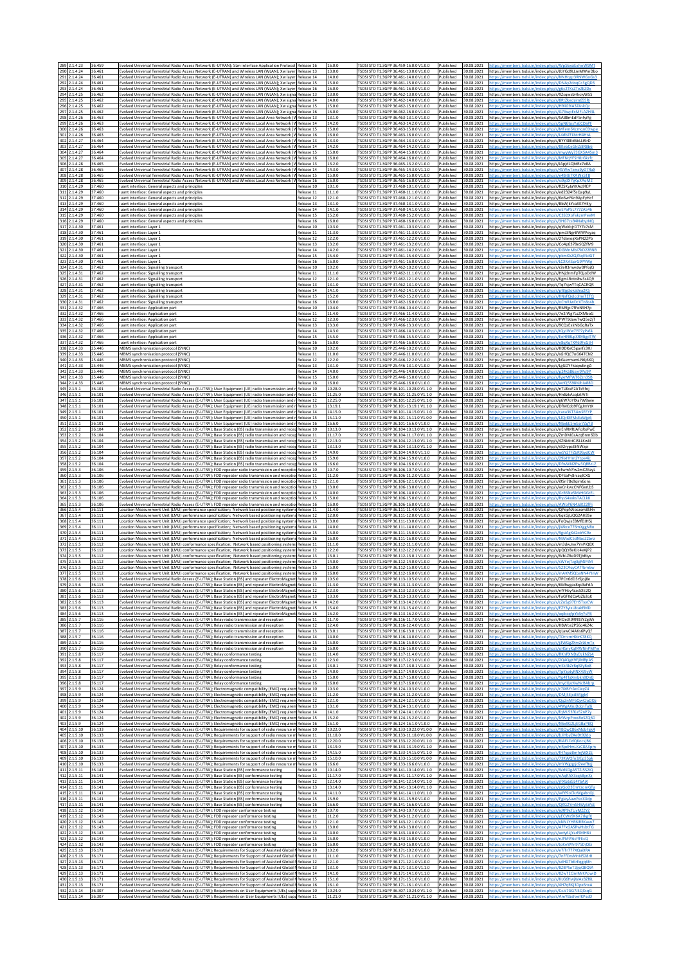| 289 2.1.4.23<br>290 2.1.4.24                       | 36.459<br>36.461           | Evolved Universal Terrestrial Radio Access Network (E-UTRAN); SLm interface Application Protocol Release 16<br>Evolved Universal Terrestrial Radio Access Network (E-UTRAN) and Wireless LAN (WLAN); Xw layer Release 13                                                                                                                           |                                        | 16.0.0<br>13.0.0              | TSDSI STD T1.3GPP 36.459-16.0.0 V1.0.0<br>TSDSI STD T1.3GPP 36.461-13.0.0 V1.0.0                                                                   | Published<br>Published                         | 30.08.2021<br>ttps://members.tsdsi.in/index.php/s/WpS6xsiFxFwW9MT<br>30.08.2021<br>https://members.tsdsi.in/index.php/s/JbYGd9LLmMWmDbo                                                                        |
|----------------------------------------------------|----------------------------|----------------------------------------------------------------------------------------------------------------------------------------------------------------------------------------------------------------------------------------------------------------------------------------------------------------------------------------------------|----------------------------------------|-------------------------------|----------------------------------------------------------------------------------------------------------------------------------------------------|------------------------------------------------|----------------------------------------------------------------------------------------------------------------------------------------------------------------------------------------------------------------|
| 291 2.1.4.24<br>292<br>2.1.4.24<br>293 2.1.4.24    | 36.461<br>36.461<br>36.461 | Evolved Universal Terrestrial Radio Access Network (E-UTRAN) and Wireless LAN (WLAN); Xw layer Release 14<br>Evolved Universal Terrestrial Radio Access Network (E-UTRAN) and Wireless LAN (WLAN); Xw layer<br>Evolved Universal Terrestrial Radio Access Network (E-UTRAN) and Wireless LAN (WLAN); Xw layer Release 16                           | Release 15                             | 14.0.0<br>15.0.0<br>16.0.0    | FSDSI STD T1.3GPP 36.461-14.0.0 V1.0.0<br>TSDSI STD T1.3GPP 36.461-15.0.0 V1.0.0<br>TSDSI STD T1.3GPP 36.461-16.0.0 V1.0.0                         | Published<br>Published<br>Published            | 30.08.2021<br>https://members.tsdsi.in/index.php/s/NNHqqz3RNWGoGs3<br>30.08.2021<br>30.08.2021                                                                                                                 |
| 294 2.1.4.25<br>295<br>2.1.4.25<br>296<br>2.1.4.25 | 36.462<br>36.462<br>36.462 | Evolved Universal Terrestrial Radio Access Network (E-UTRAN) and Wireless LAN (WLAN); Xw signa Release 13<br>Evolved Universal Terrestrial Radio Access Network (E-UTRAN) and Wireless LAN (WLAN); Xw signa Release 14<br>Evolved Universal Terrestrial Radio Access Network (E-UTRAN) and Wireless LAN (WLAN); Xw signa Release 15                |                                        | 13.0.0<br>14.0.0<br>15.0.0    | TSDSI STD T1.3GPP 36.462-13.0.0 V1.0.0<br>SDSI STD T1.3GPP 36.462-14.0.0 V1.0.0<br>TSDSI STD T1.3GPP 36.462-15.0.0 V1.0.0                          | Published<br>Published<br>Published            | 30.08.2021<br>https://members.tsdsi.in/index.php/s/9ZsqwsbHkciyW5S<br>30.08.2021<br>30.08.2021                                                                                                                 |
| 297 2.1.4.25<br>298<br>2.1.4.26                    | 36.462<br>36.463           | Evolved Universal Terrestrial Radio Access Network (E-UTRAN) and Wireless LAN (WLAN); Xw signa Release 16<br>Evolved Universal Terrestrial Radio Access Network (E-UTRAN) and Wireless Local Area Network (V                                                                                                                                       |                                        | 16.0.0<br>13.1.0              | TSDSI STD T1.3GPP 36.462-16.0.0 V1.0.0<br>SDSI STD T1.3GPP 36.463-13.1.0 V1.0.0                                                                    | Published<br>Published                         | 30.08.2021<br>ttps://members.tsdsi.in/index.php/s/G7XwpExMFLAZH4I<br>30.08.2021<br>https://members.tsdsi.in/index.php/s/SAB8mEdF5nfyiY                                                                         |
| 299 2.1.4.26<br>300 2.1.4.26<br>301 2.1.4.26       | 36.463<br>36.463<br>36.463 | Evolved Universal Terrestrial Radio Access Network (E-UTRAN) and Wireless Local Area Network (W Release 14<br>Evolved Universal Terrestrial Radio Access Network (E-UTRAN) and Wireless Local Area Network (W Release 15<br>Evolved Universal Terrestrial Radio Access Network (E-UTRAN) and Wireless Local Area Network (W Release 16             |                                        | 14.2.0<br>15.0.0<br>16.0.0    | SDSI STD T1.3GPP 36.463-14.2.0 V1.0.0<br>SDSI STD T1.3GPP 36.463-15.0.0 V1.0.0<br>SDSI STD T1.3GPP 36.463-16.0.0 V1.0.0                            | Published<br>Published<br>Published            | 30.08.2021<br>30.08.2021<br>ttps://members.tsdsi.in/index.php/s/MFem6Kc<br>30.08.2021                                                                                                                          |
| 302 2.1.4.27<br>303 2.1.4.27<br>304 2.1.4.27       | 36,464<br>36.464<br>36.464 | Evolved Universal Terrestrial Radio Access Network (E-UTRAN) and Wireless Local Area Network (W Release 13<br>Evolved Universal Terrestrial Radio Access Network (E-UTRAN) and Wireless Local Area Network (W Release 14<br>Evolved Universal Terrestrial Radio Access Network (E-UTRAN) and Wireless Local Area Network (W Release 15             |                                        | 13.3.0<br>14.2.0<br>15.0.0    | TSDSI STD T1.3GPP 36.464-13.3.0 V1.0.0<br>SDSI STD T1.3GPP 36.464-14.2.0 V1.0.0<br>SDSI STD T1.3GPP 36.464-15.0.0 V1.0.0                           | Published<br>Published<br>Published            | 30.08.2021<br>https://members.tsdsi.in/index.php/s/BYY38Ed6bLLt9rC<br>30.08.2021<br>ittps://members.tsdsi.in/index.php/s/8KebCeGkLS8R8b<br>30.08.2021                                                          |
| 305 2.1.4.27<br>306 2.1.4.28<br>307 2.1.4.28       | 36.464<br>36.465<br>36.465 | Evolved Universal Terrestrial Radio Access Network (E-UTRAN) and Wireless Local Area Network (W Release 16<br>Evolved Universal Terrestrial Radio Access Network (E-UTRAN) and Wireless Local Area Network (W Release 13<br>Evolved Universal Terrestrial Radio Access Network (E-UTRAN) and Wireless Local Area Network (W Release 14             |                                        | 16.0.0<br>13.2.0<br>14.3.0    | TSDSI STD T1.3GPP 36.464-16.0.0 V1.0.0<br>SDSI STD T1.3GPP 36.465-13.2.0 V1.0.0<br>SDSI STD T1.3GPP 36.465-14.3.0 V1.1.0                           | Published<br>Published<br>Published            | 30.08.2021<br>30.08.2021<br>https://members.tsdsi.in/index.php/s/JApjdLQbtRx7e8A<br>30.08.2021                                                                                                                 |
| 308 2.1.4.28<br>309 2.1.4.28<br>310 2.1.4.29       | 36.465<br>36.465<br>37.460 | Evolved Universal Terrestrial Radio Access Network (E-UTRAN) and Wireless Local Area Network (W Release 15<br>Evolved Universal Terrestrial Radio Access Network (E-UTRAN) and Wireless Local Area Network (W Release 16<br>uant interface: General aspects and principles                                                                         | elease 10                              | 15.0.0<br>16.0.0<br>10.1.0    | TSDSI STD T1.3GPP 36.465-15.0.0 V1.0.0<br>SDSI STD T1.3GPP 36.465-16.0.0 V1.0.0<br>SDSI STD T1.3GPP 37.460-10.1.0 V1.0.0                           | Published<br>Published<br>Published            | 30.08.2021<br>30.08.2021<br>30.08.2021<br>https://members.tsdsi.in/index.php/s/RZSKyJaYKAq9fEF                                                                                                                 |
| 311 2.1.4.29<br>312 2.1.4.29                       | 37.460<br>37.460           | luant interface: General aspects and principle:<br>luant interface: General aspects and principles                                                                                                                                                                                                                                                 | Release 11<br>Release 12               | 11.1.0<br>12.1.0              | ISDSI STD T1.3GPP 37.460-11.1.0 V1.0.0<br>SDSI STD T1.3GPP 37.460-12.1.0 V1.0.0                                                                    | Published<br>Published                         | 30.08.2021<br>https://members.tsdsi.in/index.php/s/ed2324f5sQap9y<br>30.08.2021<br>https://members.tsdsi.in/index.php/s/6o6wYKn9ApFyHc                                                                         |
| 313 2.1.4.29<br>314 2.1.4.29<br>315 2.1.4.29       | 37.460<br>37.460<br>37.460 | luant interface: General aspects and principles<br>luant interface: General aspects and principle:<br>Iuant interface: General aspects and principles                                                                                                                                                                                              | Release 13<br>Release 14<br>Release 15 | 13.1.0<br>14.1.0<br>15.2.0    | SDSI STD T1.3GPP 37.460-13.1.0 V1.0.0<br>TSDSI STD T1.3GPP 37.460-14.1.0 V1.0.0<br>SDSI STD T1.3GPP 37.460-15.2.0 V1.0.0                           | Published<br>Published<br>Published            | 30.08.2021<br>https://members.tsdsi.in/index.php/s/BbWjkYcaXK7HEjy<br>30.08.2021<br>ttns://members.tsdsi.in/index.php/s/oEPaP5L7777A54<br>30.08.2021<br>ttps://members.tsdsi.in/index.php/s/C3SDXoFxkzmPeeM    |
| 316 2.1.4.29<br>317 2.1.4.30<br>318 2.1.4.30       | 37.460<br>37.461<br>37.461 | luant interface: General aspects and principles<br>uant interface: Layer 1<br>luant interface: Layer 1                                                                                                                                                                                                                                             | Release 16<br>telease 10<br>Release 11 | 16.0.0<br>10.3.0<br>11.3.0    | [SDSI STD T1.3GPP 37.460-16.0.0 V1.0.0<br>SDSI STD T1.3GPP 37.461-10.3.0 V1.0.0<br>ISDSI STD T1.3GPP 37.461-11.3.0 V1.0.0                          | Published<br>Published<br>Published            | 30.08.2021<br>ttps://members.tsdsi.in/index.php/s/3HG7csB4NabyzNC<br>30.08.2021<br>https://members.tsdsi.in/index.php/s/qWekbjrDTY7k7sM<br>30.08.2021<br>https://members.tsdsi.in/index.php/s/pmJ3NgrBWWPqyzq  |
| 319 2.1.4.30<br>320<br>2.1.4.30<br>321 2.1.4.30    | 37.461<br>37.461<br>37.461 | luant interface: Layer 1<br>Iuant interface: Layer 1<br>luant interface: Layer 1                                                                                                                                                                                                                                                                   | Release 12<br>telease 13<br>telease 14 | 12.2.0<br>13.2.0<br>14.2.0    | TSDSI STD T1.3GPP 37.461-12.2.0 V1.0.0<br>SDSI STD T1.3GPP 37.461-13.2.0 V1.0.0<br>TSDSI STD T1.3GPP 37.461-14.2.0 V1.0.0                          | Published<br>Published<br>Published            | 30.08.2021<br>https://members.tsdsi.in/index.php/s/27danogXaPN2ZPb<br>30.08.2021<br>https://members.tsdsi.in/index.php/s/Co4p6378eSQZfM9<br>30.08.2021<br>https://members.tsdsi.in/index.php/s/DGMnMbJ7kD22BNI |
| 322 2.1.4.30<br>323<br>2.1.4.30<br>324<br>2.1.4.31 | 37.461<br>37.461<br>37.462 | luant interface: Layer 1<br>uant interface: Layer 1<br>luant interface: Signalling transport                                                                                                                                                                                                                                                       | Release 15<br>telease 16<br>Release 10 | 15.4.0<br>16.0.0<br>10.2.0    | TSDSI STD T1.3GPP 37.461-15.4.0 V1.0.0<br>ISDSI STD T1.3GPP 37.461-16.0.0 V1.0.0<br>TSDSI STD T1.3GPP 37.462-10.2.0 V1.0.0                         | Published<br>Published<br>Published            | 30.08.2021<br>https://members.tsdsi.in/index.php/s/pkmKkZQZ5gE5dGT<br>30.08.2021<br>30.08.2021<br>https://members.tsdsi.in/index.php/s/r2eR3mwdwBPfojQ                                                         |
| 325<br>2.1.4.31<br>2.1.4.31<br>326<br>327 2.1.4.31 | 37.462<br>37.462<br>37,462 | luant interface: Signalling transport<br>luant interface: Signalling transport<br>luant interface: Signalling transport                                                                                                                                                                                                                            | Release 11<br>Release 12<br>Release 13 | 11.1.0<br>12.1.0<br>13.1.0    | TSDSI STD T1.3GPP 37.462-11.1.0 V1.0.0<br>TSDSI STD T1.3GPP 37.462-12.1.0 V1.0.0<br>TSDSI STD T1.3GPP 37.462-13.1.0 V1.0.0                         | Published<br>Published<br>Published            | 30.08.2021<br>https://members.tsdsi.in/index.php/s/HNjdnmFpTQjoDdW<br>30.08.2021<br>https://members.tsdsi.in/index.php/s/KgmLRoto8w3s4Q9<br>30.08.2021<br>https://members.tsdsi.in/index.php/s/Tq7kjwYTqCACRQF |
| 328<br>2.1.4.31<br>329<br>2.1.4.31<br>330 2.1.4.31 | 37.462<br>37.462<br>37.462 | luant interface: Signalling transport<br>luant interface: Signalling transport                                                                                                                                                                                                                                                                     | Release 14<br>Release 15<br>Release 16 | 14.1.0<br>15.2.0<br>16.0.0    | TSDSI STD T1.3GPP 37.462-14.1.0 V1.0.0<br>SDSI STD T1.3GPP 37.462-15.2.0 V1.0.0<br>[SDSI STD T1.3GPP 37.462-16.0.0 V1.0.0                          | Published<br>Published<br>Published            | 30.08.2021<br>nttps://members.tsdsi.in/index.php/s/pf8jg3oka9ea2K5<br>30.08.2021<br>30.08.2021                                                                                                                 |
| 331 2.1.4.32<br>2.1.4.32<br>332                    | 37.466<br>37.466           | luant interface: Signalling transport<br>uant interface: Application part<br>Iuant interface: Application part                                                                                                                                                                                                                                     | telease 10<br>Release 11               | 10.4.0<br>11.4.0              | SDSI STD T1.3GPP 37.466-10.4.0 V1.0.0<br>SDSI STD T1.3GPP 37.466-11.4.0 V1.0.0                                                                     | Published<br>Published                         | 30.08.2021<br>https://members.tsdsi.in/index.php/s/RM9jpi7fFeNSH7p<br>30.08.2021<br>https://members.tsdsi.in/index.php/s/7e2iWg7LsZXMboC                                                                       |
| 333 2.1.4.32<br>334 2.1.4.32<br>335<br>2.1.4.32    | 37.466<br>37.466<br>37.466 | Iuant interface: Application part<br>luant interface: Application part<br>uant interface: Application part                                                                                                                                                                                                                                         | Release 12<br>telease 13<br>telease 14 | 12.3.0<br>13.3.0<br>14.3.0    | TSDSI STD T1.3GPP 37.466-12.3.0 V1.0.0<br>ISDSI STD T1.3GPP 37.466-13.3.0 V1.0.0<br>SDSLSTD T1 3GPP 37 466-14 3 0 V1 0 0                           | Published<br>Published<br>Published            | 30.08.2021<br>https://members.tsdsi.in/index.php/s/PWT9dawTwQ5e2jT<br>30.08.2021<br>https://members.tsdsi.in/index.php/s/9CQsExkNbGqRaTx<br>30.08.2021<br>ittps://members.tsdsi.in/index.php/s/tQyJWw7YP7yPaf4 |
| 336<br>2.1.4.32<br>337 2.1.4.32<br>338 2.1.4.33    | 37.466<br>37.466<br>25,446 | Iuant interface: Application part<br>luant interface: Application part<br>MBMS synchronisation protocol (SYNC)                                                                                                                                                                                                                                     | Release 15<br>Release 16<br>Release 10 | 15.5.0<br>16.0.0<br>10.2.0    | TSDSI STD T1.3GPP 37.466-15.5.0 V1.0.0<br>ISDSI STD T1.3GPP 37.466-16.0.0 V1.0.0<br>SDSI STD T1.3GPP 25.446-10.2.0 V1.0.0                          | Published<br>Published<br>Published            | 30.08.2021<br>ttps://members.tsdsi.in/index.php/s/EeHNBLpXRMtgdTV<br>30.08.2021<br>ttps://members.tsdsi.in/index.php/s/e8qXqTXA69FcGtF<br>30.08.2021<br>https://members.tsdsi.in/index.php/s/KDDKeC5ganfz3HJ   |
| 339<br>2.1.4.33<br>340 2.1.4.33<br>341 2.1.4.33    | 25.446<br>25.446<br>25.446 | MBMS synchronisation protocol (SYNC)<br>MBMS synchronisation protocol (SYNC)<br>MBMS synchronisation protocol (SYNC)                                                                                                                                                                                                                               | telease 11<br>Release 12<br>Release 13 | 11.0.0<br>12.2.0<br>13.1.0    | SDSI STD T1.3GPP 25.446-11.0.0 V1.0.0<br>TSDSI STD T1.3GPP 25.446-12.2.0 V1.0.0<br>SDSI STD T1.3GPP 25.446-13.1.0 V1.0.0                           | Published<br>Published<br>Published            | 30.08.2021<br>https://members.tsdsi.in/index.php/s/sGrfQC7oG64TCN2<br>30.08.2021<br>https://members.tsdsi.in/index.php/s/kGsermamLN6j6XQ<br>30.08.2021<br>https://members.tsdsi.in/index.php/s/LgGDYFkaqwEngZi |
| 342 2.1.4.33<br>343 2.1.4.33<br>344 2.1.4.33       | 25.446<br>25.446<br>25.446 | MBMS synchronisation protocol (SYNC)<br>MBMS synchronisation protocol (SYNC)<br>MBMS synchronisation protocol (SYNC)                                                                                                                                                                                                                               | telease 14<br>Release 15<br>Release 16 | 14.0.0<br>15.0.0<br>16.0.0    | SDSI STD T1.3GPP 25.446-14.0.0 V1.0.0<br>SDSI STD T1.3GPP 25.446-15.0.0 V1.0.0<br>TSDSI STD T1.3GPP 25.446-16.0.0 V1.0.0                           | Published<br>Published<br>Published            | 30.08.2021<br>30.08.2021<br>30.08.2021<br>ttps://members.tsdsi.in/index.php/s/wdQ5S98NJbJa88I                                                                                                                  |
| 345 2.1.5.1<br>346 2.1.5.1<br>347 2.1.5.1          | 36.101<br>36.101<br>36.101 | Evolved Universal Terrestrial Radio Access (E-UTRA); User Equipment (UE) radio transmission and r<br>Evolved Universal Terrestrial Radio Access (E-UTRA); User Equipment (UE) radio transmission and r Release 11<br>Evolved Universal Terrestrial Radio Access (E-UTRA); User Equipment (UE) radio transmission and r Release 12                  | Release 10                             | 10.28.0<br>11.25.0<br>12.25.0 | SDSI STD T1.3GPP 36.101-10.28.0 V1.1.0<br>SDSI STD T1.3GPP 36.101-11.25.0 V1.1.0<br>TSDSI STD T1.3GPP 36.101-12.25.0 V1.1.0                        | Published<br>Published<br>Published            | 30.08.2021<br>https://members.tsdsi.in/index.php/s/nTL8kxF2ATx5foj<br>30.08.2021<br>https://members.tsdsi.in/index.php/s/Hn8zkAcqtztAiT<br>30.08.2021<br>https://members.tsdsi.in/index.php/s/g6W7oYfXa7W8wie  |
| 348 2.1.5.1<br>349 2.1.5.1<br>350 2.1.5.1          | 36.101<br>36.101<br>36.101 | Evolved Universal Terrestrial Radio Access (E-UTRA); User Equipment (UE) radio transmission and r<br>Evolved Universal Terrestrial Radio Access (E-UTRA); User Equipment (UE) radio transmission and r Release 14<br>Evolved Universal Terrestrial Radio Access (E-UTRA); User Equipment (UE) radio transmission and r Release 15                  | Release 13                             | 13.19.1<br>14.15.0<br>15.11.0 | SDSI STD T1.3GPP 36.101-13.19.1 V1.1.0<br>[SDSI STD T1.3GPP 36.101-14.15.0 V1.1.0<br>TSDSI STD T1.3GPP 36.101-15.11.0 V1.0.0                       | Published<br>Published<br>Published            | 30.08.2021<br>https://members.tsdsi.in/index.php/s/DfMCob9FCgJmYtX<br>30.08.2021<br>ittps://members.tsdsi.in/index.php/s/caxa3KT34wSEEY<br>30.08.2021<br>ittps://members.tsdsi.in/index.php/s/LIQr8EfMsEaWip   |
| 351 2.1.5.<br>352 2.1.5.2                          | 36.101<br>36.104           | Evolved Universal Terrestrial Radio Access (E-UTRA); User Equipment (UE) radio transmission and r Release 16<br>Evolved Universal Terrestrial Radio Access (E-UTRA); Base Station (BS) radio transmission and recep Release 10                                                                                                                     |                                        | 16.6.0<br>10.13.0             | ISDSI STD T1.3GPP 36.101-16.6.0 V1.0.0<br>TSDSI STD T1.3GPP 36.104-10.13.0 V1.1.0                                                                  | Published<br>Published                         | 30.08.2021<br>ttps://members.tsdsi.in/index.php/s/N6x6E<br>30.08.2021<br>https://members.tsdsi.in/index.php/s/nEnRMRJAFqRoPwE                                                                                  |
| 353 2.1.5.2<br>354 2.1.5.2<br>355 2.1.5.2          | 36.104<br>36.104<br>36.104 | Evolved Universal Terrestrial Radio Access (E-UTRA); Base Station (BS) radio transmission and recep Release 11<br>Evolved Universal Terrestrial Radio Access (E-UTRA); Base Station (BS) radio transmission and recep Release 12<br>Evolved Universal Terrestrial Radio Access (E-UTRA); Base Station (BS) radio transmission and recep            | Release 13                             | 11.17.0<br>12.13.0<br>13.13.0 | SDSI STD T1.3GPP 36.104-11.17.0 V1.1.0<br>TSDSI STD T1.3GPP 36.104-12.13.0 V1.1.0<br>TSDSI STD T1.3GPP 36.104-13.13.0 V1.1.0                       | Published<br>Published<br>Published            | 30.08.2021<br>https://members.tsdsi.in/index.php/s/ZmDMGsAzqBnm6Db<br>30.08.2021<br>https://members.tsdsi.in/index.php/s/4ZNidotCJSLLKwN<br>30.08.2021<br>https://members.tsdsi.in/index.php/s/s92rypcJ84iWzp  |
| 356 2.1.5.2<br>357<br>2.1.5.2<br>358 2.1.5.2       | 36.104<br>36.104<br>36.104 | Evolved Universal Terrestrial Radio Access (E-UTRA); Base Station (BS) radio transmission and recep Release 14<br>Evolved Universal Terrestrial Radio Access (E-UTRA); Base Station (BS) radio transmission and recep Release 15<br>Evolved Universal Terrestrial Radio Access (E-UTRA); Base Station (BS) radio transmission and recep Release 16 |                                        | 14.9.0<br>15.9.0<br>16.6.0    | SDSI STD T1.3GPP 36.104-14.9.0 V1.1.0<br>SDSI STD T1.3GPP 36.104-15.9.0 V1.0.0<br>TSDSI STD T1.3GPP 36.104-16.6.0 V1.0.0                           | Published<br>Published<br>Published            | 30.08.2021<br>30.08.2021<br>30.08.2021                                                                                                                                                                         |
| 359 2.1.5.3<br>360 2.1.5.3<br>361 2.1.5.3          | 36.106<br>36.106<br>36.106 | Evolved Universal Terrestrial Radio Access (E-UTRA); FDD repeater radio transmission and reception Release 10<br>Evolved Universal Terrestrial Radio Access (E-UTRA); FDD repeater radio transmission and reception Release 11<br>Evolved Universal Terrestrial Radio Access (E-UTRA); FDD repeater radio transmission and reception               | Release 12                             | 10.7.0<br>11.2.0<br>12.1.0    | SDSI STD T1.3GPP 36.106-10.7.0 V1.0.0<br>SDSI STD T1.3GPP 36.106-11.2.0 V1.0.0<br>TSDSI STD T1.3GPP 36.106-12.1.0 V1.0.0                           | Published<br>Published<br>Published            | 30.08.2021<br>https://members.tsdsi.in/index.php/s/cfwmNYw2mCZ6ayl<br>30.08.2021<br>https://members.tsdsi.in/index.php/s/DFSaPy8rszqJCXG<br>30.08.2021<br>https://members.tsdsi.in/index.php/s/i9Sn7Bx9qim6on: |
| 362 2.1.5.3<br>363 2.1.5.3<br>364<br>2.1.5.3       | 36.106<br>36.106<br>36.106 | Evolved Universal Terrestrial Radio Access (E-UTRA); FDD repeater radio transmission and reception Release 13<br>Evolved Universal Terrestrial Radio Access (E-UTRA); FDD repeater radio transmission and reception Release 14<br>Evolved Universal Terrestrial Radio Access (E-UTRA); FDD repeater radio transmission and receptio                | Release 15                             | 13.0.0<br>14.0.0<br>15.0.0    | ISDSI STD T1.3GPP 36.106-13.0.0 V1.0.0<br>SDSI STD T1.3GPP 36.106-14.0.0 V1.0.0<br>SDSI STD T1.3GPP 36.106-15.0.0 V1.0.0                           | Published<br>Published<br>Published            | 30.08.2021<br>https://members.tsdsi.in/index.php/s/wCnkwcCNFGxrLbS<br>30.08.2021<br>https://members.tsdsi.in/index.php/s/GrR6Ne5MzHGGtE<br>30.08.2021                                                          |
| 365 2.1.5.3<br>366 2.1.5.4<br>367 2.1.5.4          | 36.106<br>36.111<br>36.111 | Evolved Universal Terrestrial Radio Access (E-UTRA); FDD repeater radio transmission and reception Release 16<br>Location Measurement Unit (LMU) performance specification; Network based positioning systems Release 11<br>Location Measurement Unit (LMU) performance specification; Network based positioning systems Release 12                |                                        | 16.0.0<br>11.4.0<br>12.0.0    | TSDSI STD T1.3GPP 36.106-16.0.0 V1.0.0<br>TSDSI STD T1.3GPP 36.111-11.4.0 V1.0.0<br>SDSI STD T1.3GPP 36.111-12.0.0 V1.0.0                          | Published<br>Published<br>Published            | 30.08.2021<br>ttps://members.tsdsi.in/index.php/s/AWoP6N4JdK22f<br>30.08.2021<br>https://members.tsdsi.in/index.php/s/QPepNAoczsm8SHn<br>30.08.2021<br>https://members.tsdsi.in/index.php/s/6qkGjLiQG2AH3S     |
| 368 2.1.5.4<br>369 2.1.5.4<br>370 2.1.5.4          | 36.111<br>36.111<br>36.111 | Location Measurement Unit (LMU) performance specification; Network based positioning systems Release 13<br>Location Measurement Unit (LMU) performance specification; Network based positioning systems Release 14<br>Location Measurement Unit (LMU) performance specification; Network based positioning system                                  |                                        | 13.0.0<br>14.0.0<br>15.0.0    | SDSI STD T1.3GPP 36.111-13.0.0 V1.0.0<br>TSDSI STD T1.3GPP 36.111-14.0.0 V1.0.0<br>SDSI STD T1.3GPP 36.111-15.0.0 V1.0.0                           | Published<br>Published<br>Published            | 30.08.2021<br>https://members.tsdsi.in/index.php/s/FoQwjsE8MfDJH5<br>30.08.2021<br>https://members.tsdsi.in/index.php/s/jWkce776mXggNRi<br>30.08.2021                                                          |
| 371 2.1.5.4<br>372 2.1.5.5<br>373 2.1.5.5          | 36.111<br>36.112<br>36.112 | ocation Measurement Unit (LMU) performance specification; Network based positioning systems Release 16.<br>Location Measurement Unit (LMU) conformance specification; Network based positioning system: Release 11<br>Location Measurement Unit (LMU) conformance specification; Network based positioning system: Release 12                      |                                        | 16.0.0<br>11.1.0<br>12.2.0    | SDSI STD T1.3GPP 36.111-16.0.0 V1.0.0<br>FSDSI STD T1.3GPP 36.112-11.1.0 V1.0.0<br>SDSI STD T1.3GPP 36.112-12.2.0 V1.0.0                           | Published<br>Published<br>Published            | 30.08.2021<br>30.08.2021<br>https://members.tsdsi.in/index.php/s/m3dwJrw7YnPiQBX<br>30.08.2021<br>https://members.tsdsi.in/index.php/s/pQQY8eKJc4eXjP2                                                         |
| 374 2.1.5.5<br>375 2.1.5.5                         | 36.112<br>36.112           | Location Measurement Unit (LMU) conformance specification; Network based positioning system<br>Location Measurement Unit (LMU) conformance specification; Network based positioning systems Release 14                                                                                                                                             | Release 13                             | 13.0.1<br>14.0.0              | TSDSI STD T1.3GPP 36.112-13.0.1 V1.0.0<br>SDSI STD T1.3GPP 36.112-14.0.0 V1.0.0<br>SDSI STD T1.3GPP 36.112-15.0.0 V1.0.0                           | Published<br>Published                         | 30.08.2021<br>https://members.tsdsi.in/index.php/s/WbLZReD9TjbBiyx<br>30.08.2021<br>ttps://members.tsdsi.in/index.php/s/sWYejTzg8gMJFtM                                                                        |
| 376 2.1.5.5<br>377 2155<br>378 2.1.5.6             | 36.112<br>36 112<br>36.113 | Location Measurement Unit (LMU) conformance specification; Network based positioning system: Release 15<br>nt Unit (IMU) conform<br>ce snecification: Network hased nositioning.<br>Evolved Universal Terrestrial Radio Access (E-UTRA); Base Station (BS) and repeater ElectroMagneti Release 10                                                  |                                        | 15.0.0<br>16.00<br>10.5.0     | rspsi stp T1 3GPP 36 112-16 በ በ V1 በ በ<br>TSDSI STD T1.3GPP 36.113-10.5.0 V1.0.0                                                                   | Published<br>Published                         | 30.08.2021<br>tos://members.tsdsi.in/index.php/s/S23CAr<br>30.08.2021<br>Published 30.08.2021 https://members.tsdsi.in/index.php/s/7PCn6dD3r5joj8e                                                             |
| 379 2.1.5.6<br>380 2.1.5.6<br>381 2.1.5.6          | 36.113<br>36.113<br>36.113 | Evolved Universal Terrestrial Radio Access (E-UTRA); Base Station (BS) and repeater ElectroMagneti Release 11<br>Evolved Universal Terrestrial Radio Access (E-UTRA); Base Station (BS) and repeater ElectroMagneti Release 12<br>Evolved Universal Terrestrial Radio Access (E-UTRA); Base Station (BS) and repeater ElectroMagneti Release 13    |                                        | 11.3.0<br>12.3.0<br>13.3.0    | [SDSI STD T1.3GPP 36.113-11.3.0 V1.0.0<br>TSDSI STD T1.3GPP 36.113-12.3.0 V1.0.0<br>ISDSI STD T1.3GPP 36.113-13.3.0 V1.0.0                         | Published<br>Published 30.08.2021<br>Published | 30.08.2021<br>https://members.tsdsi.in/index.php/s/6Mfwgax8qs9aFdA<br>https://members.tsdsi.in/index.php/s/nfYHcy4zzs5XE2Q<br>30.08.2021<br>https://members.tsdsi.in/index.php/s/FaGFKdCa4zZb2qK               |
| 382 2.1.5.6<br>383 2.1.5.6<br>384 2.1.5.6          | 36.113<br>36.113<br>36.113 | Evolved Universal Terrestrial Radio Access (E-UTRA); Base Station (BS) and repeater ElectroMagneti Release 14<br>Evolved Universal Terrestrial Radio Access (E-UTRA); Base Station (BS) and repeater ElectroMagneti Release 15<br>Evolved Universal Terrestrial Radio Access (E-UTRA); Base Station (BS) and repeater ElectroMagneti Release 16    |                                        | 14.2.0<br>15.4.0<br>16.2.0    | SDSI STD T1.3GPP 36.113-14.2.0 V1.0.0<br>TSDSI STD T1.3GPP 36.113-15.4.0 V1.0.0<br>TSDSI STD T1.3GPP 36.113-16.2.0 V1.0.0                          | Published<br>Published<br>Published            | https://members.tsdsi.in/index.php/s/cZo5g97EH5TyyCV<br>30.08.2021<br>30.08.2021<br>ttps://members.tsdsi.in/index.php/s/EZY3vixL8takEMD<br>30.08.2021<br>ttps://members.tsdsi.in/index.php/s/wpkcqfpYb5yYsPE   |
| 385 2.1.5.7<br>386 2.1.5.7<br>387 2.1.5.7          | 36.116<br>36.116<br>36.116 | Evolved Universal Terrestrial Radio Access (E-UTRA); Relay radio transmission and reception<br>Evolved Universal Terrestrial Radio Access (E-UTRA); Relay radio transmission and reception<br>Evolved Universal Terrestrial Radio Access (E-UTRA); Relay radio transmission and reception                                                          | Release 11<br>Release 12<br>Release 13 | 11.7.0<br>12.4.0<br>13.0.1    | SDSLSTD T1.3GPP 36.116-11.7 0 V1.0.0<br>TSDSI STD T1.3GPP 36.116-12.4.0 V1.0.0<br>TSDSI STD T1.3GPP 36.116-13.0.1 V1.0.0                           | Published<br>Published<br>Published            | https://members.tsdsi.in/index.php/s/HQeJK9RN93YZgWz<br>30.08.2021<br>30.08.2021<br>https://members.tsdsi.in/index.php/s/KBWos2P56o4kZ4c<br>30.08.2021<br>https://members.tsdsi.in/index.php/s/qLawCJ4AKs6PyQf |
| 388 2.1.5.7<br>389 2.1.5.7<br>390 2.1.5.7          | 36.116<br>36.116<br>36.116 | Evolved Universal Terrestrial Radio Access (E-UTRA); Relay radio transmission and reception<br>Evolved Universal Terrestrial Radio Access (E-UTRA); Relay radio transmission and reception<br>Evolved Universal Terrestrial Radio Access (E-UTRA); Relay radio transmission and reception                                                          | Release 14<br>Release 15<br>Release 16 | 14.0.0<br>15.0.0<br>16.0.0    | TSDSI STD T1.3GPP 36.116-14.0.0 V1.0.0<br>TSDSI STD T1.3GPP 36.116-15.0.0 V1.0.0<br>TSDSI STD T1.3GPP 36.116-16.0.0 V1.0.0                         | Published<br>Published<br>Published 30.08.2021 | 30.08.2021<br>https://members.tsdsi.in/index.php/s/TDrrzmHXirK78KQ<br>https://members.tsdsi.in/index.php/s/j3WGg2XmZrL6mT><br>30.08.2021<br>ttns://members.tsdsi.in/index.php/s/oH5nvKgMWNnPMY                 |
| 391 2.1.5.8<br>392 2.1.5.8<br>393 2.1.5.8          | 36.117<br>36.117<br>36.117 | Evolved Universal Terrestrial Radio Access (E-UTRA); Relay conformance testing<br>Evolved Universal Terrestrial Radio Access (E-UTRA); Relay conformance testing<br>Evolved Universal Terrestrial Radio Access (E-UTRA); Relay conformance testing                                                                                                 | Release 11<br>Release 12<br>Release 13 | 11.4.0<br>12.3.0<br>13.0.1    | TSDSI STD T1.3GPP 36.117-11.4.0 V1.0.0<br>TSDSI STD T1.3GPP 36.117-12.3.0 V1.0.0<br>TSDSI STD T1.3GPP 36.117-13.0.1 V1.0.0                         | Published 30.08.2021<br>Published<br>Published | https://members.tsdsi.in/index.php/s/RKnPXNDyDzkNZL4<br>30.08.2021<br>ttps://members.tsdsi.in/index.php/s/2Q4QgK9FjiMBpA!<br>30.08.2021<br>ttps://members.tsdsi.in/index.php/s/nKk4kZrBgBZvBg                  |
| 394 2.1.5.8<br>395 2.1.5.8<br>396 2.1.5.8          | 36.117<br>36.117<br>36.117 | Evolved Universal Terrestrial Radio Access (E-UTRA); Relay conformance testing<br>Evolved Universal Terrestrial Radio Access (E-UTRA); Relay conformance testing<br>Evolved Universal Terrestrial Radio Access (E-UTRA); Relay conformance testing                                                                                                 | Release 14<br>Release 15<br>Release 16 | 14.0.0<br>15.0.0<br>16.0.0    | TSDSI STD T1.3GPP 36.117-14.0.0 V1.0.0<br>TSDSI STD T1.3GPP 36.117-15.0.0 V1.0.0<br>TSDSI STD T1.3GPP 36.117-16.0.0 V1.0.0                         | Published 30.08.2021<br>Published<br>Published | https://members.tsdsi.in/index.php/s/TpYzptyRNX4J9yW<br>30.08.2021<br>30.08.2021<br>ttps://members.tsdsi.in/index.php/s/mydXyzKwNcBAb                                                                          |
| 397 2.1.5.9<br>398 2.1.5.9                         | 36.124<br>36.124           | Evolved Universal Terrestrial Radio Access (E-UTRA); Electromagnetic compatibility (EMC) requirem Release 10<br>Evolved Universal Terrestrial Radio Access (E-UTRA); Electromagnetic compatibility (EMC) requirem Release 11                                                                                                                       |                                        | 10.3.0<br>11.2.0              | TSDSI STD T1.3GPP 36.124-10.3.0 V1.0.0<br>TSDSI STD T1.3GPP 36.124-11.2.0 V1.0.0                                                                   | Published 30.08.2021<br>Published              | https://members.tsdsi.in/index.php/s/c7iXBYrAoCievZ4<br>30.08.2021                                                                                                                                             |
| 399 2.1.5.9<br>400 2.1.5.9<br>401 2.1.5.9          | 36.124<br>36.124<br>36.124 | Evolved Universal Terrestrial Radio Access (E-UTRA); Electromagnetic compatibility (EMC) requirem Release 12<br>Evolved Universal Terrestrial Radio Access (E-UTRA); Electromagnetic compatibility (EMC) requirem Release 13<br>Evolved Universal Terrestrial Radio Access (E-UTRA); Electromagnetic compatibility (EMC) requirem Release 14       |                                        | 12.1.0<br>13.1.0<br>14.1.0    | TSDSI STD T1.3GPP 36.124-12.1.0 V1.0.0<br>TSDSI STD T1.3GPP 36.124-13.1.0 V1.0.0<br>TSDSI STD T1.3GPP 36.124-14.1.0 V1.0.0                         | Published<br>Published<br>Published            | 30.08.2021<br>30.08.2021<br>https://members.tsdsi.in/index.php/s/4WgAXnjDdcnTa9i<br>30.08.2021                                                                                                                 |
| 402 2.1.5.9<br>403 2.1.5.9<br>404 2.1.5.10         | 36.124<br>36.124<br>36.133 | Evolved Universal Terrestrial Radio Access (E-UTRA); Electromagnetic compatibility (EMC) requirem Release 15<br>Evolved Universal Terrestrial Radio Access (E-UTRA); Electromagnetic compatibility (EMC) requirem Release 16<br>Evolved Universal Terrestrial Radio Access (E-UTRA); Requirements for support of radio resource m Release 10       |                                        | 15.2.0<br>16.1.0<br>10.22.0   | TSDSI STD T1.3GPP 36.124-15.2.0 V1.0.0<br>TSDSI STD T1.3GPP 36.124-16.1.0 V1.0.0<br>TSDSI STD T1.3GPP 36.133-10.22.0 V1.0.0                        | Published<br>Published<br>Published            | 30.08.2021<br>30.08.2021<br>ttps://members.tsdsi.in/index.php/s/N6x9G2LjEGBaPBQ<br>30.08.2021                                                                                                                  |
| 405 2.1.5.10<br>406 2.1.5.10<br>407 2.1.5.10       | 36.133<br>36.133<br>36.133 | Evolved Universal Terrestrial Radio Access (E-UTRA); Requirements for support of radio resource m Release 11<br>Evolved Universal Terrestrial Radio Access (E-UTRA); Requirements for support of radio resource m Release 12<br>Evolved Universal Terrestrial Radio Access (E-UTRA); Requirements for support of radio resource m Release 13       |                                        | 11.18.0<br>12.20.0<br>13.19.0 | TSDSI STD T1.3GPP 36.133-11.18.0 V1.0.0 Published 30.08.2021<br>TSDSI STD T1.3GPP 36.133-12.20.0 V1.1.0<br>FSDSI STD T1.3GPP 36.133-13.19.0 V1.1.0 | Published<br>Published                         | 30.08.2021<br>30.08.2021<br>ittps://members.tsdsi.in/index.php/s/nRpdHmLKzC8AXpr                                                                                                                               |
| 408 2.1.5.10<br>409 2.1.5.10<br>410 2.1.5.10       | 36.133<br>36.133<br>36.133 | Evolved Universal Terrestrial Radio Access (E-UTRA); Requirements for support of radio resource m Release 14<br>Evolved Universal Terrestrial Radio Access (E-UTRA); Requirements for support of radio resource m Release 15<br>Evolved Universal Terrestrial Radio Access (E-UTRA); Requirements for support of radio resource m Release 16       |                                        | 14.15.0<br>15.10.0<br>16.6.0  | TSDSI STD T1.3GPP 36.133-14.15.0 V1.1.0<br>TSDSI STD T1.3GPP 36.133-15.10.0 V1.0.0<br>TSDSI STD T1.3GPP 36.133-16.6.0 V1.0.0                       | Published<br>Published<br>Published            | 30.08.2021<br>30.08.2021<br>ttps://members.tsdsi.in/index.php/s/73KWQfo3JEp35pl<br>30.08.2021<br>ttps://members.tsdsi.in/index.php/s/mYWgapid2eefBa                                                            |
| 411 2.1.5.11<br>412 2.1.5.11<br>413 2.1.5.11       | 36.141<br>36.141<br>36.141 | Evolved Universal Terrestrial Radio Access (E-UTRA); Base Station (BS) conformance testing<br>Evolved Universal Terrestrial Radio Access (E-UTRA); Base Station (BS) conformance testing<br>Evolved Universal Terrestrial Radio Access (E-UTRA); Base Station (BS) conformance testing                                                             | Release 10<br>Release 11<br>Release 12 | 10.14.0<br>11.17.0<br>12.14.0 | TSDSI STD T1.3GPP 36.141-10.14.0 V1.1.0<br>TSDSI STD T1.3GPP 36.141-11.17.0 V1.1.0<br>FSDSI STD T1.3GPP 36.141-12.14.0 V1.1.0                      | Published<br>Published<br>Published            | 30.08.2021<br>30.08.2021<br>30.08.2021<br>ttps://members.tsdsi.in/index.php/s/iFXtz6iGL4Y6AiX                                                                                                                  |
| 414 2.1.5.11<br>415 2.1.5.11                       | 36.141<br>36.141           | Evolved Universal Terrestrial Radio Access (E-UTRA); Base Station (BS) conformance testing<br>Evolved Universal Terrestrial Radio Access (E-UTRA); Base Station (BS) conformance testing<br>Evolved Universal Terrestrial Radio Access (E-UTRA); Base Station (BS) conformance testing                                                             | Release 13<br>Release 14               | 13.14.0<br>14.11.0<br>15.9.0  | TSDSI STD T1.3GPP 36.141-13.14.0 V1.1.0<br>TSDSI STD T1.3GPP 36.141-14.11.0 V1.1.0<br>TSDSI STD T1.3GPP 36.141-15.9.0 V1.0.0                       | Published<br>Published                         | 30.08.2021<br>30.08.2021<br>ttps://members.tsdsi.in/index.php/s/wF69oCkzWgabnQ<br>30.08.2021<br>ittps://members.tsdsi.in/index.php/s/PgiavAawPecXXdc                                                           |
| 416 2.1.5.11<br>417 2.1.5.11<br>418 2.1.5.12       | 36.141<br>36.141<br>36.143 | Evolved Universal Terrestrial Radio Access (E-UTRA); Base Station (BS) conformance testing<br>Evolved Universal Terrestrial Radio Access (E-UTRA); FDD repeater conformance testing                                                                                                                                                                | Release 15<br>Release 16<br>Release 10 | 16.6.0<br>10.7.0              | TSDSI STD T1.3GPP 36.141-16.6.0 V1.0.0<br>TSDSI STD T1.3GPP 36.143-10.7.0 V1.0.0                                                                   | Published<br>Published<br>Published            | 30.08.2021<br>30.08.2021                                                                                                                                                                                       |
| 419 2.1.5.12<br>420 2.1.5.12<br>421 2.1.5.12       | 36.143<br>36.143<br>36.143 | Evolved Universal Terrestrial Radio Access (E-UTRA); FDD repeater conformance testing<br>Evolved Universal Terrestrial Radio Access (E-UTRA); FDD repeater conformance testing<br>Evolved Universal Terrestrial Radio Access (E-UTRA); FDD repeater conformance testing                                                                            | Release 11<br>Release 12<br>Release 13 | 11.2.0<br>12.1.0<br>13.0.0    | TSDSI STD T1.3GPP 36.143-11.2.0 V1.0.0<br>ISDSI STD T1.3GPP 36.143-12.1.0 V1.0.0<br>TSDSI STD T1.3GPP 36.143-13.0.0 V1.0.0                         | Published 30.08.2021<br>Published<br>Published | ittps://members.tsdsi.in/index.php/s/yECWx9K6A7rkgfX<br>30.08.2021<br>ttps://members.tsdsi.in/index.php/s/AFFxGASRwHsbtT0<br>30.08.2021                                                                        |
| 422 2.1.5.12<br>423 2.1.5.12<br>424 2.1.5.12       | 36.143<br>36.143<br>36.143 | Evolved Universal Terrestrial Radio Access (E-UTRA); FDD repeater conformance testing<br>Evolved Universal Terrestrial Radio Access (E-UTRA); FDD repeater conformance testing<br>Evolved Universal Terrestrial Radio Access (E-UTRA); FDD repeater conformance testing                                                                            | Release 14<br>Release 15<br>Release 16 | 14.0.0<br>15.0.0<br>16.0.0    | TSDSI STD T1.3GPP 36.143-14.0.0 V1.0.0<br>TSDSI STD T1.3GPP 36.143-15.0.0 V1.0.0<br>TSDSI STD T1.3GPP 36.143-16.0.0 V1.0.0                         | Published 30.08.2021<br>Published<br>Published | https://members.tsdsi.in/index.php/s/wdv6LiYad5MH8ii<br>30.08.2021<br>30.08.2021                                                                                                                               |
| 425 2.1.5.13<br>426 2.1.5.13<br>427 2.1.5.13       | 36.171<br>36.171<br>36.171 | Evolved Universal Terrestrial Radio Access (E-UTRA); Requirements for Support of Assisted Global N Release 10<br>Evolved Universal Terrestrial Radio Access (E-UTRA); Requirements for Support of Assisted Global M Release 11<br>Evolved Universal Terrestrial Radio Access (E-UTRA); Requirements for Support of Assisted Global M Release 12    |                                        | 10.2.0<br>11.1.0<br>12.1.0    | TSDSI STD T1.3GPP 36.171-10.2.0 V1.0.0<br>TSDSI STD T1.3GPP 36.171-11.1.0 V1.0.0<br>TSDSI STD T1.3GPP 36.171-12.1.0 V1.0.0                         | Published<br>Published<br>Published            | 30.08.2021<br>https://members.tsdsi.in/index.php/s/e7iTr777XQaiXRA<br>30.08.2021<br>30.08.2021                                                                                                                 |
| 428 2.1.5.13<br>429 2.1.5.13<br>430 2.1.5.13       | 36.171<br>36.171<br>36.171 | Evolved Universal Terrestrial Radio Access (E-UTRA); Requirements for Support of Assisted Global N Release 13<br>Evolved Universal Terrestrial Radio Access (E-UTRA); Requirements for Support of Assisted Global M Release 14<br>Evolved Universal Terrestrial Radio Access (E-UTRA); Requirements for Support of Assisted Global N Release 15    |                                        | 13.1.0<br>14.1.0<br>15.1.0    | ISDSI STD T1.3GPP 36.171-13.1.0 V1.1.0<br>TSDSI STD T1.3GPP 36.171-14.1.0 V1.1.0<br>TSDSI STD T1.3GPP 36.171-15.1.0 V1.0.0                         | Published<br>Published<br>Published            | 30.08.2021<br>30.08.2021<br>30.08.2021                                                                                                                                                                         |
| 431 2.1.5.13<br>432 2.1.5.14<br>433 2.1.5.14       | 36.171<br>36.307<br>36.307 | Evolved Universal Terrestrial Radio Access (E-UTRA); Requirements for Support of Assisted Global N Release 16<br>Evolved Universal Terrestrial Radio Access (E-UTRA); Requirements on User Equipments (UEs) supp Release 10<br>Evolved Universal Terrestrial Radio Access (E-UTRA); Requirements on User Equipments (UEs) supp Release 11          |                                        | 16.1.0<br>10.24.0<br>11.21.0  | ISDSI STD T1.3GPP 36.171-16.1.0 V1.0.0<br>FSDSI STD T1.3GPP 36.307-10.24.0 V1.1.0<br>TSDSI STD T1.3GPP 36.307-11.21.0 V1.1.0 Published 30.08.2021  | Published<br>Published                         | 30.08.2021<br>30.08.2021<br>https://members.tsdsi.in/index.php/s/CcJs7GG7JSQXsqG                                                                                                                               |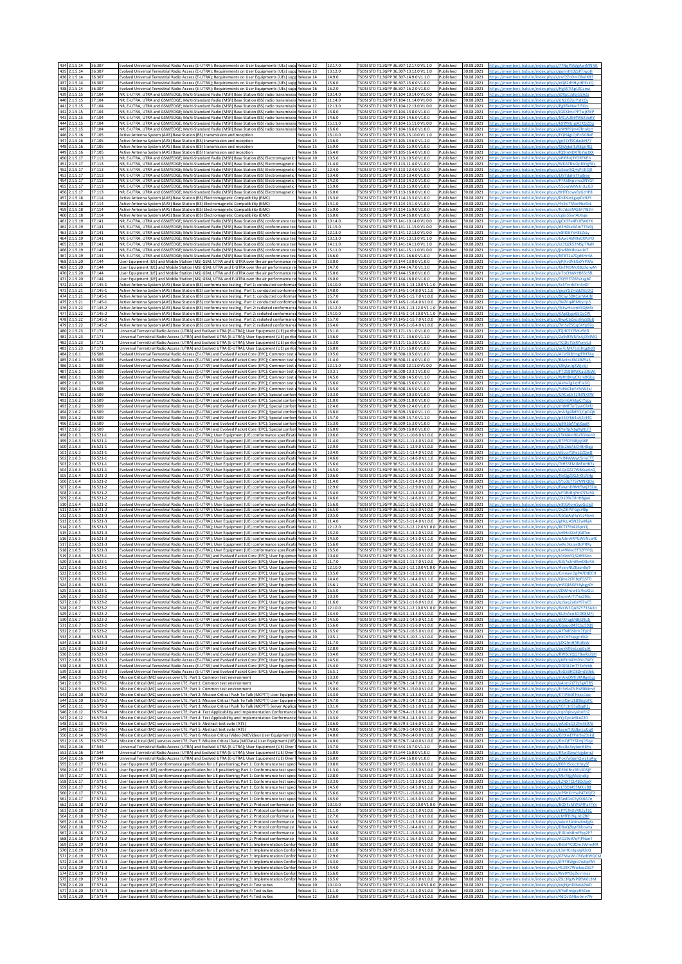|                   | 434 2.1.5.14<br>435 2.1.5.14                         | 36.307<br>36.307                             | volved Universal Terrestrial Radio Access (E-UTRA); Requirements on User Equipments (UEs) supp Release 12<br>Evolved Universal Terrestrial Radio Access (E-UTRA); Requirements on User Equipments (UEs) supp Release 13                                                                                                                         |                        |                              |                                        | 12.17.0<br>13.12.0                   | TSDSI STD T1.3GPP 36.307-12.17.0 V1.1.0<br>Published<br>SDSI STD T1.3GPP 36.307-13.12.0 V1.1.0<br>Published                                                                                                               | 30.08.2021<br>30.08.2021                             |                                                      |
|-------------------|------------------------------------------------------|----------------------------------------------|-------------------------------------------------------------------------------------------------------------------------------------------------------------------------------------------------------------------------------------------------------------------------------------------------------------------------------------------------|------------------------|------------------------------|----------------------------------------|--------------------------------------|---------------------------------------------------------------------------------------------------------------------------------------------------------------------------------------------------------------------------|------------------------------------------------------|------------------------------------------------------|
|                   | 436 2.1.5.14<br>437 2.1.5.14<br>438 2.1.5.14         | 36.307<br>36.307<br>36.307                   | Evolved Universal Terrestrial Radio Access (E-UTRA): Requirements on User Equipments (UEs) supp<br>volved Universal Terrestrial Radio Access (E-UTRA); Requirements on User Equipments (UEs) supp<br>volved Universal Terrestrial Radio Access (E-UTRA); Requirements on User Equipments (UEs) supp                                             |                        |                              | Release 14<br>Release 15<br>telease 16 | 14.9.0<br>15.6.0<br>16.2.0           | SDSI STD T1.3GPP 36.307-14.9.0 V1.1.0<br>Published<br>SDSI STD T1.3GPP 36.307-15.6.0 V1.0.0<br>Published<br>SDSI STD T1.3GPP 36.307-16.2.0 V1.0.0<br>Published                                                            | 30.08.2021<br>30.08.2021<br>30.08.2021               |                                                      |
| 440<br>441        | 439 2.1.5.15<br>.1.5.15<br>2.1.5.15                  | 37.104<br>7.104<br>37.104                    | NR, E-UTRA, UTRA and GSM/EDGE; Multi-Standard Radio (MSR) Base Station (BS) radio transmissio Release 10<br>VR. E-UTRA. UTRA and GSM/EDGE: Multi-Standard Radio (MSR) Base Station (BS) radio transmissic<br>NR, E-UTRA, UTRA and GSM/EDGE; Multi-Standard Radio (MSR) Base Station (BS) radio transmissic                                      |                        |                              | telease 11<br>Release 12               | 10.14.0<br>11.14.0<br>12.13.0        | [SDSI STD T1.3GPP 37.104-10.14.0 V1.0.0<br>Published<br>SDSI STD T1.3GPP 37.104-11.14.0 V1.0.0<br>ublished<br>SDSI STD T1.3GPP 37.104-12.13.0 V1.0.0<br>Published                                                         | 30.08.2021<br>30.08.2021<br>30.08.2021               |                                                      |
| 443<br>444        | 442 2.1.5.15<br>1.5.15<br>2.1.5.15                   | 37.104<br>37.104<br>37.104                   | NR, E-UTRA, UTRA and GSM/EDGE; Multi-Standard Radio (MSR) Base Station (BS) radio transmissio Release 13<br>VR, E-UTRA, UTRA and GSM/EDGE; Multi-Standard Radio (MSR) Base Station (BS) radio transmiss<br>NR. E-UTRA. UTRA and GSM/EDGE: Multi-Standard Radio (MSR) Base Station (BS) radio transmissic                                        |                        |                              | elease 14<br>Release 15                | 13.8.0<br>14.6.0<br>15.11.0          | [SDSI STD T1.3GPP 37.104-13.8.0 V1.0.0<br>Published<br>SDSI STD T1.3GPP 37.104-14.6.0 V1.0.0<br>ublishec<br>SDSI STD T1.3GPP 37.104-15.11.0 V1.0.0<br>Published                                                           | 30.08.2021<br>30.08.2021<br>30.08.2021               |                                                      |
| 446               | 445 2.1.5.15<br>2.1.5.16<br>447 2.1.5.16             | 37.104<br>37.105<br>37.105                   | NR, E-UTRA, UTRA and GSM/EDGE; Multi-Standard Radio (MSR) Base Station (BS) radio transmissio Release 16<br>Active Antenna System (AAS) Base Station (BS) transmission and reception<br>Active Antenna System (AAS) Base Station (BS) transmission and reception                                                                                |                        |                              | telease 13<br>Release 14               | 16.6.0<br>13.10.0<br>14.6.0          | SDSI STD T1.3GPP 37.104-16.6.0 V1.0.0<br>Published<br>SDSI STD T1.3GPP 37.105-13.10.0 V1.1.0<br>Published<br>[SDSI STD T1.3GPP 37.105-14.6.0 V1.1.0<br>Published                                                          | 30.08.2021<br>30.08.2021<br>30.08.2021               |                                                      |
| 449               | 448 2.1.5.16<br>.1.5.16<br>450 2.1.5.17              | 37.105<br>7.105<br>37.113                    | Active Antenna System (AAS) Base Station (BS) transmission and reception<br>Active Antenna System (AAS) Base Station (BS) transmission and reception<br>NR. E-UTRA, UTRA and GSM/EDGE: Multi-Standard Radio (MSR) Base Station (BS) Electromagnetic                                                                                             |                        |                              | Release 15<br>telease 16<br>Release 10 | 15.9.0<br>16.4.0<br>10.5.0           | SDSI STD T1.3GPP 37.105-15.9.0 V1.0.0<br>Published<br>SDSI STD T1.3GPP 37.105-16.4.0 V1.0.0<br>Published<br>FSDSI STD T1.3GPP 37.113-10.5.0 V1.0.0<br>Published                                                           | 30.08.2021<br>30.08.202<br>30.08.2021                |                                                      |
| 452<br>453        | 451 2.1.5.17<br>1.5.17<br>2.1.5.17                   | 37.113<br>7.113<br>37.113                    | VR, E-UTRA, UTRA and GSM/EDGE; Multi-Standard Radio (MSR) Base Station (BS) Electromagnetic (<br>NR, E-UTRA, UTRA and GSM/EDGE; Multi-Standard Radio (MSR) Base Station (BS) Electromagnetic<br>NR, E-UTRA, UTRA and GSM/EDGE; Multi-Standard Radio (MSR) Base Station (BS) Electromagnetic                                                     |                        |                              | elease 11<br>Release 12<br>telease 13  | 11.4.0<br>12.4.0<br>13.4.0           | SDSI STD T1.3GPP 37.113-11.4.0 V1.0.0<br>Published<br>SDSI STD T1.3GPP 37.113-12.4.0 V1.0.0<br>Published<br>SDSI STD T1.3GPP 37.113-13.4.0 V1.0.0<br>Published                                                            | 30.08.202<br>30.08.2021<br>30.08.2021                |                                                      |
| 455<br>456        | 454 2.1.5.17<br>.1.5.17<br>2.1.5.17                  | 37.113<br>7.113<br>37.113                    | NR. E-UTRA. UTRA and GSM/EDGE: Multi-Standard Radio (MSR) Base Station (BS) Electromagnetic (Release 14<br>VR, E-UTRA, UTRA and GSM/EDGE; Multi-Standard Radio (MSR) Base Station (BS) Electromagnetic<br>NR, E-UTRA, UTRA and GSM/EDGE; Multi-Standard Radio (MSR) Base Station (BS) Electromagnetic                                           |                        |                              | telease 15<br>Release 16               | 14.2.0<br>15.9.0<br>16.0.0           | SDSI STD T1.3GPP 37.113-14.2.0 V1.0.0<br>Published<br>SDSI STD T1.3GPP 37.113-15.9.0 V1.0.0<br>Published<br>SDSI STD T1.3GPP 37.113-16.0.0 V1.0.0<br>Published                                                            | 30.08.2021<br>30.08.2021<br>30.08.2021               |                                                      |
| 458<br>459        | 457 2.1.5.18<br>2.1.5.18<br>2.1.5.18                 | 37.114<br>37.114<br>37.114                   | Active Antenna System (AAS) Base Station (BS) Electromagnetic Compatibility (EMC)<br>Active Antenna System (AAS) Base Station (BS) Electromagnetic Compatibility (EMC)<br>Active Antenna System (AAS) Base Station (BS) Electromagnetic Compatibility (EMC)                                                                                     |                        |                              | telease 13<br>Release 14<br>Release 15 | 13.3.0<br>14.1.0<br>15.9.0           | SDSI STD T1.3GPP 37.114-13.3.0 V1.0.0<br>Published<br>SDSLSTD T1 3GPP 37 114-14 1 0 V1 0 0<br>Published<br>SDSI STD T1.3GPP 37.114-15.9.0 V1.0.0<br>Published                                                             | 30.08.2021<br>30.08.2021<br>30.08.2021               |                                                      |
| 461<br>462        | 460 2.1.5.18<br>2.1.5.19<br>2.1.5.19                 | 37.114<br>37.141<br>37.141                   | Active Antenna System (AAS) Base Station (BS) Electromagnetic Compatibility (EMC)<br>NR, E-UTRA, UTRA and GSM/EDGE; Multi-Standard Radio (MSR) Base Station (BS) conformance te<br>NR, E-UTRA, UTRA and GSM/EDGE; Multi-Standard Radio (MSR) Base Station (BS) conformance te                                                                   |                        |                              | telease 16<br>Release 10<br>elease 11  | 16.0.0<br>10.14.0<br>11.15.0         | SDSI STD T1.3GPP 37.114-16.0.0 V1.0.0<br>Published<br>SDSI STD T1.3GPP 37.141-10.14.0 V1.0.0<br>Published<br>SDSI STD T1.3GPP 37.141-11.15.0 V1.0.0<br>ublished                                                           | 30.08.2021<br>30.08.2021<br>30.08.2021               |                                                      |
| 463<br>464<br>465 | 2.1.5.19<br>2.1.5.19<br>.1.5.19                      | 37.141<br>37.141<br>37.141                   | NR, E-UTRA, UTRA and GSM/EDGE; Multi-Standard Radio (MSR) Base Station (BS) conformance tes<br>NR. E-UTRA, UTRA and GSM/EDGE: Multi-Standard Radio (MSR) Base Station (BS) conformance test<br>NR, E-UTRA, UTRA and GSM/EDGE; Multi-Standard Radio (MSR) Base Station (BS) conformance tes                                                      |                        |                              | Release 12<br>Release 13<br>telease 14 | 12.13.0<br>13.13.0<br>14.11.0        | SDSI STD T1.3GPP 37.141-12.13.0 V1.0.0<br>Published<br>SDSI STD T1.3GPP 37.141-13.13.0 V1.1.0<br>Published<br>SDSI STD T1.3GPP 37.141-14.11.0 V1.1.0<br>ublished                                                          | 30.08.2021<br>30.08.2021<br>30.08.2021               |                                                      |
| 466<br>468        | 2.1.5.19<br>467 2.1.5.19<br>1.5.20                   | 37.141<br>37.141<br>7.144                    | NR, E-UTRA, UTRA and GSM/EDGE; Multi-Standard Radio (MSR) Base Station (BS) conformance test<br>NR, E-UTRA, UTRA and GSM/EDGE; Multi-Standard Radio (MSR) Base Station (BS) conformance tes! Release 16<br>Jser Equipment (UE) and Mobile Station (MS) GSM, UTRA and E-UTRA over the air performance re                                         |                        |                              | Release 15<br>elease 13                | 15.11.0<br>16.6.0<br>13.0.0          | SDSI STD T1.3GPP 37.141-15.11.0 V1.0.0<br>Published<br>ISDSI STD T1.3GPP 37.141-16.6.0 V1.0.0<br>Published<br>SDSI STD T1.3GPP 37.144-13.0.0 V1.0.0<br>ublishec                                                           | 30.08.2021<br>30.08.2021<br>30.08.2021               |                                                      |
|                   | 469 2.1.5.20<br>470 2.1.5.20                         | 37.144<br>37.144<br>37.144                   | Jser Equipment (UE) and Mobile Station (MS) GSM, UTRA and E-UTRA over the air performance n<br>Jser Equipment (UE) and Mobile Station (MS) GSM, UTRA and E-UTRA over the air performance re Release 15                                                                                                                                          |                        |                              | telease 14                             | 14.7.0<br>15.0.0                     | SDSI STD T1.3GPP 37.144-14.7.0 V1.1.0<br>Published<br>ISDSI STD T1.3GPP 37.144-15.0.0 V1.0.0<br>Published                                                                                                                 | 30.08.2021<br>30.08.2021                             |                                                      |
| 471               | 2.1.5.20<br>472 2.1.5.21<br>473 2.1.5.21             | 37.145-1<br>37.145-1                         | Jser Equipment (UE) and Mobile Station (MS) GSM, UTRA and E-UTRA over the air performance re<br>Active Antenna System (AAS) Base Station (BS) conformance testing; Part 1: conducted conforma<br>Active Antenna System (AAS) Base Station (BS) conformance testing; Part 1: conducted conforma                                                  |                        |                              | Release 16<br>Release 13<br>Release 14 | 16.0.0<br>13.10.0<br>14.8.0          | SDSI STD T1.3GPP 37.144-16.0.0 V1.0.0<br>Published<br>SDSI STD T1.3GPP 37.145-1-13.10.0 V1.1.0<br>Published<br>SDSI STD T1.3GPP 37.145-1-14.8.0 V1.1.0<br>Published                                                       | 30.08.2021<br>30.08.2021<br>30.08.2021               |                                                      |
| 474               | 2.1.5.21<br>475 2.1.5.21<br>476 2.1.5.22             | 7.145-1<br>37.145-1<br>7.145-2               | Active Antenna System (AAS) Base Station (BS) conformance testing; Part 1: conducted conforman<br>Active Antenna System (AAS) Base Station (BS) conformance testing; Part 1: conducted conforma<br>ctive Antenna System (AAS) Base Station (BS) conformance testing; Part 2: radiated conformanc                                                |                        |                              | Release 15<br>Release 16<br>elease 13  | 15.7.0<br>16.4.0<br>13.12.0          | SDSI STD T1.3GPP 37.145-1-15.7.0 V1.0.0<br>Published<br>TSDSI STD T1.3GPP 37.145-1-16.4.0 V1.0.0<br>Published<br>SDSI STD T1.3GPP 37.145-2-13.12.0 V1.1.0<br>ublished                                                     | 30.08.2021<br>30.08.2021<br>30.08.2021               |                                                      |
| 477               | 2.1.5.22<br>478 2.1.5.22<br>479 2.1.5.22             | 7.145-2<br>37.145-2<br>37.145-2              | Active Antenna System (AAS) Base Station (BS) conformance testing; Part 2: radiated conformance<br>Active Antenna System (AAS) Base Station (BS) conformance testing; Part 2: radiated conformanc<br>ictive Antenna System (AAS) Base Station (BS) conformance testing; Part 2: radiated conformance                                            |                        |                              | Release 14<br>elease 15<br>elease 16   | 14.10.0<br>15.7.0<br>16.4.0          | SDSI STD T1.3GPP 37.145-2-14.10.0 V1.1.0<br>Published<br>TSDSI STD T1.3GPP 37.145-2-15.7.0 V1.0.0<br>Published<br>SDSI STD T1.3GPP 37.145-2-16.4.0 V1.0.0<br>Published                                                    | 30.08.2021<br>30.08.2021<br>30.08.2021               |                                                      |
| 481               | 480 2.1.5.23<br>2.1.5.23<br>482 2.1.5.23             | 7.171<br>37.171<br>37.171                    | Iniversal Terrestrial Radio Access (UTRA) and Evolved UTRA (E-UTRA); User Equipment (UE) perfor Release 13<br>Jniversal Terrestrial Radio Access (UTRA) and Evolved UTRA (E-UTRA); User Equipment (UE) perfor<br>Jniversal Terrestrial Radio Access (UTRA) and Evolved UTRA (E-UTRA); User Equipment (UE) perfor Release 15                     |                        |                              | Release 14                             | 13.1.0<br>14.6.0<br>15.3.0           | SDSI STD T1.3GPP 37.171-13.1.0 V1.0.0<br>Published<br>SDSI STD T1.3GPP 37.171-14.6.0 V1.1.0<br>Published<br>SDSI STD T1.3GPP 37.171-15.3.0 V1.0.0<br>Published                                                            | 30.08.2021<br>30.08.2021<br>30.08.2021               |                                                      |
| 484               | 483 2.1.5.23<br>2.1.6.1<br>485 2.1.6.1               | 37.171<br>36.508<br>36.508                   | Universal Terrestrial Radio Access (UTRA) and Evolved UTRA (E-UTRA); User Equipment (UE) perfor Release 16<br>volved Universal Terrestrial Radio Access (E-UTRA) and Evolved Packet Core (EPC); Common test<br>Volved Universal Terrestrial Radio Access (E-UTRA) and Evolved Packet Core (EPC); Common test                                    |                        |                              | elease 10<br>Release 11                | 16.0.0<br>10.5.0<br>11.4.0           | SDSI STD T1.3GPP 37.171-16.0.0 V1.0.0<br>Published<br>SDSI STD T1.3GPP 36.508-10.5.0 V1.0.0<br>ublished<br>SDSI STD T1.3GPP 36.508-11.4.0 V1.0.0<br>Published                                                             | 30.08.2021<br>30.08.2021<br>30.08.2021               |                                                      |
| 487               | 486 2.1.6.1<br>2.1.6.1<br>488 2.1.6.                 | 36.508<br>36.508<br>36.508                   | Evolved Universal Terrestrial Radio Access (E-UTRA) and Evolved Packet Core (EPC); Common test e<br>volved Universal Terrestrial Radio Access (E-UTRA) and Evolved Packet Core (EPC): Common test<br>volved Universal Terrestrial Radio Access (E-UTRA) and Evolved Packet Core (EPC); Common test                                              |                        |                              | Release 12<br>elease 13<br>Release 14  | 12.11.0<br>13.3.1<br>14.5.0          | SDSI STD T1.3GPP 36.508-12.11.0 V1.0.0<br>Published<br>SDSI STD T1.3GPP 36.508-13.3.1 V1.0.0<br>ublished<br>SDSI STD T1.3GPP 36.508-14.5.0 V1.1.0<br>Published                                                            | 30.08.2021<br>30.08.2021<br>30.08.2021               |                                                      |
| 490<br>491        | 489 2.1.6.<br>2.1.6.1<br>2.1.6.2                     | 36.508<br>36.508<br>36.509                   | volved Universal Terrestrial Radio Access (E-UTRA) and Evolved Packet Core (EPC); Common test<br>ivolved Universal Terrestrial Radio Access (E-UTRA) and Evolved Packet Core (EPC); Common test<br>Volved Universal Terrestrial Radio Access (E-UTRA) and Evolved Packet Core (EPC); Special confor                                             |                        |                              | Release 15<br>telease 16<br>Release 10 | 15.6.0<br>16.5.0<br>10.3.0           | SDSI STD T1.3GPP 36.508-15.6.0 V1.0.0<br>Published<br>SDSI STD T1.3GPP 36.508-16.5.0 V1.0.0<br>Published<br>SDSI STD T1.3GPP 36.509-10.3.0 V1.0.0<br>Published                                                            | 30.08.2021<br>30.08.2021<br>30.08.2021               |                                                      |
| 493               | 492 2.1.6.2<br>2.1.6.2<br>494 2.1.6.2                | 36.509<br>6.509<br>36.509                    | Evolved Universal Terrestrial Radio Access (E-UTRA) and Evolved Packet Core (EPC); Special conform Release 11<br>Volved Universal Terrestrial Radio Access (E-UTRA) and Evolved Packet Core (EPC); Special confori<br>Evolved Universal Terrestrial Radio Access (E-UTRA) and Evolved Packet Core (EPC); Special confor                         |                        |                              | Release 12<br>Release 13               | 11.0.0<br>12.4.0<br>13.8.0           | SDSI STD T1.3GPP 36.509-11.0.0 V1.0.0<br>Published<br>SDSI STD T1.3GPP 36.509-12.4.0 V1.0.0<br>Published<br>SDSI STD T1.3GPP 36.509-13.8.0 V1.1.0<br>Published                                                            | 30.08.2021<br>30.08.2021<br>30.08.2021               |                                                      |
| 496               | 495 2.1.6.2<br>2.1.6.2<br>497 2.1.6.2                | 36.509<br>36.509<br>36.509                   | Evolved Universal Terrestrial Radio Access (E-UTRA) and Evolved Packet Core (EPC); Special conform Release 14<br>volved Universal Terrestrial Radio Access (E-UTRA) and Evolved Packet Core (EPC); Special conform<br>Evolved Universal Terrestrial Radio Access (E-UTRA) and Evolved Packet Core (EPC); Special confor                         |                        |                              | Release 15<br>Release 16               | 14.7.0<br>15.3.0<br>16.0.0           | SDSI STD T1.3GPP 36.509-14.7.0 V1.1.0<br>Published<br>SDSI STD T1.3GPP 36.509-15.3.0 V1.0.0<br>Published<br>SDSI STD T1.3GPP 36.509-16.0.0 V1.0.0<br>Published                                                            | 30.08.2021<br>30.08.2021<br>30.08.2021               |                                                      |
| 499               | 498 2.1.6.3<br>2.1.6.3<br>500 2.1.6.3                | 36.521-1<br>36.521-1<br>36.521-1             | volved Universal Terrestrial Radio Access (E-UTRA); User Equipment (UE) conformance specificat<br>volved Universal Terrestrial Radio Access (E-UTRA); User Equipment (UE) conformance specificati<br>Evolved Universal Terrestrial Radio Access (E-UTRA); User Equipment (UE) conformance specificat                                            |                        |                              | Release 10<br>telease 11<br>telease 12 | 10.6.0<br>11.4.0<br>12.9.0           | SDSI STD T1.3GPP 36.521-1-10.6.0 V1.0.0<br>Published<br>SDSI STD T1.3GPP 36.521-1-11.4.0 V1.0.0<br>Published<br>SDSI STD T1.3GPP 36.521-1-12.9.0 V1.0.0<br>Published                                                      | 30.08.2021<br>30.08.2021<br>30.08.2021               |                                                      |
| 502<br>503        | 501 2.1.6.3<br>.1.6.3<br>2.1.6.3                     | $6.521 - 1$<br>$6.521 - 1$<br>36.521-1       | volved Universal Terrestrial Radio Access (E-UTRA); User Equipment (UE) conformance specificat<br>volved Universal Terrestrial Radio Access (E-UTRA); User Equipment (UE) conformance specificat<br>volved Universal Terrestrial Radio Access (E-UTRA); User Equipment (UE) conformance specificati                                             |                        |                              | telease 13<br>elease 14<br>telease 15  | 13.4.0<br>14.6.0<br>15.6.0           | SDSI STD T1.3GPP 36.521-1-13.4.0 V1.0.0<br>ublished<br>SDSI STD T1.3GPP 36.521-1-14.6.0 V1.1.0<br>Published<br>SDSI STD T1.3GPP 36.521-1-15.6.0 V1.0.0<br>Published                                                       | 30.08.2021<br>30.08.2021<br>30.08.2021               |                                                      |
| 505<br>506        | 504 2.1.6.3<br>2.1.6.4<br>2.1.6.4                    | 36.521-1<br>36.521-2<br>36.521-2             | volved Universal Terrestrial Radio Access (E-UTRA); User Equipment (UE) conformance specificatio<br>volved Universal Terrestrial Radio Access (E-UTRA); User Equipment (UE) conformance specificat<br>volved Universal Terrestrial Radio Access (E-UTRA); User Equipment (UE) conformance specificat                                            |                        |                              | telease 16<br>Release 10<br>Release 11 | 16.5.0<br>10.6.0<br>11.4.0           | SDSI STD T1.3GPP 36.521-1-16.5.0 V1.0.0<br>Published<br>SDSI STD T1.3GPP 36.521-2-10.6.0 V1.0.0<br>Published<br>FSDSI STD T1.3GPP 36.521-2-11.4.0 V1.0.0<br>Published                                                     | 30.08.2021<br>30.08.2021<br>30.08.2021               |                                                      |
| 509               | 507 2.1.6.4<br>508 2.1.6.4<br>2.1.6.4                | 36.521-2<br>36.521-2<br>36.521-2             | volved Universal Terrestrial Radio Access (E-UTRA); User Equipment (UE) conformance specificati<br>Evolved Universal Terrestrial Radio Access (E-UTRA); User Equipment (UE) conformance specificati: Release 13<br>volved Universal Terrestrial Radio Access (E-UTRA); User Equipment (UE) conformance specificat                               |                        |                              | telease 12<br>elease 14                | 12.9.0<br>13.4.0<br>14.6.0           | SDSI STD T1.3GPP 36.521-2-12.9.0 V1.0.0<br>Published<br>SDSI STD T1.3GPP 36.521-2-13.4.0 V1.0.0<br>Published<br>SDSI STD T1.3GPP 36.521-2-14.6.0 V1.1.0<br>Published                                                      | 30.08.2021<br>30.08.2021<br>30.08.2021               |                                                      |
| 512               | 510 2.1.6.4<br>511 2.1.6.4<br>1.6.5                  | 36.521-2<br>36.521-2<br>36.521-3             | volved Universal Terrestrial Radio Access (E-UTRA); User Equipment (UE) conformance specificati<br>Evolved Universal Terrestrial Radio Access (E-UTRA); User Equipment (UE) conformance specificati: Release 16<br>volved Universal Terrestrial Radio Access (E-UTRA); User Equipment (UE) conformance specificat                               |                        |                              | Release 15<br>elease 10                | 15.6.0<br>16.5.0<br>10.5.0           | SDSI STD T1.3GPP 36.521-2-15.6.0 V1.0.0<br>Published<br>FSDSI STD T1.3GPP 36.521-2-16.5.0 V1.0.0<br>Published<br>SDSI STD T1.3GPP 36.521-3-10.5.0 V1.0.0                                                                  | 30.08.2021<br>30.08.2021<br>30.08.202                |                                                      |
| 515               | 513 2.1.6.5<br>514 2.1.6.5<br>1.6.5                  | 36.521-3<br>36.521-3<br>$6.521 - 3$          | volved Universal Terrestrial Radio Access (E-UTRA); User Equipment (UE) conformance specificati<br>Volved Universal Terrestrial Radio Access (E-UTRA); User Equipment (UE) conformance specificatii Release 12<br>volved Universal Terrestrial Radio Access (E-UTRA); User Equipment (UE) conformance specificat                                |                        |                              | Release 11                             | 11.4.0<br>12.12.0<br>13.2.0          | SDSI STD T1.3GPP 36.521-3-11.4.0 V1.0.0<br>Published<br>SDSI STD T1.3GPP 36.521-3-12.12.0 V1.0.0<br>Published<br>SDSI STD T1.3GPP 36.521-3-13.2.0 V1.0.0                                                                  | 30.08.2021<br>30.08.2021<br>30.08.2021               |                                                      |
| 518               | 516 2.1.6.5<br>517 2.1.6.5<br>2.1.6.5                | 36.521-3<br>36.521-3<br>36.521-3             | volved Universal Terrestrial Radio Access (E-UTRA); User Equipment (UE) conformance specificat<br>volved Universal Terrestrial Radio Access (E-UTRA); User Equipment (UE) conformance specificatii Release 15<br>Volved Universal Terrestrial Radio Access (E-UTRA); User Equipment (UE) conformance specificat                                 |                        |                              | telease 14<br>elease 16                | 14.5.0<br>15.6.0<br>16.5.0           | SDSLSTD T1 3GPP 36 521-3-14 5 0 V1 1 0<br>Publisher<br>SDSI STD T1.3GPP 36.521-3-15.6.0 V1.0.0<br>Published<br>SDSI STD T1.3GPP 36.521-3-16.5.0 V1.0.0                                                                    | 30.08.2021<br>30.08.2021<br>30.08.2021               |                                                      |
|                   | 519 2.1.6.6<br>520 2.1.6.6<br>521 2.1.6.6            | 36.523-1<br>36.523-1<br>36.523-1             | Evolved Universal Terrestrial Radio Access (E-UTRA) and Evolved Packet Core (EPC): User Equipme<br>volved Universal Terrestrial Radio Access (E-UTRA) and Evolved Packet Core (EPC); User Equipmer<br>volved Universal Terrestrial Radio Access (E-UTRA) and Evolved Packet Core (EPC); User Equipmer Release 12                                |                        |                              | Release 10<br>Release 11               | 10.4.0<br>11.7.0<br>12.10.0          | SDSLSTD T1 3GPP 36 523-1-10 4 0 V1 0 0<br>Published<br>SDSI STD T1.3GPP 36.523-1-11.7.0 V1.0.0<br>Published<br>SDSI STD T1.3GPP 36.523-1-12.10.0 V1.0.0 Published                                                         | 30.08.2021<br>30.08.202<br>30.08.2021                |                                                      |
|                   | 166<br>523 2.1.6.6<br>524 2.1.6.6                    | 36 523-1<br>36.523-1<br>36.523-1             | Evolved Universal Terrestrial Radio Access (E-UTRA) and Evolved Packet Core (EPC); User Equipmer Release 14<br>volved Universal Terrestrial Radio Access (E-UTRA) and Evolved Packet Core (EPC): User Equipmer Release 15:                                                                                                                      | >ss (F-UTRA) and Evolv | d Packet Core (EPC): User En |                                        | 13.50<br>14.4.0<br>15.6.1            | SDSLSTD T1 3GPP 36 523-1-13 5 0 V1 0 0<br>TSDSI STD T1.3GPP 36.523-1-14.4.0 V1.1.0 Published<br>SDSI STD T1.3GPP 36.523-1-15.6.1 V1.0.0<br>Published                                                                      | 30.08.202<br>30.08.2021<br>30.08.2021                |                                                      |
| 527               | 525 2.1.6.6<br>526 2.1.6.7<br>2.1.6.7                | 36.523-1<br>36.523-2<br>$6.523 - 2$          | ivolved Universal Terrestrial Radio Access (E-UTRA) and Evolved Packet Core (EPC); User Equipmer Release 16<br>volved Universal Terrestrial Radio Access (E-UTRA) and Evolved Packet Core (EPC); User Equipmer Release 10<br>volved Universal Terrestrial Radio Access (E-UTRA) and Evolved Packet Core (EPC); User Equipmer                    |                        |                              | Release 11                             | 16.5.0<br>10.3.0<br>11.6.0           | FSDSI STD T1.3GPP 36.523-1-16.5.0 V1.0.0 Published<br>SDSI STD T1.3GPP 36.523-2-10.3.0 V1.0.0<br>Published<br>SDSI STD T1.3GPP 36.523-2-11.6.0 V1.0.0<br>Published                                                        | 30.08.2021<br>30.08.2021<br>30.08.2021               |                                                      |
|                   | 528 2.1.6.7<br>529 2.1.6.7<br>530 2.1.6.7            | 36.523-2<br>36.523-2<br>36.523-2             | Evolved Universal Terrestrial Radio Access (E-UTRA) and Evolved Packet Core (EPC); User Equipmer Release 12<br>Evolved Universal Terrestrial Radio Access (E-UTRA) and Evolved Packet Core (EPC); User Equipmer Release 13<br>volved Universal Terrestrial Radio Access (E-UTRA) and Evolved Packet Core (EPC): User Equipmer Release 14        |                        |                              |                                        | 12.10.0<br>13.4.0<br>14.5.0          | FSDSI STD T1.3GPP 36.523-2-12.10.0 V1.0.0 Published<br>FSDSI STD T1.3GPP 36.523-2-13.4.0 V1.0.0 Published<br>SDSI STD T1.3GPP 36.523-2-14.5.0 V1.1.0<br>Published                                                         | 30.08.2021<br>30.08.2021<br>30.08.2021               |                                                      |
|                   | 531 2.1.6.7<br>532 2.1.6.7<br>533 2.1.6.8            | 36.523-2<br>36.523-2<br>36.523-3             | Evolved Universal Terrestrial Radio Access (E-UTRA) and Evolved Packet Core (EPC); User Equipmer Release 15<br>Evolved Universal Terrestrial Radio Access (E-UTRA) and Evolved Packet Core (EPC): User Equipmer Release 16<br>Evolved Universal Terrestrial Radio Access (E-UTRA) and Evolved Packet Core (EPC); User Equipmer Release 10       |                        |                              |                                        | 15.6.0<br>16.5.0<br>10.5.1           | TSDSI STD T1.3GPP 36.523-2-15.6.0 V1.0.0 Published<br>SDSI STD T1.3GPP 36.523-2-16.5.0 V1.0.0<br>Published<br>FSDSI STD T1.3GPP 36.523-3-10.5.1 V1.0.0<br>Published                                                       | 30.08.2021<br>30.08.2021<br>30.08.2021               | ttns://members.tsdsi.in/index.php/s/nitCdPtgsenrSG   |
|                   | 534 2.1.6.8<br>535 2.1.6.8<br>536 2.1.6.8            | 36.523-3<br>36.523-3<br>36.523-3             | volved Universal Terrestrial Radio Access (E-UTRA) and Evolved Packet Core (EPC); User Equipmer<br>Evolved Universal Terrestrial Radio Access (E-UTRA) and Evolved Packet Core (EPC); User Equipmer Release 12<br>Evolved Universal Terrestrial Radio Access (E-UTRA) and Evolved Packet Core (EPC); User Equipmer Release 13                   |                        |                              | Release 11                             | 11.7.0<br>12.8.0<br>13.4.0           | TSDSI STD T1.3GPP 36.523-3-11.7.0 V1.0.0<br>Published<br>FSDSI STD T1.3GPP 36.523-3-12.8.0 V1.0.0 Published<br>TSDSI STD T1.3GPP 36.523-3-13.4.0 V1.0.0<br>Published                                                      | 30.08.2021<br>30.08.2021<br>30.08.2021               | tns://members.tsdsi.in/index.php/s/RWRcYOOY8wRz2bH   |
| 537               | 2.1.6.8<br>538 2.1.6.8                               | 36.523-3<br>36.523-3                         | volved Universal Terrestrial Radio Access (E-UTRA) and Evolved Packet Core (EPC); User Equipmer<br>Evolved Universal Terrestrial Radio Access (E-UTRA) and Evolved Packet Core (EPC); User Equipmer Release 15                                                                                                                                  |                        |                              | Release 14                             | 14.5.0<br>15.4.0                     | SDSI STD T1.3GPP 36.523-3-14.5.0 V1.1.0<br>Published<br>FSDSI STD T1.3GPP 36.523-3-15.4.0 V1.0.0 Published                                                                                                                | 30.08.2021<br>30.08.2021                             |                                                      |
| 540               | 539 2.1.6.8<br>2.1.6.9<br>541 2.1.6.9<br>542 2.1.6.9 | 36.523-3<br>36.579-1<br>36.579-1<br>36.579-1 | Evolved Universal Terrestrial Radio Access (E-UTRA) and Evolved Packet Core (EPC); User Equipmer Release 16<br>Mission Critical (MC) services over LTE; Part 1: Common test environment<br>Mission Critical (MC) services over LTE; Part 1: Common test environment<br>Mission Critical (MC) services over LTE; Part 1: Common test environment |                        |                              | Release 14<br>Release 15               | 16.5.1<br>13.3.0<br>14.7.0<br>15.0.0 | TSDSI STD T1.3GPP 36.523-3-16.5.1 V1.0.0 Published<br>SDSI STD T1.3GPP 36.579-1-13.3.0 V1.1.0<br>Published<br>TSDSI STD T1.3GPP 36.579-1-14.7.0 V1.1.0<br>Published<br>TSDSI STD T1.3GPP 36.579-1-15.0.0 V1.0.0 Published | 30.08.2021<br>30.08.2021<br>30.08.2021<br>30.08.2021 |                                                      |
|                   | 543 2.1.6.10<br>544 2.1.6.10<br>545 2.1.6.11         | 36.579-2<br>36.579-2<br>36.579-3             | Mission Critical (MC) services over LTE; Part 2: Mission Critical Push To Talk (MCPTT) User Equipmer<br>Mission Critical (MC) services over LTE; Part 2: Mission Critical Push To Talk (MCPTT) User Equipmer Release 14<br>Mission Critical (MC) services over LTE; Part 3: Mission Critical Push To Talk (MCPTT) Server Applica                |                        |                              | Release 13<br>Release 13               | 13.3.0<br>14.7.0<br>13.1.0           | TSDSI STD T1.3GPP 36.579-2-13.3.0 V1.1.0<br>Published<br>FSDSI STD T1.3GPP 36.579-2-14.7.0 V1.1.0 Published<br>TSDSI STD T1.3GPP 36.579-3-13.1.0 V1.1.0<br>Published                                                      | 30.08.2021<br>30.08.2021<br>30.08.2021               |                                                      |
| 546               | 2.1.6.12<br>547 2.1.6.12<br>548 2.1.6.13             | 36.579-4<br>36.579-4<br>36.579-5             | Mission Critical (MC) services over LTE; Part 4: Test Applicability and Implementation Conformance Release 13<br>Mission Critical (MC) services over LTE; Part 4: Test Applicability and Implementation Conformance Release 14<br>Mission Critical (MC) services over LTE; Part 5: Abstract test suite (ATS)                                    |                        |                              | Release 13                             | 13.2.0<br>14.3.0<br>13.6.0           | SDSI STD T1.3GPP 36.579-4-13.2.0 V1.1.0<br>Published<br>TSDSI STD T1.3GPP 36.579-4-14.3.0 V1.1.0 Published<br>TSDSI STD T1.3GPP 36.579-5-13.6.0 V1.1.0<br>Published                                                       | 30.08.2021<br>30.08.2021<br>30.08.2021               |                                                      |
|                   | 549 2.1.6.13<br>550 2.1.6.14<br>551 2.1.6.15         | 36.579-5<br>36.579-6<br>36.579-7             | Mission Critical (MC) services over LTE; Part 5: Abstract test suite (ATS)<br>Mission Critical (MC) services over LTE; Part 6: Mission Critical Video (MCVideo) User Equipment (U Release 14<br>Mission Critical (MC) services over LTE; Part 7: Mission Critical Data (MCData) User Equipment (UE) Release 14                                  |                        |                              | Release 14                             | 14.0.0<br>14.0.0<br>14.0.0           | SDSI STD T1.3GPP 36.579-5-14.0.0 V1.0.0<br>Published<br>TSDSI STD T1.3GPP 36.579-6-14.0.0 V1.0.0 Published<br>TSDSI STD T1.3GPP 36.579-7-14.0.0 V1.0.0<br>Published                                                       | 30.08.2021<br>30.08.2021<br>30.08.2021               |                                                      |
|                   | 552 2.1.6.16<br>553 2.1.6.16                         | 37.544<br>37.544<br>37.544                   | Jniversal Terrestrial Radio Access (UTRA) and Evolved UTRA (E-UTRA); User Equipment (UE) Over T Release 14<br>Universal Terrestrial Radio Access (UTRA) and Evolved UTRA (E-UTRA); User Equipment (UE) Over T Release 15                                                                                                                        |                        |                              |                                        | 14.7.0<br>15.0.0                     | SDSI STD T1.3GPP 37.544-14.7.0 V1.1.0<br>Published<br>ISDSI STD T1.3GPP 37.544-15.0.0 V1.0.0<br>Published                                                                                                                 | 30.08.2021<br>30.08.2021                             |                                                      |
| 556               | 554 2.1.6.16<br>555 2.1.6.17<br>2.1.6.17             | 37.571-1<br>37.571-1                         | Universal Terrestrial Radio Access (UTRA) and Evolved UTRA (E-UTRA); User Equipment (UE) Over T Release 16<br>User Equipment (UE) conformance specification for UE positioning: Part 1: Conformance test speci<br>User Equipment (UE) conformance specification for UE positioning; Part 1: Conformance test speci Release 11                   |                        |                              | Release 10                             | 16.0.0<br>10.8.0<br>11.3.0           | TSDSI STD T1.3GPP 37.544-16.0.0 V1.0.0<br>Published<br>SDSI STD T1.3GPP 37.571-1-10.8.0 V1.0.0<br>Published<br>FSDSI STD T1.3GPP 37.571-1-11.3.0 V1.0.0<br>Published                                                      | 30.08.2021<br>30.08.2021<br>30.08.2021               |                                                      |
|                   | 557 2.1.6.17<br>558 2.1.6.17<br>559 2.1.6.17         | 37.571-1<br>37.571-1<br>37.571-1             | Jser Equipment (UE) conformance specification for UE positioning; Part 1: Conformance test speci<br>User Equipment (UE) conformance specification for UE positioning; Part 1: Conformance test speci Release 13<br>Jser Equipment (UE) conformance specification for UE positioning; Part 1: Conformance test spec                              |                        |                              | Release 12<br>Release 14               | 12.8.0<br>13.3.0<br>14.5.0           | SDSI STD T1.3GPP 37.571-1-12.8.0 V1.0.0<br>Published<br>[SDSI STD T1.3GPP 37.571-1-13.3.0 V1.0.0<br>Published<br>SDSI STD T1.3GPP 37.571-1-14.5.0 V1.1.0<br>Published                                                     | 30.08.2021<br>30.08.2021<br>30.08.2021               |                                                      |
| 562               | 560 2.1.6.17<br>561 2.1.6.17<br>2.1.6.18             | 37.571-1<br>37.571-1<br>37.571-2             | Jser Equipment (UE) conformance specification for UE positioning; Part 1: Conformance test speci Release 15<br>Jser Equipment (UE) conformance specification for UE positioning; Part 1: Conformance test speci Release 16<br>Jser Equipment (UE) conformance specification for UE positioning; Part 2: Protocol conformance                    |                        |                              | telease 10                             | 15.6.0<br>16.5.0<br>10.10.0          | TSDSI STD T1.3GPP 37.571-1-15.6.0 V1.0.0<br>Published<br>FSDSI STD T1.3GPP 37.571-1-16.5.0 V1.0.0<br>Published<br>SDSI STD T1.3GPP 37.571-2-10.10.0 V1.0.0<br>Published                                                   | 30.08.2021<br>30.08.2021<br>30.08.2021               |                                                      |
| 565               | 563 2.1.6.18<br>564 2.1.6.18<br>2.1.6.18             | 37.571-2<br>37.571-2<br>37.571-2             | Jser Equipment (UE) conformance specification for UE positioning; Part 2: Protocol conformance<br>Jser Equipment (UE) conformance specification for UE positioning; Part 2: Protocol conformance Release 12<br>Iser Equipment (UE) conformance specification for UE positioning; Part 2: Protocol conformance                                   |                        |                              | Release 11<br>Release 13               | 11.1.0<br>12.7.0<br>13.3.0           | SDSI STD T1.3GPP 37.571-2-11.1.0 V1.0.0<br>Published<br>FSDSI STD T1.3GPP 37.571-2-12.7.0 V1.0.0 Published<br>SDSI STD T1.3GPP 37.571-2-13.3.0 V1.0.0<br>Published                                                        | 30.08.2021<br>30.08.2021<br>30.08.2021               |                                                      |
|                   | 566 2.1.6.18<br>567 2.1.6.18<br>568 2.1.6.18         | 37.571-2<br>37.571-2<br>37.571-2             | Jser Equipment (UE) conformance specification for UE positioning; Part 2: Protocol conformance<br>Jser Equipment (UE) conformance specification for UE positioning; Part 2: Protocol conformance Release 15<br>Iser Equipment (UE) conformance specification for UE positioning; Part 2: Protocol conformance                                   |                        |                              | Release 14<br>Release 16               | 14.4.0<br>15.6.0<br>16.4.0           | SDSI STD T1.3GPP 37.571-2-14.4.0 V1.1.0<br>Published<br>TSDSI STD T1.3GPP 37.571-2-15.6.0 V1.0.0 Published<br>TSDSI STD T1.3GPP 37.571-2-16.4.0 V1.0.0<br>Published                                                       | 30.08.2021<br>30.08.2021<br>30.08.2021               |                                                      |
| 571               | 569 2.1.6.19<br>570 2.1.6.19<br>2.1.6.19             | 37.571-3<br>37.571-3<br>37.571-3             | User Equipment (UE) conformance specification for UE positioning; Part 3: Implementation Confor Release 10<br>Jser Equipment (UE) conformance specification for UE positioning; Part 3: Implementation Confor Release 11<br>Jser Equipment (UE) conformance specification for UE positioning; Part 3: Implementation Confor                     |                        |                              | Release 12                             | 10.8.0<br>11.1.0<br>12.9.0           | TSDSI STD T1.3GPP 37.571-3-10.8.0 V1.0.0 Published<br>FSDSI STD T1.3GPP 37.571-3-11.1.0 V1.0.0<br>Published<br>TSDSI STD T1.3GPP 37.571-3-12.9.0 V1.0.0<br>Published                                                      | 30.08.2021<br>30.08.2021<br>30.08.2021               | https://members.tsdsi.in/index.php/s/L3nHCnJqaJg92cC |
|                   | 572 2.1.6.19<br>573 2.1.6.19<br>574 2.1.6.19         | 37.571-3<br>37.571-3<br>7.571-3              | User Equipment (UE) conformance specification for UE positioning; Part 3: Implementation Confor<br>Jser Equipment (UE) conformance specification for UE positioning; Part 3: Implementation Confor<br>Iser Equipment (UE) conformance specification for UE positioning; Part 3: Implementation Confor                                           |                        |                              | Release 13<br>Release 14<br>Release 15 | 13.3.0<br>14.4.0<br>15.6.0           | TSDSI STD T1.3GPP 37.571-3-13.3.0 V1.0.0<br>Published<br>FSDSI STD T1.3GPP 37.571-3-14.4.0 V1.1.0<br>Published<br>SDSI STD T1.3GPP 37.571-3-15.6.0 V1.0.0<br>Published                                                    | 30.08.2021<br>30.08.2021<br>30.08.2021               |                                                      |
|                   | 575 2.1.6.19<br>576 2.1.6.20<br>577 2.1.6.20         | 37.571-3<br>37.571-4<br>37.571-4             | User Equipment (UE) conformance specification for UE positioning; Part 3: Implementation Confor<br>Iser Equipment (UE) conformance specification for UE positioning; Part 4: Test suites<br>Jser Equipment (UE) conformance specification for UE positioning; Part 4: Test suites                                                               |                        |                              | Release 16<br>Release 10<br>Release 11 | 16.5.0<br>10.10.0<br>11.1.0          | TSDSI STD T1.3GPP 37.571-3-16.5.0 V1.0.0 Published<br>SDSI STD T1.3GPP 37.571-4-10.10.0 V1.0.0 Published<br>SDSI STD T1.3GPP 37.571-4-11.1.0 V1.0.0 Published                                                             | 30.08.2021<br>30.08.2021<br>30.08.2021               | https://members.tsdsi.in/index.php/s/6YixRnkgcyH5Cxn |
|                   | 578 2.1.6.20                                         | 37.571-4                                     | User Equipment (UE) conformance specification for UE positioning; Part 4: Test suites                                                                                                                                                                                                                                                           |                        |                              | Release 12                             | 12.6.0                               | TSDSI STD T1.3GPP 37.571-4-12.6.0 V1.0.0<br>Published                                                                                                                                                                     | 30.08.2021                                           |                                                      |